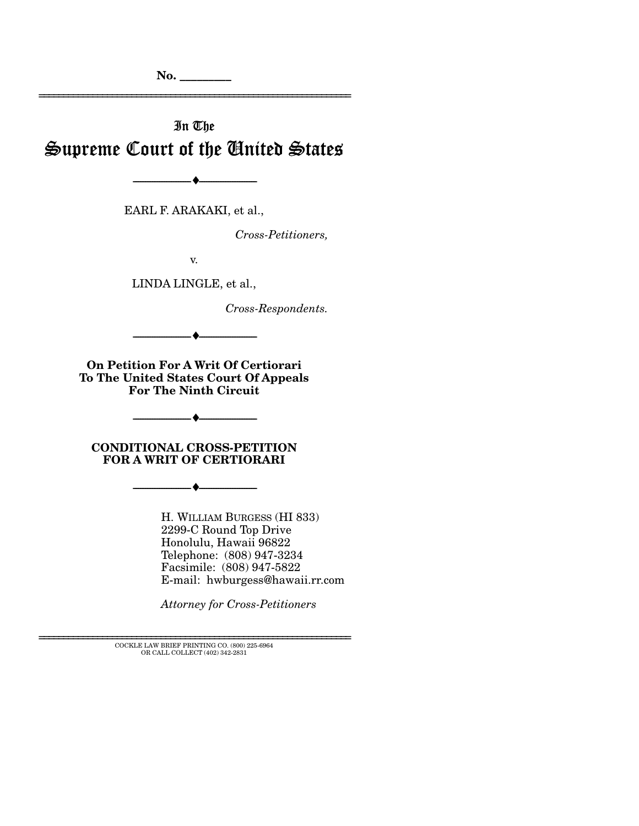**No. \_\_\_\_\_\_\_\_\_** 

# In The Supreme Court of the United States

EARL F. ARAKAKI, et al.,

--------------------------------- ♦ ---------------------------------

*Cross-Petitioners,* 

================================================================

v.

LINDA LINGLE, et al.,

*Cross-Respondents.* 

**On Petition For A Writ Of Certiorari To The United States Court Of Appeals For The Ninth Circuit** 

--------------------------------- ♦ ---------------------------------

**CONDITIONAL CROSS-PETITION FOR A WRIT OF CERTIORARI** 

--------------------------------- ♦ ---------------------------------

--------------------------------- ♦ ---------------------------------

H. WILLIAM BURGESS (HI 833) 2299-C Round Top Drive Honolulu, Hawaii 96822 Telephone: (808) 947-3234 Facsimile: (808) 947-5822 E-mail: hwburgess@hawaii.rr.com

*Attorney for Cross-Petitioners* 

================================================================ COCKLE LAW BRIEF PRINTING CO. (800) 225-6964 OR CALL COLLECT (402) 342-2831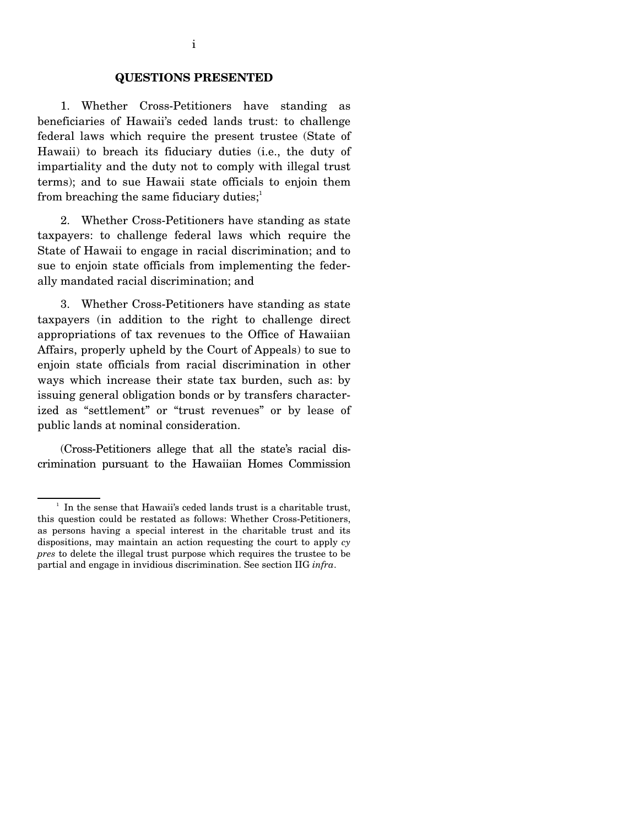#### **QUESTIONS PRESENTED**

 1. Whether Cross-Petitioners have standing as beneficiaries of Hawaii's ceded lands trust: to challenge federal laws which require the present trustee (State of Hawaii) to breach its fiduciary duties (i.e., the duty of impartiality and the duty not to comply with illegal trust terms); and to sue Hawaii state officials to enjoin them from breaching the same fiduciary duties; $\frac{1}{1}$ 

 2. Whether Cross-Petitioners have standing as state taxpayers: to challenge federal laws which require the State of Hawaii to engage in racial discrimination; and to sue to enjoin state officials from implementing the federally mandated racial discrimination; and

 3. Whether Cross-Petitioners have standing as state taxpayers (in addition to the right to challenge direct appropriations of tax revenues to the Office of Hawaiian Affairs, properly upheld by the Court of Appeals) to sue to enjoin state officials from racial discrimination in other ways which increase their state tax burden, such as: by issuing general obligation bonds or by transfers characterized as "settlement" or "trust revenues" or by lease of public lands at nominal consideration.

 (Cross-Petitioners allege that all the state's racial discrimination pursuant to the Hawaiian Homes Commission

<sup>&</sup>lt;sup>1</sup> In the sense that Hawaii's ceded lands trust is a charitable trust, this question could be restated as follows: Whether Cross-Petitioners, as persons having a special interest in the charitable trust and its dispositions, may maintain an action requesting the court to apply *cy pres* to delete the illegal trust purpose which requires the trustee to be partial and engage in invidious discrimination. See section IIG *infra*.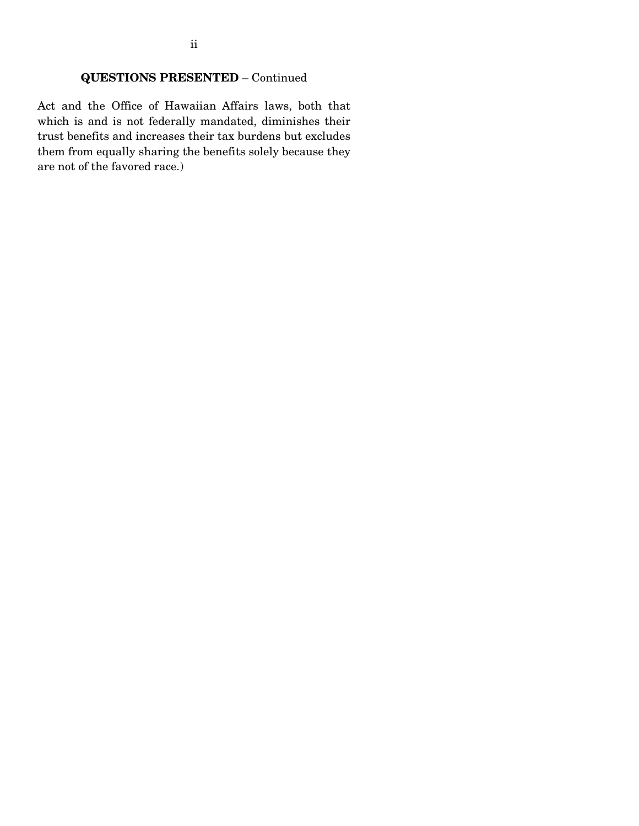# **QUESTIONS PRESENTED** – Continued

Act and the Office of Hawaiian Affairs laws, both that which is and is not federally mandated, diminishes their trust benefits and increases their tax burdens but excludes them from equally sharing the benefits solely because they are not of the favored race.)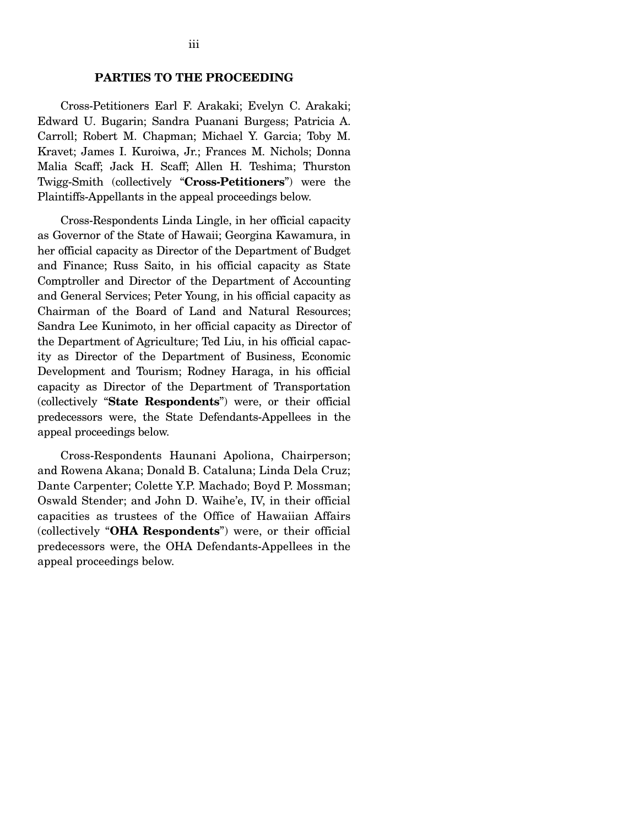Cross-Petitioners Earl F. Arakaki; Evelyn C. Arakaki; Edward U. Bugarin; Sandra Puanani Burgess; Patricia A. Carroll; Robert M. Chapman; Michael Y. Garcia; Toby M. Kravet; James I. Kuroiwa, Jr.; Frances M. Nichols; Donna Malia Scaff; Jack H. Scaff; Allen H. Teshima; Thurston Twigg-Smith (collectively "**Cross-Petitioners**") were the Plaintiffs-Appellants in the appeal proceedings below.

 Cross-Respondents Linda Lingle, in her official capacity as Governor of the State of Hawaii; Georgina Kawamura, in her official capacity as Director of the Department of Budget and Finance; Russ Saito, in his official capacity as State Comptroller and Director of the Department of Accounting and General Services; Peter Young, in his official capacity as Chairman of the Board of Land and Natural Resources; Sandra Lee Kunimoto, in her official capacity as Director of the Department of Agriculture; Ted Liu, in his official capacity as Director of the Department of Business, Economic Development and Tourism; Rodney Haraga, in his official capacity as Director of the Department of Transportation (collectively "**State Respondents**") were, or their official predecessors were, the State Defendants-Appellees in the appeal proceedings below.

 Cross-Respondents Haunani Apoliona, Chairperson; and Rowena Akana; Donald B. Cataluna; Linda Dela Cruz; Dante Carpenter; Colette Y.P. Machado; Boyd P. Mossman; Oswald Stender; and John D. Waihe'e, IV, in their official capacities as trustees of the Office of Hawaiian Affairs (collectively "**OHA Respondents**") were, or their official predecessors were, the OHA Defendants-Appellees in the appeal proceedings below.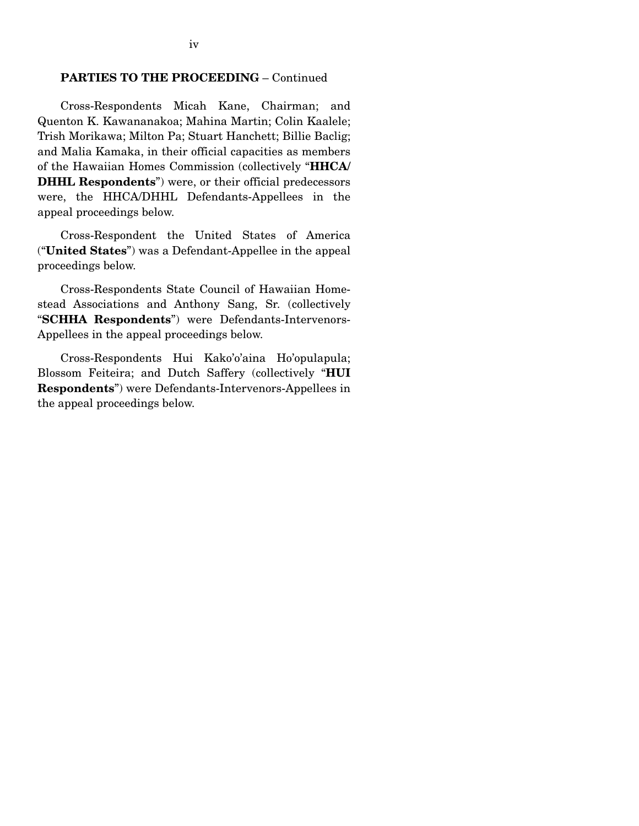#### **PARTIES TO THE PROCEEDING** – Continued

 Cross-Respondents Micah Kane, Chairman; and Quenton K. Kawananakoa; Mahina Martin; Colin Kaalele; Trish Morikawa; Milton Pa; Stuart Hanchett; Billie Baclig; and Malia Kamaka, in their official capacities as members of the Hawaiian Homes Commission (collectively "**HHCA/ DHHL Respondents**") were, or their official predecessors were, the HHCA/DHHL Defendants-Appellees in the appeal proceedings below.

 Cross-Respondent the United States of America ("**United States**") was a Defendant-Appellee in the appeal proceedings below.

 Cross-Respondents State Council of Hawaiian Homestead Associations and Anthony Sang, Sr. (collectively "**SCHHA Respondents**") were Defendants-Intervenors-Appellees in the appeal proceedings below.

 Cross-Respondents Hui Kako'o'aina Ho'opulapula; Blossom Feiteira; and Dutch Saffery (collectively "**HUI Respondents**") were Defendants-Intervenors-Appellees in the appeal proceedings below.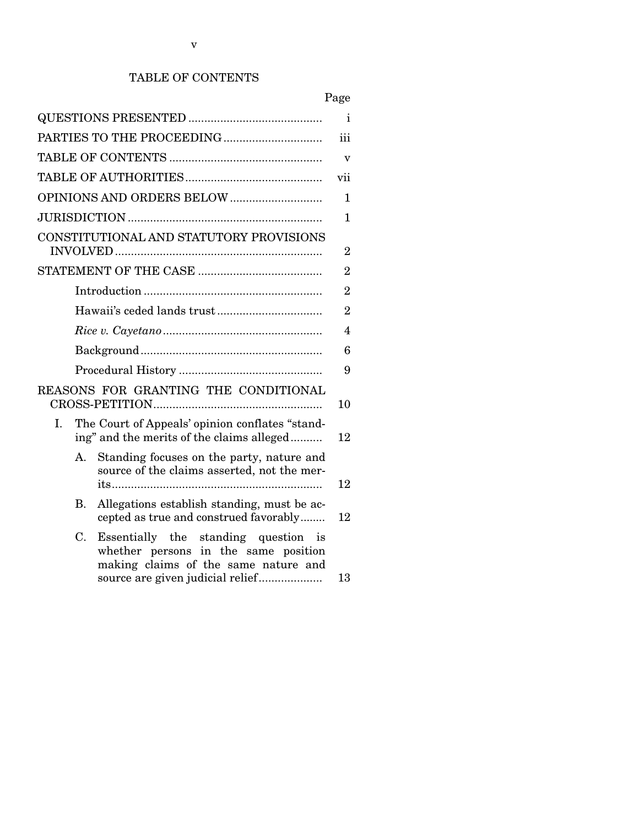# TABLE OF CONTENTS

|                                                                                                                               | Page           |  |  |
|-------------------------------------------------------------------------------------------------------------------------------|----------------|--|--|
|                                                                                                                               | Ť              |  |  |
|                                                                                                                               |                |  |  |
|                                                                                                                               |                |  |  |
|                                                                                                                               | vii            |  |  |
|                                                                                                                               |                |  |  |
|                                                                                                                               | 1              |  |  |
| CONSTITUTIONAL AND STATUTORY PROVISIONS                                                                                       |                |  |  |
|                                                                                                                               | 2<br>2         |  |  |
|                                                                                                                               | $\overline{2}$ |  |  |
|                                                                                                                               | $\overline{2}$ |  |  |
|                                                                                                                               |                |  |  |
|                                                                                                                               |                |  |  |
|                                                                                                                               |                |  |  |
| REASONS FOR GRANTING THE CONDITIONAL                                                                                          | 10             |  |  |
| The Court of Appeals' opinion conflates "stand-<br>I.<br>ing" and the merits of the claims alleged                            | 12             |  |  |
| Standing focuses on the party, nature and<br>A.<br>source of the claims asserted, not the mer-                                | 12             |  |  |
| Allegations establish standing, must be ac-<br>В.<br>cepted as true and construed favorably                                   | 12             |  |  |
| C.<br>Essentially the standing question<br>1S<br>whether persons in the same position<br>making claims of the same nature and | 13             |  |  |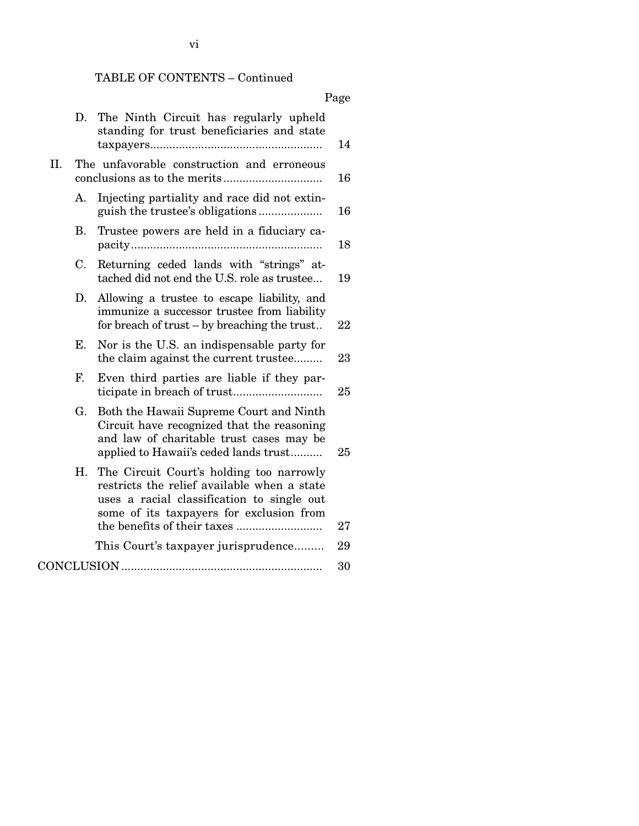# TABLE OF CONTENTS – Continued

# Page

|     | D.          | The Ninth Circuit has regularly upheld<br>standing for trust beneficiaries and state                                                                                              | 14       |
|-----|-------------|-----------------------------------------------------------------------------------------------------------------------------------------------------------------------------------|----------|
| II. |             | The unfavorable construction and erroneous                                                                                                                                        | 16       |
|     | А.          | Injecting partiality and race did not extin-                                                                                                                                      | 16       |
|     | Β.          | Trustee powers are held in a fiduciary ca-                                                                                                                                        | 18       |
|     | $C_{\cdot}$ | Returning ceded lands with "strings" at-<br>tached did not end the U.S. role as trustee                                                                                           | 19       |
|     | D.          | Allowing a trustee to escape liability, and<br>immunize a successor trustee from liability<br>for breach of trust – by breaching the trust                                        | 22       |
|     | Е.          | Nor is the U.S. an indispensable party for<br>the claim against the current trustee                                                                                               | 23       |
|     | F.          | Even third parties are liable if they par-                                                                                                                                        | 25       |
|     | G.          | Both the Hawaii Supreme Court and Ninth<br>Circuit have recognized that the reasoning<br>and law of charitable trust cases may be<br>applied to Hawaii's ceded lands trust        | 25       |
|     | Н.          | The Circuit Court's holding too narrowly<br>restricts the relief available when a state<br>uses a racial classification to single out<br>some of its taxpayers for exclusion from |          |
|     |             | This Court's taxpayer jurisprudence                                                                                                                                               | 27<br>29 |
|     |             |                                                                                                                                                                                   |          |
|     |             |                                                                                                                                                                                   | 30       |

vi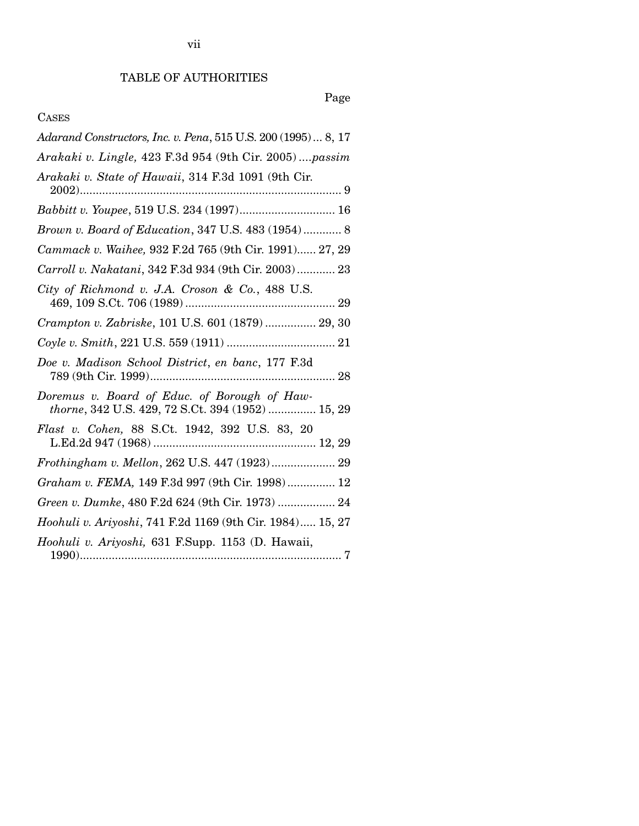# Page

# CASES

| Adarand Constructors, Inc. v. Pena, 515 U.S. 200 (1995)  8, 17                                    |
|---------------------------------------------------------------------------------------------------|
| Arakaki v. Lingle, 423 F.3d 954 (9th Cir. 2005)passim                                             |
| Arakaki v. State of Hawaii, 314 F.3d 1091 (9th Cir.                                               |
| Babbitt v. Youpee, 519 U.S. 234 (1997) 16                                                         |
| Brown v. Board of Education, 347 U.S. 483 (1954) 8                                                |
| Cammack v. Waihee, 932 F.2d 765 (9th Cir. 1991) 27, 29                                            |
| Carroll v. Nakatani, 342 F.3d 934 (9th Cir. 2003) 23                                              |
| City of Richmond v. J.A. Croson & Co., 488 U.S.                                                   |
| Crampton v. Zabriske, 101 U.S. 601 (1879)  29, 30                                                 |
| $\label{eq:21} \textit{Coyle v. Smith, 221 U.S. 559 (1911) … … … … … … … … 21}$                   |
| Doe v. Madison School District, en banc, 177 F.3d                                                 |
| Doremus v. Board of Educ. of Borough of Haw-<br>thorne, 342 U.S. 429, 72 S.Ct. 394 (1952)  15, 29 |
| Flast v. Cohen, 88 S.Ct. 1942, 392 U.S. 83, 20                                                    |
| Frothingham v. Mellon, 262 U.S. 447 (1923) 29                                                     |
| Graham v. FEMA, 149 F.3d 997 (9th Cir. 1998) 12                                                   |
| Green v. Dumke, 480 F.2d 624 (9th Cir. 1973)  24                                                  |
| Hoohuli v. Ariyoshi, 741 F.2d 1169 (9th Cir. 1984) 15, 27                                         |
| Hoohuli v. Ariyoshi, 631 F.Supp. 1153 (D. Hawaii,                                                 |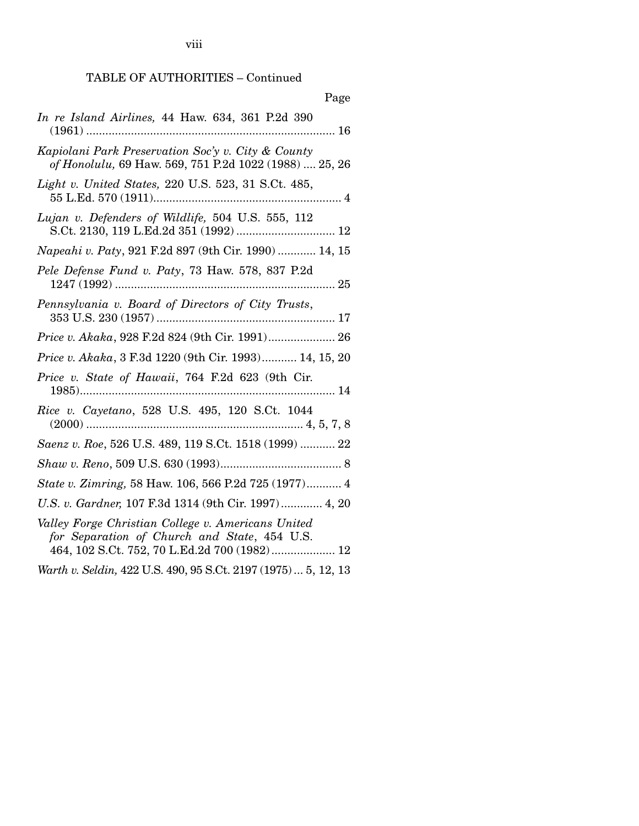viii

# TABLE OF AUTHORITIES – Continued

| Page                                                                                                                                               |
|----------------------------------------------------------------------------------------------------------------------------------------------------|
| In re Island Airlines, 44 Haw. 634, 361 P.2d 390                                                                                                   |
| Kapiolani Park Preservation Soc'y v. City & County<br>of Honolulu, 69 Haw. 569, 751 P.2d 1022 (1988)  25, 26                                       |
| Light v. United States, 220 U.S. 523, 31 S.Ct. 485,                                                                                                |
| Lujan v. Defenders of Wildlife, 504 U.S. 555, 112<br>S.Ct. 2130, 119 L.Ed.2d 351 (1992)  12                                                        |
| Napeahi v. Paty, 921 F.2d 897 (9th Cir. 1990)  14, 15                                                                                              |
| Pele Defense Fund v. Paty, 73 Haw. 578, 837 P.2d                                                                                                   |
| Pennsylvania v. Board of Directors of City Trusts,                                                                                                 |
| Price v. Akaka, 928 F.2d 824 (9th Cir. 1991) 26                                                                                                    |
| Price v. Akaka, 3 F.3d 1220 (9th Cir. 1993) 14, 15, 20                                                                                             |
| Price v. State of Hawaii, 764 F.2d 623 (9th Cir.                                                                                                   |
| Rice v. Cayetano, 528 U.S. 495, 120 S.Ct. 1044                                                                                                     |
| Saenz v. Roe, 526 U.S. 489, 119 S.Ct. 1518 (1999)  22                                                                                              |
|                                                                                                                                                    |
| State v. Zimring, 58 Haw. 106, 566 P.2d 725 (1977) 4                                                                                               |
| U.S. v. Gardner, 107 F.3d 1314 (9th Cir. 1997) 4, 20                                                                                               |
| Valley Forge Christian College v. Americans United<br>for Separation of Church and State, 454 U.S.<br>464, 102 S.Ct. 752, 70 L.Ed.2d 700 (1982) 12 |
| Warth v. Seldin, 422 U.S. 490, 95 S.Ct. 2197 (1975)  5, 12, 13                                                                                     |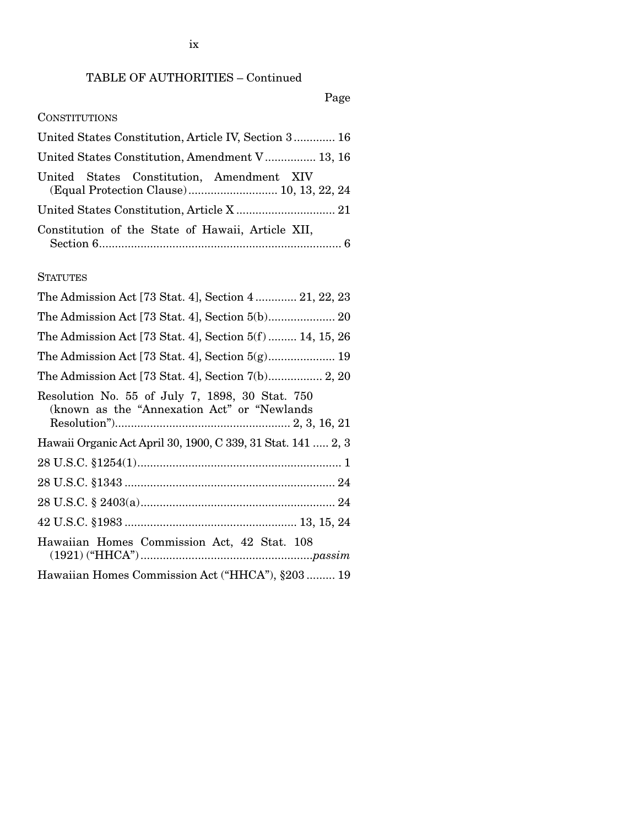# TABLE OF AUTHORITIES – Continued

## Page

## **CONSTITUTIONS**

| United States Constitution, Article IV, Section 3 16                                  |  |
|---------------------------------------------------------------------------------------|--|
| United States Constitution, Amendment V 13, 16                                        |  |
| United States Constitution, Amendment XIV<br>(Equal Protection Clause) 10, 13, 22, 24 |  |
|                                                                                       |  |
| Constitution of the State of Hawaii, Article XII,                                     |  |

## **STATUTES**

| The Admission Act [73 Stat. 4], Section 4 21, 22, 23                                             |
|--------------------------------------------------------------------------------------------------|
|                                                                                                  |
| The Admission Act [73 Stat. 4], Section 5(f)  14, 15, 26                                         |
|                                                                                                  |
|                                                                                                  |
| Resolution No. 55 of July 7, 1898, 30 Stat. 750<br>(known as the "Annexation Act" or "Newlands") |
| Hawaii Organic Act April 30, 1900, C 339, 31 Stat. 141  2, 3                                     |
|                                                                                                  |
|                                                                                                  |
|                                                                                                  |
|                                                                                                  |
| Hawaiian Homes Commission Act, 42 Stat. 108                                                      |
| Hawaiian Homes Commission Act ("HHCA"), §203 19                                                  |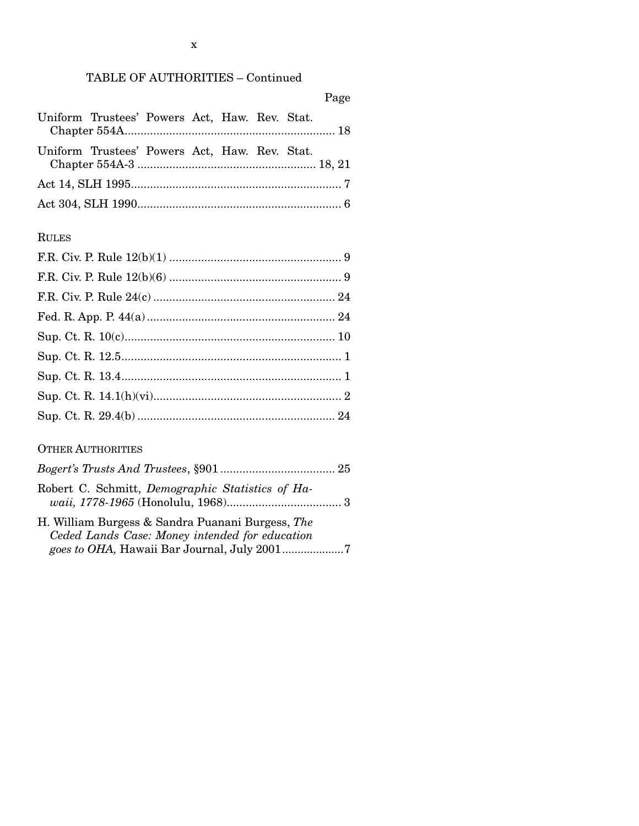|--|

| Uniform Trustees' Powers Act, Haw. Rev. Stat. |  |  |  |
|-----------------------------------------------|--|--|--|
|                                               |  |  |  |
| Uniform Trustees' Powers Act, Haw. Rev. Stat. |  |  |  |
|                                               |  |  |  |
|                                               |  |  |  |
|                                               |  |  |  |

# RULES

## OTHER AUTHORITIES

| Robert C. Schmitt, Demographic Statistics of Ha-                                                   |  |
|----------------------------------------------------------------------------------------------------|--|
| H. William Burgess & Sandra Puanani Burgess, The<br>Ceded Lands Case: Money intended for education |  |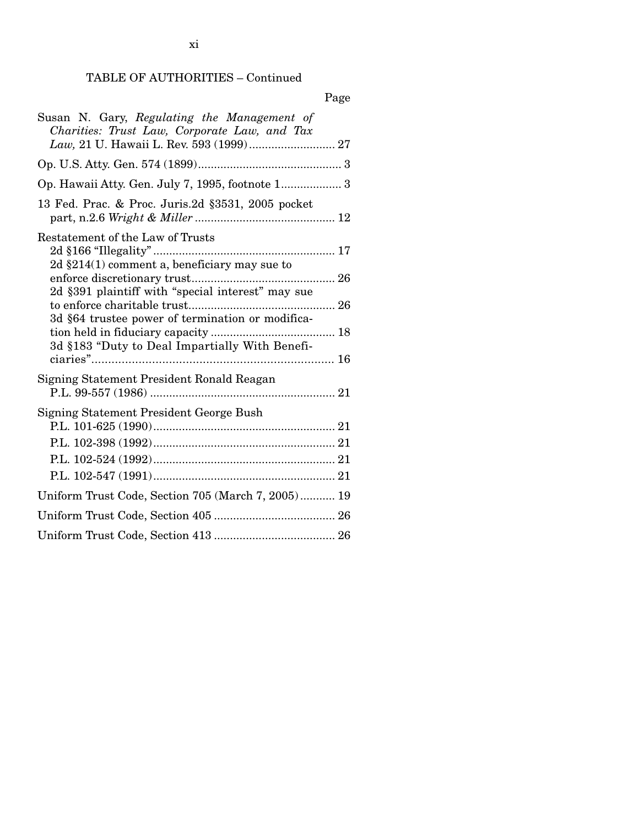# TABLE OF AUTHORITIES – Continued

| Susan N. Gary, Regulating the Management of<br>Charities: Trust Law, Corporate Law, and Tax          |
|------------------------------------------------------------------------------------------------------|
|                                                                                                      |
| Op. Hawaii Atty. Gen. July 7, 1995, footnote 1 3                                                     |
| 13 Fed. Prac. & Proc. Juris. 2d § 3531, 2005 pocket                                                  |
| Restatement of the Law of Trusts                                                                     |
| 2d $\S214(1)$ comment a, beneficiary may sue to<br>2d §391 plaintiff with "special interest" may sue |
| 3d §64 trustee power of termination or modifica-                                                     |
| 3d §183 "Duty to Deal Impartially With Benefi-                                                       |
| Signing Statement President Ronald Reagan                                                            |
| Signing Statement President George Bush                                                              |
|                                                                                                      |
|                                                                                                      |
|                                                                                                      |
| Uniform Trust Code, Section 705 (March 7, 2005) 19                                                   |
|                                                                                                      |
|                                                                                                      |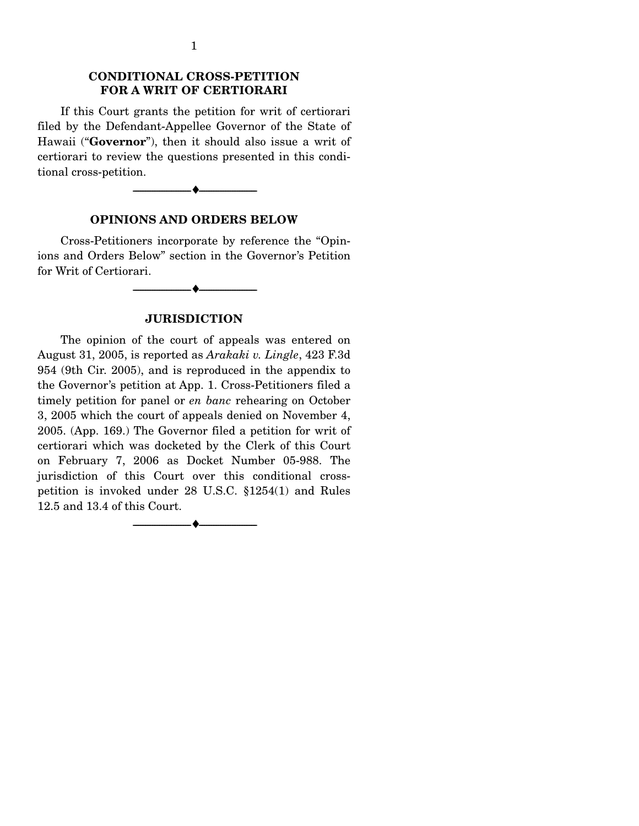## **CONDITIONAL CROSS-PETITION FOR A WRIT OF CERTIORARI**

 If this Court grants the petition for writ of certiorari filed by the Defendant-Appellee Governor of the State of Hawaii ("**Governor**"), then it should also issue a writ of certiorari to review the questions presented in this conditional cross-petition.



#### **OPINIONS AND ORDERS BELOW**

 Cross-Petitioners incorporate by reference the "Opinions and Orders Below" section in the Governor's Petition for Writ of Certiorari.

**JURISDICTION** 

--------------------------------- ♦ ---------------------------------

 The opinion of the court of appeals was entered on August 31, 2005, is reported as *Arakaki v. Lingle*, 423 F.3d 954 (9th Cir. 2005), and is reproduced in the appendix to the Governor's petition at App. 1. Cross-Petitioners filed a timely petition for panel or *en banc* rehearing on October 3, 2005 which the court of appeals denied on November 4, 2005. (App. 169.) The Governor filed a petition for writ of certiorari which was docketed by the Clerk of this Court on February 7, 2006 as Docket Number 05-988. The jurisdiction of this Court over this conditional crosspetition is invoked under 28 U.S.C. §1254(1) and Rules 12.5 and 13.4 of this Court.

--------------------------------- ♦ ---------------------------------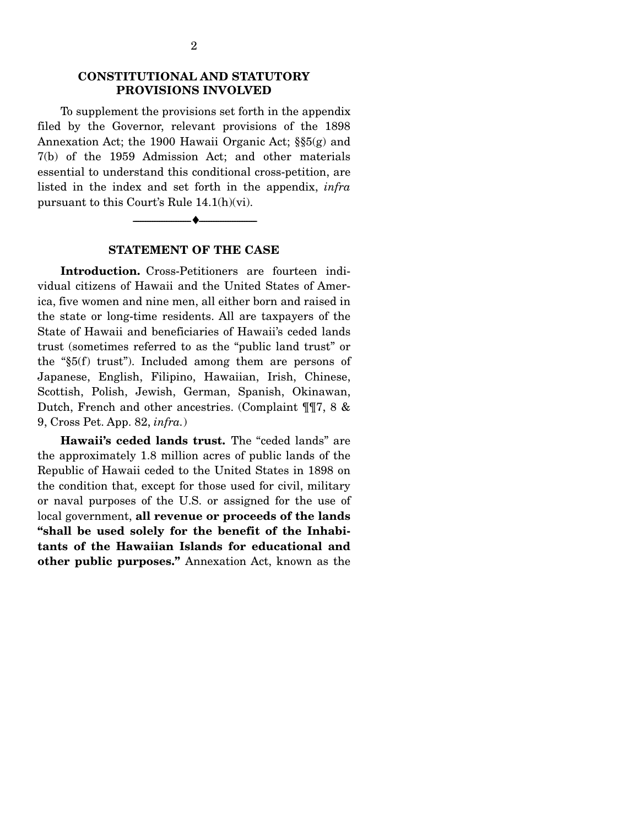### **CONSTITUTIONAL AND STATUTORY PROVISIONS INVOLVED**

 To supplement the provisions set forth in the appendix filed by the Governor, relevant provisions of the 1898 Annexation Act; the 1900 Hawaii Organic Act; §§5(g) and 7(b) of the 1959 Admission Act; and other materials essential to understand this conditional cross-petition, are listed in the index and set forth in the appendix, *infra*  pursuant to this Court's Rule 14.1(h)(vi).

#### **STATEMENT OF THE CASE**

--------------------------------- ♦ ---------------------------------

 **Introduction.** Cross-Petitioners are fourteen individual citizens of Hawaii and the United States of America, five women and nine men, all either born and raised in the state or long-time residents. All are taxpayers of the State of Hawaii and beneficiaries of Hawaii's ceded lands trust (sometimes referred to as the "public land trust" or the "§5(f) trust"). Included among them are persons of Japanese, English, Filipino, Hawaiian, Irish, Chinese, Scottish, Polish, Jewish, German, Spanish, Okinawan, Dutch, French and other ancestries. (Complaint ¶¶7, 8 & 9, Cross Pet. App. 82, *infra.*)

 **Hawaii's ceded lands trust.** The "ceded lands" are the approximately 1.8 million acres of public lands of the Republic of Hawaii ceded to the United States in 1898 on the condition that, except for those used for civil, military or naval purposes of the U.S. or assigned for the use of local government, **all revenue or proceeds of the lands "shall be used solely for the benefit of the Inhabitants of the Hawaiian Islands for educational and other public purposes."** Annexation Act, known as the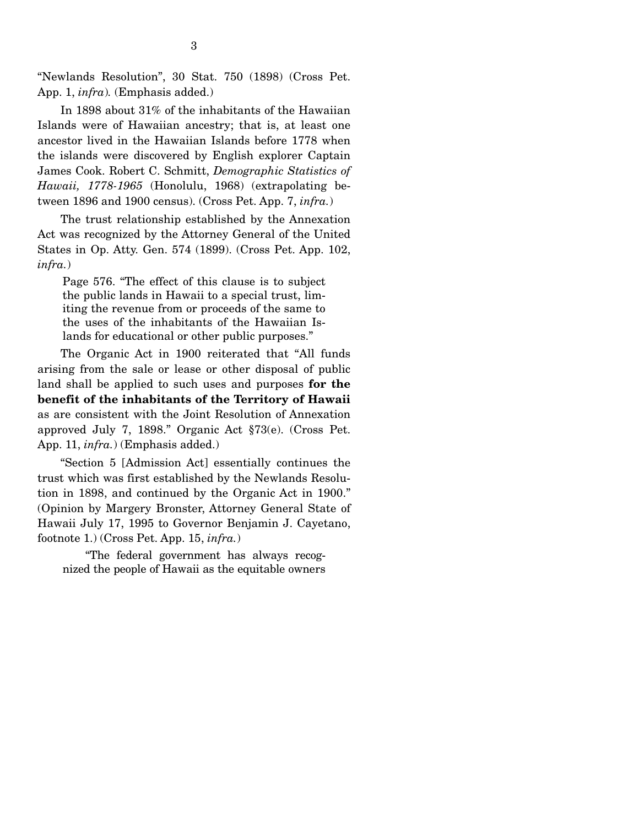"Newlands Resolution", 30 Stat. 750 (1898) (Cross Pet. App. 1, *infra*)*.* (Emphasis added.)

 In 1898 about 31% of the inhabitants of the Hawaiian Islands were of Hawaiian ancestry; that is, at least one ancestor lived in the Hawaiian Islands before 1778 when the islands were discovered by English explorer Captain James Cook. Robert C. Schmitt, *Demographic Statistics of Hawaii, 1778-1965* (Honolulu, 1968) (extrapolating between 1896 and 1900 census). (Cross Pet. App. 7, *infra.*)

 The trust relationship established by the Annexation Act was recognized by the Attorney General of the United States in Op. Atty. Gen. 574 (1899). (Cross Pet. App. 102, *infra.*)

Page 576. "The effect of this clause is to subject the public lands in Hawaii to a special trust, limiting the revenue from or proceeds of the same to the uses of the inhabitants of the Hawaiian Islands for educational or other public purposes."

 The Organic Act in 1900 reiterated that "All funds arising from the sale or lease or other disposal of public land shall be applied to such uses and purposes **for the benefit of the inhabitants of the Territory of Hawaii**  as are consistent with the Joint Resolution of Annexation approved July 7, 1898." Organic Act §73(e). (Cross Pet. App. 11, *infra.*) (Emphasis added.)

 "Section 5 [Admission Act] essentially continues the trust which was first established by the Newlands Resolution in 1898, and continued by the Organic Act in 1900." (Opinion by Margery Bronster, Attorney General State of Hawaii July 17, 1995 to Governor Benjamin J. Cayetano, footnote 1.) (Cross Pet. App. 15, *infra.*)

 "The federal government has always recognized the people of Hawaii as the equitable owners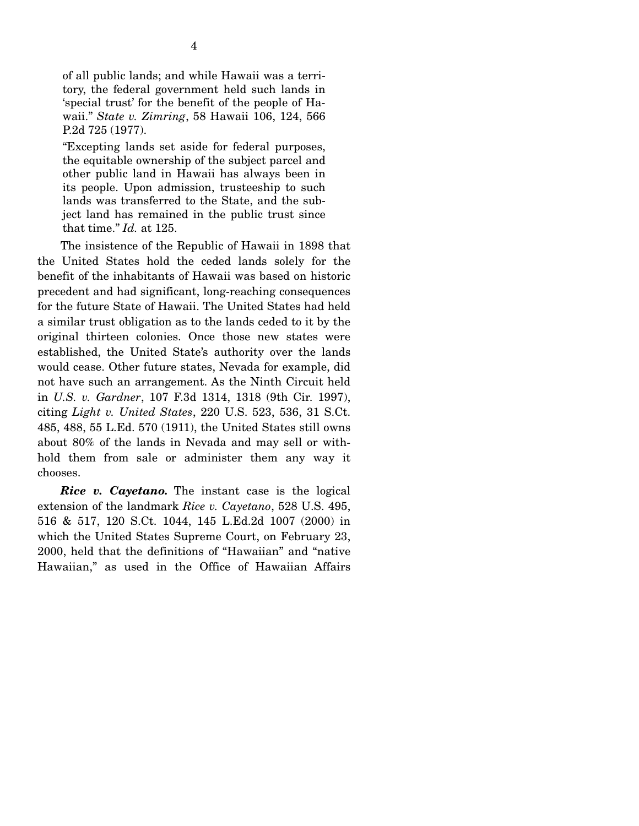of all public lands; and while Hawaii was a territory, the federal government held such lands in 'special trust' for the benefit of the people of Hawaii." *State v. Zimring*, 58 Hawaii 106, 124, 566 P.2d 725 (1977).

"Excepting lands set aside for federal purposes, the equitable ownership of the subject parcel and other public land in Hawaii has always been in its people. Upon admission, trusteeship to such lands was transferred to the State, and the subject land has remained in the public trust since that time." *Id.* at 125.

 The insistence of the Republic of Hawaii in 1898 that the United States hold the ceded lands solely for the benefit of the inhabitants of Hawaii was based on historic precedent and had significant, long-reaching consequences for the future State of Hawaii. The United States had held a similar trust obligation as to the lands ceded to it by the original thirteen colonies. Once those new states were established, the United State's authority over the lands would cease. Other future states, Nevada for example, did not have such an arrangement. As the Ninth Circuit held in *U.S. v. Gardner*, 107 F.3d 1314, 1318 (9th Cir. 1997), citing *Light v. United States*, 220 U.S. 523, 536, 31 S.Ct. 485, 488, 55 L.Ed. 570 (1911), the United States still owns about 80% of the lands in Nevada and may sell or withhold them from sale or administer them any way it chooses.

 *Rice v. Cayetano.* The instant case is the logical extension of the landmark *Rice v. Cayetano*, 528 U.S. 495, 516 & 517, 120 S.Ct. 1044, 145 L.Ed.2d 1007 (2000) in which the United States Supreme Court, on February 23, 2000, held that the definitions of "Hawaiian" and "native Hawaiian," as used in the Office of Hawaiian Affairs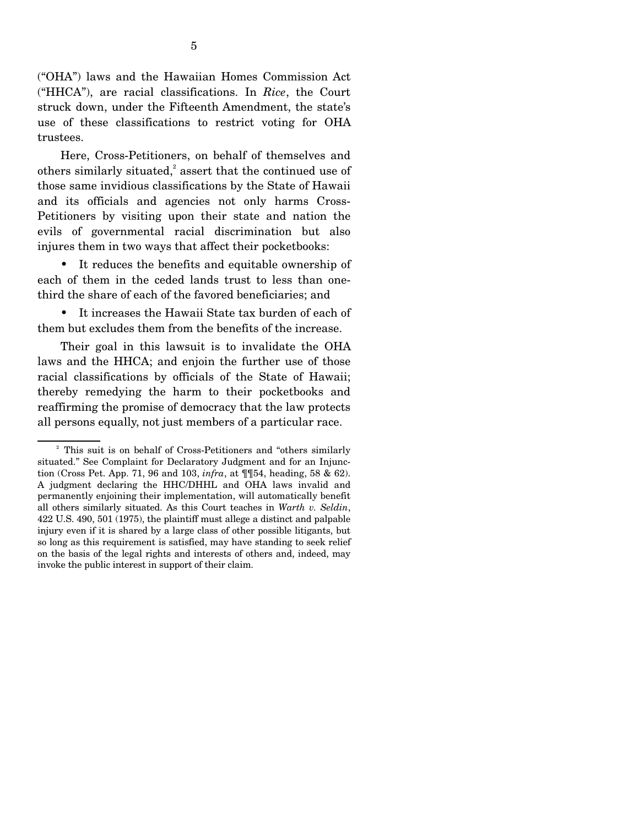("OHA") laws and the Hawaiian Homes Commission Act ("HHCA"), are racial classifications. In *Rice*, the Court struck down, under the Fifteenth Amendment, the state's use of these classifications to restrict voting for OHA trustees.

 Here, Cross-Petitioners, on behalf of themselves and others similarly situated, $^{2}$  assert that the continued use of those same invidious classifications by the State of Hawaii and its officials and agencies not only harms Cross-Petitioners by visiting upon their state and nation the evils of governmental racial discrimination but also injures them in two ways that affect their pocketbooks:

 • It reduces the benefits and equitable ownership of each of them in the ceded lands trust to less than onethird the share of each of the favored beneficiaries; and

 • It increases the Hawaii State tax burden of each of them but excludes them from the benefits of the increase.

 Their goal in this lawsuit is to invalidate the OHA laws and the HHCA; and enjoin the further use of those racial classifications by officials of the State of Hawaii; thereby remedying the harm to their pocketbooks and reaffirming the promise of democracy that the law protects all persons equally, not just members of a particular race.

<sup>&</sup>lt;sup>2</sup> This suit is on behalf of Cross-Petitioners and "others similarly situated." See Complaint for Declaratory Judgment and for an Injunction (Cross Pet. App. 71, 96 and 103, *infra*, at ¶¶54, heading, 58 & 62). A judgment declaring the HHC/DHHL and OHA laws invalid and permanently enjoining their implementation, will automatically benefit all others similarly situated. As this Court teaches in *Warth v. Seldin*, 422 U.S. 490, 501 (1975), the plaintiff must allege a distinct and palpable injury even if it is shared by a large class of other possible litigants, but so long as this requirement is satisfied, may have standing to seek relief on the basis of the legal rights and interests of others and, indeed, may invoke the public interest in support of their claim.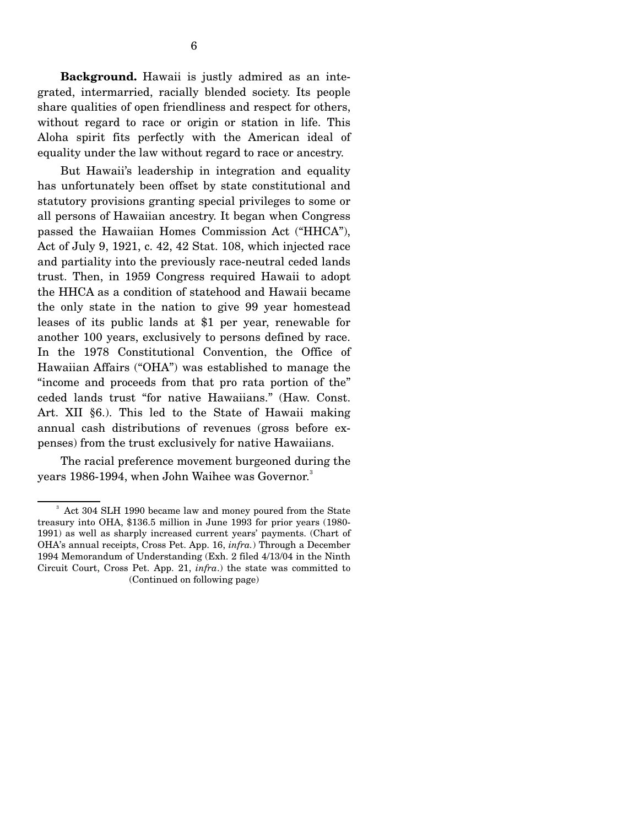But Hawaii's leadership in integration and equality has unfortunately been offset by state constitutional and statutory provisions granting special privileges to some or all persons of Hawaiian ancestry. It began when Congress passed the Hawaiian Homes Commission Act ("HHCA"), Act of July 9, 1921, c. 42, 42 Stat. 108, which injected race and partiality into the previously race-neutral ceded lands trust. Then, in 1959 Congress required Hawaii to adopt the HHCA as a condition of statehood and Hawaii became the only state in the nation to give 99 year homestead leases of its public lands at \$1 per year, renewable for another 100 years, exclusively to persons defined by race. In the 1978 Constitutional Convention, the Office of Hawaiian Affairs ("OHA") was established to manage the "income and proceeds from that pro rata portion of the" ceded lands trust "for native Hawaiians." (Haw. Const. Art. XII §6.). This led to the State of Hawaii making annual cash distributions of revenues (gross before expenses) from the trust exclusively for native Hawaiians.

 The racial preference movement burgeoned during the years 1986-1994, when John Waihee was Governor.<sup>3</sup>

<sup>&</sup>lt;sup>3</sup> Act 304 SLH 1990 became law and money poured from the State treasury into OHA, \$136.5 million in June 1993 for prior years (1980- 1991) as well as sharply increased current years' payments. (Chart of OHA's annual receipts, Cross Pet. App. 16, *infra.*) Through a December 1994 Memorandum of Understanding (Exh. 2 filed 4/13/04 in the Ninth Circuit Court, Cross Pet. App. 21, *infra*.) the state was committed to (Continued on following page)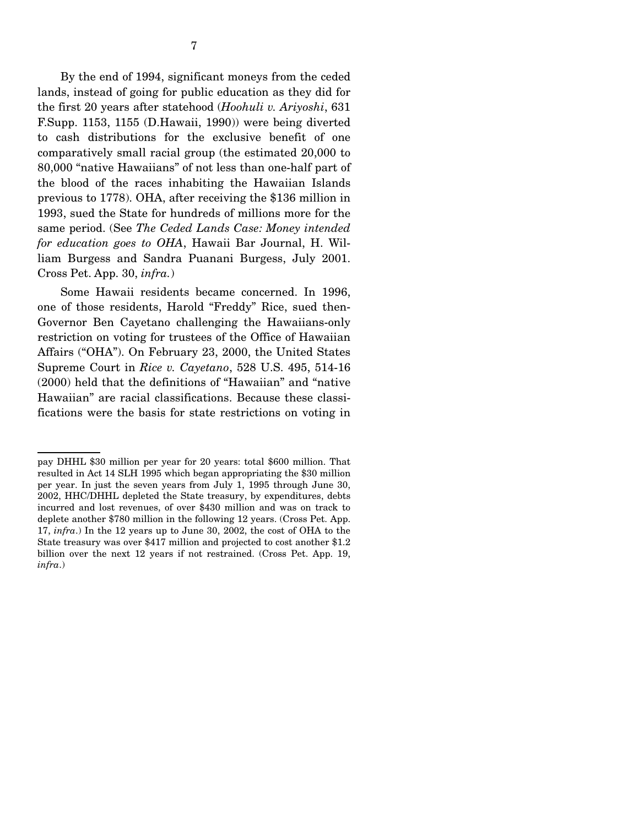By the end of 1994, significant moneys from the ceded lands, instead of going for public education as they did for the first 20 years after statehood (*Hoohuli v. Ariyoshi*, 631 F.Supp. 1153, 1155 (D.Hawaii, 1990)) were being diverted to cash distributions for the exclusive benefit of one comparatively small racial group (the estimated 20,000 to 80,000 "native Hawaiians" of not less than one-half part of the blood of the races inhabiting the Hawaiian Islands previous to 1778). OHA, after receiving the \$136 million in 1993, sued the State for hundreds of millions more for the same period. (See *The Ceded Lands Case: Money intended for education goes to OHA*, Hawaii Bar Journal, H. William Burgess and Sandra Puanani Burgess, July 2001. Cross Pet. App. 30, *infra.*)

 Some Hawaii residents became concerned. In 1996, one of those residents, Harold "Freddy" Rice, sued then-Governor Ben Cayetano challenging the Hawaiians-only restriction on voting for trustees of the Office of Hawaiian Affairs ("OHA"). On February 23, 2000, the United States Supreme Court in *Rice v. Cayetano*, 528 U.S. 495, 514-16 (2000) held that the definitions of "Hawaiian" and "native Hawaiian" are racial classifications. Because these classifications were the basis for state restrictions on voting in

pay DHHL \$30 million per year for 20 years: total \$600 million. That resulted in Act 14 SLH 1995 which began appropriating the \$30 million per year. In just the seven years from July 1, 1995 through June 30, 2002, HHC/DHHL depleted the State treasury, by expenditures, debts incurred and lost revenues, of over \$430 million and was on track to deplete another \$780 million in the following 12 years. (Cross Pet. App. 17, *infra*.) In the 12 years up to June 30, 2002, the cost of OHA to the State treasury was over \$417 million and projected to cost another \$1.2 billion over the next 12 years if not restrained. (Cross Pet. App. 19, *infra*.)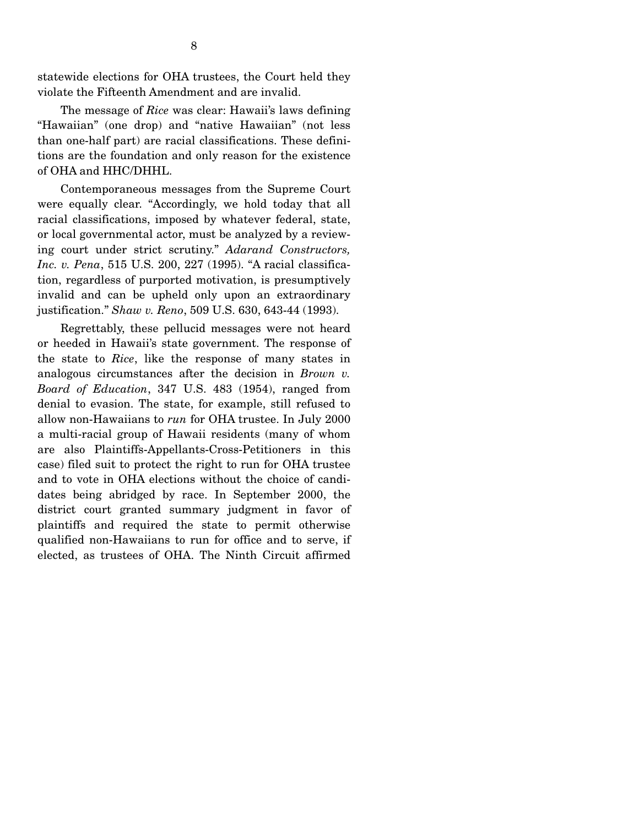statewide elections for OHA trustees, the Court held they violate the Fifteenth Amendment and are invalid.

 The message of *Rice* was clear: Hawaii's laws defining "Hawaiian" (one drop) and "native Hawaiian" (not less than one-half part) are racial classifications. These definitions are the foundation and only reason for the existence of OHA and HHC/DHHL.

 Contemporaneous messages from the Supreme Court were equally clear. "Accordingly, we hold today that all racial classifications, imposed by whatever federal, state, or local governmental actor, must be analyzed by a reviewing court under strict scrutiny." *Adarand Constructors, Inc. v. Pena*, 515 U.S. 200, 227 (1995). "A racial classification, regardless of purported motivation, is presumptively invalid and can be upheld only upon an extraordinary justification." *Shaw v. Reno*, 509 U.S. 630, 643-44 (1993).

 Regrettably, these pellucid messages were not heard or heeded in Hawaii's state government. The response of the state to *Rice*, like the response of many states in analogous circumstances after the decision in *Brown v. Board of Education*, 347 U.S. 483 (1954), ranged from denial to evasion. The state, for example, still refused to allow non-Hawaiians to *run* for OHA trustee. In July 2000 a multi-racial group of Hawaii residents (many of whom are also Plaintiffs-Appellants-Cross-Petitioners in this case) filed suit to protect the right to run for OHA trustee and to vote in OHA elections without the choice of candidates being abridged by race. In September 2000, the district court granted summary judgment in favor of plaintiffs and required the state to permit otherwise qualified non-Hawaiians to run for office and to serve, if elected, as trustees of OHA. The Ninth Circuit affirmed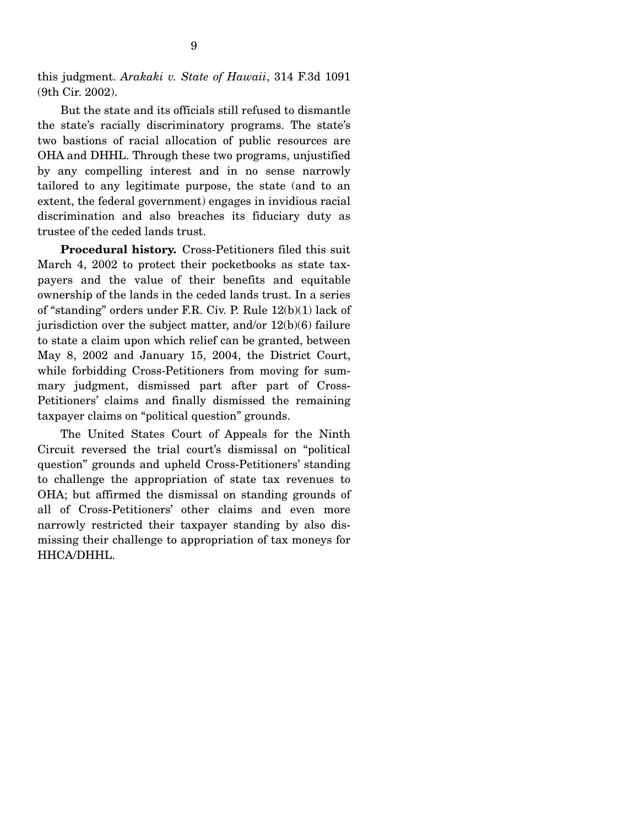this judgment. *Arakaki v. State of Hawaii*, 314 F.3d 1091 (9th Cir. 2002).

 But the state and its officials still refused to dismantle the state's racially discriminatory programs. The state's two bastions of racial allocation of public resources are OHA and DHHL. Through these two programs, unjustified by any compelling interest and in no sense narrowly tailored to any legitimate purpose, the state (and to an extent, the federal government) engages in invidious racial discrimination and also breaches its fiduciary duty as trustee of the ceded lands trust.

**Procedural history.** Cross-Petitioners filed this suit March 4, 2002 to protect their pocketbooks as state taxpayers and the value of their benefits and equitable ownership of the lands in the ceded lands trust. In a series of "standing" orders under F.R. Civ. P. Rule 12(b)(1) lack of jurisdiction over the subject matter, and/or  $12(b)(6)$  failure to state a claim upon which relief can be granted, between May 8, 2002 and January 15, 2004, the District Court, while forbidding Cross-Petitioners from moving for summary judgment, dismissed part after part of Cross-Petitioners' claims and finally dismissed the remaining taxpayer claims on "political question" grounds.

 The United States Court of Appeals for the Ninth Circuit reversed the trial court's dismissal on "political question" grounds and upheld Cross-Petitioners' standing to challenge the appropriation of state tax revenues to OHA; but affirmed the dismissal on standing grounds of all of Cross-Petitioners' other claims and even more narrowly restricted their taxpayer standing by also dismissing their challenge to appropriation of tax moneys for HHCA/DHHL.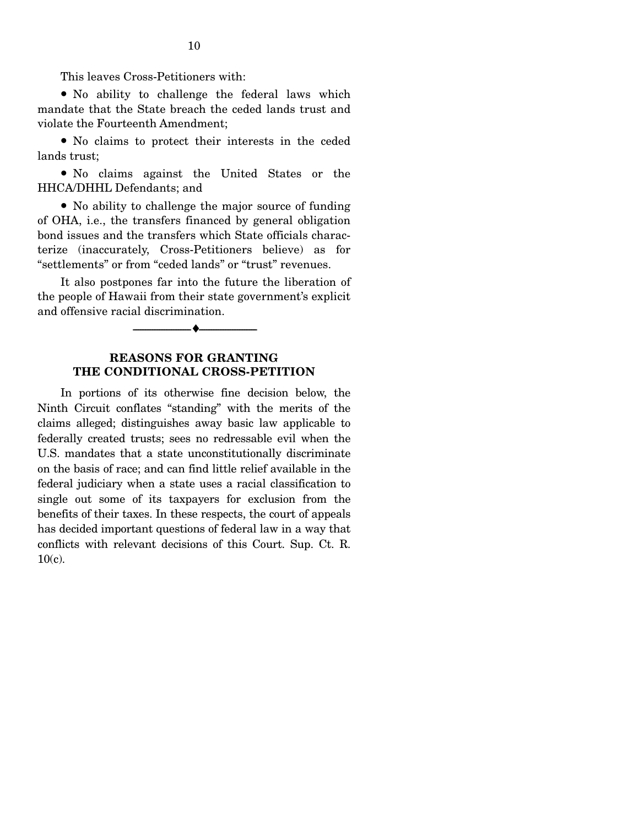This leaves Cross-Petitioners with:

 ● No ability to challenge the federal laws which mandate that the State breach the ceded lands trust and violate the Fourteenth Amendment;

• No claims to protect their interests in the ceded lands trust;

• No claims against the United States or the HHCA/DHHL Defendants; and

• No ability to challenge the major source of funding of OHA, i.e., the transfers financed by general obligation bond issues and the transfers which State officials characterize (inaccurately, Cross-Petitioners believe) as for "settlements" or from "ceded lands" or "trust" revenues.

 It also postpones far into the future the liberation of the people of Hawaii from their state government's explicit and offensive racial discrimination.

--------------------------------- ♦ ---------------------------------

### **REASONS FOR GRANTING THE CONDITIONAL CROSS-PETITION**

 In portions of its otherwise fine decision below, the Ninth Circuit conflates "standing" with the merits of the claims alleged; distinguishes away basic law applicable to federally created trusts; sees no redressable evil when the U.S. mandates that a state unconstitutionally discriminate on the basis of race; and can find little relief available in the federal judiciary when a state uses a racial classification to single out some of its taxpayers for exclusion from the benefits of their taxes. In these respects, the court of appeals has decided important questions of federal law in a way that conflicts with relevant decisions of this Court. Sup. Ct. R. 10(c).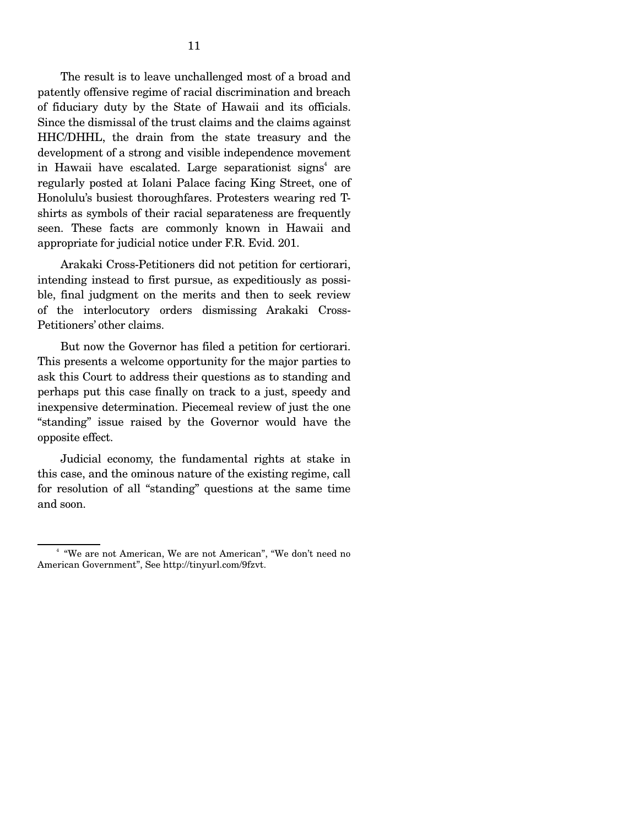The result is to leave unchallenged most of a broad and patently offensive regime of racial discrimination and breach of fiduciary duty by the State of Hawaii and its officials. Since the dismissal of the trust claims and the claims against HHC/DHHL, the drain from the state treasury and the development of a strong and visible independence movement in Hawaii have escalated. Large separationist signs<sup>4</sup> are regularly posted at Iolani Palace facing King Street, one of Honolulu's busiest thoroughfares. Protesters wearing red Tshirts as symbols of their racial separateness are frequently seen. These facts are commonly known in Hawaii and appropriate for judicial notice under F.R. Evid. 201.

 Arakaki Cross-Petitioners did not petition for certiorari, intending instead to first pursue, as expeditiously as possible, final judgment on the merits and then to seek review of the interlocutory orders dismissing Arakaki Cross-Petitioners' other claims.

 But now the Governor has filed a petition for certiorari. This presents a welcome opportunity for the major parties to ask this Court to address their questions as to standing and perhaps put this case finally on track to a just, speedy and inexpensive determination. Piecemeal review of just the one "standing" issue raised by the Governor would have the opposite effect.

 Judicial economy, the fundamental rights at stake in this case, and the ominous nature of the existing regime, call for resolution of all "standing" questions at the same time and soon.

<sup>&</sup>lt;sup>4</sup> "We are not American, We are not American", "We don't need no American Government", See http://tinyurl.com/9fzvt.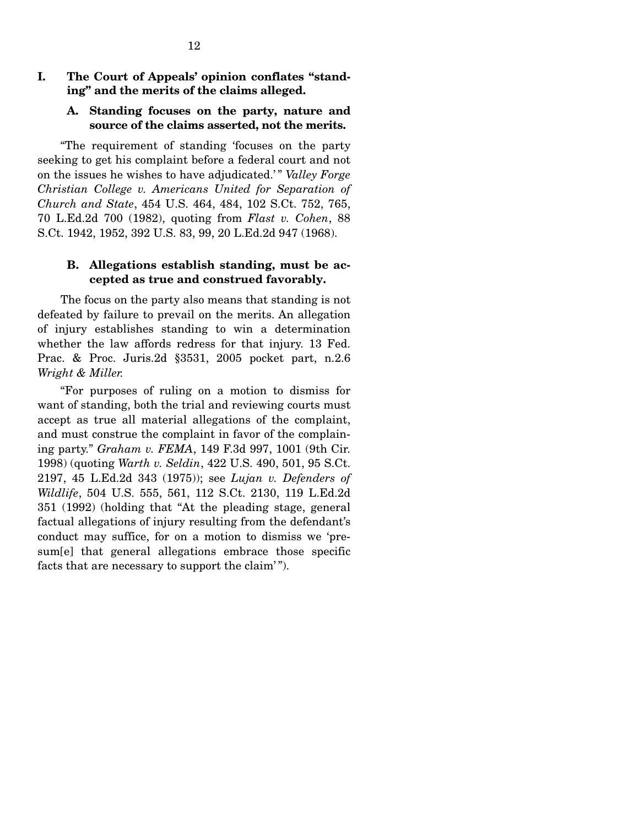## **I. The Court of Appeals' opinion conflates "standing" and the merits of the claims alleged.**

#### **A. Standing focuses on the party, nature and source of the claims asserted, not the merits.**

 "The requirement of standing 'focuses on the party seeking to get his complaint before a federal court and not on the issues he wishes to have adjudicated.' " *Valley Forge Christian College v. Americans United for Separation of Church and State*, 454 U.S. 464, 484, 102 S.Ct. 752, 765, 70 L.Ed.2d 700 (1982), quoting from *Flast v. Cohen*, 88 S.Ct. 1942, 1952, 392 U.S. 83, 99, 20 L.Ed.2d 947 (1968).

### **B. Allegations establish standing, must be accepted as true and construed favorably.**

 The focus on the party also means that standing is not defeated by failure to prevail on the merits. An allegation of injury establishes standing to win a determination whether the law affords redress for that injury. 13 Fed. Prac. & Proc. Juris.2d §3531, 2005 pocket part, n.2.6 *Wright & Miller.* 

 "For purposes of ruling on a motion to dismiss for want of standing, both the trial and reviewing courts must accept as true all material allegations of the complaint, and must construe the complaint in favor of the complaining party." *Graham v. FEMA*, 149 F.3d 997, 1001 (9th Cir. 1998) (quoting *Warth v. Seldin*, 422 U.S. 490, 501, 95 S.Ct. 2197, 45 L.Ed.2d 343 (1975)); see *Lujan v. Defenders of Wildlife*, 504 U.S. 555, 561, 112 S.Ct. 2130, 119 L.Ed.2d 351 (1992) (holding that "At the pleading stage, general factual allegations of injury resulting from the defendant's conduct may suffice, for on a motion to dismiss we 'presum[e] that general allegations embrace those specific facts that are necessary to support the claim'".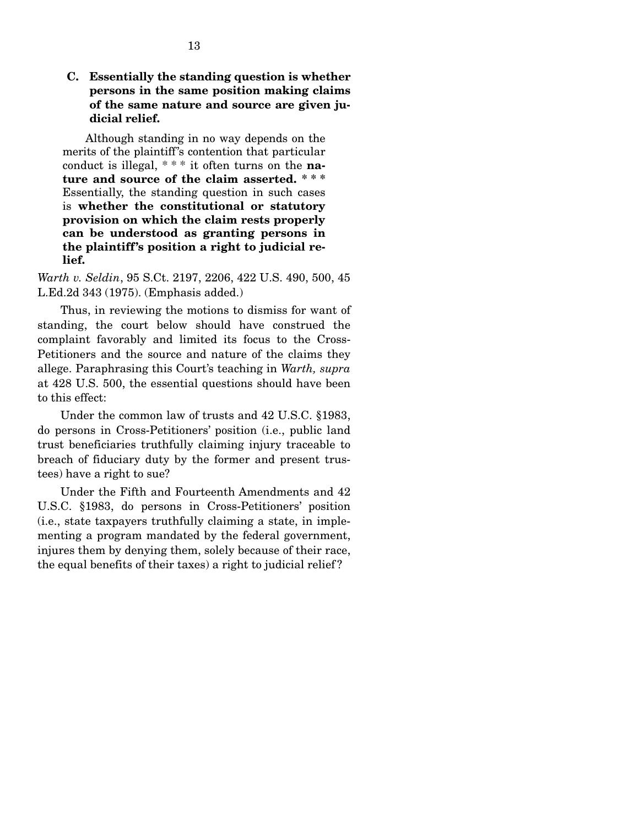**C. Essentially the standing question is whether persons in the same position making claims of the same nature and source are given judicial relief.** 

 Although standing in no way depends on the merits of the plaintiff's contention that particular conduct is illegal, \* \* \* it often turns on the **nature and source of the claim asserted. \* \* \*** Essentially, the standing question in such cases is **whether the constitutional or statutory provision on which the claim rests properly can be understood as granting persons in the plaintiff's position a right to judicial relief.** 

*Warth v. Seldin*, 95 S.Ct. 2197, 2206, 422 U.S. 490, 500, 45 L.Ed.2d 343 (1975). (Emphasis added.)

 Thus, in reviewing the motions to dismiss for want of standing, the court below should have construed the complaint favorably and limited its focus to the Cross-Petitioners and the source and nature of the claims they allege. Paraphrasing this Court's teaching in *Warth, supra*  at 428 U.S. 500, the essential questions should have been to this effect:

 Under the common law of trusts and 42 U.S.C. §1983, do persons in Cross-Petitioners' position (i.e., public land trust beneficiaries truthfully claiming injury traceable to breach of fiduciary duty by the former and present trustees) have a right to sue?

 Under the Fifth and Fourteenth Amendments and 42 U.S.C. §1983, do persons in Cross-Petitioners' position (i.e., state taxpayers truthfully claiming a state, in implementing a program mandated by the federal government, injures them by denying them, solely because of their race, the equal benefits of their taxes) a right to judicial relief ?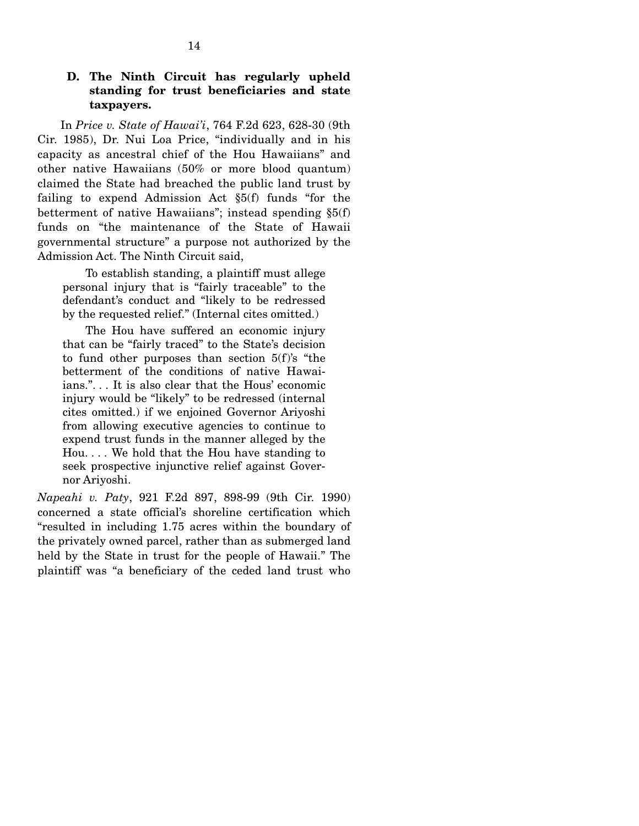## **D. The Ninth Circuit has regularly upheld standing for trust beneficiaries and state taxpayers.**

 In *Price v. State of Hawai'i*, 764 F.2d 623, 628-30 (9th Cir. 1985), Dr. Nui Loa Price, "individually and in his capacity as ancestral chief of the Hou Hawaiians" and other native Hawaiians (50% or more blood quantum) claimed the State had breached the public land trust by failing to expend Admission Act §5(f) funds "for the betterment of native Hawaiians"; instead spending §5(f) funds on "the maintenance of the State of Hawaii governmental structure" a purpose not authorized by the Admission Act. The Ninth Circuit said,

 To establish standing, a plaintiff must allege personal injury that is "fairly traceable" to the defendant's conduct and "likely to be redressed by the requested relief." (Internal cites omitted.)

 The Hou have suffered an economic injury that can be "fairly traced" to the State's decision to fund other purposes than section 5(f)'s "the betterment of the conditions of native Hawaiians.". . . It is also clear that the Hous' economic injury would be "likely" to be redressed (internal cites omitted.) if we enjoined Governor Ariyoshi from allowing executive agencies to continue to expend trust funds in the manner alleged by the Hou. . . . We hold that the Hou have standing to seek prospective injunctive relief against Governor Ariyoshi.

*Napeahi v. Paty*, 921 F.2d 897, 898-99 (9th Cir. 1990) concerned a state official's shoreline certification which "resulted in including 1.75 acres within the boundary of the privately owned parcel, rather than as submerged land held by the State in trust for the people of Hawaii." The plaintiff was "a beneficiary of the ceded land trust who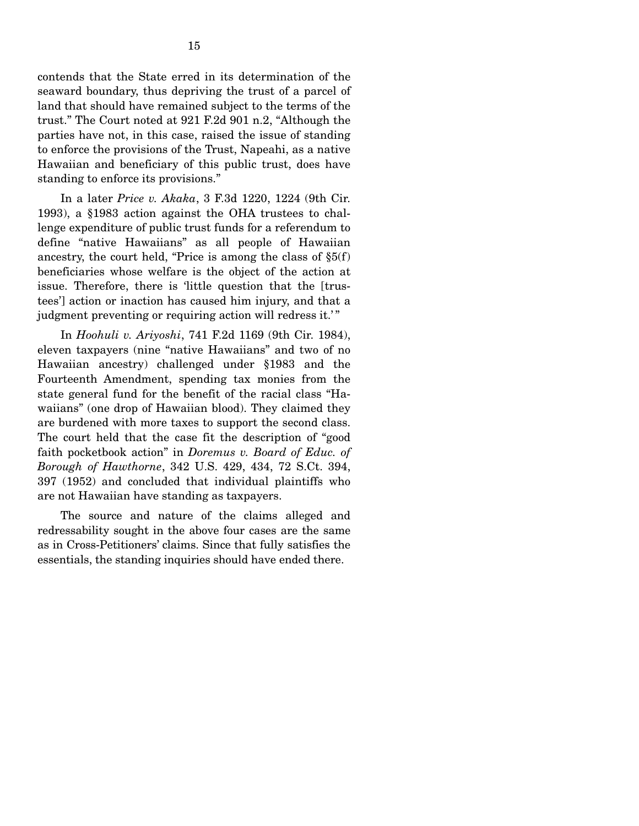contends that the State erred in its determination of the seaward boundary, thus depriving the trust of a parcel of land that should have remained subject to the terms of the trust." The Court noted at 921 F.2d 901 n.2, "Although the parties have not, in this case, raised the issue of standing to enforce the provisions of the Trust, Napeahi, as a native Hawaiian and beneficiary of this public trust, does have standing to enforce its provisions."

 In a later *Price v. Akaka*, 3 F.3d 1220, 1224 (9th Cir. 1993), a §1983 action against the OHA trustees to challenge expenditure of public trust funds for a referendum to define "native Hawaiians" as all people of Hawaiian ancestry, the court held, "Price is among the class of  $\S5(f)$ beneficiaries whose welfare is the object of the action at issue. Therefore, there is 'little question that the [trustees'] action or inaction has caused him injury, and that a judgment preventing or requiring action will redress it.'"

 In *Hoohuli v. Ariyoshi*, 741 F.2d 1169 (9th Cir. 1984), eleven taxpayers (nine "native Hawaiians" and two of no Hawaiian ancestry) challenged under §1983 and the Fourteenth Amendment, spending tax monies from the state general fund for the benefit of the racial class "Hawaiians" (one drop of Hawaiian blood). They claimed they are burdened with more taxes to support the second class. The court held that the case fit the description of "good faith pocketbook action" in *Doremus v. Board of Educ. of Borough of Hawthorne*, 342 U.S. 429, 434, 72 S.Ct. 394, 397 (1952) and concluded that individual plaintiffs who are not Hawaiian have standing as taxpayers.

 The source and nature of the claims alleged and redressability sought in the above four cases are the same as in Cross-Petitioners' claims. Since that fully satisfies the essentials, the standing inquiries should have ended there.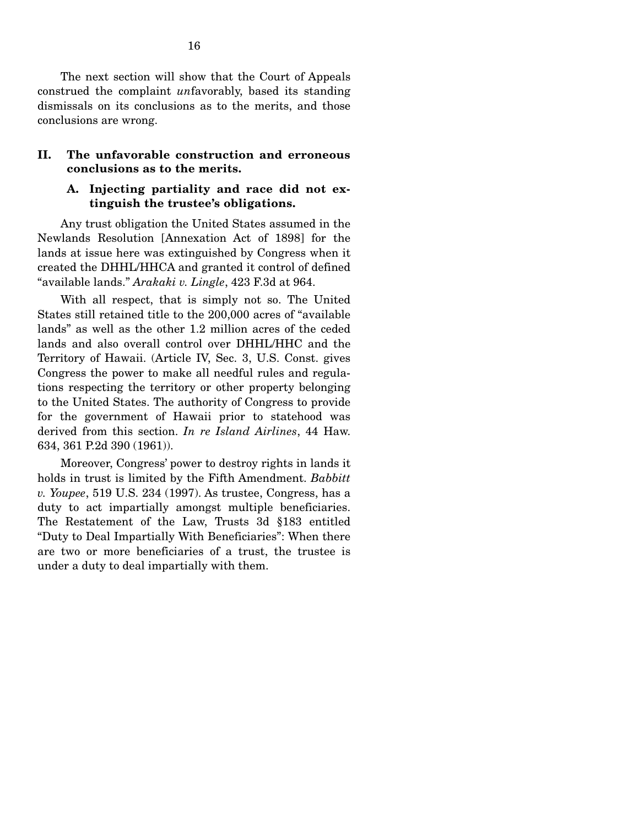The next section will show that the Court of Appeals construed the complaint *un*favorably, based its standing dismissals on its conclusions as to the merits, and those conclusions are wrong.

## **II. The unfavorable construction and erroneous conclusions as to the merits.**

### **A. Injecting partiality and race did not extinguish the trustee's obligations.**

 Any trust obligation the United States assumed in the Newlands Resolution [Annexation Act of 1898] for the lands at issue here was extinguished by Congress when it created the DHHL/HHCA and granted it control of defined "available lands." *Arakaki v. Lingle*, 423 F.3d at 964.

 With all respect, that is simply not so. The United States still retained title to the 200,000 acres of "available lands" as well as the other 1.2 million acres of the ceded lands and also overall control over DHHL/HHC and the Territory of Hawaii. (Article IV, Sec. 3, U.S. Const. gives Congress the power to make all needful rules and regulations respecting the territory or other property belonging to the United States. The authority of Congress to provide for the government of Hawaii prior to statehood was derived from this section. *In re Island Airlines*, 44 Haw. 634, 361 P.2d 390 (1961)).

 Moreover, Congress' power to destroy rights in lands it holds in trust is limited by the Fifth Amendment. *Babbitt v. Youpee*, 519 U.S. 234 (1997). As trustee, Congress, has a duty to act impartially amongst multiple beneficiaries. The Restatement of the Law, Trusts 3d §183 entitled "Duty to Deal Impartially With Beneficiaries": When there are two or more beneficiaries of a trust, the trustee is under a duty to deal impartially with them.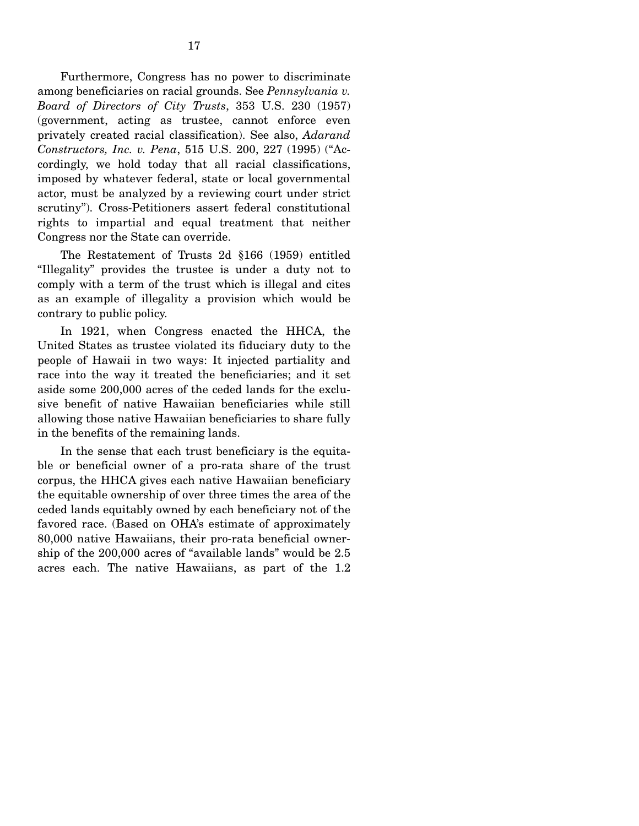Furthermore, Congress has no power to discriminate among beneficiaries on racial grounds. See *Pennsylvania v. Board of Directors of City Trusts*, 353 U.S. 230 (1957) (government, acting as trustee, cannot enforce even privately created racial classification). See also, *Adarand Constructors, Inc. v. Pena*, 515 U.S. 200, 227 (1995) ("Accordingly, we hold today that all racial classifications, imposed by whatever federal, state or local governmental actor, must be analyzed by a reviewing court under strict scrutiny"). Cross-Petitioners assert federal constitutional rights to impartial and equal treatment that neither Congress nor the State can override.

 The Restatement of Trusts 2d §166 (1959) entitled "Illegality" provides the trustee is under a duty not to comply with a term of the trust which is illegal and cites as an example of illegality a provision which would be contrary to public policy.

 In 1921, when Congress enacted the HHCA, the United States as trustee violated its fiduciary duty to the people of Hawaii in two ways: It injected partiality and race into the way it treated the beneficiaries; and it set aside some 200,000 acres of the ceded lands for the exclusive benefit of native Hawaiian beneficiaries while still allowing those native Hawaiian beneficiaries to share fully in the benefits of the remaining lands.

 In the sense that each trust beneficiary is the equitable or beneficial owner of a pro-rata share of the trust corpus, the HHCA gives each native Hawaiian beneficiary the equitable ownership of over three times the area of the ceded lands equitably owned by each beneficiary not of the favored race. (Based on OHA's estimate of approximately 80,000 native Hawaiians, their pro-rata beneficial ownership of the 200,000 acres of "available lands" would be 2.5 acres each. The native Hawaiians, as part of the 1.2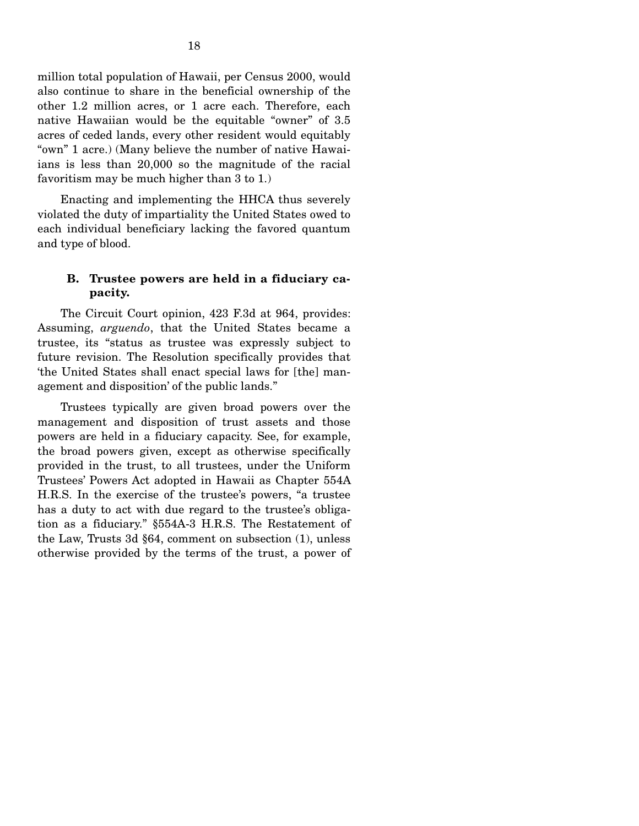million total population of Hawaii, per Census 2000, would also continue to share in the beneficial ownership of the other 1.2 million acres, or 1 acre each. Therefore, each native Hawaiian would be the equitable "owner" of 3.5 acres of ceded lands, every other resident would equitably "own" 1 acre.) (Many believe the number of native Hawaiians is less than 20,000 so the magnitude of the racial favoritism may be much higher than 3 to 1.)

 Enacting and implementing the HHCA thus severely violated the duty of impartiality the United States owed to each individual beneficiary lacking the favored quantum and type of blood.

## **B. Trustee powers are held in a fiduciary capacity.**

 The Circuit Court opinion, 423 F.3d at 964, provides: Assuming, *arguendo*, that the United States became a trustee, its "status as trustee was expressly subject to future revision. The Resolution specifically provides that 'the United States shall enact special laws for [the] management and disposition' of the public lands."

 Trustees typically are given broad powers over the management and disposition of trust assets and those powers are held in a fiduciary capacity. See, for example, the broad powers given, except as otherwise specifically provided in the trust, to all trustees, under the Uniform Trustees' Powers Act adopted in Hawaii as Chapter 554A H.R.S. In the exercise of the trustee's powers, "a trustee has a duty to act with due regard to the trustee's obligation as a fiduciary." §554A-3 H.R.S. The Restatement of the Law, Trusts 3d §64, comment on subsection (1), unless otherwise provided by the terms of the trust, a power of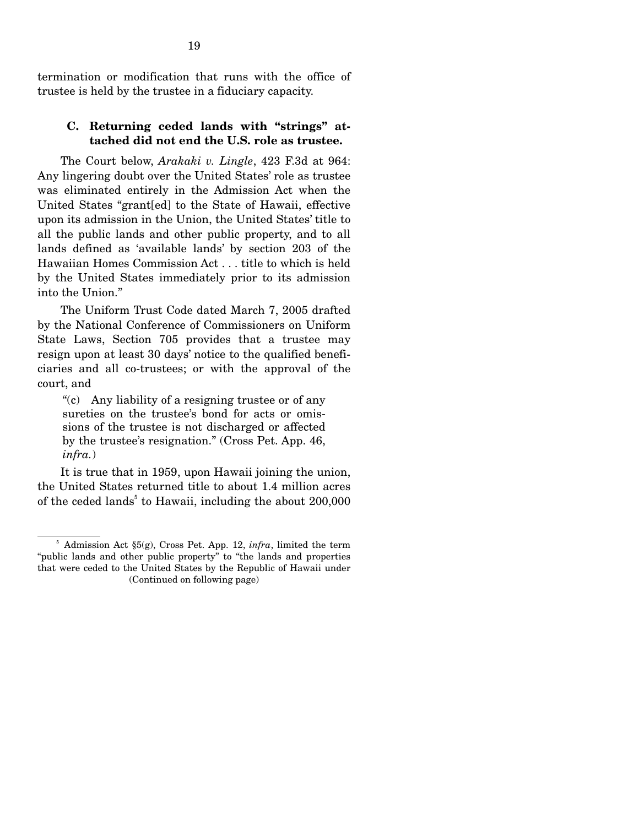termination or modification that runs with the office of trustee is held by the trustee in a fiduciary capacity.

## **C. Returning ceded lands with "strings" attached did not end the U.S. role as trustee.**

 The Court below, *Arakaki v. Lingle*, 423 F.3d at 964: Any lingering doubt over the United States' role as trustee was eliminated entirely in the Admission Act when the United States "grant[ed] to the State of Hawaii, effective upon its admission in the Union, the United States' title to all the public lands and other public property, and to all lands defined as 'available lands' by section 203 of the Hawaiian Homes Commission Act . . . title to which is held by the United States immediately prior to its admission into the Union."

 The Uniform Trust Code dated March 7, 2005 drafted by the National Conference of Commissioners on Uniform State Laws, Section 705 provides that a trustee may resign upon at least 30 days' notice to the qualified beneficiaries and all co-trustees; or with the approval of the court, and

"(c) Any liability of a resigning trustee or of any sureties on the trustee's bond for acts or omissions of the trustee is not discharged or affected by the trustee's resignation." (Cross Pet. App. 46, *infra.*)

 It is true that in 1959, upon Hawaii joining the union, the United States returned title to about 1.4 million acres of the ceded lands<sup>5</sup> to Hawaii, including the about  $200,000$ 

 $<sup>5</sup>$  Admission Act §5(g), Cross Pet. App. 12, *infra*, limited the term</sup> "public lands and other public property" to "the lands and properties that were ceded to the United States by the Republic of Hawaii under (Continued on following page)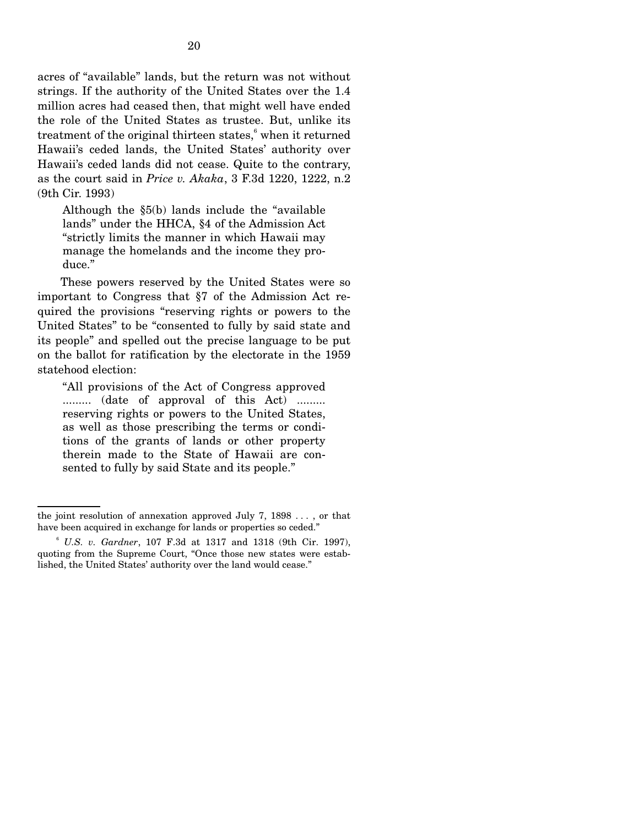acres of "available" lands, but the return was not without strings. If the authority of the United States over the 1.4 million acres had ceased then, that might well have ended the role of the United States as trustee. But, unlike its treatment of the original thirteen states,<sup>6</sup> when it returned Hawaii's ceded lands, the United States' authority over Hawaii's ceded lands did not cease. Quite to the contrary, as the court said in *Price v. Akaka*, 3 F.3d 1220, 1222, n.2 (9th Cir. 1993)

Although the §5(b) lands include the "available lands" under the HHCA, §4 of the Admission Act "strictly limits the manner in which Hawaii may manage the homelands and the income they produce."

 These powers reserved by the United States were so important to Congress that §7 of the Admission Act required the provisions "reserving rights or powers to the United States" to be "consented to fully by said state and its people" and spelled out the precise language to be put on the ballot for ratification by the electorate in the 1959 statehood election:

"All provisions of the Act of Congress approved .......... (date of approval of this Act) ......... reserving rights or powers to the United States, as well as those prescribing the terms or conditions of the grants of lands or other property therein made to the State of Hawaii are consented to fully by said State and its people."

the joint resolution of annexation approved July 7, 1898 . . . , or that have been acquired in exchange for lands or properties so ceded."

<sup>6</sup> *U.S. v. Gardner*, 107 F.3d at 1317 and 1318 (9th Cir. 1997), quoting from the Supreme Court, "Once those new states were established, the United States' authority over the land would cease."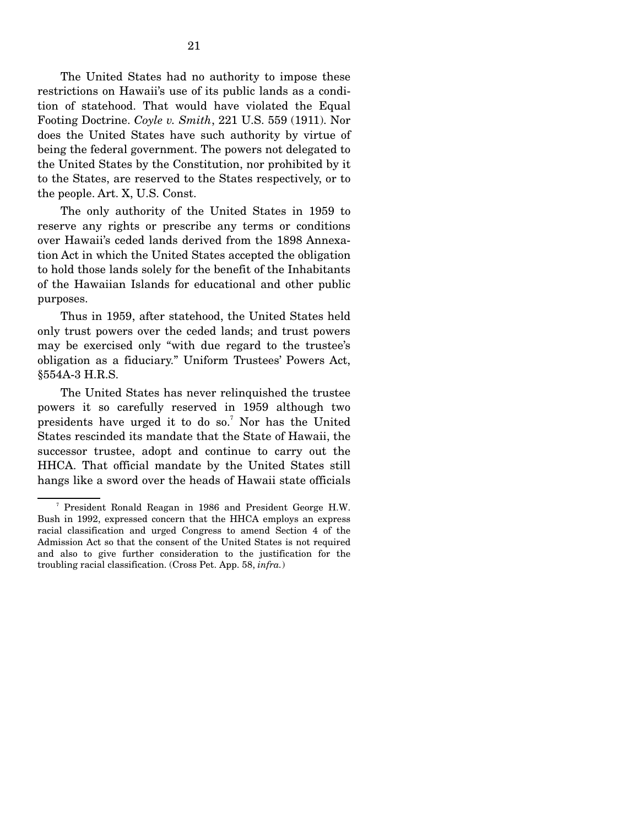The United States had no authority to impose these restrictions on Hawaii's use of its public lands as a condition of statehood. That would have violated the Equal Footing Doctrine. *Coyle v. Smith*, 221 U.S. 559 (1911). Nor does the United States have such authority by virtue of being the federal government. The powers not delegated to the United States by the Constitution, nor prohibited by it to the States, are reserved to the States respectively, or to the people. Art. X, U.S. Const.

 The only authority of the United States in 1959 to reserve any rights or prescribe any terms or conditions over Hawaii's ceded lands derived from the 1898 Annexation Act in which the United States accepted the obligation to hold those lands solely for the benefit of the Inhabitants of the Hawaiian Islands for educational and other public purposes.

 Thus in 1959, after statehood, the United States held only trust powers over the ceded lands; and trust powers may be exercised only "with due regard to the trustee's obligation as a fiduciary." Uniform Trustees' Powers Act, §554A-3 H.R.S.

 The United States has never relinquished the trustee powers it so carefully reserved in 1959 although two presidents have urged it to do so.<sup>7</sup> Nor has the United States rescinded its mandate that the State of Hawaii, the successor trustee, adopt and continue to carry out the HHCA. That official mandate by the United States still hangs like a sword over the heads of Hawaii state officials

<sup>7</sup> President Ronald Reagan in 1986 and President George H.W. Bush in 1992, expressed concern that the HHCA employs an express racial classification and urged Congress to amend Section 4 of the Admission Act so that the consent of the United States is not required and also to give further consideration to the justification for the troubling racial classification. (Cross Pet. App. 58, *infra.*)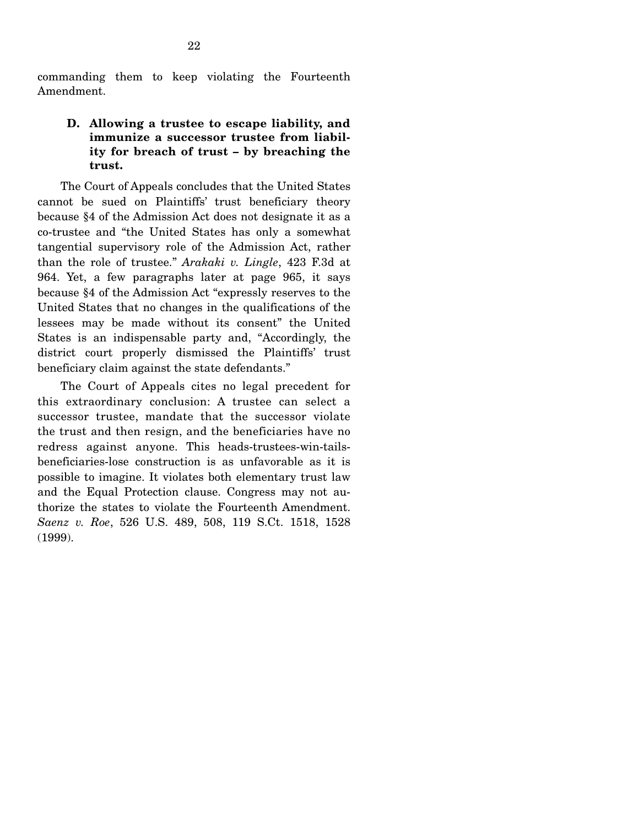commanding them to keep violating the Fourteenth Amendment.

## **D. Allowing a trustee to escape liability, and immunize a successor trustee from liability for breach of trust – by breaching the trust.**

 The Court of Appeals concludes that the United States cannot be sued on Plaintiffs' trust beneficiary theory because §4 of the Admission Act does not designate it as a co-trustee and "the United States has only a somewhat tangential supervisory role of the Admission Act, rather than the role of trustee." *Arakaki v. Lingle*, 423 F.3d at 964. Yet, a few paragraphs later at page 965, it says because §4 of the Admission Act "expressly reserves to the United States that no changes in the qualifications of the lessees may be made without its consent" the United States is an indispensable party and, "Accordingly, the district court properly dismissed the Plaintiffs' trust beneficiary claim against the state defendants."

 The Court of Appeals cites no legal precedent for this extraordinary conclusion: A trustee can select a successor trustee, mandate that the successor violate the trust and then resign, and the beneficiaries have no redress against anyone. This heads-trustees-win-tailsbeneficiaries-lose construction is as unfavorable as it is possible to imagine. It violates both elementary trust law and the Equal Protection clause. Congress may not authorize the states to violate the Fourteenth Amendment. *Saenz v. Roe*, 526 U.S. 489, 508, 119 S.Ct. 1518, 1528 (1999).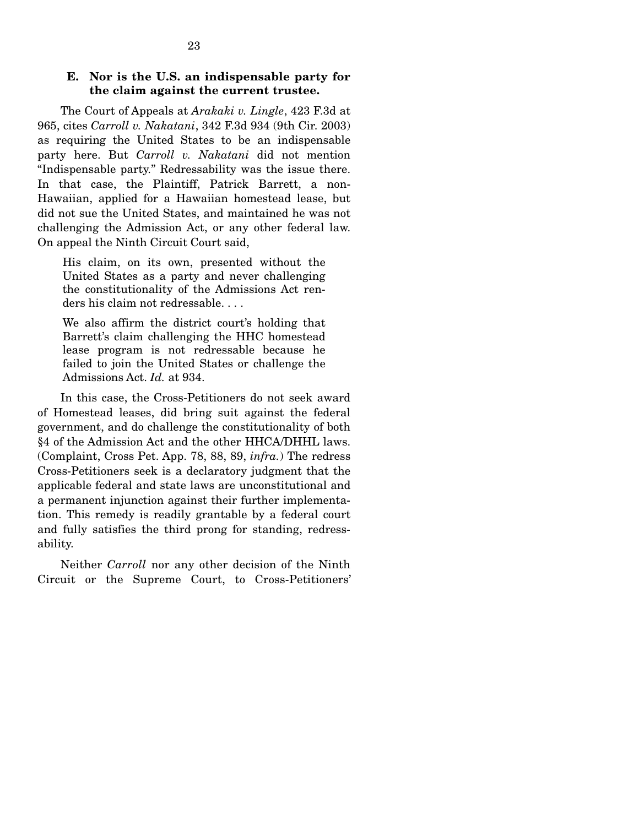### **E. Nor is the U.S. an indispensable party for the claim against the current trustee.**

 The Court of Appeals at *Arakaki v. Lingle*, 423 F.3d at 965, cites *Carroll v. Nakatani*, 342 F.3d 934 (9th Cir. 2003) as requiring the United States to be an indispensable party here. But *Carroll v. Nakatani* did not mention "Indispensable party." Redressability was the issue there. In that case, the Plaintiff, Patrick Barrett, a non-Hawaiian, applied for a Hawaiian homestead lease, but did not sue the United States, and maintained he was not challenging the Admission Act, or any other federal law. On appeal the Ninth Circuit Court said,

His claim, on its own, presented without the United States as a party and never challenging the constitutionality of the Admissions Act renders his claim not redressable. . . .

We also affirm the district court's holding that Barrett's claim challenging the HHC homestead lease program is not redressable because he failed to join the United States or challenge the Admissions Act. *Id.* at 934.

 In this case, the Cross-Petitioners do not seek award of Homestead leases, did bring suit against the federal government, and do challenge the constitutionality of both §4 of the Admission Act and the other HHCA/DHHL laws. (Complaint, Cross Pet. App. 78, 88, 89, *infra.*) The redress Cross-Petitioners seek is a declaratory judgment that the applicable federal and state laws are unconstitutional and a permanent injunction against their further implementation. This remedy is readily grantable by a federal court and fully satisfies the third prong for standing, redressability.

 Neither *Carroll* nor any other decision of the Ninth Circuit or the Supreme Court, to Cross-Petitioners'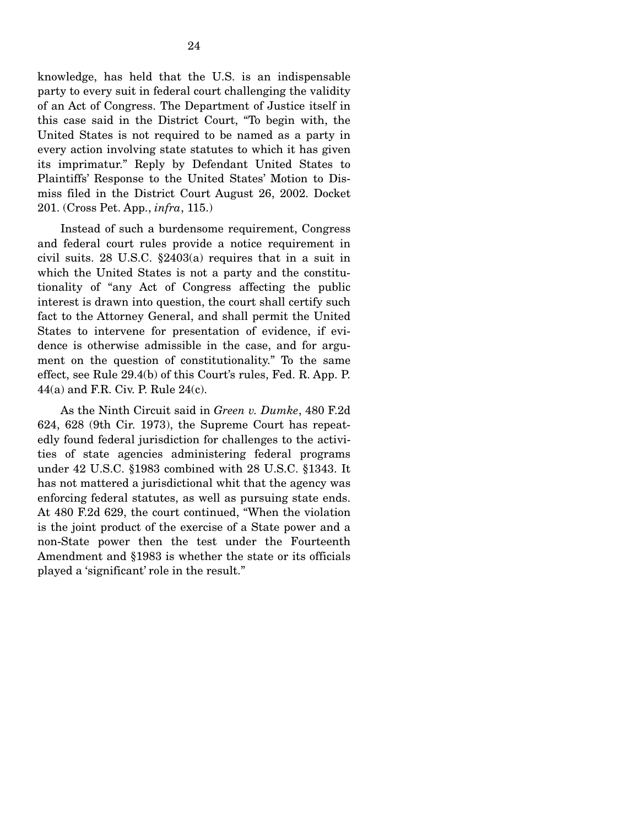knowledge, has held that the U.S. is an indispensable party to every suit in federal court challenging the validity of an Act of Congress. The Department of Justice itself in this case said in the District Court, "To begin with, the United States is not required to be named as a party in every action involving state statutes to which it has given its imprimatur." Reply by Defendant United States to Plaintiffs' Response to the United States' Motion to Dismiss filed in the District Court August 26, 2002. Docket 201. (Cross Pet. App., *infra*, 115.)

 Instead of such a burdensome requirement, Congress and federal court rules provide a notice requirement in civil suits. 28 U.S.C. §2403(a) requires that in a suit in which the United States is not a party and the constitutionality of "any Act of Congress affecting the public interest is drawn into question, the court shall certify such fact to the Attorney General, and shall permit the United States to intervene for presentation of evidence, if evidence is otherwise admissible in the case, and for argument on the question of constitutionality." To the same effect, see Rule 29.4(b) of this Court's rules, Fed. R. App. P. 44(a) and F.R. Civ. P. Rule 24(c).

 As the Ninth Circuit said in *Green v. Dumke*, 480 F.2d 624, 628 (9th Cir. 1973), the Supreme Court has repeatedly found federal jurisdiction for challenges to the activities of state agencies administering federal programs under 42 U.S.C. §1983 combined with 28 U.S.C. §1343. It has not mattered a jurisdictional whit that the agency was enforcing federal statutes, as well as pursuing state ends. At 480 F.2d 629, the court continued, "When the violation is the joint product of the exercise of a State power and a non-State power then the test under the Fourteenth Amendment and §1983 is whether the state or its officials played a 'significant' role in the result."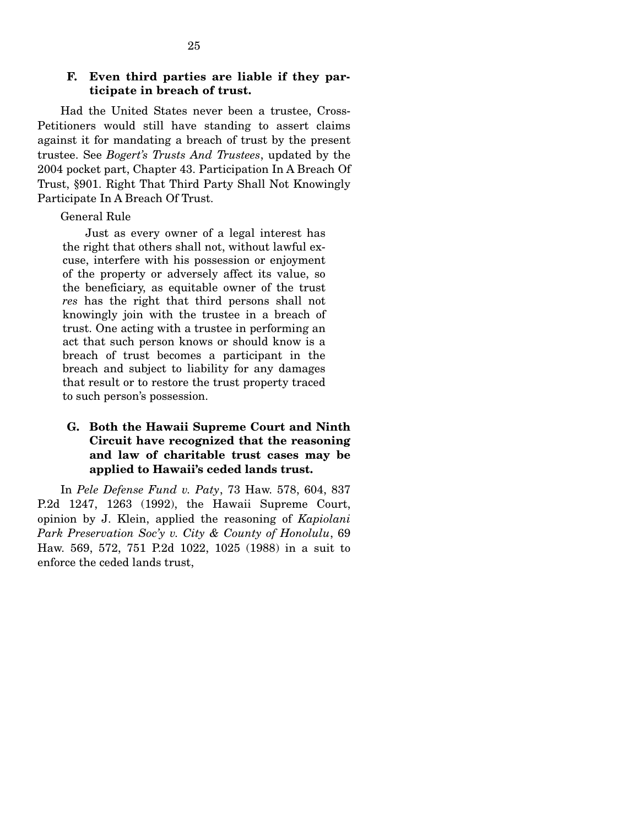#### **F. Even third parties are liable if they participate in breach of trust.**

 Had the United States never been a trustee, Cross-Petitioners would still have standing to assert claims against it for mandating a breach of trust by the present trustee. See *Bogert's Trusts And Trustees*, updated by the 2004 pocket part, Chapter 43. Participation In A Breach Of Trust, §901. Right That Third Party Shall Not Knowingly Participate In A Breach Of Trust.

#### General Rule

 Just as every owner of a legal interest has the right that others shall not, without lawful excuse, interfere with his possession or enjoyment of the property or adversely affect its value, so the beneficiary, as equitable owner of the trust *res* has the right that third persons shall not knowingly join with the trustee in a breach of trust. One acting with a trustee in performing an act that such person knows or should know is a breach of trust becomes a participant in the breach and subject to liability for any damages that result or to restore the trust property traced to such person's possession.

## **G. Both the Hawaii Supreme Court and Ninth Circuit have recognized that the reasoning and law of charitable trust cases may be applied to Hawaii's ceded lands trust.**

 In *Pele Defense Fund v. Paty*, 73 Haw. 578, 604, 837 P.2d 1247, 1263 (1992), the Hawaii Supreme Court, opinion by J. Klein, applied the reasoning of *Kapiolani Park Preservation Soc'y v. City & County of Honolulu*, 69 Haw. 569, 572, 751 P.2d 1022, 1025 (1988) in a suit to enforce the ceded lands trust,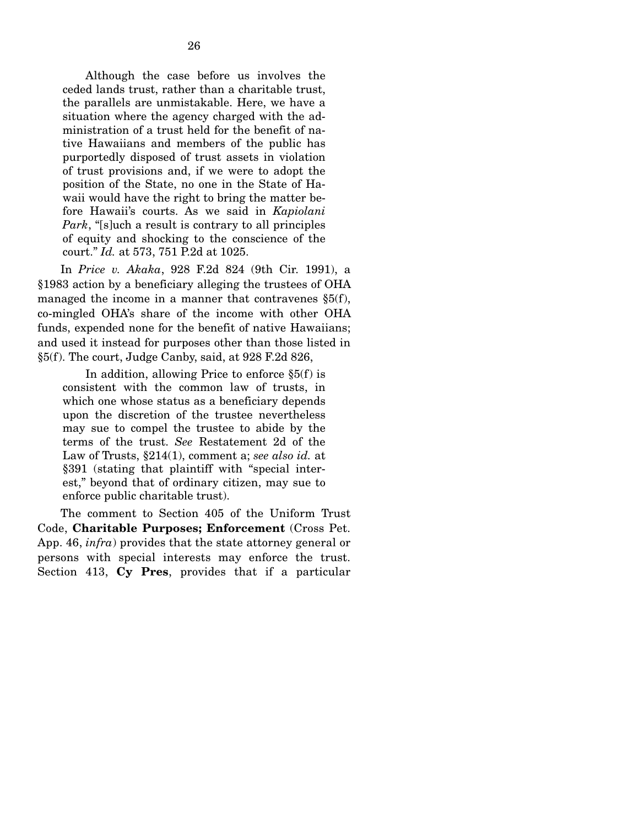Although the case before us involves the ceded lands trust, rather than a charitable trust, the parallels are unmistakable. Here, we have a situation where the agency charged with the administration of a trust held for the benefit of native Hawaiians and members of the public has purportedly disposed of trust assets in violation of trust provisions and, if we were to adopt the position of the State, no one in the State of Hawaii would have the right to bring the matter before Hawaii's courts. As we said in *Kapiolani Park*, "[s]uch a result is contrary to all principles of equity and shocking to the conscience of the court." *Id.* at 573, 751 P.2d at 1025.

 In *Price v. Akaka*, 928 F.2d 824 (9th Cir. 1991), a §1983 action by a beneficiary alleging the trustees of OHA managed the income in a manner that contravenes §5(f), co-mingled OHA's share of the income with other OHA funds, expended none for the benefit of native Hawaiians; and used it instead for purposes other than those listed in §5(f). The court, Judge Canby, said, at 928 F.2d 826,

 In addition, allowing Price to enforce §5(f) is consistent with the common law of trusts, in which one whose status as a beneficiary depends upon the discretion of the trustee nevertheless may sue to compel the trustee to abide by the terms of the trust. *See* Restatement 2d of the Law of Trusts, §214(1), comment a; *see also id.* at §391 (stating that plaintiff with "special interest," beyond that of ordinary citizen, may sue to enforce public charitable trust).

 The comment to Section 405 of the Uniform Trust Code, **Charitable Purposes; Enforcement** (Cross Pet. App. 46, *infra*) provides that the state attorney general or persons with special interests may enforce the trust. Section 413, **Cy Pres**, provides that if a particular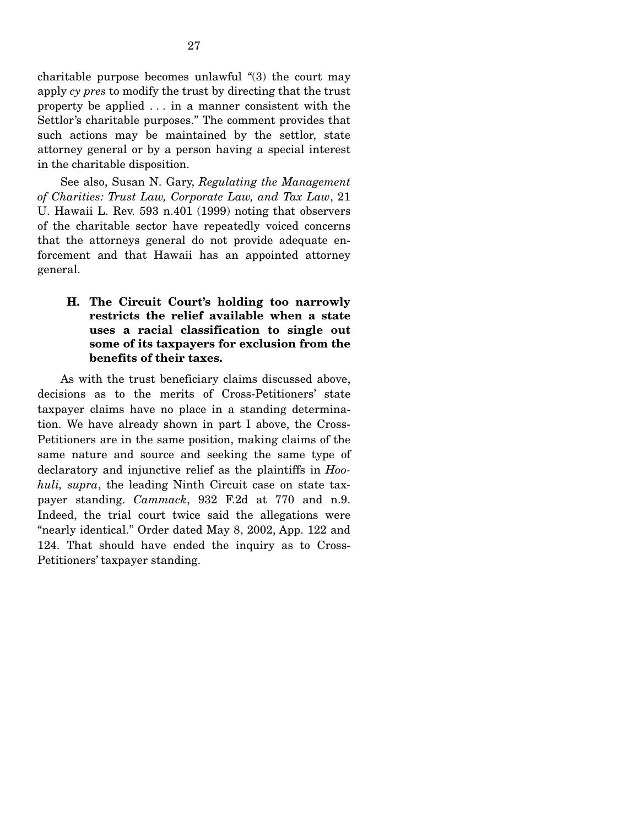charitable purpose becomes unlawful "(3) the court may apply *cy pres* to modify the trust by directing that the trust property be applied . . . in a manner consistent with the Settlor's charitable purposes." The comment provides that such actions may be maintained by the settlor, state attorney general or by a person having a special interest in the charitable disposition.

 See also, Susan N. Gary, *Regulating the Management of Charities: Trust Law, Corporate Law, and Tax Law*, 21 U. Hawaii L. Rev. 593 n.401 (1999) noting that observers of the charitable sector have repeatedly voiced concerns that the attorneys general do not provide adequate enforcement and that Hawaii has an appointed attorney general.

## **H. The Circuit Court's holding too narrowly restricts the relief available when a state uses a racial classification to single out some of its taxpayers for exclusion from the benefits of their taxes.**

 As with the trust beneficiary claims discussed above, decisions as to the merits of Cross-Petitioners' state taxpayer claims have no place in a standing determination. We have already shown in part I above, the Cross-Petitioners are in the same position, making claims of the same nature and source and seeking the same type of declaratory and injunctive relief as the plaintiffs in *Hoohuli, supra*, the leading Ninth Circuit case on state taxpayer standing. *Cammack*, 932 F.2d at 770 and n.9. Indeed, the trial court twice said the allegations were "nearly identical." Order dated May 8, 2002, App. 122 and 124. That should have ended the inquiry as to Cross-Petitioners' taxpayer standing.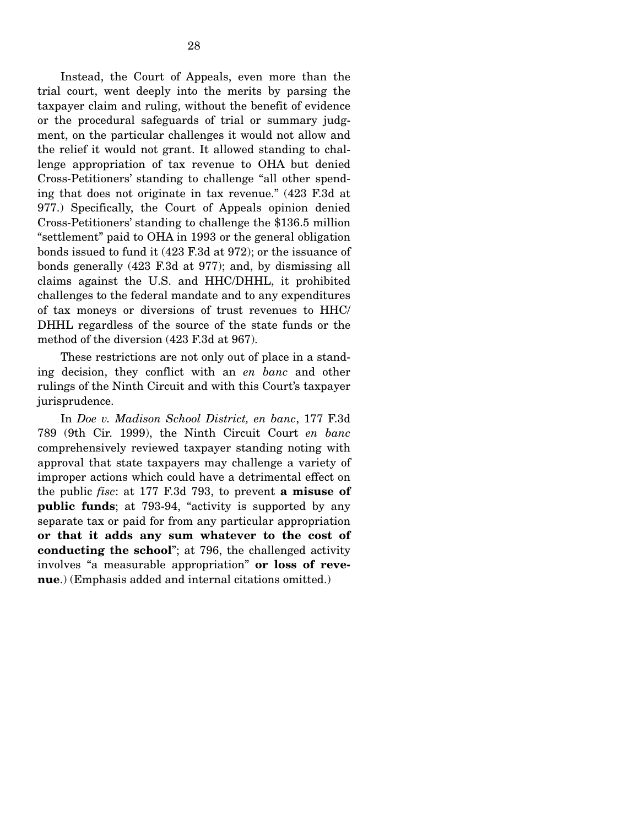Instead, the Court of Appeals, even more than the trial court, went deeply into the merits by parsing the taxpayer claim and ruling, without the benefit of evidence or the procedural safeguards of trial or summary judgment, on the particular challenges it would not allow and the relief it would not grant. It allowed standing to challenge appropriation of tax revenue to OHA but denied Cross-Petitioners' standing to challenge "all other spending that does not originate in tax revenue." (423 F.3d at 977.) Specifically, the Court of Appeals opinion denied Cross-Petitioners' standing to challenge the \$136.5 million "settlement" paid to OHA in 1993 or the general obligation bonds issued to fund it (423 F.3d at 972); or the issuance of bonds generally (423 F.3d at 977); and, by dismissing all claims against the U.S. and HHC/DHHL, it prohibited challenges to the federal mandate and to any expenditures of tax moneys or diversions of trust revenues to HHC/ DHHL regardless of the source of the state funds or the method of the diversion (423 F.3d at 967).

 These restrictions are not only out of place in a standing decision, they conflict with an *en banc* and other rulings of the Ninth Circuit and with this Court's taxpayer jurisprudence.

 In *Doe v. Madison School District, en banc*, 177 F.3d 789 (9th Cir. 1999), the Ninth Circuit Court *en banc*  comprehensively reviewed taxpayer standing noting with approval that state taxpayers may challenge a variety of improper actions which could have a detrimental effect on the public *fisc*: at 177 F.3d 793, to prevent **a misuse of public funds**; at 793-94, "activity is supported by any separate tax or paid for from any particular appropriation **or that it adds any sum whatever to the cost of conducting the school**"; at 796, the challenged activity involves "a measurable appropriation" **or loss of revenue**.) (Emphasis added and internal citations omitted.)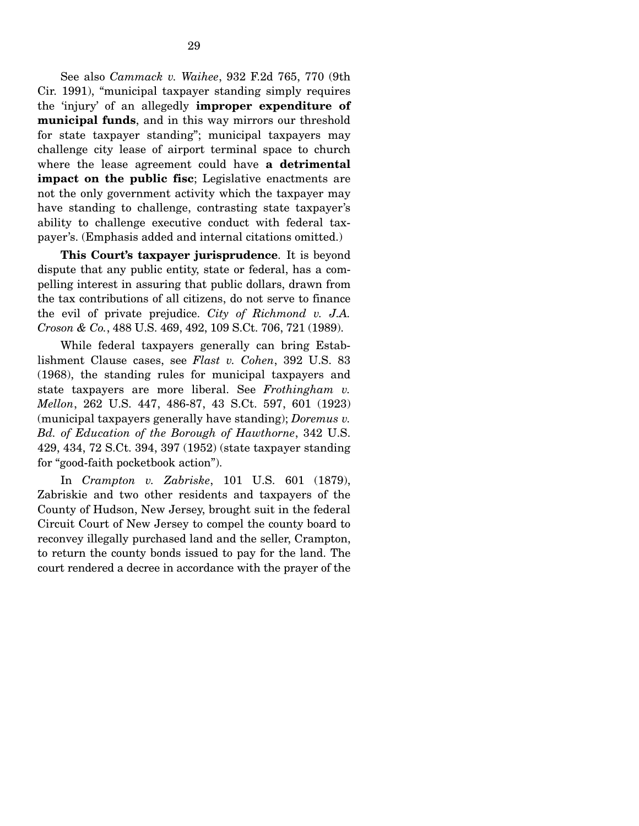See also *Cammack v. Waihee*, 932 F.2d 765, 770 (9th Cir. 1991), "municipal taxpayer standing simply requires the 'injury' of an allegedly **improper expenditure of municipal funds**, and in this way mirrors our threshold for state taxpayer standing"; municipal taxpayers may challenge city lease of airport terminal space to church where the lease agreement could have **a detrimental impact on the public fisc**; Legislative enactments are not the only government activity which the taxpayer may have standing to challenge, contrasting state taxpayer's ability to challenge executive conduct with federal taxpayer's. (Emphasis added and internal citations omitted.)

 **This Court's taxpayer jurisprudence**. It is beyond dispute that any public entity, state or federal, has a compelling interest in assuring that public dollars, drawn from the tax contributions of all citizens, do not serve to finance the evil of private prejudice. *City of Richmond v. J.A. Croson & Co.*, 488 U.S. 469, 492, 109 S.Ct. 706, 721 (1989).

 While federal taxpayers generally can bring Establishment Clause cases, see *Flast v. Cohen*, 392 U.S. 83 (1968), the standing rules for municipal taxpayers and state taxpayers are more liberal. See *Frothingham v. Mellon*, 262 U.S. 447, 486-87, 43 S.Ct. 597, 601 (1923) (municipal taxpayers generally have standing); *Doremus v. Bd. of Education of the Borough of Hawthorne*, 342 U.S. 429, 434, 72 S.Ct. 394, 397 (1952) (state taxpayer standing for "good-faith pocketbook action").

 In *Crampton v. Zabriske*, 101 U.S. 601 (1879), Zabriskie and two other residents and taxpayers of the County of Hudson, New Jersey, brought suit in the federal Circuit Court of New Jersey to compel the county board to reconvey illegally purchased land and the seller, Crampton, to return the county bonds issued to pay for the land. The court rendered a decree in accordance with the prayer of the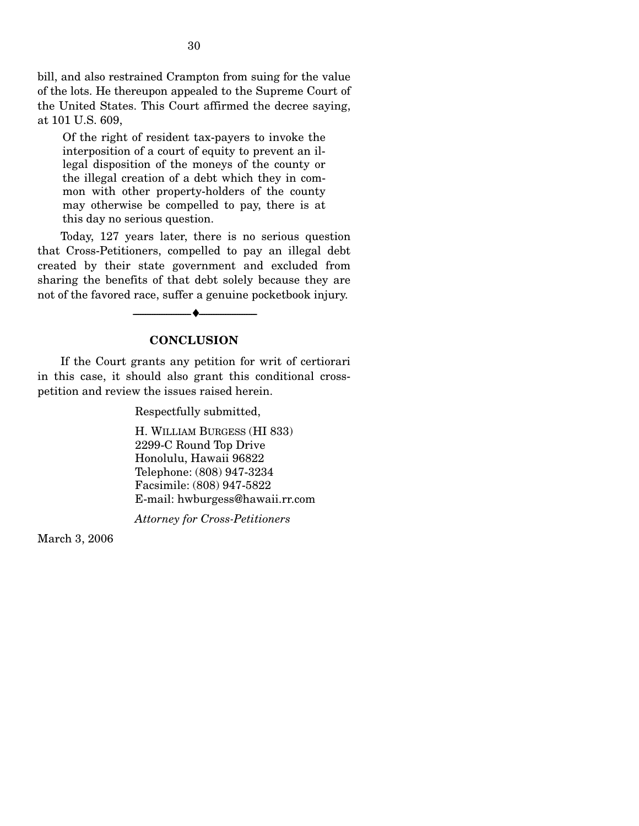bill, and also restrained Crampton from suing for the value of the lots. He thereupon appealed to the Supreme Court of the United States. This Court affirmed the decree saying, at 101 U.S. 609,

Of the right of resident tax-payers to invoke the interposition of a court of equity to prevent an illegal disposition of the moneys of the county or the illegal creation of a debt which they in common with other property-holders of the county may otherwise be compelled to pay, there is at this day no serious question.

 Today, 127 years later, there is no serious question that Cross-Petitioners, compelled to pay an illegal debt created by their state government and excluded from sharing the benefits of that debt solely because they are not of the favored race, suffer a genuine pocketbook injury.

#### **CONCLUSION**

--------------------------------- ♦ ---------------------------------

 If the Court grants any petition for writ of certiorari in this case, it should also grant this conditional crosspetition and review the issues raised herein.

Respectfully submitted,

H. WILLIAM BURGESS (HI 833) 2299-C Round Top Drive Honolulu, Hawaii 96822 Telephone: (808) 947-3234 Facsimile: (808) 947-5822 E-mail: hwburgess@hawaii.rr.com

*Attorney for Cross-Petitioners* 

March 3, 2006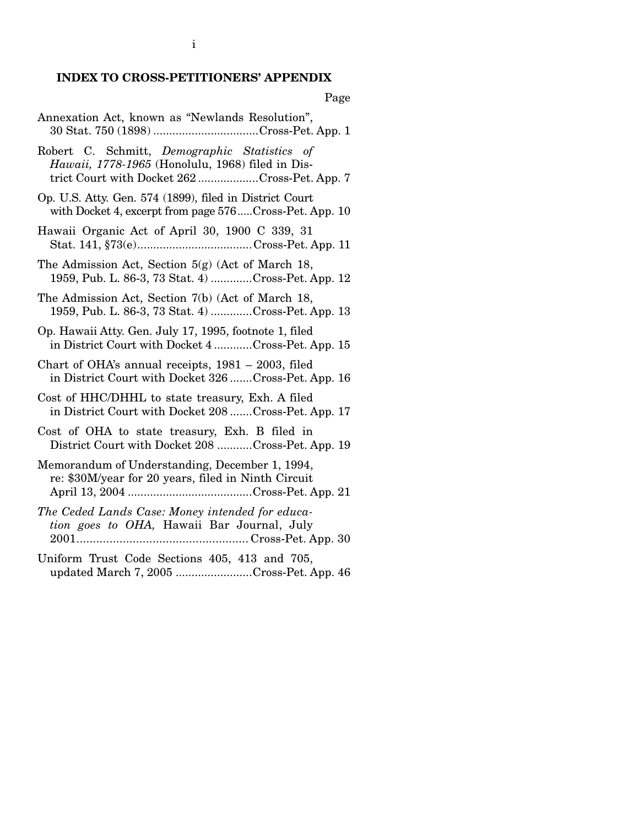# **INDEX TO CROSS-PETITIONERS' APPENDIX**

Page

| Annexation Act, known as "Newlands Resolution",<br>30 Stat. 750 (1898) Cross-Pet. App. 1                                                         |
|--------------------------------------------------------------------------------------------------------------------------------------------------|
| Robert C. Schmitt, Demographic Statistics of<br>Hawaii, 1778-1965 (Honolulu, 1968) filed in Dis-<br>trict Court with Docket 262Cross-Pet. App. 7 |
| Op. U.S. Atty. Gen. 574 (1899), filed in District Court<br>with Docket 4, excerpt from page 576Cross-Pet. App. 10                                |
| Hawaii Organic Act of April 30, 1900 C 339, 31                                                                                                   |
| The Admission Act, Section 5(g) (Act of March 18,<br>1959, Pub. L. 86-3, 73 Stat. 4) Cross-Pet. App. 12                                          |
| The Admission Act, Section 7(b) (Act of March 18,<br>1959, Pub. L. 86-3, 73 Stat. 4) Cross-Pet. App. 13                                          |
| Op. Hawaii Atty. Gen. July 17, 1995, footnote 1, filed<br>in District Court with Docket 4 Cross-Pet. App. 15                                     |
| Chart of OHA's annual receipts, 1981 - 2003, filed<br>in District Court with Docket 326  Cross-Pet. App. 16                                      |
| Cost of HHC/DHHL to state treasury, Exh. A filed<br>in District Court with Docket 208 Cross-Pet. App. 17                                         |
| Cost of OHA to state treasury, Exh. B filed in<br>District Court with Docket 208 Cross-Pet. App. 19                                              |
| Memorandum of Understanding, December 1, 1994,<br>re: \$30M/year for 20 years, filed in Ninth Circuit                                            |
| The Ceded Lands Case: Money intended for educa-<br>tion goes to OHA, Hawaii Bar Journal, July                                                    |
| Uniform Trust Code Sections 405, 413 and 705,<br>updated March 7, 2005 Cross-Pet. App. 46                                                        |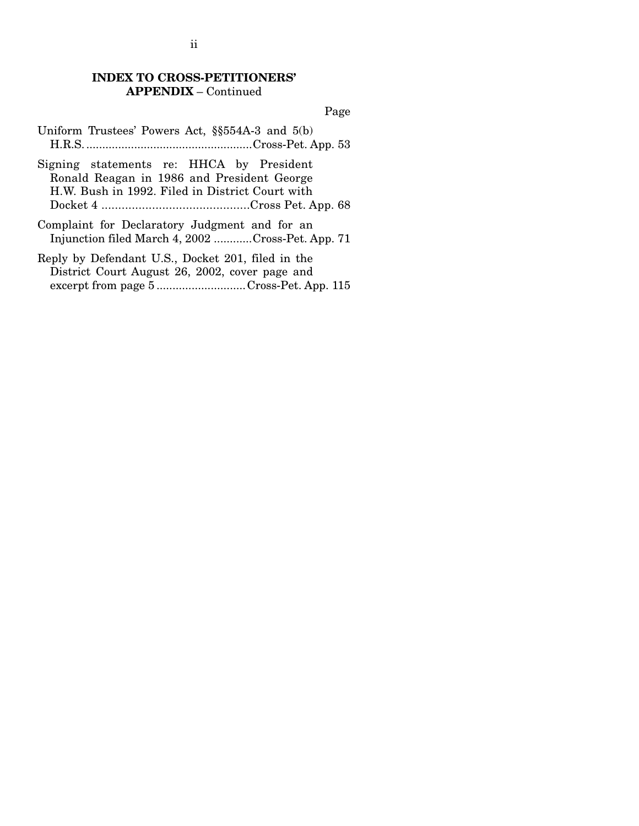#### **INDEX TO CROSS-PETITIONERS' APPENDIX** – Continued

Page

- Uniform Trustees' Powers Act, §§554A-3 and 5(b) H.R.S.....................................................Cross-Pet. App. 53
- Signing statements re: HHCA by President Ronald Reagan in 1986 and President George H.W. Bush in 1992. Filed in District Court with Docket 4 ............................................Cross Pet. App. 68
- Complaint for Declaratory Judgment and for an Injunction filed March 4, 2002 ............Cross-Pet. App. 71
- Reply by Defendant U.S., Docket 201, filed in the District Court August 26, 2002, cover page and excerpt from page 5 ............................Cross-Pet. App. 115

ii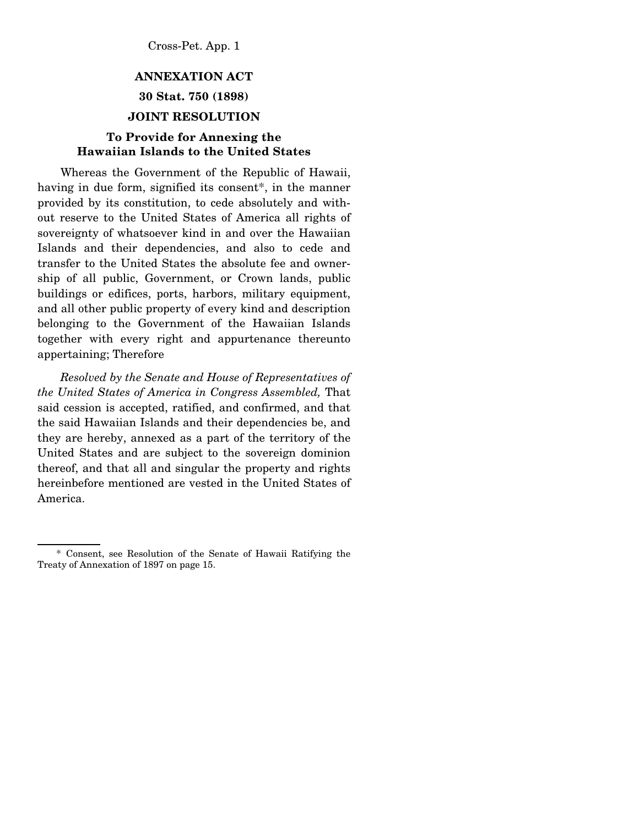# **ANNEXATION ACT 30 Stat. 750 (1898)**

#### **JOINT RESOLUTION**

## **To Provide for Annexing the Hawaiian Islands to the United States**

 Whereas the Government of the Republic of Hawaii, having in due form, signified its consent<sup>\*</sup>, in the manner provided by its constitution, to cede absolutely and without reserve to the United States of America all rights of sovereignty of whatsoever kind in and over the Hawaiian Islands and their dependencies, and also to cede and transfer to the United States the absolute fee and ownership of all public, Government, or Crown lands, public buildings or edifices, ports, harbors, military equipment, and all other public property of every kind and description belonging to the Government of the Hawaiian Islands together with every right and appurtenance thereunto appertaining; Therefore

 *Resolved by the Senate and House of Representatives of the United States of America in Congress Assembled,* That said cession is accepted, ratified, and confirmed, and that the said Hawaiian Islands and their dependencies be, and they are hereby, annexed as a part of the territory of the United States and are subject to the sovereign dominion thereof, and that all and singular the property and rights hereinbefore mentioned are vested in the United States of America.

 <sup>\*</sup> Consent, see Resolution of the Senate of Hawaii Ratifying the Treaty of Annexation of 1897 on page 15.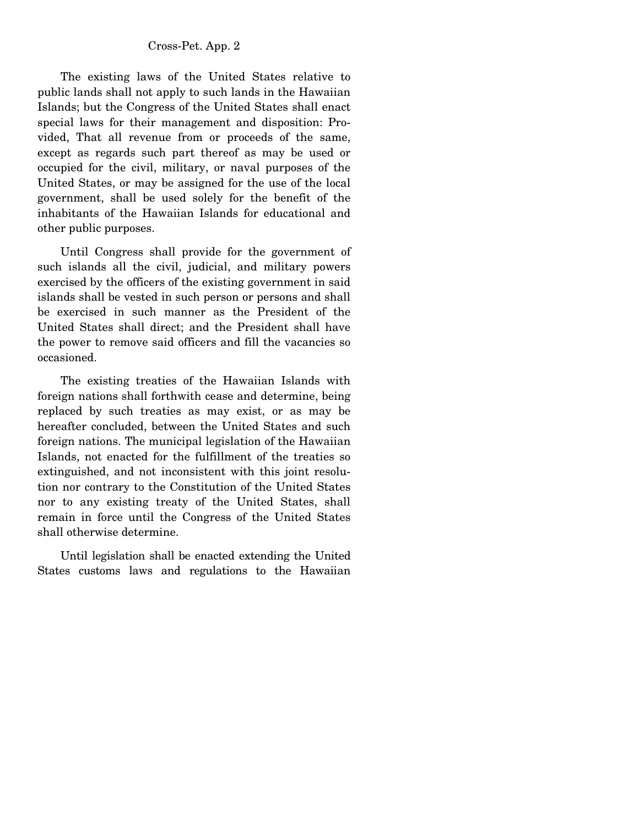The existing laws of the United States relative to public lands shall not apply to such lands in the Hawaiian Islands; but the Congress of the United States shall enact special laws for their management and disposition: Provided, That all revenue from or proceeds of the same, except as regards such part thereof as may be used or occupied for the civil, military, or naval purposes of the United States, or may be assigned for the use of the local government, shall be used solely for the benefit of the inhabitants of the Hawaiian Islands for educational and other public purposes.

 Until Congress shall provide for the government of such islands all the civil, judicial, and military powers exercised by the officers of the existing government in said islands shall be vested in such person or persons and shall be exercised in such manner as the President of the United States shall direct; and the President shall have the power to remove said officers and fill the vacancies so occasioned.

 The existing treaties of the Hawaiian Islands with foreign nations shall forthwith cease and determine, being replaced by such treaties as may exist, or as may be hereafter concluded, between the United States and such foreign nations. The municipal legislation of the Hawaiian Islands, not enacted for the fulfillment of the treaties so extinguished, and not inconsistent with this joint resolution nor contrary to the Constitution of the United States nor to any existing treaty of the United States, shall remain in force until the Congress of the United States shall otherwise determine.

 Until legislation shall be enacted extending the United States customs laws and regulations to the Hawaiian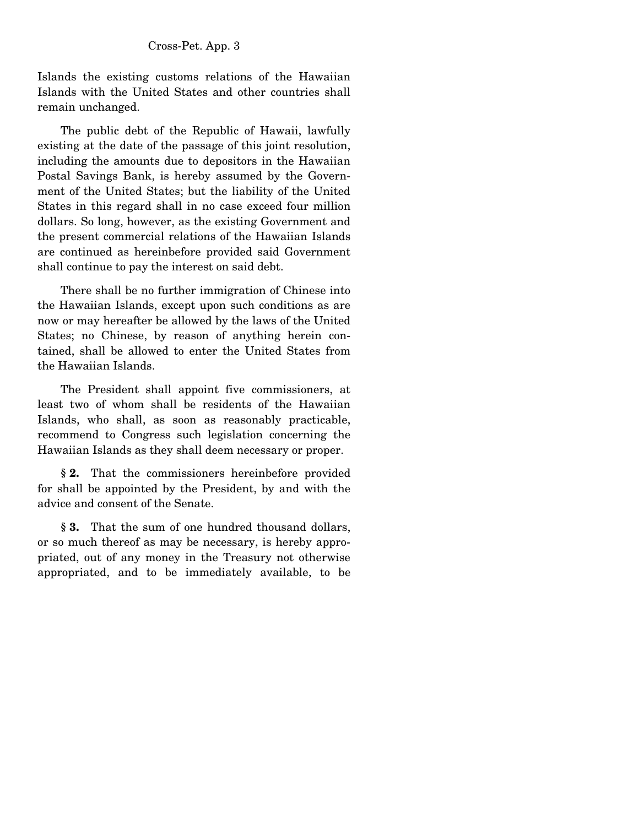Islands the existing customs relations of the Hawaiian Islands with the United States and other countries shall remain unchanged.

 The public debt of the Republic of Hawaii, lawfully existing at the date of the passage of this joint resolution, including the amounts due to depositors in the Hawaiian Postal Savings Bank, is hereby assumed by the Government of the United States; but the liability of the United States in this regard shall in no case exceed four million dollars. So long, however, as the existing Government and the present commercial relations of the Hawaiian Islands are continued as hereinbefore provided said Government shall continue to pay the interest on said debt.

 There shall be no further immigration of Chinese into the Hawaiian Islands, except upon such conditions as are now or may hereafter be allowed by the laws of the United States; no Chinese, by reason of anything herein contained, shall be allowed to enter the United States from the Hawaiian Islands.

 The President shall appoint five commissioners, at least two of whom shall be residents of the Hawaiian Islands, who shall, as soon as reasonably practicable, recommend to Congress such legislation concerning the Hawaiian Islands as they shall deem necessary or proper.

 **§ 2.** That the commissioners hereinbefore provided for shall be appointed by the President, by and with the advice and consent of the Senate.

 **§ 3.** That the sum of one hundred thousand dollars, or so much thereof as may be necessary, is hereby appropriated, out of any money in the Treasury not otherwise appropriated, and to be immediately available, to be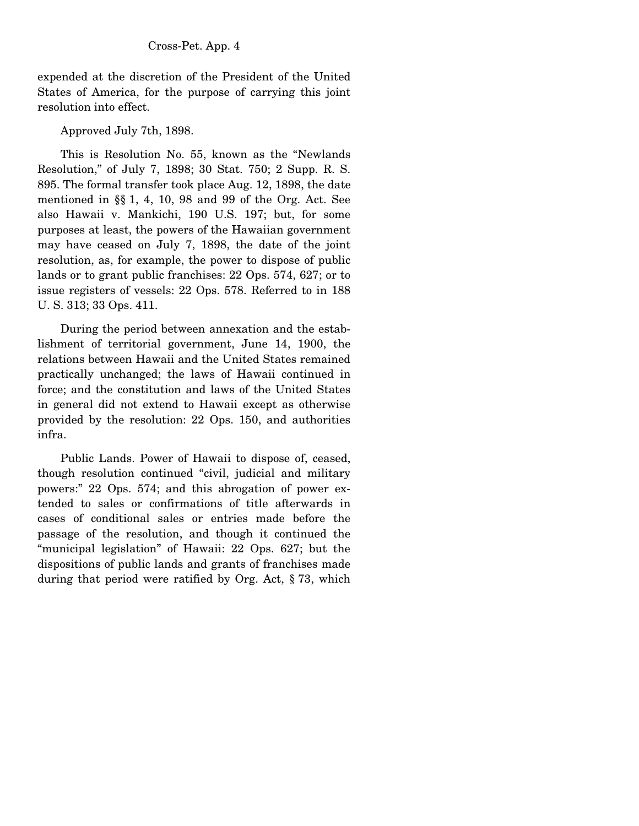expended at the discretion of the President of the United States of America, for the purpose of carrying this joint resolution into effect.

Approved July 7th, 1898.

 This is Resolution No. 55, known as the "Newlands Resolution," of July 7, 1898; 30 Stat. 750; 2 Supp. R. S. 895. The formal transfer took place Aug. 12, 1898, the date mentioned in §§ 1, 4, 10, 98 and 99 of the Org. Act. See also Hawaii v. Mankichi, 190 U.S. 197; but, for some purposes at least, the powers of the Hawaiian government may have ceased on July 7, 1898, the date of the joint resolution, as, for example, the power to dispose of public lands or to grant public franchises: 22 Ops. 574, 627; or to issue registers of vessels: 22 Ops. 578. Referred to in 188 U. S. 313; 33 Ops. 411.

 During the period between annexation and the establishment of territorial government, June 14, 1900, the relations between Hawaii and the United States remained practically unchanged; the laws of Hawaii continued in force; and the constitution and laws of the United States in general did not extend to Hawaii except as otherwise provided by the resolution: 22 Ops. 150, and authorities infra.

 Public Lands. Power of Hawaii to dispose of, ceased, though resolution continued "civil, judicial and military powers:" 22 Ops. 574; and this abrogation of power extended to sales or confirmations of title afterwards in cases of conditional sales or entries made before the passage of the resolution, and though it continued the "municipal legislation" of Hawaii: 22 Ops. 627; but the dispositions of public lands and grants of franchises made during that period were ratified by Org. Act, § 73, which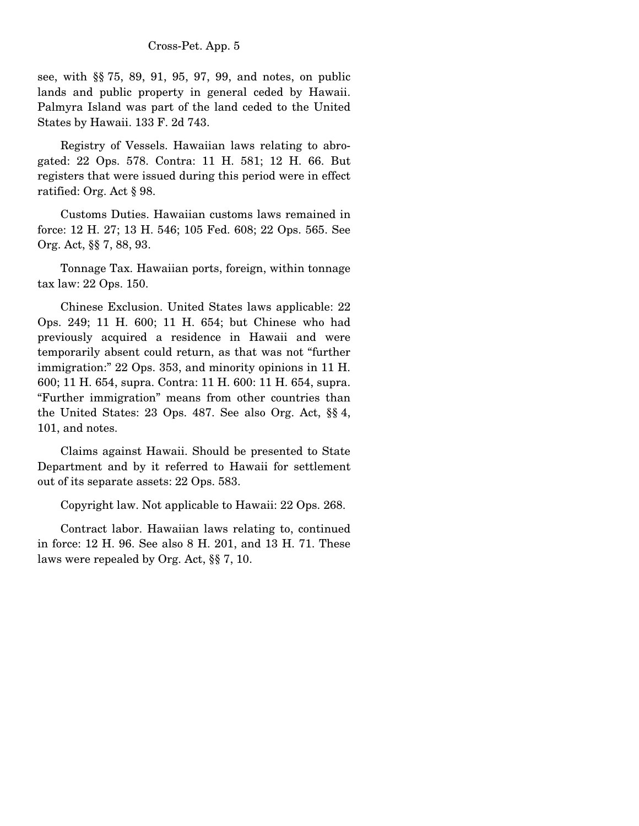see, with §§ 75, 89, 91, 95, 97, 99, and notes, on public lands and public property in general ceded by Hawaii. Palmyra Island was part of the land ceded to the United States by Hawaii. 133 F. 2d 743.

 Registry of Vessels. Hawaiian laws relating to abrogated: 22 Ops. 578. Contra: 11 H. 581; 12 H. 66. But registers that were issued during this period were in effect ratified: Org. Act § 98.

 Customs Duties. Hawaiian customs laws remained in force: 12 H. 27; 13 H. 546; 105 Fed. 608; 22 Ops. 565. See Org. Act, §§ 7, 88, 93.

 Tonnage Tax. Hawaiian ports, foreign, within tonnage tax law: 22 Ops. 150.

 Chinese Exclusion. United States laws applicable: 22 Ops. 249; 11 H. 600; 11 H. 654; but Chinese who had previously acquired a residence in Hawaii and were temporarily absent could return, as that was not "further immigration:" 22 Ops. 353, and minority opinions in 11 H. 600; 11 H. 654, supra. Contra: 11 H. 600: 11 H. 654, supra. "Further immigration" means from other countries than the United States: 23 Ops. 487. See also Org. Act, §§ 4, 101, and notes.

 Claims against Hawaii. Should be presented to State Department and by it referred to Hawaii for settlement out of its separate assets: 22 Ops. 583.

Copyright law. Not applicable to Hawaii: 22 Ops. 268.

 Contract labor. Hawaiian laws relating to, continued in force: 12 H. 96. See also 8 H. 201, and 13 H. 71. These laws were repealed by Org. Act, §§ 7, 10.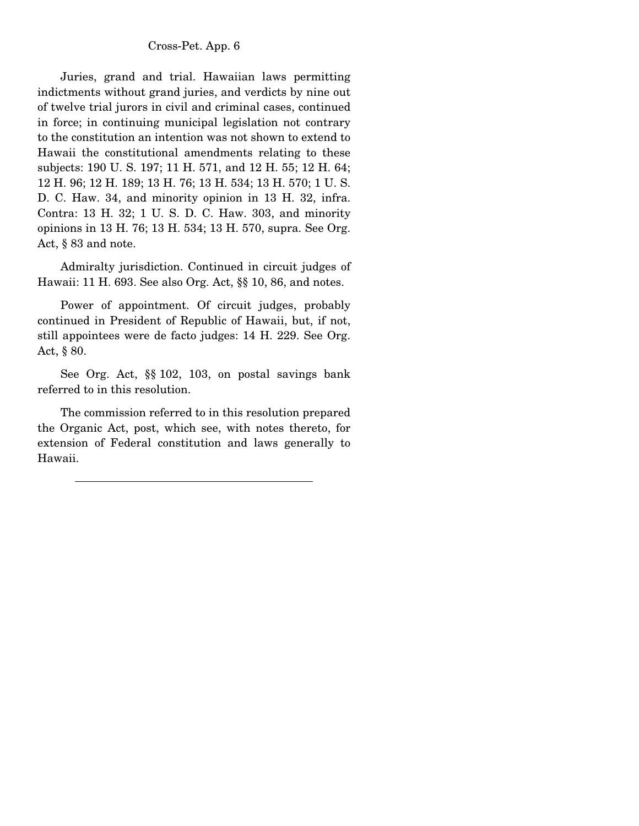Juries, grand and trial. Hawaiian laws permitting indictments without grand juries, and verdicts by nine out of twelve trial jurors in civil and criminal cases, continued in force; in continuing municipal legislation not contrary to the constitution an intention was not shown to extend to Hawaii the constitutional amendments relating to these subjects: 190 U. S. 197; 11 H. 571, and 12 H. 55; 12 H. 64; 12 H. 96; 12 H. 189; 13 H. 76; 13 H. 534; 13 H. 570; 1 U. S. D. C. Haw. 34, and minority opinion in 13 H. 32, infra. Contra: 13 H. 32; 1 U. S. D. C. Haw. 303, and minority opinions in 13 H. 76; 13 H. 534; 13 H. 570, supra. See Org. Act, § 83 and note.

 Admiralty jurisdiction. Continued in circuit judges of Hawaii: 11 H. 693. See also Org. Act, §§ 10, 86, and notes.

 Power of appointment. Of circuit judges, probably continued in President of Republic of Hawaii, but, if not, still appointees were de facto judges: 14 H. 229. See Org. Act, § 80.

 See Org. Act, §§ 102, 103, on postal savings bank referred to in this resolution.

 The commission referred to in this resolution prepared the Organic Act, post, which see, with notes thereto, for extension of Federal constitution and laws generally to Hawaii.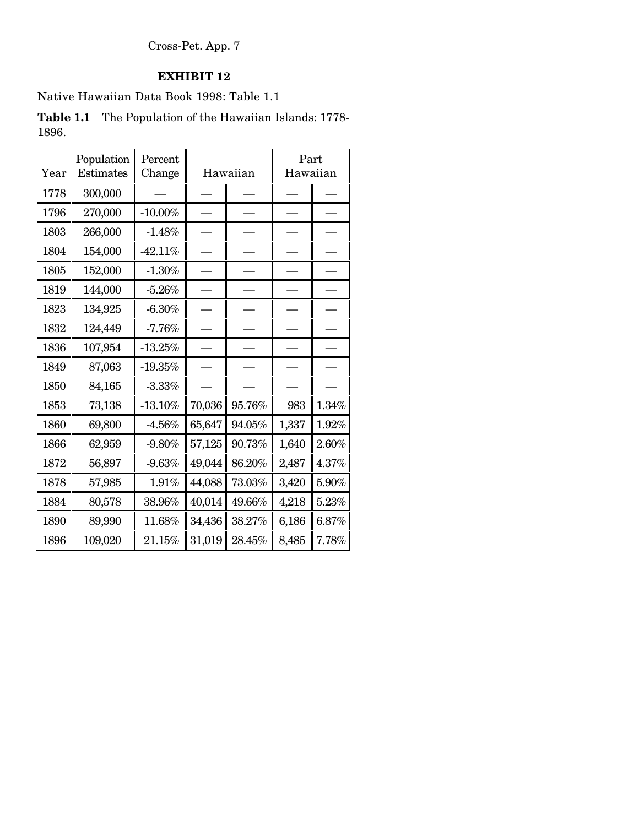# **EXHIBIT 12**

Native Hawaiian Data Book 1998: Table 1.1

**Table 1.1** The Population of the Hawaiian Islands: 1778- 1896.

| Year | Population<br>Estimates | Percent<br>Change |        | Hawaiian | Part<br>Hawaiian |          |  |
|------|-------------------------|-------------------|--------|----------|------------------|----------|--|
| 1778 | 300,000                 |                   |        |          |                  |          |  |
| 1796 | 270,000                 | $-10.00%$         |        |          |                  |          |  |
| 1803 | 266,000                 | $-1.48%$          |        |          |                  |          |  |
| 1804 | 154,000                 | $-42.11%$         |        |          |                  |          |  |
| 1805 | 152,000                 | $-1.30%$          |        |          |                  |          |  |
| 1819 | 144,000                 | $-5.26%$          |        |          |                  |          |  |
| 1823 | 134,925                 | $-6.30%$          |        |          |                  |          |  |
| 1832 | 124,449                 | $-7.76%$          |        |          |                  |          |  |
| 1836 | 107,954                 | $-13.25%$         |        |          |                  |          |  |
| 1849 | 87,063                  | $-19.35%$         |        |          |                  |          |  |
| 1850 | 84,165                  | $-3.33%$          |        |          |                  |          |  |
| 1853 | 73,138                  | $-13.10%$         | 70,036 | 95.76%   | 983              | 1.34%    |  |
| 1860 | 69,800                  | $-4.56\%$         | 65,647 | 94.05%   | 1,337            | $1.92\%$ |  |
| 1866 | 62,959                  | $-9.80%$          | 57,125 | 90.73%   | 1,640            | $2.60\%$ |  |
| 1872 | 56,897                  | $-9.63%$          | 49,044 | 86.20%   | 2,487            | 4.37%    |  |
| 1878 | 57,985                  | 1.91%             | 44,088 | 73.03%   | 3,420            | $5.90\%$ |  |
| 1884 | 80,578                  | 38.96%            | 40,014 | 49.66%   | 4,218            | $5.23\%$ |  |
| 1890 | 89,990                  | 11.68%            | 34,436 | 38.27%   | 6,186            | $6.87\%$ |  |
| 1896 | 109,020                 | 21.15%            | 31,019 | 28.45%   | 8,485            | 7.78%    |  |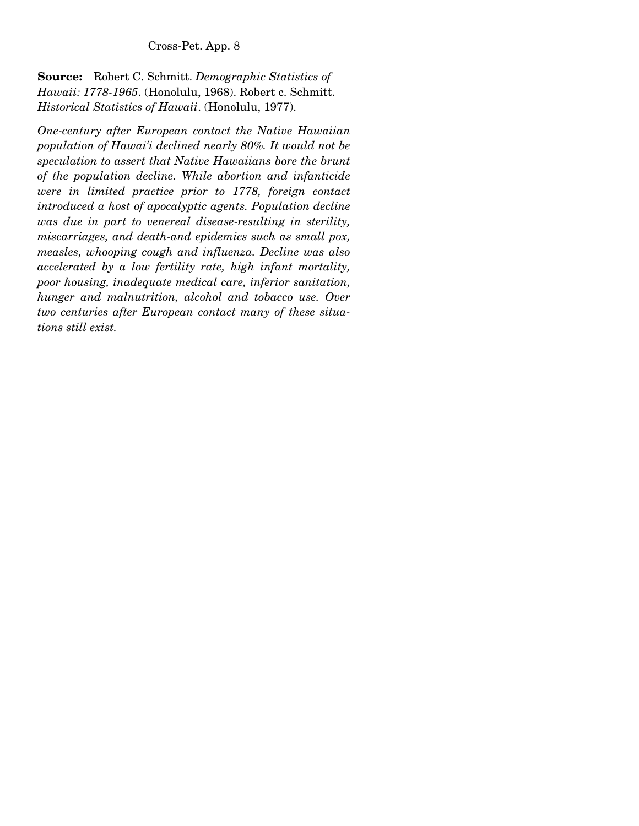**Source:** Robert C. Schmitt. *Demographic Statistics of Hawaii: 1778-1965*. (Honolulu, 1968). Robert c. Schmitt. *Historical Statistics of Hawaii*. (Honolulu, 1977).

*One-century after European contact the Native Hawaiian population of Hawai'i declined nearly 80%. It would not be speculation to assert that Native Hawaiians bore the brunt of the population decline. While abortion and infanticide were in limited practice prior to 1778, foreign contact introduced a host of apocalyptic agents. Population decline was due in part to venereal disease-resulting in sterility, miscarriages, and death-and epidemics such as small pox, measles, whooping cough and influenza. Decline was also accelerated by a low fertility rate, high infant mortality, poor housing, inadequate medical care, inferior sanitation, hunger and malnutrition, alcohol and tobacco use. Over two centuries after European contact many of these situations still exist.*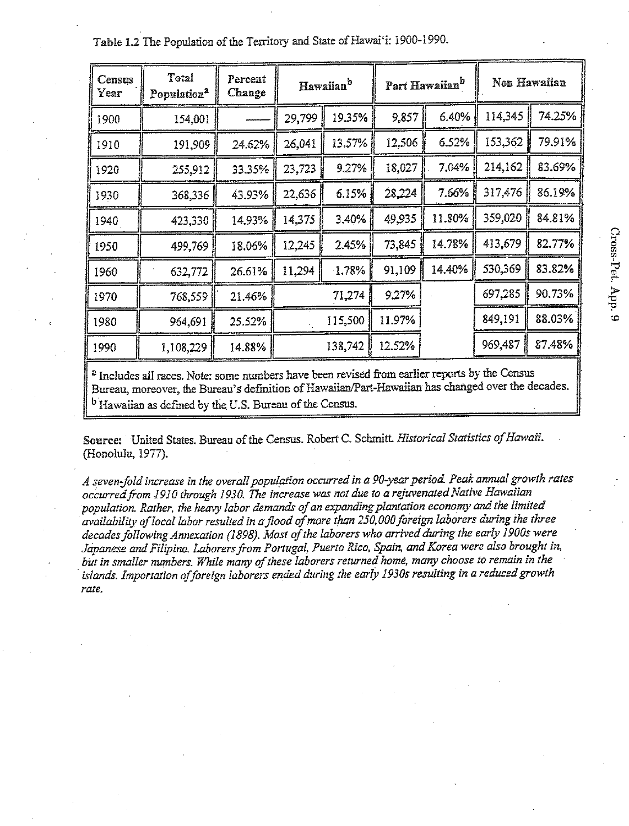| Census<br>Year | Total<br>Population <sup>2</sup> | Percent<br>Change | Hawaiian <sup>b</sup> |        |        | Part Hawaiian <sup>b</sup> | Non Hawaiian |        |
|----------------|----------------------------------|-------------------|-----------------------|--------|--------|----------------------------|--------------|--------|
| 1900           | 154,001                          |                   | 29,799                | 19.35% | 9,857  | 6.40%                      | 114,345      | 74.25% |
| 1910           | 191,909                          | 24.62%            | 26,041                | 13.57% | 12,506 | 6.52%                      | 153,362      | 79.91% |
| 1920           | 255,912                          | 33.35%            | 23,723                | 9.27%  | 18,027 | 7.04%                      | 214,162      | 83.69% |
| 1930           | 368,336                          | 43.93%            | 22,636                | 6.15%  | 28,224 | 7.66%                      | 317,476      | 86.19% |
| 1940           | 423,330                          | 14.93%            | 14,375                | 3.40%  | 49,935 | 11.80%                     | 359,020      | 84.81% |
| 1950           | 499,769                          | 18.06%            | 12,245                | 2.45%  | 73,845 | 14.78%                     | 413,679      | 82.77% |
| 1960           | 632,772                          | 26.61%            | 11,294                | 1.78%  |        | 14.40%                     | 530,369      | 83.82% |
| 1970           | 768,559                          | 21.46%            | 71,274                |        | 9.27%  |                            | 697,285      | 90.73% |
| 1980           | 964,691                          | 25.52%            | 115,500               |        | 11.97% |                            | 849,191      | 88.03% |
| 1990           | 1,108,229                        | 14.88%            | 138,742               |        | 12.52% |                            | 969,487      | 87.48% |

Table 1.2 The Population of the Territory and State of Hawai'i: 1900-1990.

<sup>a</sup> Includes all races. Note: some numbers have been revised from earlier reports by the Census Bureau, moreover, the Bureau's definition of Hawaiian/Part-Hawaiian has changed over the decades. <sup>b</sup> Hawaiian as defined by the U.S. Bureau of the Census.

Source: United States. Bureau of the Census. Robert C. Schmitt. Historical Statistics of Hawaii. (Honolulu, 1977).

A seven-fold increase in the overall population occurred in a 90-year period. Peak annual growth rates occurred from 1910 through 1930. The increase was not due to a rejuvenated Native Hawaiian population. Rather, the heavy labor demands of an expanding plantation economy and the limited availability of local labor resulted in a flood of more than 250,000 foreign laborers during the three decades following Annexation (1898). Most of the laborers who arrived during the early 1900s were Japanese and Filipino. Laborers from Portugal, Puerto Rico, Spain, and Korea were also brought in, but in smaller numbers. While many of these laborers returned home, many choose to remain in the islands. Importation of foreign laborers ended during the early 1930s resulting in a reduced growth rate.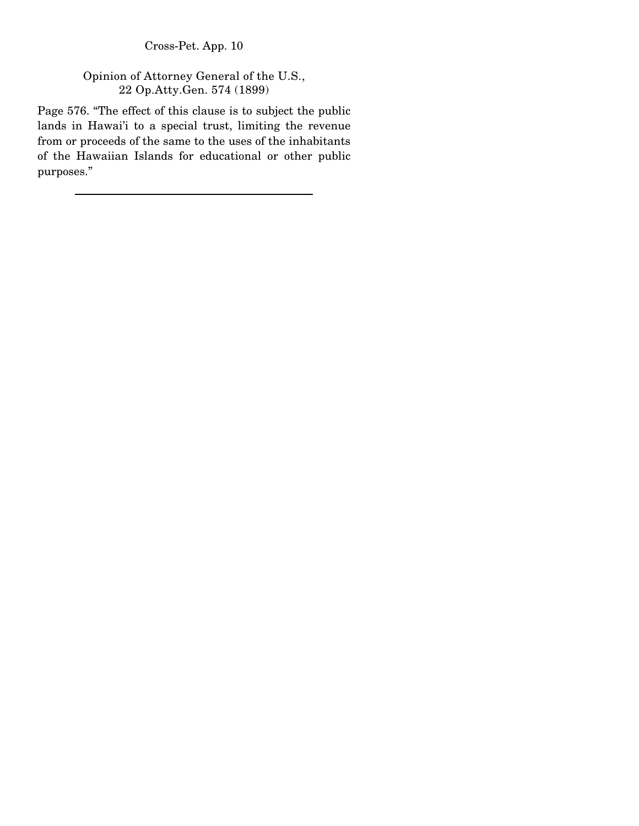Opinion of Attorney General of the U.S., 22 Op.Atty.Gen. 574 (1899)

Page 576. "The effect of this clause is to subject the public lands in Hawai'i to a special trust, limiting the revenue from or proceeds of the same to the uses of the inhabitants of the Hawaiian Islands for educational or other public purposes."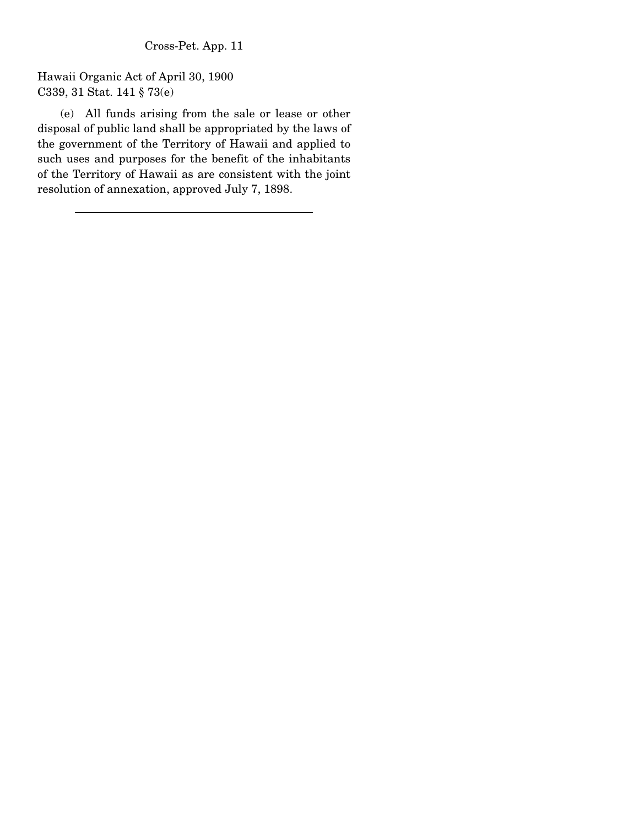Hawaii Organic Act of April 30, 1900 C339, 31 Stat. 141 § 73(e)

 (e) All funds arising from the sale or lease or other disposal of public land shall be appropriated by the laws of the government of the Territory of Hawaii and applied to such uses and purposes for the benefit of the inhabitants of the Territory of Hawaii as are consistent with the joint resolution of annexation, approved July 7, 1898.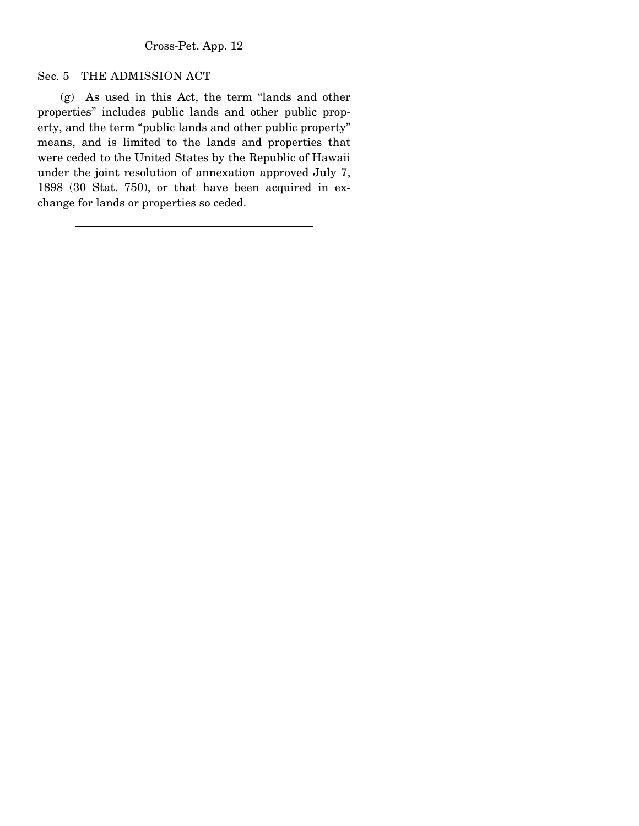#### Sec. 5 THE ADMISSION ACT

 (g) As used in this Act, the term "lands and other properties" includes public lands and other public property, and the term "public lands and other public property" means, and is limited to the lands and properties that were ceded to the United States by the Republic of Hawaii under the joint resolution of annexation approved July 7, 1898 (30 Stat. 750), or that have been acquired in exchange for lands or properties so ceded.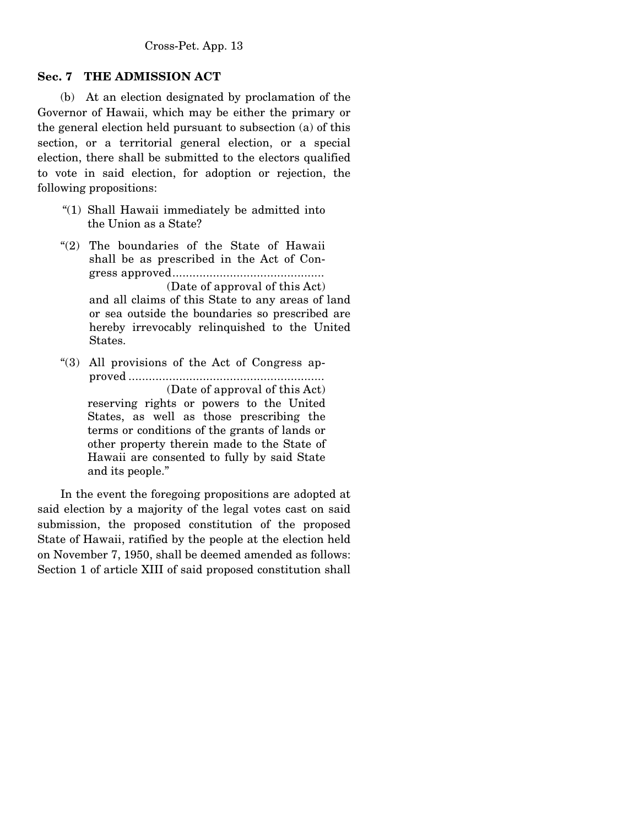### **Sec. 7 THE ADMISSION ACT**

 (b) At an election designated by proclamation of the Governor of Hawaii, which may be either the primary or the general election held pursuant to subsection (a) of this section, or a territorial general election, or a special election, there shall be submitted to the electors qualified to vote in said election, for adoption or rejection, the following propositions:

- "(1) Shall Hawaii immediately be admitted into the Union as a State?
- "(2) The boundaries of the State of Hawaii shall be as prescribed in the Act of Congress approved.............................................

(Date of approval of this Act) and all claims of this State to any areas of land or sea outside the boundaries so prescribed are hereby irrevocably relinquished to the United States.

"(3) All provisions of the Act of Congress approved .......................................................... (Date of approval of this Act) reserving rights or powers to the United States, as well as those prescribing the terms or conditions of the grants of lands or other property therein made to the State of Hawaii are consented to fully by said State and its people."

 In the event the foregoing propositions are adopted at said election by a majority of the legal votes cast on said submission, the proposed constitution of the proposed State of Hawaii, ratified by the people at the election held on November 7, 1950, shall be deemed amended as follows: Section 1 of article XIII of said proposed constitution shall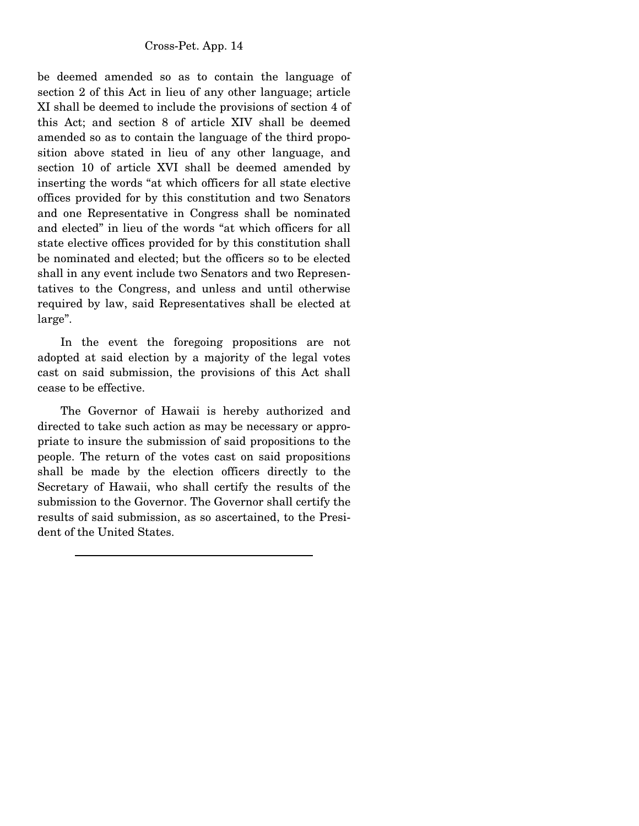be deemed amended so as to contain the language of section 2 of this Act in lieu of any other language; article XI shall be deemed to include the provisions of section 4 of this Act; and section 8 of article XIV shall be deemed amended so as to contain the language of the third proposition above stated in lieu of any other language, and section 10 of article XVI shall be deemed amended by inserting the words "at which officers for all state elective offices provided for by this constitution and two Senators and one Representative in Congress shall be nominated and elected" in lieu of the words "at which officers for all state elective offices provided for by this constitution shall be nominated and elected; but the officers so to be elected shall in any event include two Senators and two Representatives to the Congress, and unless and until otherwise required by law, said Representatives shall be elected at large".

 In the event the foregoing propositions are not adopted at said election by a majority of the legal votes cast on said submission, the provisions of this Act shall cease to be effective.

 The Governor of Hawaii is hereby authorized and directed to take such action as may be necessary or appropriate to insure the submission of said propositions to the people. The return of the votes cast on said propositions shall be made by the election officers directly to the Secretary of Hawaii, who shall certify the results of the submission to the Governor. The Governor shall certify the results of said submission, as so ascertained, to the President of the United States.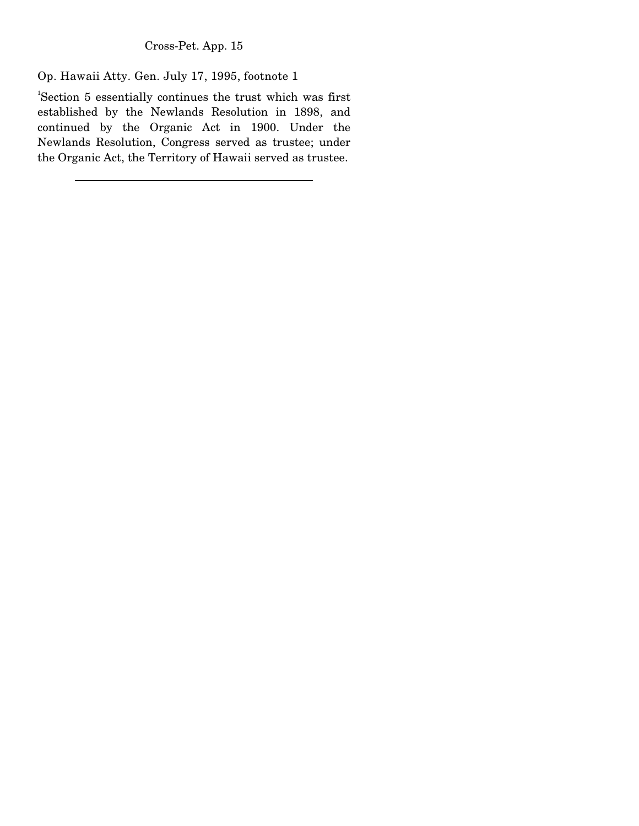Op. Hawaii Atty. Gen. July 17, 1995, footnote 1

1 Section 5 essentially continues the trust which was first established by the Newlands Resolution in 1898, and continued by the Organic Act in 1900. Under the Newlands Resolution, Congress served as trustee; under the Organic Act, the Territory of Hawaii served as trustee.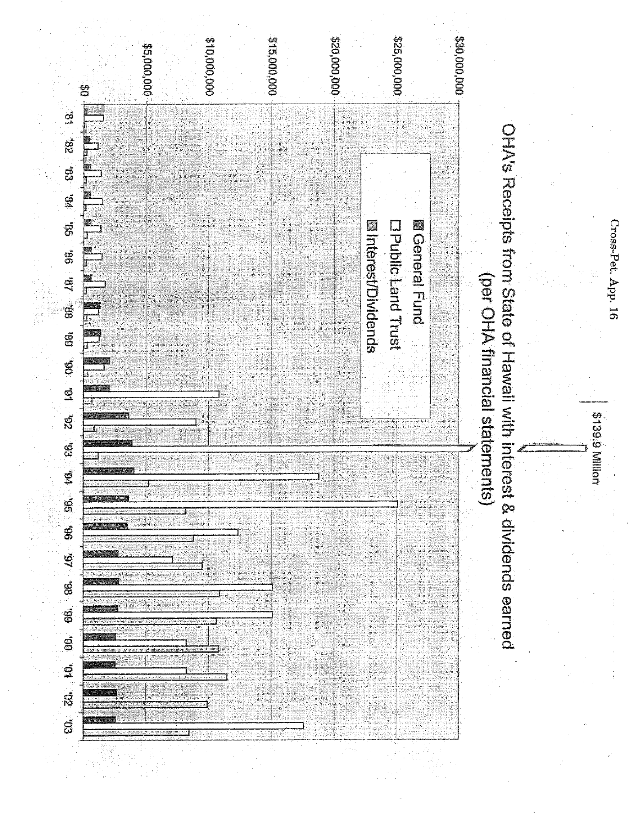000 000 01.3 315,000,000,000 000'000'02\$ 000'000'92\$ 000'000'08\$ \$5,000,000 g  $\frac{1}{2}$ OHA's Receipts from State of Hawaii with interest & dividends earned 179. CG. Z8.  $\tilde{g}$ **MGeneral Fund Dhublicland Trust Minterest/Dividends** LG. 98. (per OHA financial statements) a.<br>S 96. 10. 26. 26. 10. 06. 08. 66, 86, 46, 96, g <u>្តូ</u>  $\vec{a}$ g

Cross-Pet. App. 16

S139.9 Million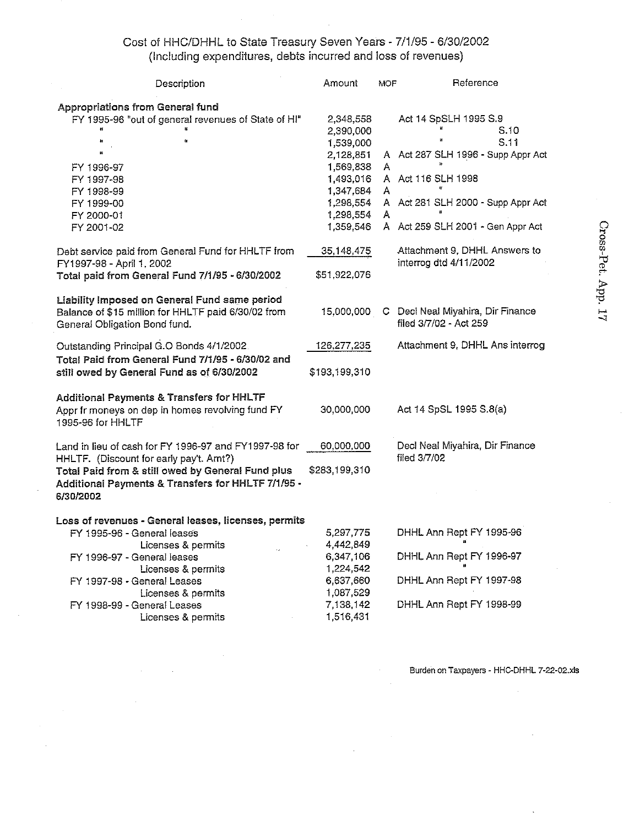# Cost of HHC/DHHL to State Treasury Seven Years - 7/1/95 - 6/30/2002<br>(Including expenditures, debts incurred and loss of revenues)

| Description                                                                                    | Amount        | MOF | Reference                                       |
|------------------------------------------------------------------------------------------------|---------------|-----|-------------------------------------------------|
|                                                                                                |               |     |                                                 |
| <b>Appropriations from General fund</b><br>FY 1995-96 "out of general revenues of State of HI" | 2,348,558     |     | Act 14 SpSLH 1995 S.9                           |
|                                                                                                | 2,390,000     |     | S.10                                            |
| έī<br>n                                                                                        | 1,539,000     |     | S.11                                            |
|                                                                                                | 2,128,851     | A   | Act 287 SLH 1996 - Supp Appr Act                |
| FY 1996-97                                                                                     | 1,569,838     | Α   |                                                 |
| FY 1997-98                                                                                     | 1,493,016     |     | A Act 116 SLH 1998                              |
| FY 1998-99                                                                                     | 1 347 684     | A   |                                                 |
| FY 1999-00                                                                                     | 1,298,554     |     | A Act 281 SLH 2000 - Supp Appr Act              |
| FY 2000-01                                                                                     | 1,298,554     | Α   |                                                 |
| FY 2001-02                                                                                     | 1.359,546     |     | A Act 259 SLH 2001 - Gen Appr Act               |
|                                                                                                |               |     |                                                 |
| Debt service paid from General Fund for HHLTF from                                             | 35,148,475    |     | Attachment 9, DHHL Answers to                   |
| FY1997-98 - April 1, 2002                                                                      |               |     | interrog dtd 4/11/2002                          |
| Total paid from General Fund 7/1/95 - 6/30/2002                                                | \$51,922,076  |     |                                                 |
|                                                                                                |               |     |                                                 |
| Liability Imposed on General Fund same period                                                  |               |     |                                                 |
| Balance of \$15 million for HHLTF paid 6/30/02 from                                            | 15,000,000    | C.  | Decl Neal Miyahira, Dir Finance                 |
| General Obligation Bond fund.                                                                  |               |     | filed 3/7/02 - Act 259                          |
|                                                                                                |               |     |                                                 |
| Outstanding Principal G.O Bonds 4/1/2002.                                                      | 126,277,235   |     | Attachment 9, DHHL Ans interrog                 |
| Total Paid from General Fund 7/1/95 - 6/30/02 and                                              |               |     |                                                 |
| still owed by General Fund as of 6/30/2002                                                     | \$193,199,310 |     |                                                 |
|                                                                                                |               |     |                                                 |
| <b>Additional Payments &amp; Transfers for HHLTF</b>                                           |               |     |                                                 |
| Appr fr moneys on dep in homes revolving fund FY                                               | 30,000,000    |     | Act 14 SpSL 1995 S.8(a)                         |
| 1995-96 for HHLTF                                                                              |               |     |                                                 |
|                                                                                                |               |     |                                                 |
| Land in lieu of cash for FY 1996-97 and FY1997-98 for                                          | 60,000,000    |     | Decl Neal Miyahira, Dir Finance<br>filed 3/7/02 |
| HHLTF. (Discount for early pay't. Amt?)                                                        |               |     |                                                 |
| Total Paid from & still owed by General Fund plus                                              | \$283,199,310 |     |                                                 |
| Additional Payments & Transfers for HHLTF 7/1/95 -                                             |               |     |                                                 |
| 6/30/2002                                                                                      |               |     |                                                 |
| Loss of revenues - General leases, licenses, permits                                           |               |     |                                                 |
| FY 1995-96 - General leases                                                                    | 5,297,775     |     | DHHL Ann Rept FY 1995-96                        |
| Licenses & permits                                                                             | 4,442,849     |     |                                                 |
| FY 1996-97 - General leases                                                                    | 6,347,106     |     | DHHL Ann Rept FY 1996-97                        |
| Licenses & permits                                                                             | 1,224,542     |     |                                                 |
| FY 1997-98 - General Leases                                                                    | 6,637,660     |     | DHHL Ann Rept FY 1997-98                        |
| Licenses & permits                                                                             | 1,087,529     |     |                                                 |
| FY 1998-99 - General Leases                                                                    | 7,138,142     |     | DHHL Ann Rept FY 1998-99                        |
| Licenses & permits                                                                             | 1,516,431     |     |                                                 |

Cross-Pet. App. 17

Burden on Taxpayers - HHC-DHHL 7-22-02.xls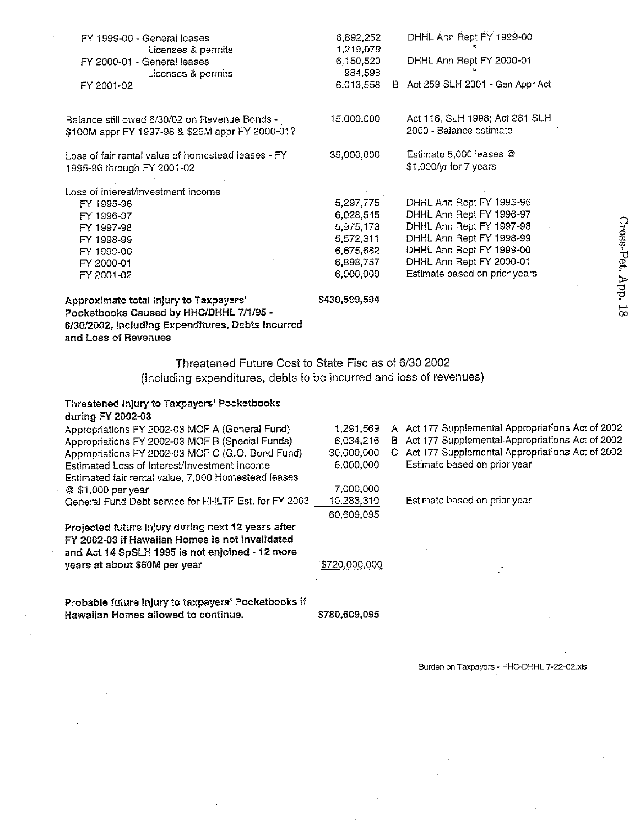| Approximate total Injury to Taxpayers'             | \$430,599,594 |                                   |
|----------------------------------------------------|---------------|-----------------------------------|
| FY 2001-02                                         | 6,000,000     | Estimate based on prior years     |
| FY 2000-01                                         | 6,898,757     | DHHL Ann Rept FY 2000-01          |
| FY 1999-00                                         | 6,675,682     | DHHL Ann Rept FY 1999-00          |
| FY 1998-99                                         | 5,572,311     | DHHL Ann Rept FY 1998-99          |
| FY 1997-98                                         | 5,975,173     | DHHL Ann Rept FY 1997-98          |
| FY 1996-97                                         | 6,028,545     | DHHL Ann Rept FY 1996-97          |
| FY 1995-96                                         | 5,297,775     | DHHL Ann Rept FY 1995-96          |
| Loss of interest/investment income                 |               |                                   |
| 1995-96 through FY 2001-02                         |               | \$1,000/yr for 7 years            |
| Loss of fair rental value of homestead leases - FY | 35,000,000    | Estimate 5,000 leases @           |
| \$100M appr FY 1997-98 & \$25M appr FY 2000-01?    |               | 2000 - Balance estimate           |
| Balance still owed 6/30/02 on Revenue Bonds -      | 15,000,000    | Act 116, SLH 1998, Act 281 SLH    |
| FY 2001-02                                         | 6,013,558     | B Act 259 SLH 2001 - Gen Appr Act |
| Licenses & permits                                 | 984,598       |                                   |
| FY 2000-01 - General leases                        | 6,150,520     | DHHL Ann Rept FY 2000-01          |
| Licenses & permits                                 | 1.219.079     |                                   |
| FY 1999-00 - General leases                        | 6,892,252     | DHHL Ann Rept FY 1999-00          |

Pocketbooks Caused by HHC/DHHL 7/1/95 -6/30/2002, Including Expenditures, Debts Incurred and Loss of Revenues

# Threatened Future Cost to State Fisc as of 6/30 2002 (Including expenditures, debts to be incurred and loss of revenues)

#### Threatened Injury to Taxpayers' Pocketbooks during FY 2002-03

| Appropriations FY 2002-03 MOF A (General Fund)       | 1,291,569     |    | A Act 177 Supplemental Appropriations Act of 2002 |
|------------------------------------------------------|---------------|----|---------------------------------------------------|
| Appropriations FY 2002-03 MOF B (Special Funds)      | 6.034.216     |    | B Act 177 Supplemental Appropriations Act of 2002 |
| Appropriations FY 2002-03 MOF C (G.O. Bond Fund)     | 30,000,000    | G. | Act 177 Supplemental Appropriations Act of 2002   |
| Estimated Loss of Interest/Investment Income         | 6,000,000     |    | Estimate based on prior year                      |
| Estimated fair rental value, 7,000 Homestead leases  |               |    |                                                   |
| @ \$1,000 per year                                   | 7.000.000     |    |                                                   |
| General Fund Debt service for HHLTF Est. for FY 2003 | 10,283,310    |    | Estimate based on prior year                      |
|                                                      | 60,609,095    |    |                                                   |
| Projected future injury during next 12 years after   |               |    |                                                   |
| FY 2002-03 if Hawaiian Homes is not invalidated      |               |    |                                                   |
| and Act 14 SpSLH 1995 is not enjoined - 12 more      |               |    |                                                   |
| years at about \$60M per year                        | \$720,000,000 |    |                                                   |
|                                                      |               |    |                                                   |
|                                                      |               |    |                                                   |
|                                                      |               |    |                                                   |

\$780,609,095

Probable future injury to taxpayers' Pocketbooks if Hawaiian Homes allowed to continue.  $\sim 10^{11}$  km

Burden on Taxpayers - HHC-DHHL 7-22-02.xls

and the company of the company of the

and the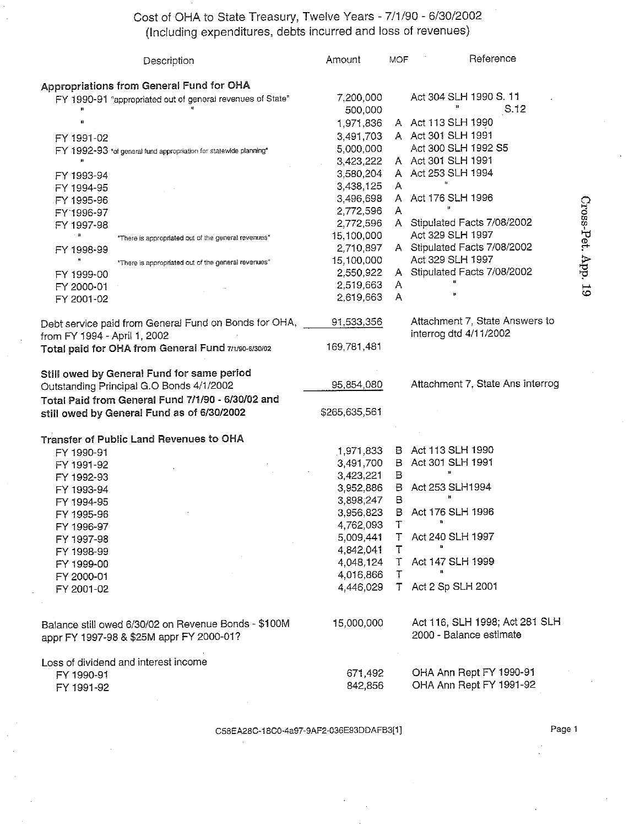Cost of OHA to State Treasury, Twelve Years - 7/1/90 - 6/30/2002<br>(Including expenditures, debts incurred and loss of revenues)

| Description                                                       | Amount        | MOF.   | Reference                        |
|-------------------------------------------------------------------|---------------|--------|----------------------------------|
| Appropriations from General Fund for OHA                          |               |        |                                  |
| FY 1990-91 "appropriated out of general revenues of State"        | 7,200,000     |        | Act 304 SLH 1990 S. 11           |
|                                                                   | 500,000       |        | S.12                             |
| п                                                                 | 1,971,836     |        | A Act 113 SLH 1990               |
| FY 1991-02                                                        | 3,491,703     |        | A Act 301 SLH 1991               |
| FY 1992-93 "of general fund appropriation for statewide planning" | 5,000,000     |        | Act 300 SLH 1992 S5              |
|                                                                   | 3,423,222     |        | A Act 301 SLH 1991               |
| FY 1993-94                                                        | 3,580,204     |        | A Act 253 SLH 1994               |
| FY 1994-95                                                        | 3,438,125     | A      |                                  |
| FY 1995-96                                                        | 3,496,698     |        | A Act 176 SLH 1996               |
| FY 1996-97                                                        | 2,772,596     | A      |                                  |
| FY 1997-98                                                        | 2,772,596     |        | A Stipulated Facts 7/08/2002     |
| - 8<br>"There is appropriated out of the general revenues"        | 15,100,000    |        | Act 329 SLH 1997                 |
| FY 1998-99                                                        | 2,710,897     |        | A Stipulated Facts 7/08/2002     |
| "There is appropriated out of the general revenues"               | 15,100,000    |        | Act 329 SLH 1997                 |
| FY 1999-00                                                        | 2,550,922     |        | A Stipulated Facts 7/08/2002     |
| FY 2000-01                                                        | 2,519,663     | A      |                                  |
| FY 2001-02                                                        | 2,619,663     | A      |                                  |
|                                                                   |               |        |                                  |
| Debt service paid from General Fund on Bonds for OHA,             | 91,533,356    |        | Attachment 7, State Answers to   |
| from FY 1994 - April 1, 2002                                      |               |        | interrog dtd 4/11/2002           |
| Total paid for OHA from General Fund 7/1/90-6/30/02               | 169,781,481   |        |                                  |
|                                                                   |               |        |                                  |
| Still owed by General Fund for same period                        |               |        |                                  |
| Outstanding Principal G.O Bonds 4/1/2002                          | 95,854,080    |        | Attachment 7, State Ans interrog |
| Total Paid from General Fund 7/1/90 - 6/30/02 and                 |               |        |                                  |
| still owed by General Fund as of 6/30/2002                        | \$265,635,561 |        |                                  |
|                                                                   |               |        |                                  |
| Transfer of Public Land Revenues to OHA                           |               |        |                                  |
| FY 1990-91                                                        | 1,971,833     |        | B Act 113 SLH 1990               |
| FY 1991-92                                                        | 3,491,700     | B      | Act 301 SLH 1991                 |
| FY 1992-93                                                        | 3,423,221     | B      | $\pmb{\mathfrak{u}}$             |
| FY 1993-94                                                        | 3,952,886     | B.     | Act 253 SLH1994                  |
|                                                                   | 3,898,247     | В      | И                                |
| FY 1994-95<br>FY 1995-96                                          | 3,956,823     | в      | Act 176 SLH 1996                 |
|                                                                   | 4,762,093     | Τ      | 11                               |
| FY 1996-97                                                        | 5,009,441     |        | T Act 240 SLH 1997               |
| FY 1997-98                                                        | 4.842.041     | $\top$ |                                  |
| FY 1998-99                                                        | 4,048,124     | $\top$ | Act 147 SLH 1999                 |
| FY 1999-00                                                        | 4,016,866     | T      |                                  |
| FY 2000-01                                                        | 4,446,029     | T      | Act 2 Sp SLH 2001                |
| FY 2001-02                                                        |               |        |                                  |
|                                                                   |               |        |                                  |
| Balance still owed 6/30/02 on Revenue Bonds - \$100M              | 15,000,000    |        | Act 116, SLH 1998; Act 281 SLH   |
| appr FY 1997-98 & \$25M appr FY 2000-01?                          |               |        | 2000 - Balance estimate          |
|                                                                   |               |        |                                  |
| Loss of dividend and interest income                              |               |        |                                  |
| FY 1990-91                                                        | 671,492       |        | OHA Ann Rept FY 1990-91          |
| FY 1991-92                                                        | 842,856       |        | OHA Ann Rept FY 1991-92          |

C58EA28C-18C0-4a97-9AF2-036E93DDAFB3[1]

Page 1

Cross-Pet. App. 19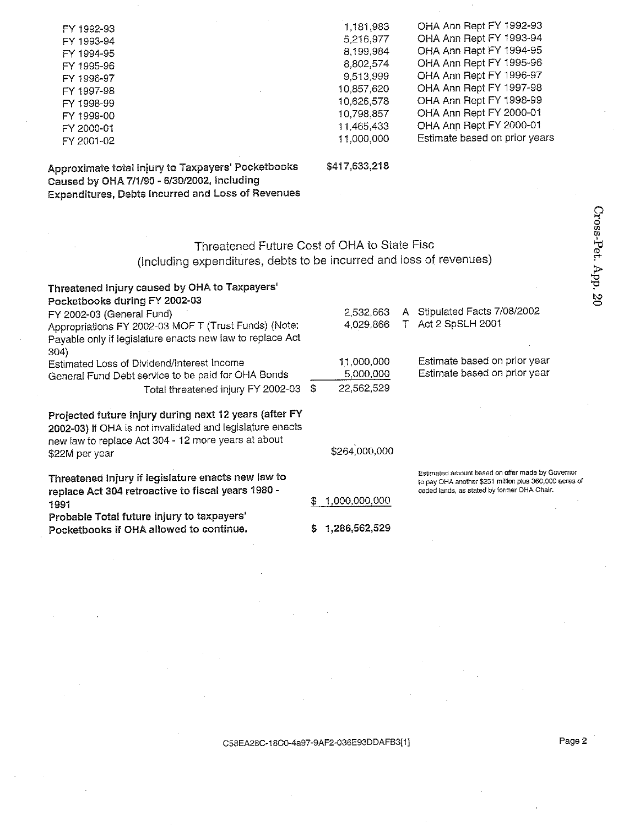| FY 1992-93 | 1,181,983  | OHA Ann Rept FY 1992-93       |
|------------|------------|-------------------------------|
| FY 1993-94 | 5,216,977  | OHA Ann Rept FY 1993-94       |
| FY 1994-95 | 8.199.984  | OHA Ann Rept FY 1994-95       |
| FY 1995-96 | 8.802,574  | OHA Ann Rept FY 1995-96       |
| FY 1996-97 | 9,513,999  | OHA Ann Rept FY 1996-97       |
| FY 1997-98 | 10,857,620 | OHA Ann Rept FY 1997-98       |
| FY 1998-99 | 10,626,578 | OHA Ann Rept FY 1998-99       |
| FY 1999-00 | 10.798,857 | OHA Ann Rept FY 2000-01       |
| FY 2000-01 | 11.465.433 | OHA Ann Rept FY 2000-01       |
| FY 2001-02 | 11.000.000 | Estimate based on prior years |
|            |            |                               |

Approximate total injury to Taxpayers' Pocketbooks Caused by OHA 7/1/90 - 6/30/2002, Including **Expenditures, Debts Incurred and Loss of Revenues** 

#### \$417,633,218

# Threatened Future Cost of OHA to State Fisc (Including expenditures, debts to be incurred and loss of revenues)

| Threatened Injury caused by OHA to Taxpayers'<br>Pocketbooks during FY 2002-03                                                                                             |   |               |                                                                                                                                                           |
|----------------------------------------------------------------------------------------------------------------------------------------------------------------------------|---|---------------|-----------------------------------------------------------------------------------------------------------------------------------------------------------|
| FY 2002-03 (General Fund)                                                                                                                                                  |   | 2,532,663     | A Stipulated Facts 7/08/2002                                                                                                                              |
| Appropriations FY 2002-03 MOF T (Trust Funds) (Note:<br>Payable only if legislature enacts new law to replace Act<br>304)                                                  |   | 4,029,866     | T Act 2 SpSLH 2001                                                                                                                                        |
| Estimated Loss of Dividend/Interest Income                                                                                                                                 |   | 11,000,000    | Estimate based on prior year                                                                                                                              |
| General Fund Debt service to be paid for OHA Bonds                                                                                                                         |   | 5,000,000     | Estimate based on prior year                                                                                                                              |
| Total threatened injury FY 2002-03                                                                                                                                         | S | 22,562,529    |                                                                                                                                                           |
| Projected future injury during next 12 years (after FY<br>2002-03) if OHA is not invalidated and legislature enacts<br>new law to replace Act 304 - 12 more years at about |   |               |                                                                                                                                                           |
| \$22M per year                                                                                                                                                             |   | \$264,000,000 |                                                                                                                                                           |
| Threatened Injury if legislature enacts new law to<br>replace Act 304 retroactive to fiscal years 1980 -                                                                   |   |               | Estimated amount based on offer made by Governor<br>to pay OHA another \$251 million plus 360,000 acres of<br>ceded lands, as stated by former OHA Chair. |
| 1991                                                                                                                                                                       | 5 | 1,000,000,000 |                                                                                                                                                           |
| Probable Total future injury to taxpayers'<br>Pocketbooks if OHA allowed to continue.                                                                                      |   | 1,286,562,529 |                                                                                                                                                           |

Page 2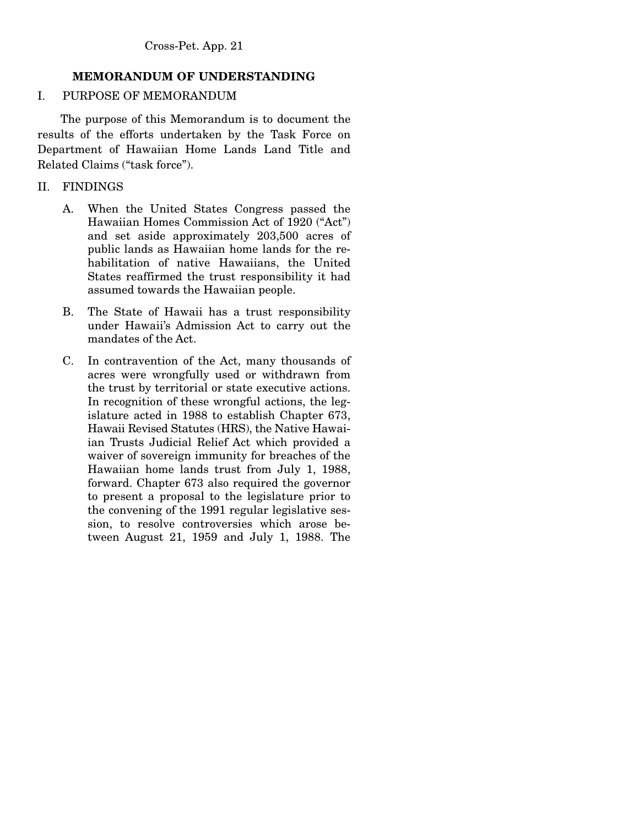# **MEMORANDUM OF UNDERSTANDING**

## I. PURPOSE OF MEMORANDUM

 The purpose of this Memorandum is to document the results of the efforts undertaken by the Task Force on Department of Hawaiian Home Lands Land Title and Related Claims ("task force").

## II. FINDINGS

- A. When the United States Congress passed the Hawaiian Homes Commission Act of 1920 ("Act") and set aside approximately 203,500 acres of public lands as Hawaiian home lands for the rehabilitation of native Hawaiians, the United States reaffirmed the trust responsibility it had assumed towards the Hawaiian people.
- B. The State of Hawaii has a trust responsibility under Hawaii's Admission Act to carry out the mandates of the Act.
- C. In contravention of the Act, many thousands of acres were wrongfully used or withdrawn from the trust by territorial or state executive actions. In recognition of these wrongful actions, the legislature acted in 1988 to establish Chapter 673, Hawaii Revised Statutes (HRS), the Native Hawaiian Trusts Judicial Relief Act which provided a waiver of sovereign immunity for breaches of the Hawaiian home lands trust from July 1, 1988, forward. Chapter 673 also required the governor to present a proposal to the legislature prior to the convening of the 1991 regular legislative session, to resolve controversies which arose between August 21, 1959 and July 1, 1988. The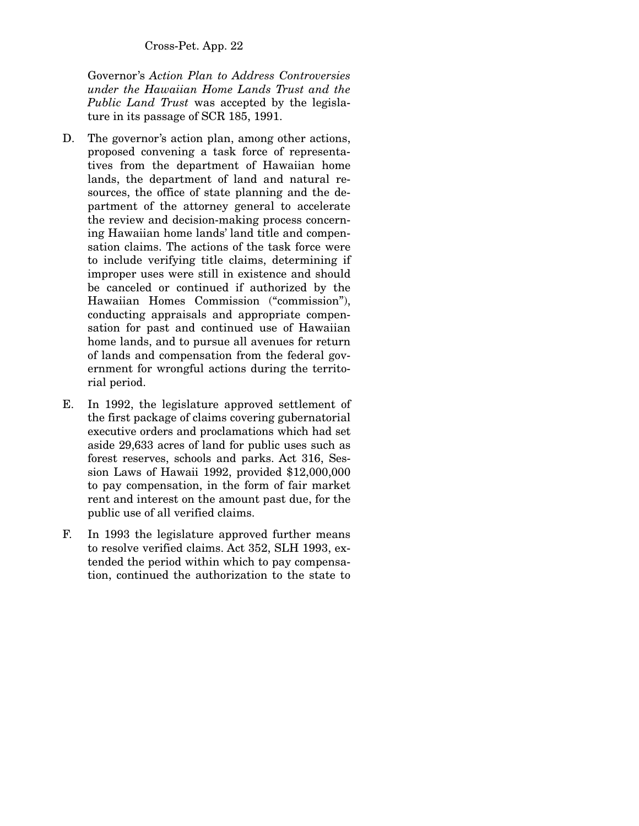Governor's *Action Plan to Address Controversies under the Hawaiian Home Lands Trust and the Public Land Trust* was accepted by the legislature in its passage of SCR 185, 1991.

- D. The governor's action plan, among other actions, proposed convening a task force of representatives from the department of Hawaiian home lands, the department of land and natural resources, the office of state planning and the department of the attorney general to accelerate the review and decision-making process concerning Hawaiian home lands' land title and compensation claims. The actions of the task force were to include verifying title claims, determining if improper uses were still in existence and should be canceled or continued if authorized by the Hawaiian Homes Commission ("commission"), conducting appraisals and appropriate compensation for past and continued use of Hawaiian home lands, and to pursue all avenues for return of lands and compensation from the federal government for wrongful actions during the territorial period.
- E. In 1992, the legislature approved settlement of the first package of claims covering gubernatorial executive orders and proclamations which had set aside 29,633 acres of land for public uses such as forest reserves, schools and parks. Act 316, Session Laws of Hawaii 1992, provided \$12,000,000 to pay compensation, in the form of fair market rent and interest on the amount past due, for the public use of all verified claims.
- F. In 1993 the legislature approved further means to resolve verified claims. Act 352, SLH 1993, extended the period within which to pay compensation, continued the authorization to the state to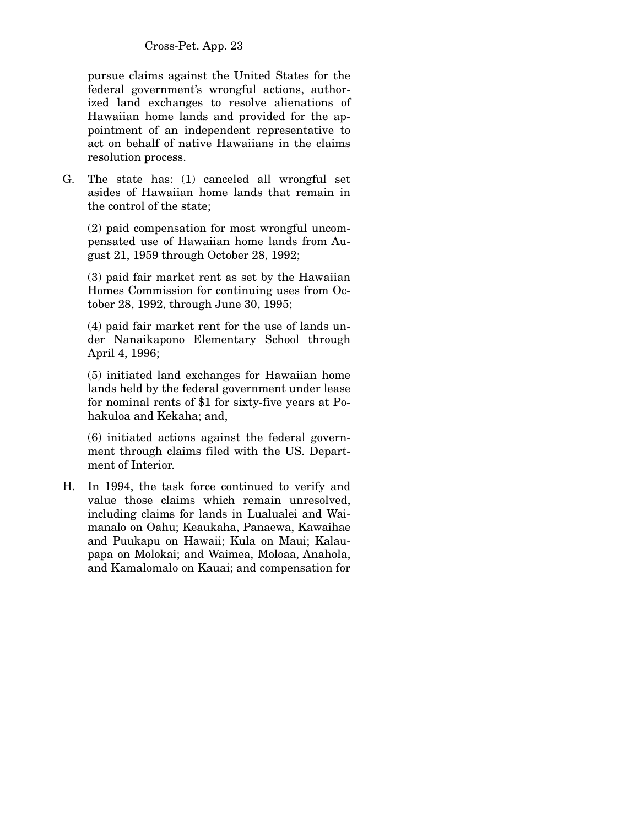pursue claims against the United States for the federal government's wrongful actions, authorized land exchanges to resolve alienations of Hawaiian home lands and provided for the appointment of an independent representative to act on behalf of native Hawaiians in the claims resolution process.

G. The state has: (1) canceled all wrongful set asides of Hawaiian home lands that remain in the control of the state;

 (2) paid compensation for most wrongful uncompensated use of Hawaiian home lands from August 21, 1959 through October 28, 1992;

 (3) paid fair market rent as set by the Hawaiian Homes Commission for continuing uses from October 28, 1992, through June 30, 1995;

 (4) paid fair market rent for the use of lands under Nanaikapono Elementary School through April 4, 1996;

 (5) initiated land exchanges for Hawaiian home lands held by the federal government under lease for nominal rents of \$1 for sixty-five years at Pohakuloa and Kekaha; and,

 (6) initiated actions against the federal government through claims filed with the US. Department of Interior.

H. In 1994, the task force continued to verify and value those claims which remain unresolved, including claims for lands in Lualualei and Waimanalo on Oahu; Keaukaha, Panaewa, Kawaihae and Puukapu on Hawaii; Kula on Maui; Kalaupapa on Molokai; and Waimea, Moloaa, Anahola, and Kamalomalo on Kauai; and compensation for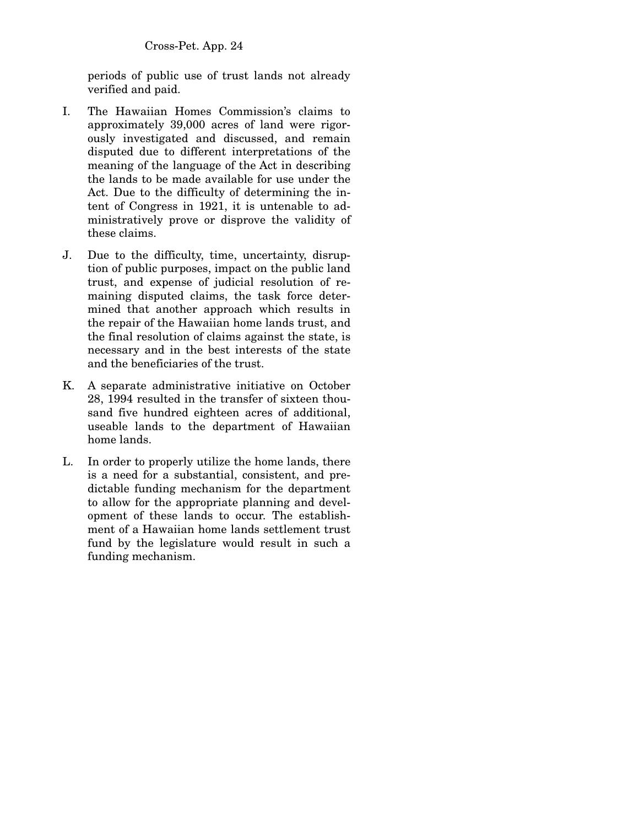periods of public use of trust lands not already verified and paid.

- I. The Hawaiian Homes Commission's claims to approximately 39,000 acres of land were rigorously investigated and discussed, and remain disputed due to different interpretations of the meaning of the language of the Act in describing the lands to be made available for use under the Act. Due to the difficulty of determining the intent of Congress in 1921, it is untenable to administratively prove or disprove the validity of these claims.
- J. Due to the difficulty, time, uncertainty, disruption of public purposes, impact on the public land trust, and expense of judicial resolution of remaining disputed claims, the task force determined that another approach which results in the repair of the Hawaiian home lands trust, and the final resolution of claims against the state, is necessary and in the best interests of the state and the beneficiaries of the trust.
- K. A separate administrative initiative on October 28, 1994 resulted in the transfer of sixteen thousand five hundred eighteen acres of additional, useable lands to the department of Hawaiian home lands.
- L. In order to properly utilize the home lands, there is a need for a substantial, consistent, and predictable funding mechanism for the department to allow for the appropriate planning and development of these lands to occur. The establishment of a Hawaiian home lands settlement trust fund by the legislature would result in such a funding mechanism.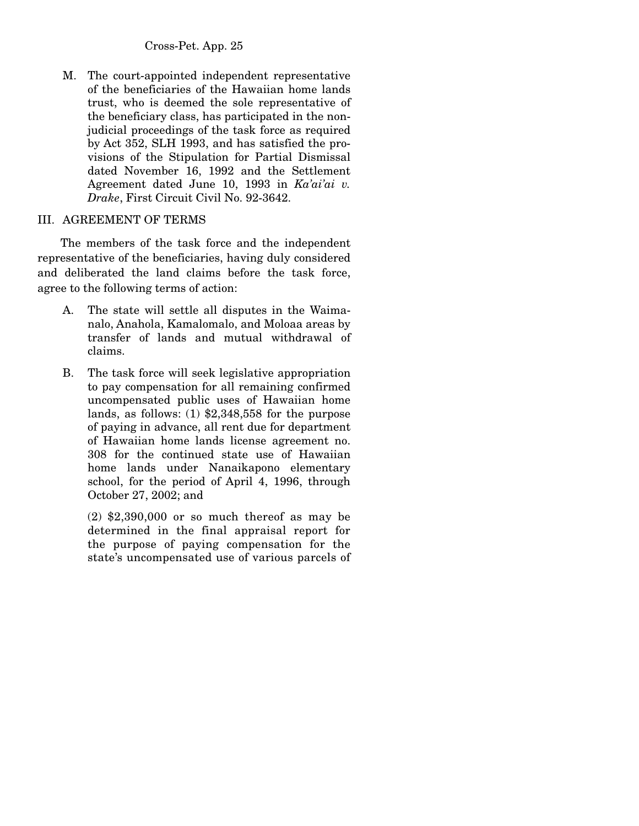M. The court-appointed independent representative of the beneficiaries of the Hawaiian home lands trust, who is deemed the sole representative of the beneficiary class, has participated in the nonjudicial proceedings of the task force as required by Act 352, SLH 1993, and has satisfied the provisions of the Stipulation for Partial Dismissal dated November 16, 1992 and the Settlement Agreement dated June 10, 1993 in *Ka'ai'ai v. Drake*, First Circuit Civil No. 92-3642.

#### III. AGREEMENT OF TERMS

 The members of the task force and the independent representative of the beneficiaries, having duly considered and deliberated the land claims before the task force, agree to the following terms of action:

- A. The state will settle all disputes in the Waimanalo, Anahola, Kamalomalo, and Moloaa areas by transfer of lands and mutual withdrawal of claims.
- B. The task force will seek legislative appropriation to pay compensation for all remaining confirmed uncompensated public uses of Hawaiian home lands, as follows: (1) \$2,348,558 for the purpose of paying in advance, all rent due for department of Hawaiian home lands license agreement no. 308 for the continued state use of Hawaiian home lands under Nanaikapono elementary school, for the period of April 4, 1996, through October 27, 2002; and

 (2) \$2,390,000 or so much thereof as may be determined in the final appraisal report for the purpose of paying compensation for the state's uncompensated use of various parcels of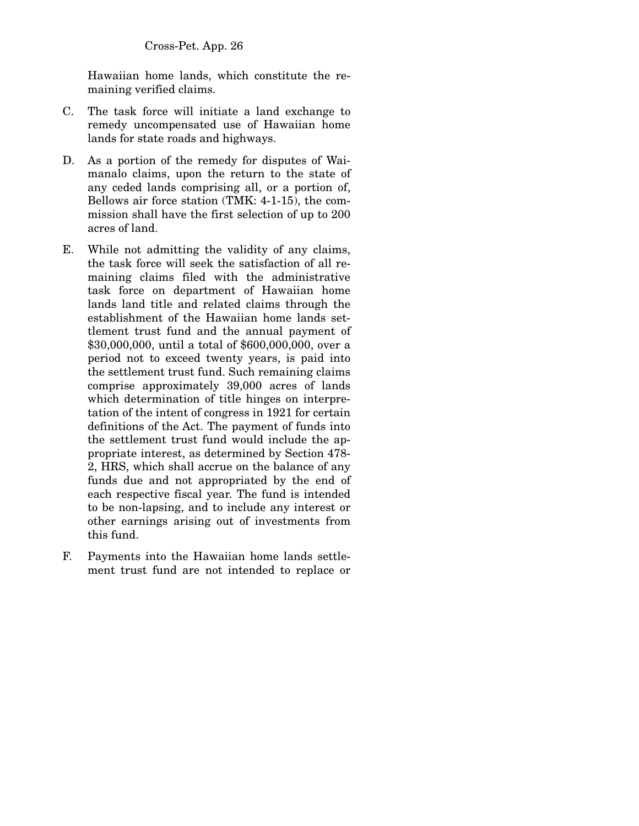Hawaiian home lands, which constitute the remaining verified claims.

- C. The task force will initiate a land exchange to remedy uncompensated use of Hawaiian home lands for state roads and highways.
- D. As a portion of the remedy for disputes of Waimanalo claims, upon the return to the state of any ceded lands comprising all, or a portion of, Bellows air force station (TMK: 4-1-15), the commission shall have the first selection of up to 200 acres of land.
- E. While not admitting the validity of any claims, the task force will seek the satisfaction of all remaining claims filed with the administrative task force on department of Hawaiian home lands land title and related claims through the establishment of the Hawaiian home lands settlement trust fund and the annual payment of \$30,000,000, until a total of \$600,000,000, over a period not to exceed twenty years, is paid into the settlement trust fund. Such remaining claims comprise approximately 39,000 acres of lands which determination of title hinges on interpretation of the intent of congress in 1921 for certain definitions of the Act. The payment of funds into the settlement trust fund would include the appropriate interest, as determined by Section 478- 2, HRS, which shall accrue on the balance of any funds due and not appropriated by the end of each respective fiscal year. The fund is intended to be non-lapsing, and to include any interest or other earnings arising out of investments from this fund.
- F. Payments into the Hawaiian home lands settlement trust fund are not intended to replace or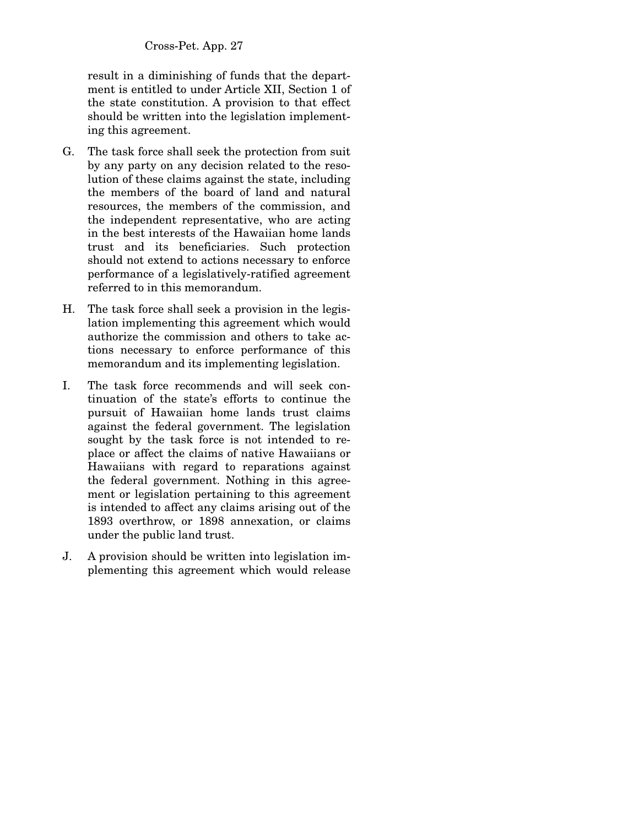result in a diminishing of funds that the department is entitled to under Article XII, Section 1 of the state constitution. A provision to that effect should be written into the legislation implementing this agreement.

- G. The task force shall seek the protection from suit by any party on any decision related to the resolution of these claims against the state, including the members of the board of land and natural resources, the members of the commission, and the independent representative, who are acting in the best interests of the Hawaiian home lands trust and its beneficiaries. Such protection should not extend to actions necessary to enforce performance of a legislatively-ratified agreement referred to in this memorandum.
- H. The task force shall seek a provision in the legislation implementing this agreement which would authorize the commission and others to take actions necessary to enforce performance of this memorandum and its implementing legislation.
- I. The task force recommends and will seek continuation of the state's efforts to continue the pursuit of Hawaiian home lands trust claims against the federal government. The legislation sought by the task force is not intended to replace or affect the claims of native Hawaiians or Hawaiians with regard to reparations against the federal government. Nothing in this agreement or legislation pertaining to this agreement is intended to affect any claims arising out of the 1893 overthrow, or 1898 annexation, or claims under the public land trust.
- J. A provision should be written into legislation implementing this agreement which would release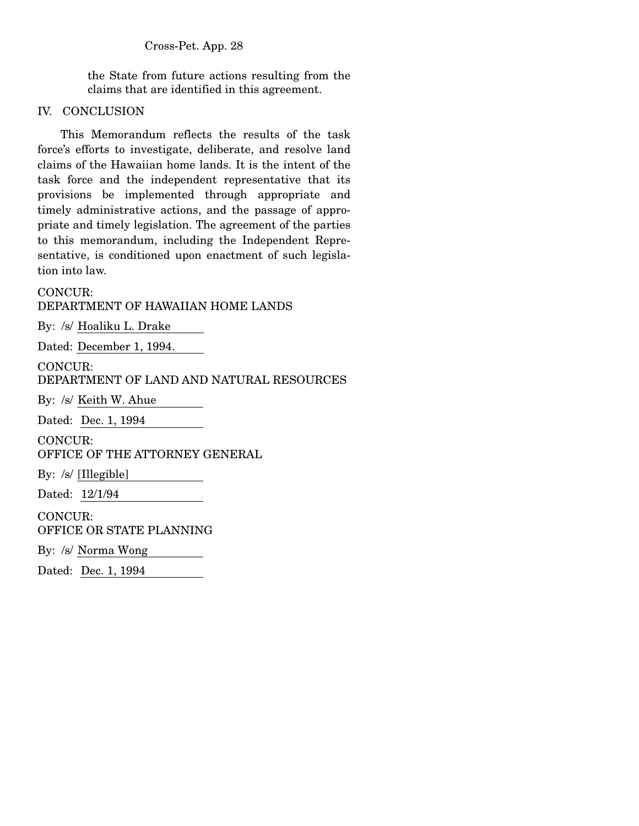the State from future actions resulting from the claims that are identified in this agreement.

## IV. CONCLUSION

 This Memorandum reflects the results of the task force's efforts to investigate, deliberate, and resolve land claims of the Hawaiian home lands. It is the intent of the task force and the independent representative that its provisions be implemented through appropriate and timely administrative actions, and the passage of appropriate and timely legislation. The agreement of the parties to this memorandum, including the Independent Representative, is conditioned upon enactment of such legislation into law.

# CONCUR:

DEPARTMENT OF HAWAIIAN HOME LANDS

By: /s/ Hoaliku L. Drake

Dated: December 1, 1994.

CONCUR:

DEPARTMENT OF LAND AND NATURAL RESOURCES

By: /s/ Keith W. Ahue

Dated: Dec. 1, 1994

CONCUR:

OFFICE OF THE ATTORNEY GENERAL

By: /s/ [Illegible]

Dated: 12/1/94

CONCUR: OFFICE OR STATE PLANNING

By: /s/ Norma Wong

Dated: Dec. 1, 1994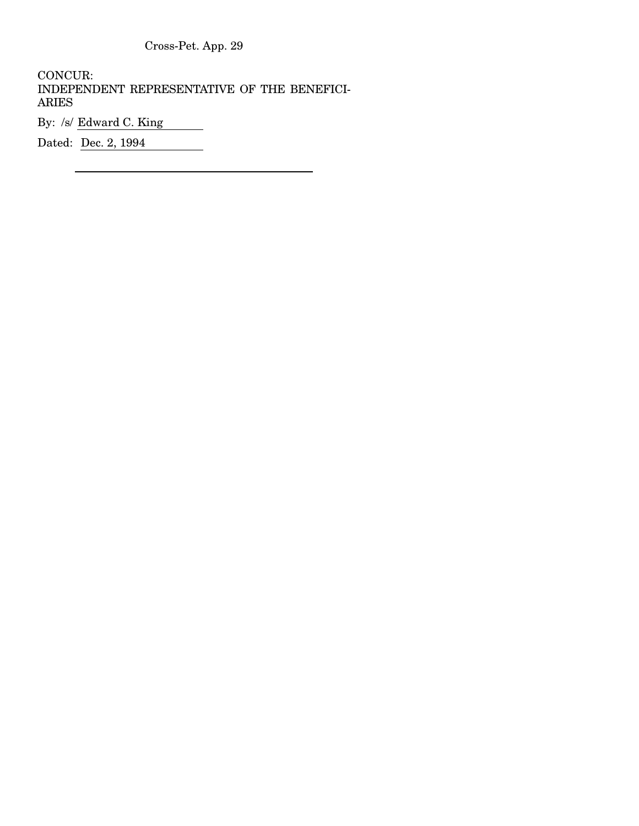CONCUR: INDEPENDENT REPRESENTATIVE OF THE BENEFICI-ARIES

By: /s/ <u>Edward C. King</u>

Dated: <u>Dec. 2, 1994</u>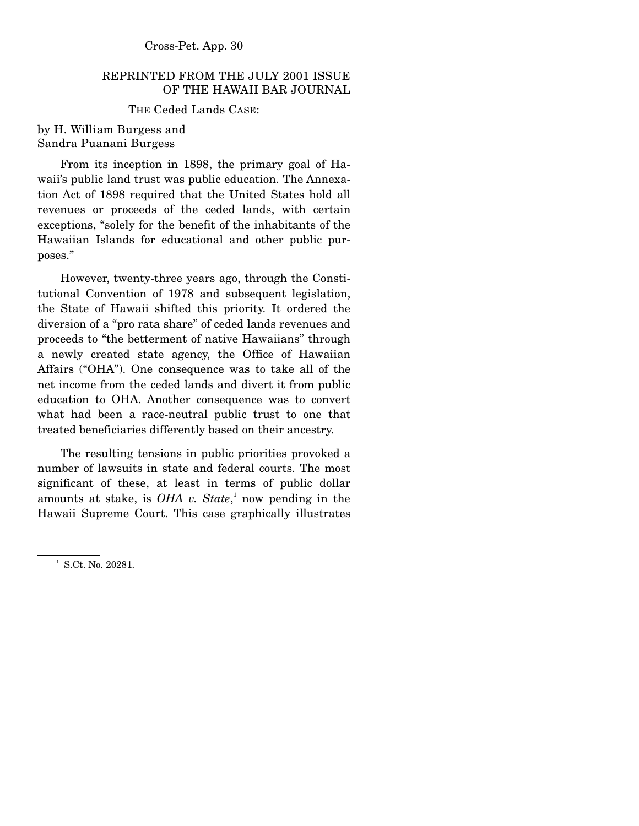# REPRINTED FROM THE JULY 2001 ISSUE OF THE HAWAII BAR JOURNAL

## THE Ceded Lands CASE:

## by H. William Burgess and Sandra Puanani Burgess

 From its inception in 1898, the primary goal of Hawaii's public land trust was public education. The Annexation Act of 1898 required that the United States hold all revenues or proceeds of the ceded lands, with certain exceptions, "solely for the benefit of the inhabitants of the Hawaiian Islands for educational and other public purposes."

 However, twenty-three years ago, through the Constitutional Convention of 1978 and subsequent legislation, the State of Hawaii shifted this priority. It ordered the diversion of a "pro rata share" of ceded lands revenues and proceeds to "the betterment of native Hawaiians" through a newly created state agency, the Office of Hawaiian Affairs ("OHA"). One consequence was to take all of the net income from the ceded lands and divert it from public education to OHA. Another consequence was to convert what had been a race-neutral public trust to one that treated beneficiaries differently based on their ancestry.

 The resulting tensions in public priorities provoked a number of lawsuits in state and federal courts. The most significant of these, at least in terms of public dollar amounts at stake, is *OHA v. State*,<sup>1</sup> now pending in the Hawaii Supreme Court. This case graphically illustrates

<sup>&</sup>lt;sup>1</sup> S.Ct. No. 20281.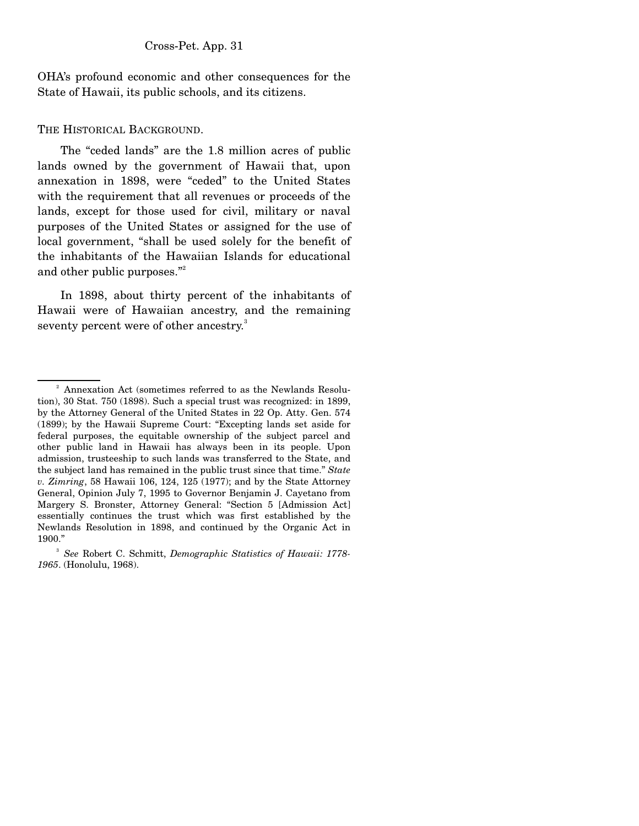OHA's profound economic and other consequences for the State of Hawaii, its public schools, and its citizens.

### THE HISTORICAL BACKGROUND.

 The "ceded lands" are the 1.8 million acres of public lands owned by the government of Hawaii that, upon annexation in 1898, were "ceded" to the United States with the requirement that all revenues or proceeds of the lands, except for those used for civil, military or naval purposes of the United States or assigned for the use of local government, "shall be used solely for the benefit of the inhabitants of the Hawaiian Islands for educational and other public purposes."<sup>2</sup>

 In 1898, about thirty percent of the inhabitants of Hawaii were of Hawaiian ancestry, and the remaining seventy percent were of other ancestry.<sup>3</sup>

<sup>&</sup>lt;sup>2</sup> Annexation Act (sometimes referred to as the Newlands Resolution), 30 Stat. 750 (1898). Such a special trust was recognized: in 1899, by the Attorney General of the United States in 22 Op. Atty. Gen. 574 (1899); by the Hawaii Supreme Court: "Excepting lands set aside for federal purposes, the equitable ownership of the subject parcel and other public land in Hawaii has always been in its people. Upon admission, trusteeship to such lands was transferred to the State, and the subject land has remained in the public trust since that time." *State v. Zimring*, 58 Hawaii 106, 124, 125 (1977); and by the State Attorney General, Opinion July 7, 1995 to Governor Benjamin J. Cayetano from Margery S. Bronster, Attorney General: "Section 5 [Admission Act] essentially continues the trust which was first established by the Newlands Resolution in 1898, and continued by the Organic Act in 1900."

<sup>3</sup> *See* Robert C. Schmitt, *Demographic Statistics of Hawaii: 1778- 1965*. (Honolulu, 1968).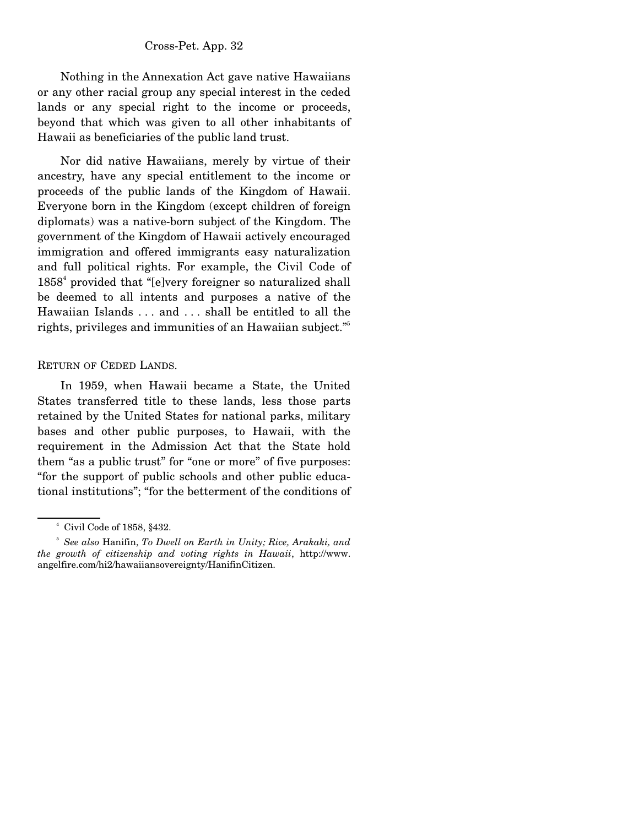Nothing in the Annexation Act gave native Hawaiians or any other racial group any special interest in the ceded lands or any special right to the income or proceeds, beyond that which was given to all other inhabitants of Hawaii as beneficiaries of the public land trust.

 Nor did native Hawaiians, merely by virtue of their ancestry, have any special entitlement to the income or proceeds of the public lands of the Kingdom of Hawaii. Everyone born in the Kingdom (except children of foreign diplomats) was a native-born subject of the Kingdom. The government of the Kingdom of Hawaii actively encouraged immigration and offered immigrants easy naturalization and full political rights. For example, the Civil Code of 1858<sup>4</sup> provided that "[e]very foreigner so naturalized shall be deemed to all intents and purposes a native of the Hawaiian Islands . . . and . . . shall be entitled to all the rights, privileges and immunities of an Hawaiian subject."<sup>5</sup>

### RETURN OF CEDED LANDS.

 In 1959, when Hawaii became a State, the United States transferred title to these lands, less those parts retained by the United States for national parks, military bases and other public purposes, to Hawaii, with the requirement in the Admission Act that the State hold them "as a public trust" for "one or more" of five purposes: "for the support of public schools and other public educational institutions"; "for the betterment of the conditions of

<sup>4</sup> Civil Code of 1858, §432.

<sup>5</sup> *See also* Hanifin, *To Dwell on Earth in Unity; Rice, Arakaki, and the growth of citizenship and voting rights in Hawaii*, http://www. angelfire.com/hi2/hawaiiansovereignty/HanifinCitizen.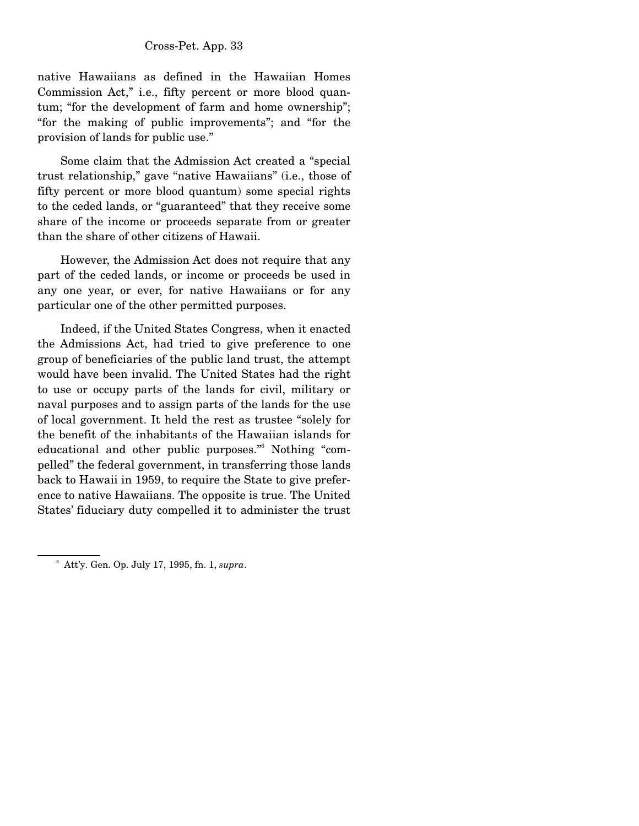native Hawaiians as defined in the Hawaiian Homes Commission Act," i.e., fifty percent or more blood quantum; "for the development of farm and home ownership"; "for the making of public improvements"; and "for the provision of lands for public use."

 Some claim that the Admission Act created a "special trust relationship," gave "native Hawaiians" (i.e., those of fifty percent or more blood quantum) some special rights to the ceded lands, or "guaranteed" that they receive some share of the income or proceeds separate from or greater than the share of other citizens of Hawaii.

 However, the Admission Act does not require that any part of the ceded lands, or income or proceeds be used in any one year, or ever, for native Hawaiians or for any particular one of the other permitted purposes.

 Indeed, if the United States Congress, when it enacted the Admissions Act, had tried to give preference to one group of beneficiaries of the public land trust, the attempt would have been invalid. The United States had the right to use or occupy parts of the lands for civil, military or naval purposes and to assign parts of the lands for the use of local government. It held the rest as trustee "solely for the benefit of the inhabitants of the Hawaiian islands for educational and other public purposes." Nothing "compelled" the federal government, in transferring those lands back to Hawaii in 1959, to require the State to give preference to native Hawaiians. The opposite is true. The United States' fiduciary duty compelled it to administer the trust

<sup>6</sup> Att'y. Gen. Op. July 17, 1995, fn. 1, *supra*.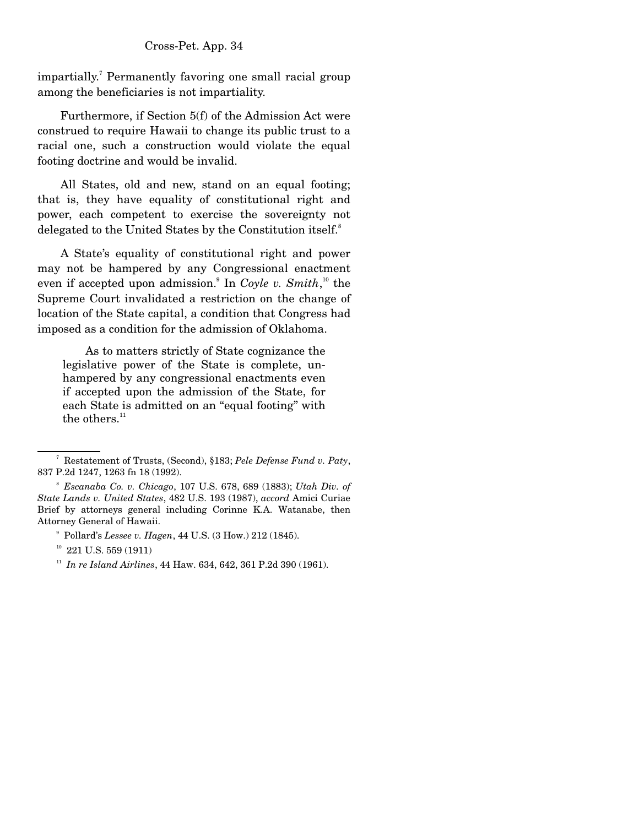impartially.<sup>7</sup> Permanently favoring one small racial group among the beneficiaries is not impartiality.

 Furthermore, if Section 5(f) of the Admission Act were construed to require Hawaii to change its public trust to a racial one, such a construction would violate the equal footing doctrine and would be invalid.

 All States, old and new, stand on an equal footing; that is, they have equality of constitutional right and power, each competent to exercise the sovereignty not delegated to the United States by the Constitution itself.<sup>8</sup>

 A State's equality of constitutional right and power may not be hampered by any Congressional enactment even if accepted upon admission.<sup>9</sup> In *Coyle v. Smith*,<sup>10</sup> the Supreme Court invalidated a restriction on the change of location of the State capital, a condition that Congress had imposed as a condition for the admission of Oklahoma.

 As to matters strictly of State cognizance the legislative power of the State is complete, unhampered by any congressional enactments even if accepted upon the admission of the State, for each State is admitted on an "equal footing" with the others.<sup>11</sup>

<sup>7</sup> Restatement of Trusts, (Second), §183; *Pele Defense Fund v. Paty*, 837 P.2d 1247, 1263 fn 18 (1992).

<sup>8</sup> *Escanaba Co. v. Chicago*, 107 U.S. 678, 689 (1883); *Utah Div. of State Lands v. United States*, 482 U.S. 193 (1987), *accord* Amici Curiae Brief by attorneys general including Corinne K.A. Watanabe, then Attorney General of Hawaii.

<sup>9</sup> Pollard's *Lessee v. Hagen*, 44 U.S. (3 How.) 212 (1845).

 $10$  221 U.S. 559 (1911)

<sup>11</sup> *In re Island Airlines*, 44 Haw. 634, 642, 361 P.2d 390 (1961).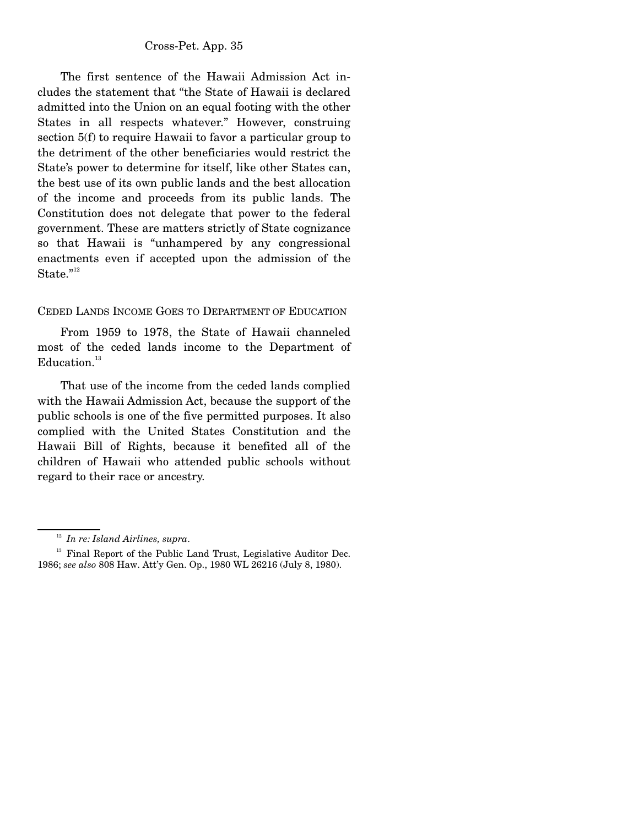The first sentence of the Hawaii Admission Act includes the statement that "the State of Hawaii is declared admitted into the Union on an equal footing with the other States in all respects whatever." However, construing section 5(f) to require Hawaii to favor a particular group to the detriment of the other beneficiaries would restrict the State's power to determine for itself, like other States can, the best use of its own public lands and the best allocation of the income and proceeds from its public lands. The Constitution does not delegate that power to the federal government. These are matters strictly of State cognizance so that Hawaii is "unhampered by any congressional enactments even if accepted upon the admission of the State."<sup>12</sup>

CEDED LANDS INCOME GOES TO DEPARTMENT OF EDUCATION

 From 1959 to 1978, the State of Hawaii channeled most of the ceded lands income to the Department of  $Education.<sup>13</sup>$ 

 That use of the income from the ceded lands complied with the Hawaii Admission Act, because the support of the public schools is one of the five permitted purposes. It also complied with the United States Constitution and the Hawaii Bill of Rights, because it benefited all of the children of Hawaii who attended public schools without regard to their race or ancestry.

<sup>12</sup> *In re: Island Airlines, supra*.

 $13$  Final Report of the Public Land Trust, Legislative Auditor Dec. 1986; *see also* 808 Haw. Att'y Gen. Op., 1980 WL 26216 (July 8, 1980).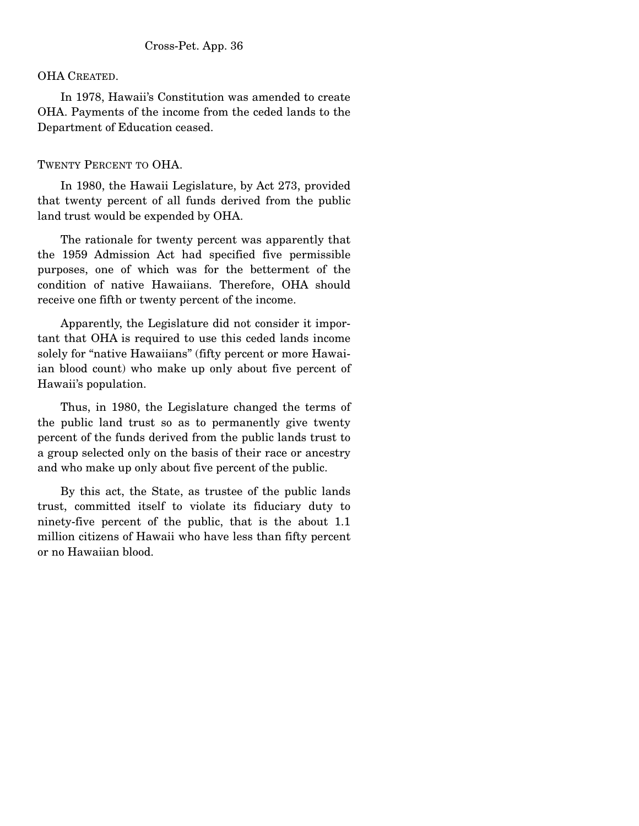## OHA CREATED.

 In 1978, Hawaii's Constitution was amended to create OHA. Payments of the income from the ceded lands to the Department of Education ceased.

## TWENTY PERCENT TO OHA.

 In 1980, the Hawaii Legislature, by Act 273, provided that twenty percent of all funds derived from the public land trust would be expended by OHA.

 The rationale for twenty percent was apparently that the 1959 Admission Act had specified five permissible purposes, one of which was for the betterment of the condition of native Hawaiians. Therefore, OHA should receive one fifth or twenty percent of the income.

 Apparently, the Legislature did not consider it important that OHA is required to use this ceded lands income solely for "native Hawaiians" (fifty percent or more Hawaiian blood count) who make up only about five percent of Hawaii's population.

 Thus, in 1980, the Legislature changed the terms of the public land trust so as to permanently give twenty percent of the funds derived from the public lands trust to a group selected only on the basis of their race or ancestry and who make up only about five percent of the public.

 By this act, the State, as trustee of the public lands trust, committed itself to violate its fiduciary duty to ninety-five percent of the public, that is the about 1.1 million citizens of Hawaii who have less than fifty percent or no Hawaiian blood.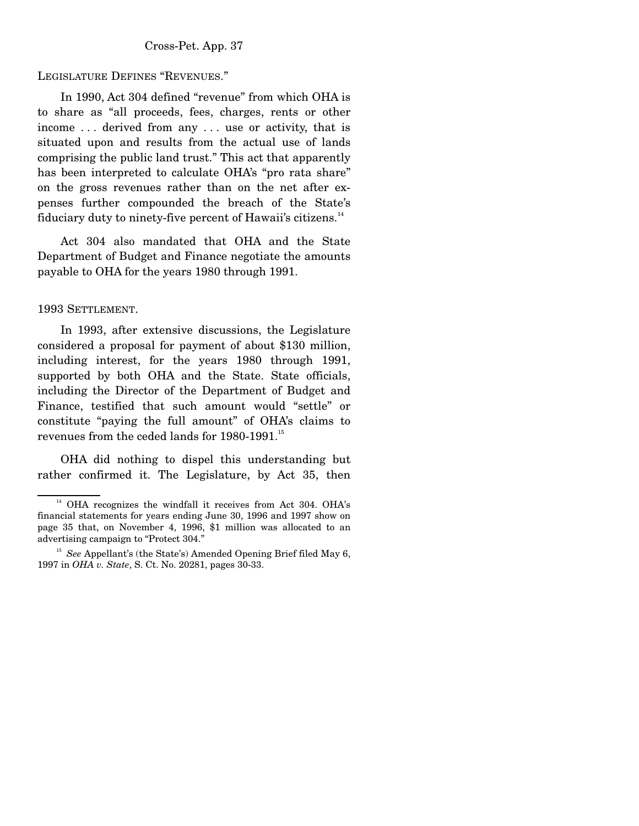## LEGISLATURE DEFINES "REVENUES."

 In 1990, Act 304 defined "revenue" from which OHA is to share as "all proceeds, fees, charges, rents or other income . . . derived from any . . . use or activity, that is situated upon and results from the actual use of lands comprising the public land trust." This act that apparently has been interpreted to calculate OHA's "pro rata share" on the gross revenues rather than on the net after expenses further compounded the breach of the State's fiduciary duty to ninety-five percent of Hawaii's citizens.<sup>14</sup>

 Act 304 also mandated that OHA and the State Department of Budget and Finance negotiate the amounts payable to OHA for the years 1980 through 1991.

### 1993 SETTLEMENT.

 In 1993, after extensive discussions, the Legislature considered a proposal for payment of about \$130 million, including interest, for the years 1980 through 1991, supported by both OHA and the State. State officials, including the Director of the Department of Budget and Finance, testified that such amount would "settle" or constitute "paying the full amount" of OHA's claims to revenues from the ceded lands for 1980-1991.<sup>15</sup>

 OHA did nothing to dispel this understanding but rather confirmed it. The Legislature, by Act 35, then

<sup>&</sup>lt;sup>14</sup> OHA recognizes the windfall it receives from Act 304. OHA's financial statements for years ending June 30, 1996 and 1997 show on page 35 that, on November 4, 1996, \$1 million was allocated to an advertising campaign to "Protect 304."

<sup>&</sup>lt;sup>15</sup> *See* Appellant's (the State's) Amended Opening Brief filed May 6, 1997 in *OHA v. State*, S. Ct. No. 20281, pages 30-33.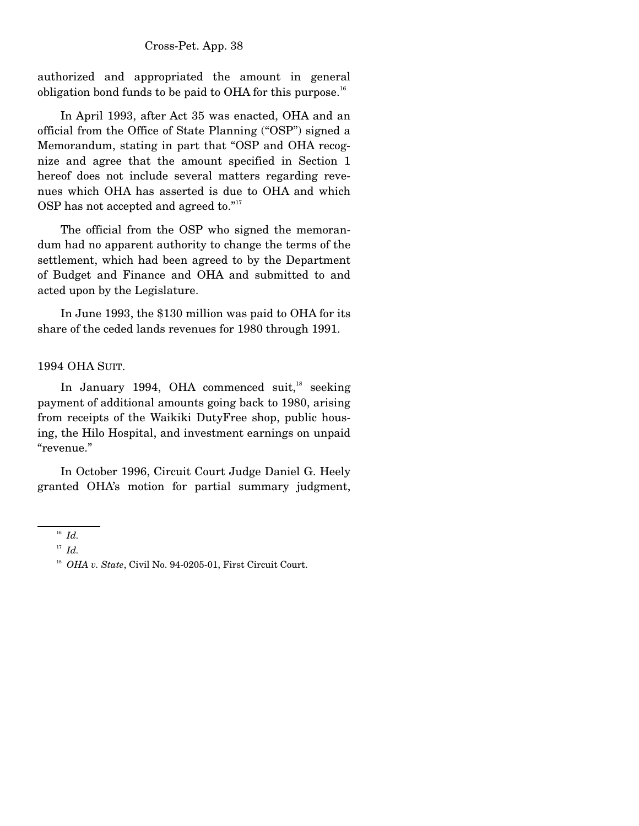authorized and appropriated the amount in general obligation bond funds to be paid to OHA for this purpose.<sup>16</sup>

 In April 1993, after Act 35 was enacted, OHA and an official from the Office of State Planning ("OSP") signed a Memorandum, stating in part that "OSP and OHA recognize and agree that the amount specified in Section 1 hereof does not include several matters regarding revenues which OHA has asserted is due to OHA and which OSP has not accepted and agreed to."<sup>17</sup>

 The official from the OSP who signed the memorandum had no apparent authority to change the terms of the settlement, which had been agreed to by the Department of Budget and Finance and OHA and submitted to and acted upon by the Legislature.

 In June 1993, the \$130 million was paid to OHA for its share of the ceded lands revenues for 1980 through 1991.

### 1994 OHA SUIT.

In January 1994, OHA commenced suit, $18$  seeking payment of additional amounts going back to 1980, arising from receipts of the Waikiki DutyFree shop, public housing, the Hilo Hospital, and investment earnings on unpaid "revenue."

 In October 1996, Circuit Court Judge Daniel G. Heely granted OHA's motion for partial summary judgment,

<sup>16</sup> *Id.*

<sup>17</sup> *Id.*

<sup>&</sup>lt;sup>18</sup> *OHA v. State*, Civil No. 94-0205-01, First Circuit Court.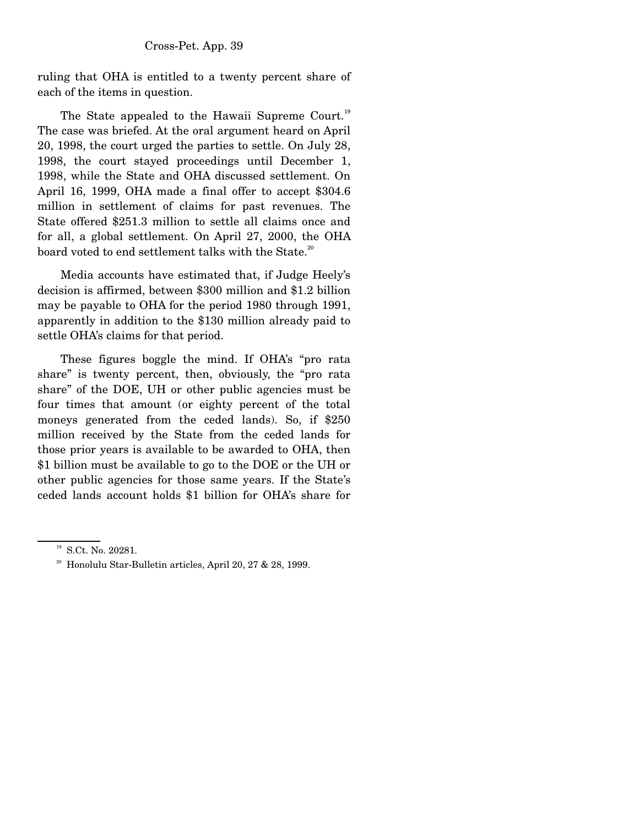ruling that OHA is entitled to a twenty percent share of each of the items in question.

The State appealed to the Hawaii Supreme Court.<sup>19</sup> The case was briefed. At the oral argument heard on April 20, 1998, the court urged the parties to settle. On July 28, 1998, the court stayed proceedings until December 1, 1998, while the State and OHA discussed settlement. On April 16, 1999, OHA made a final offer to accept \$304.6 million in settlement of claims for past revenues. The State offered \$251.3 million to settle all claims once and for all, a global settlement. On April 27, 2000, the OHA board voted to end settlement talks with the State.<sup>20</sup>

 Media accounts have estimated that, if Judge Heely's decision is affirmed, between \$300 million and \$1.2 billion may be payable to OHA for the period 1980 through 1991, apparently in addition to the \$130 million already paid to settle OHA's claims for that period.

 These figures boggle the mind. If OHA's "pro rata share" is twenty percent, then, obviously, the "pro rata share" of the DOE, UH or other public agencies must be four times that amount (or eighty percent of the total moneys generated from the ceded lands). So, if \$250 million received by the State from the ceded lands for those prior years is available to be awarded to OHA, then \$1 billion must be available to go to the DOE or the UH or other public agencies for those same years. If the State's ceded lands account holds \$1 billion for OHA's share for

<sup>&</sup>lt;sup>19</sup> S.Ct. No. 20281.

 $20$  Honolulu Star-Bulletin articles, April 20, 27 & 28, 1999.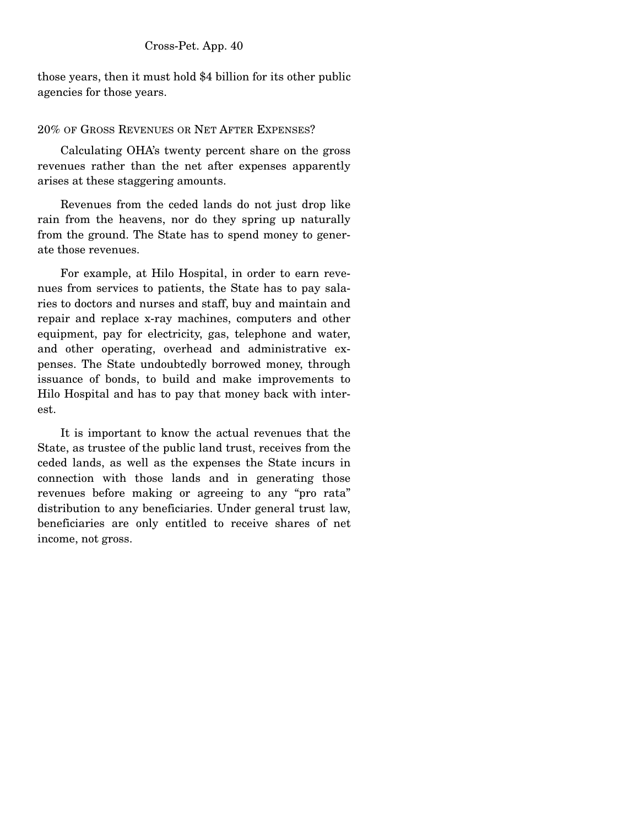those years, then it must hold \$4 billion for its other public agencies for those years.

## 20% OF GROSS REVENUES OR NET AFTER EXPENSES?

 Calculating OHA's twenty percent share on the gross revenues rather than the net after expenses apparently arises at these staggering amounts.

 Revenues from the ceded lands do not just drop like rain from the heavens, nor do they spring up naturally from the ground. The State has to spend money to generate those revenues.

 For example, at Hilo Hospital, in order to earn revenues from services to patients, the State has to pay salaries to doctors and nurses and staff, buy and maintain and repair and replace x-ray machines, computers and other equipment, pay for electricity, gas, telephone and water, and other operating, overhead and administrative expenses. The State undoubtedly borrowed money, through issuance of bonds, to build and make improvements to Hilo Hospital and has to pay that money back with interest.

 It is important to know the actual revenues that the State, as trustee of the public land trust, receives from the ceded lands, as well as the expenses the State incurs in connection with those lands and in generating those revenues before making or agreeing to any "pro rata" distribution to any beneficiaries. Under general trust law, beneficiaries are only entitled to receive shares of net income, not gross.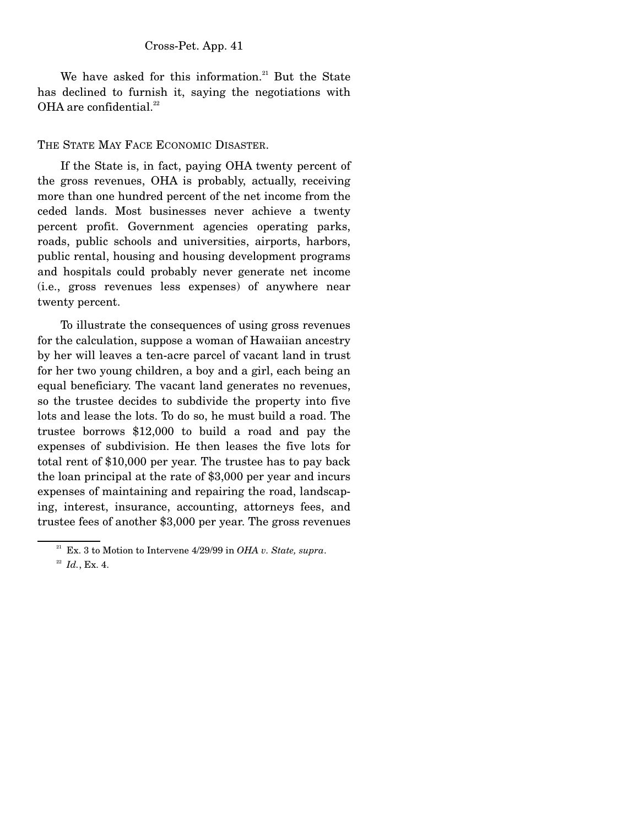We have asked for this information. $21$  But the State has declined to furnish it, saying the negotiations with OHA are confidential. $^{22}$ 

### THE STATE MAY FACE ECONOMIC DISASTER.

 If the State is, in fact, paying OHA twenty percent of the gross revenues, OHA is probably, actually, receiving more than one hundred percent of the net income from the ceded lands. Most businesses never achieve a twenty percent profit. Government agencies operating parks, roads, public schools and universities, airports, harbors, public rental, housing and housing development programs and hospitals could probably never generate net income (i.e., gross revenues less expenses) of anywhere near twenty percent.

 To illustrate the consequences of using gross revenues for the calculation, suppose a woman of Hawaiian ancestry by her will leaves a ten-acre parcel of vacant land in trust for her two young children, a boy and a girl, each being an equal beneficiary. The vacant land generates no revenues, so the trustee decides to subdivide the property into five lots and lease the lots. To do so, he must build a road. The trustee borrows \$12,000 to build a road and pay the expenses of subdivision. He then leases the five lots for total rent of \$10,000 per year. The trustee has to pay back the loan principal at the rate of \$3,000 per year and incurs expenses of maintaining and repairing the road, landscaping, interest, insurance, accounting, attorneys fees, and trustee fees of another \$3,000 per year. The gross revenues

 $21$  Ex. 3 to Motion to Intervene  $4/29/99$  in *OHA v. State, supra*.

<sup>22</sup> *Id.*, Ex. 4.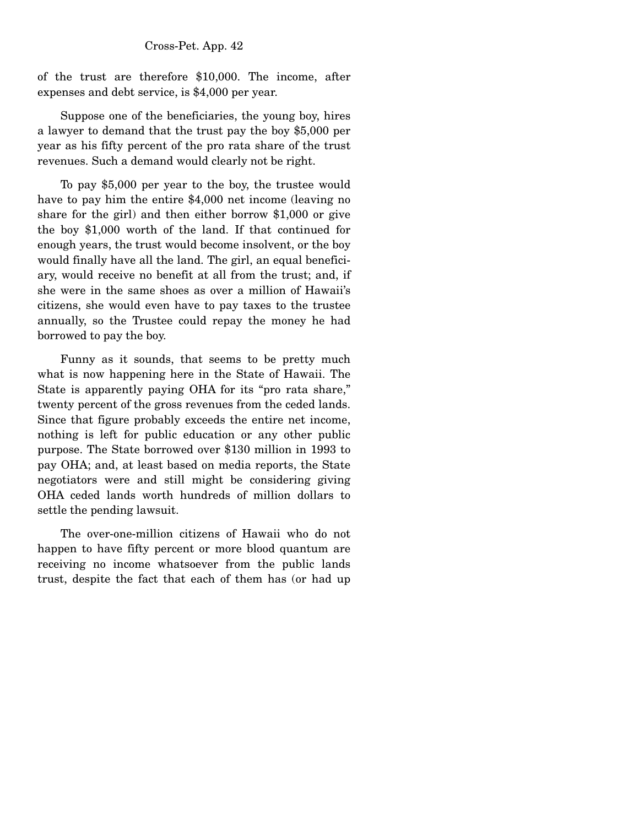of the trust are therefore \$10,000. The income, after expenses and debt service, is \$4,000 per year.

 Suppose one of the beneficiaries, the young boy, hires a lawyer to demand that the trust pay the boy \$5,000 per year as his fifty percent of the pro rata share of the trust revenues. Such a demand would clearly not be right.

 To pay \$5,000 per year to the boy, the trustee would have to pay him the entire \$4,000 net income (leaving no share for the girl) and then either borrow \$1,000 or give the boy \$1,000 worth of the land. If that continued for enough years, the trust would become insolvent, or the boy would finally have all the land. The girl, an equal beneficiary, would receive no benefit at all from the trust; and, if she were in the same shoes as over a million of Hawaii's citizens, she would even have to pay taxes to the trustee annually, so the Trustee could repay the money he had borrowed to pay the boy.

 Funny as it sounds, that seems to be pretty much what is now happening here in the State of Hawaii. The State is apparently paying OHA for its "pro rata share," twenty percent of the gross revenues from the ceded lands. Since that figure probably exceeds the entire net income, nothing is left for public education or any other public purpose. The State borrowed over \$130 million in 1993 to pay OHA; and, at least based on media reports, the State negotiators were and still might be considering giving OHA ceded lands worth hundreds of million dollars to settle the pending lawsuit.

 The over-one-million citizens of Hawaii who do not happen to have fifty percent or more blood quantum are receiving no income whatsoever from the public lands trust, despite the fact that each of them has (or had up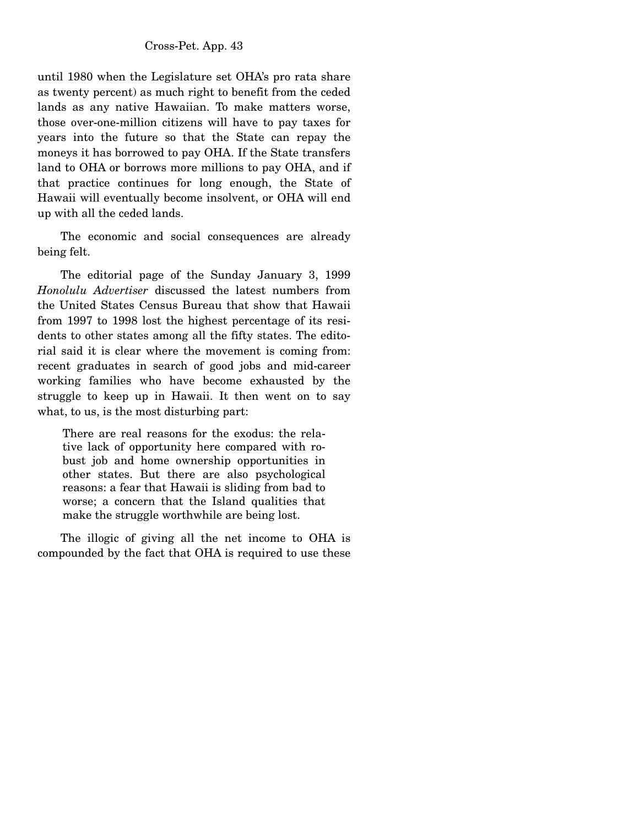until 1980 when the Legislature set OHA's pro rata share as twenty percent) as much right to benefit from the ceded lands as any native Hawaiian. To make matters worse, those over-one-million citizens will have to pay taxes for years into the future so that the State can repay the moneys it has borrowed to pay OHA. If the State transfers land to OHA or borrows more millions to pay OHA, and if that practice continues for long enough, the State of Hawaii will eventually become insolvent, or OHA will end up with all the ceded lands.

 The economic and social consequences are already being felt.

 The editorial page of the Sunday January 3, 1999 *Honolulu Advertiser* discussed the latest numbers from the United States Census Bureau that show that Hawaii from 1997 to 1998 lost the highest percentage of its residents to other states among all the fifty states. The editorial said it is clear where the movement is coming from: recent graduates in search of good jobs and mid-career working families who have become exhausted by the struggle to keep up in Hawaii. It then went on to say what, to us, is the most disturbing part:

There are real reasons for the exodus: the relative lack of opportunity here compared with robust job and home ownership opportunities in other states. But there are also psychological reasons: a fear that Hawaii is sliding from bad to worse; a concern that the Island qualities that make the struggle worthwhile are being lost.

 The illogic of giving all the net income to OHA is compounded by the fact that OHA is required to use these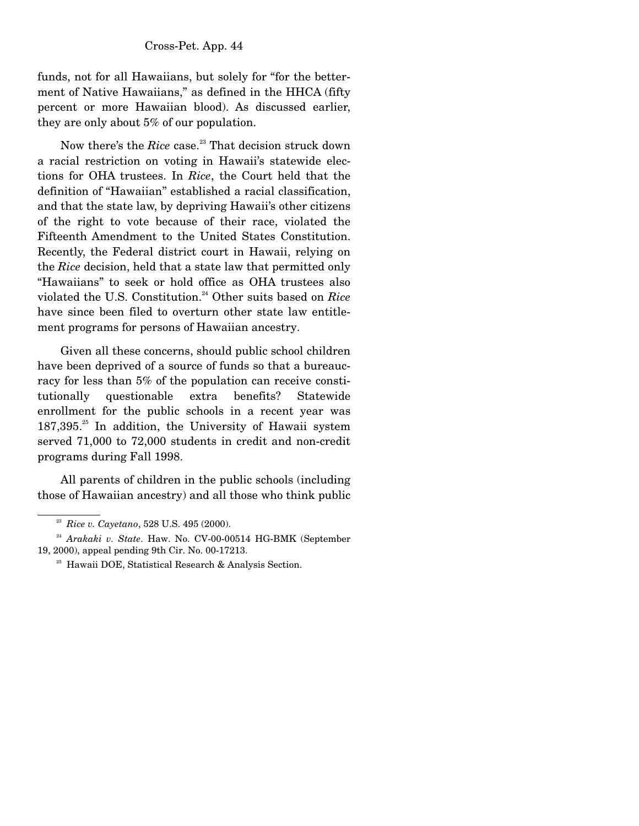funds, not for all Hawaiians, but solely for "for the betterment of Native Hawaiians," as defined in the HHCA (fifty percent or more Hawaiian blood). As discussed earlier, they are only about 5% of our population.

Now there's the *Rice* case.<sup>23</sup> That decision struck down a racial restriction on voting in Hawaii's statewide elections for OHA trustees. In *Rice*, the Court held that the definition of "Hawaiian" established a racial classification, and that the state law, by depriving Hawaii's other citizens of the right to vote because of their race, violated the Fifteenth Amendment to the United States Constitution. Recently, the Federal district court in Hawaii, relying on the *Rice* decision, held that a state law that permitted only "Hawaiians" to seek or hold office as OHA trustees also violated the U.S. Constitution.<sup>24</sup> Other suits based on *Rice* have since been filed to overturn other state law entitlement programs for persons of Hawaiian ancestry.

 Given all these concerns, should public school children have been deprived of a source of funds so that a bureaucracy for less than 5% of the population can receive constitutionally questionable extra benefits? Statewide enrollment for the public schools in a recent year was  $187,395<sup>25</sup>$  In addition, the University of Hawaii system served 71,000 to 72,000 students in credit and non-credit programs during Fall 1998.

 All parents of children in the public schools (including those of Hawaiian ancestry) and all those who think public

<sup>23</sup> *Rice v. Cayetano*, 528 U.S. 495 (2000).

<sup>&</sup>lt;sup>24</sup> Arakaki v. State. Haw. No. CV-00-00514 HG-BMK (September 19, 2000), appeal pending 9th Cir. No. 00-17213.

<sup>&</sup>lt;sup>25</sup> Hawaii DOE, Statistical Research & Analysis Section.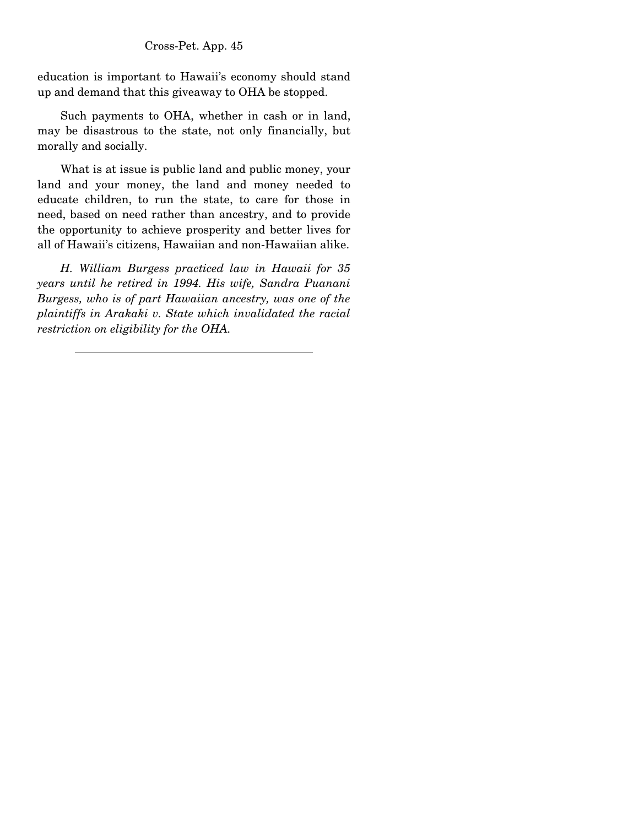education is important to Hawaii's economy should stand up and demand that this giveaway to OHA be stopped.

 Such payments to OHA, whether in cash or in land, may be disastrous to the state, not only financially, but morally and socially.

 What is at issue is public land and public money, your land and your money, the land and money needed to educate children, to run the state, to care for those in need, based on need rather than ancestry, and to provide the opportunity to achieve prosperity and better lives for all of Hawaii's citizens, Hawaiian and non-Hawaiian alike.

 *H. William Burgess practiced law in Hawaii for 35 years until he retired in 1994. His wife, Sandra Puanani Burgess, who is of part Hawaiian ancestry, was one of the plaintiffs in Arakaki v. State which invalidated the racial restriction on eligibility for the OHA.*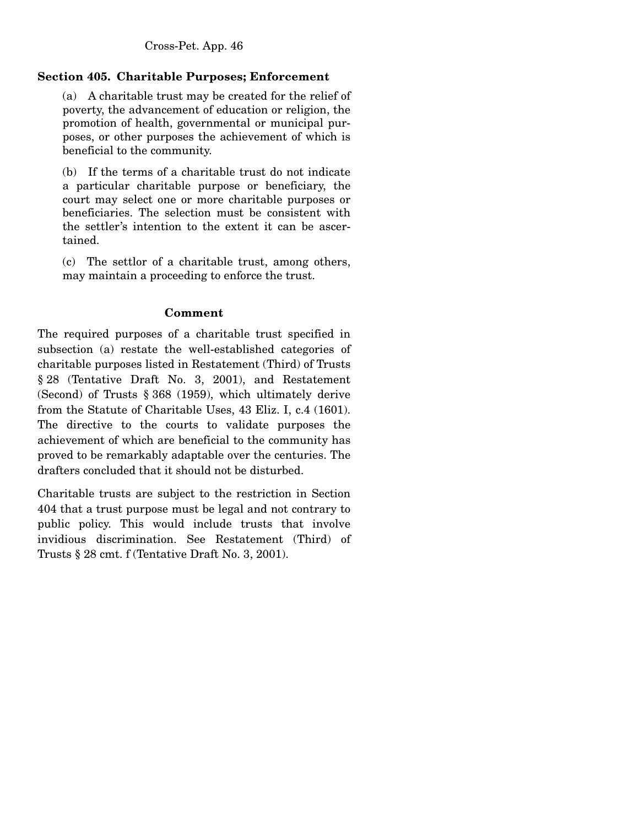# **Section 405. Charitable Purposes; Enforcement**

(a) A charitable trust may be created for the relief of poverty, the advancement of education or religion, the promotion of health, governmental or municipal purposes, or other purposes the achievement of which is beneficial to the community.

(b) If the terms of a charitable trust do not indicate a particular charitable purpose or beneficiary, the court may select one or more charitable purposes or beneficiaries. The selection must be consistent with the settler's intention to the extent it can be ascertained.

(c) The settlor of a charitable trust, among others, may maintain a proceeding to enforce the trust.

# **Comment**

The required purposes of a charitable trust specified in subsection (a) restate the well-established categories of charitable purposes listed in Restatement (Third) of Trusts § 28 (Tentative Draft No. 3, 2001), and Restatement (Second) of Trusts § 368 (1959), which ultimately derive from the Statute of Charitable Uses, 43 Eliz. I, c.4 (1601). The directive to the courts to validate purposes the achievement of which are beneficial to the community has proved to be remarkably adaptable over the centuries. The drafters concluded that it should not be disturbed.

Charitable trusts are subject to the restriction in Section 404 that a trust purpose must be legal and not contrary to public policy. This would include trusts that involve invidious discrimination. See Restatement (Third) of Trusts § 28 cmt. f (Tentative Draft No. 3, 2001).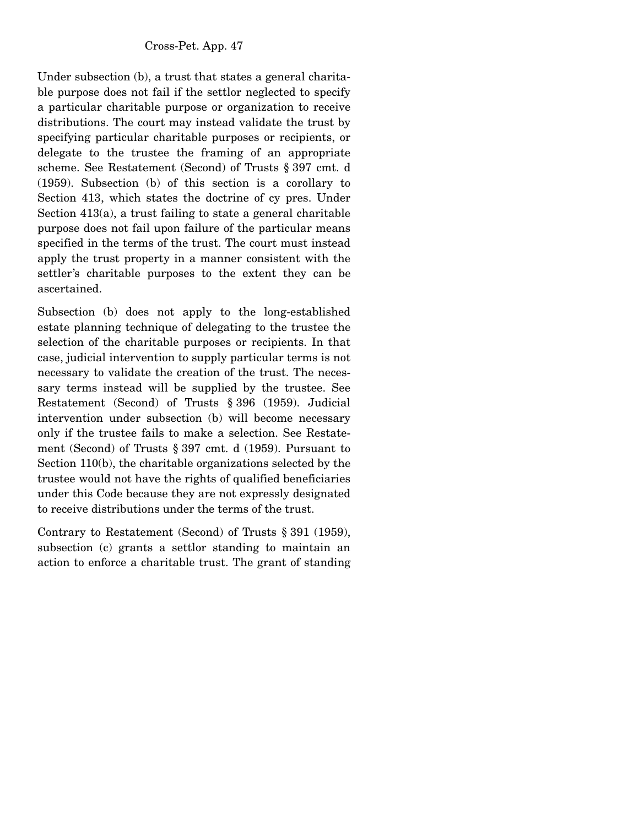Under subsection (b), a trust that states a general charitable purpose does not fail if the settlor neglected to specify a particular charitable purpose or organization to receive distributions. The court may instead validate the trust by specifying particular charitable purposes or recipients, or delegate to the trustee the framing of an appropriate scheme. See Restatement (Second) of Trusts § 397 cmt. d (1959). Subsection (b) of this section is a corollary to Section 413, which states the doctrine of cy pres. Under Section 413(a), a trust failing to state a general charitable purpose does not fail upon failure of the particular means specified in the terms of the trust. The court must instead apply the trust property in a manner consistent with the settler's charitable purposes to the extent they can be ascertained.

Subsection (b) does not apply to the long-established estate planning technique of delegating to the trustee the selection of the charitable purposes or recipients. In that case, judicial intervention to supply particular terms is not necessary to validate the creation of the trust. The necessary terms instead will be supplied by the trustee. See Restatement (Second) of Trusts § 396 (1959). Judicial intervention under subsection (b) will become necessary only if the trustee fails to make a selection. See Restatement (Second) of Trusts § 397 cmt. d (1959). Pursuant to Section 110(b), the charitable organizations selected by the trustee would not have the rights of qualified beneficiaries under this Code because they are not expressly designated to receive distributions under the terms of the trust.

Contrary to Restatement (Second) of Trusts § 391 (1959), subsection (c) grants a settlor standing to maintain an action to enforce a charitable trust. The grant of standing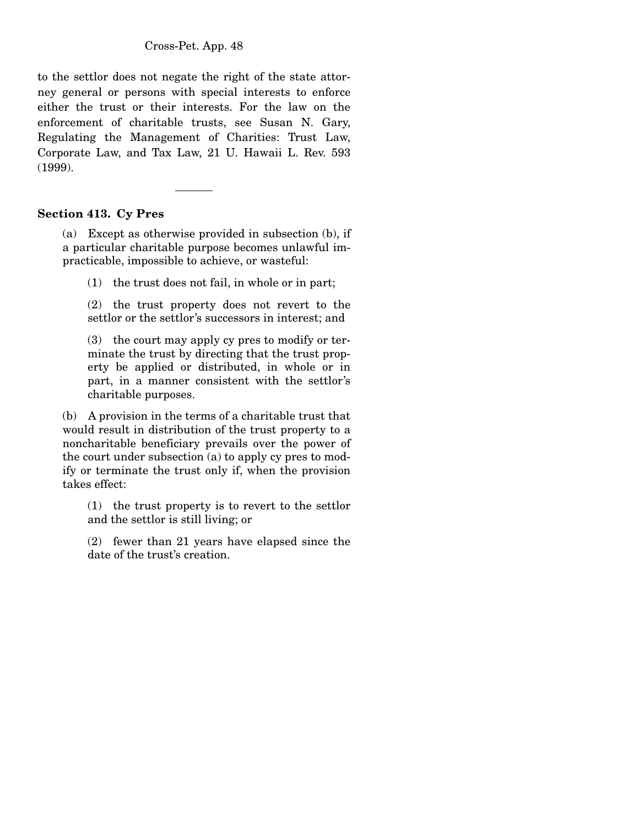to the settlor does not negate the right of the state attorney general or persons with special interests to enforce either the trust or their interests. For the law on the enforcement of charitable trusts, see Susan N. Gary, Regulating the Management of Charities: Trust Law, Corporate Law, and Tax Law, 21 U. Hawaii L. Rev. 593 (1999).

## **Section 413. Cy Pres**

(a) Except as otherwise provided in subsection (b), if a particular charitable purpose becomes unlawful impracticable, impossible to achieve, or wasteful:

(1) the trust does not fail, in whole or in part;

(2) the trust property does not revert to the settlor or the settlor's successors in interest; and

(3) the court may apply cy pres to modify or terminate the trust by directing that the trust property be applied or distributed, in whole or in part, in a manner consistent with the settlor's charitable purposes.

(b) A provision in the terms of a charitable trust that would result in distribution of the trust property to a noncharitable beneficiary prevails over the power of the court under subsection (a) to apply cy pres to modify or terminate the trust only if, when the provision takes effect:

(1) the trust property is to revert to the settlor and the settlor is still living; or

(2) fewer than 21 years have elapsed since the date of the trust's creation.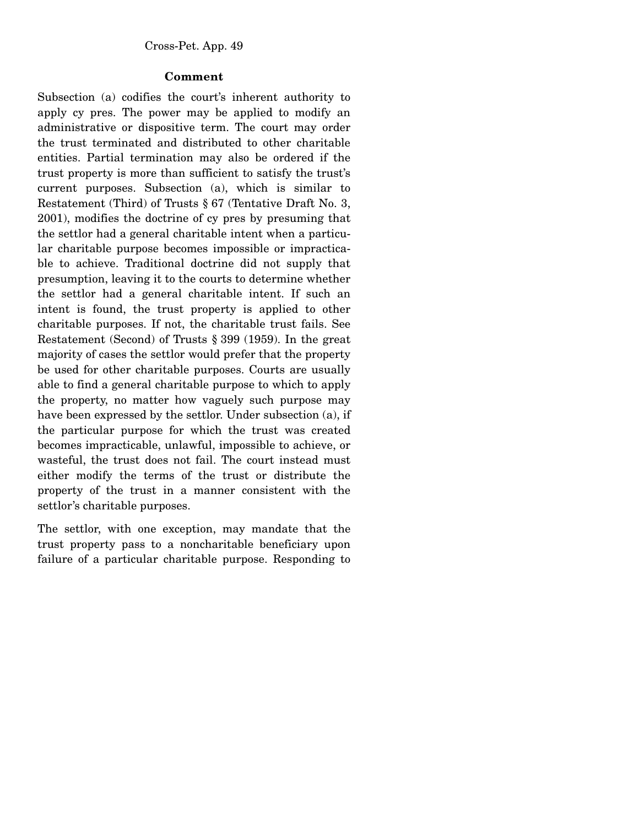## **Comment**

Subsection (a) codifies the court's inherent authority to apply cy pres. The power may be applied to modify an administrative or dispositive term. The court may order the trust terminated and distributed to other charitable entities. Partial termination may also be ordered if the trust property is more than sufficient to satisfy the trust's current purposes. Subsection (a), which is similar to Restatement (Third) of Trusts § 67 (Tentative Draft No. 3, 2001), modifies the doctrine of cy pres by presuming that the settlor had a general charitable intent when a particular charitable purpose becomes impossible or impracticable to achieve. Traditional doctrine did not supply that presumption, leaving it to the courts to determine whether the settlor had a general charitable intent. If such an intent is found, the trust property is applied to other charitable purposes. If not, the charitable trust fails. See Restatement (Second) of Trusts § 399 (1959). In the great majority of cases the settlor would prefer that the property be used for other charitable purposes. Courts are usually able to find a general charitable purpose to which to apply the property, no matter how vaguely such purpose may have been expressed by the settlor. Under subsection (a), if the particular purpose for which the trust was created becomes impracticable, unlawful, impossible to achieve, or wasteful, the trust does not fail. The court instead must either modify the terms of the trust or distribute the property of the trust in a manner consistent with the settlor's charitable purposes.

The settlor, with one exception, may mandate that the trust property pass to a noncharitable beneficiary upon failure of a particular charitable purpose. Responding to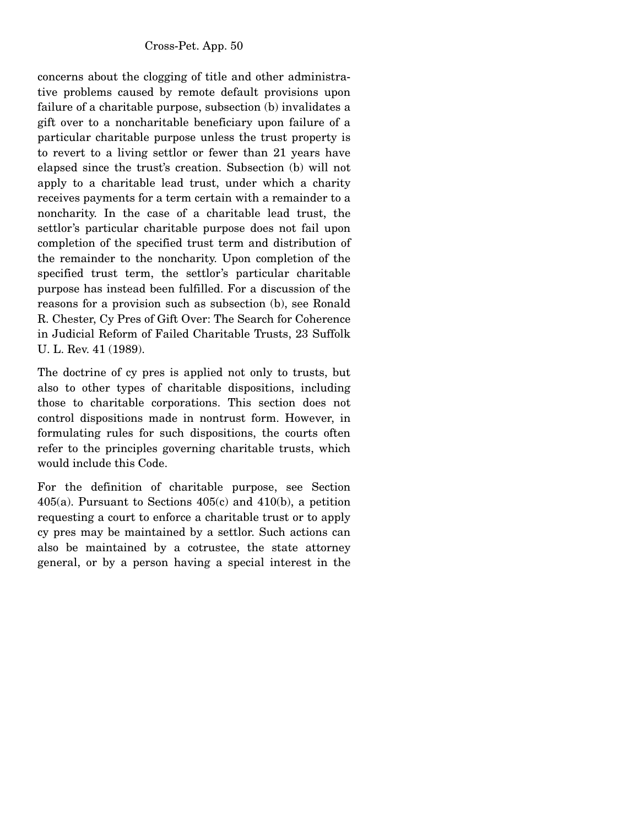concerns about the clogging of title and other administrative problems caused by remote default provisions upon failure of a charitable purpose, subsection (b) invalidates a gift over to a noncharitable beneficiary upon failure of a particular charitable purpose unless the trust property is to revert to a living settlor or fewer than 21 years have elapsed since the trust's creation. Subsection (b) will not apply to a charitable lead trust, under which a charity receives payments for a term certain with a remainder to a noncharity. In the case of a charitable lead trust, the settlor's particular charitable purpose does not fail upon completion of the specified trust term and distribution of the remainder to the noncharity. Upon completion of the specified trust term, the settlor's particular charitable purpose has instead been fulfilled. For a discussion of the reasons for a provision such as subsection (b), see Ronald R. Chester, Cy Pres of Gift Over: The Search for Coherence in Judicial Reform of Failed Charitable Trusts, 23 Suffolk U. L. Rev. 41 (1989).

The doctrine of cy pres is applied not only to trusts, but also to other types of charitable dispositions, including those to charitable corporations. This section does not control dispositions made in nontrust form. However, in formulating rules for such dispositions, the courts often refer to the principles governing charitable trusts, which would include this Code.

For the definition of charitable purpose, see Section 405(a). Pursuant to Sections 405(c) and 410(b), a petition requesting a court to enforce a charitable trust or to apply cy pres may be maintained by a settlor. Such actions can also be maintained by a cotrustee, the state attorney general, or by a person having a special interest in the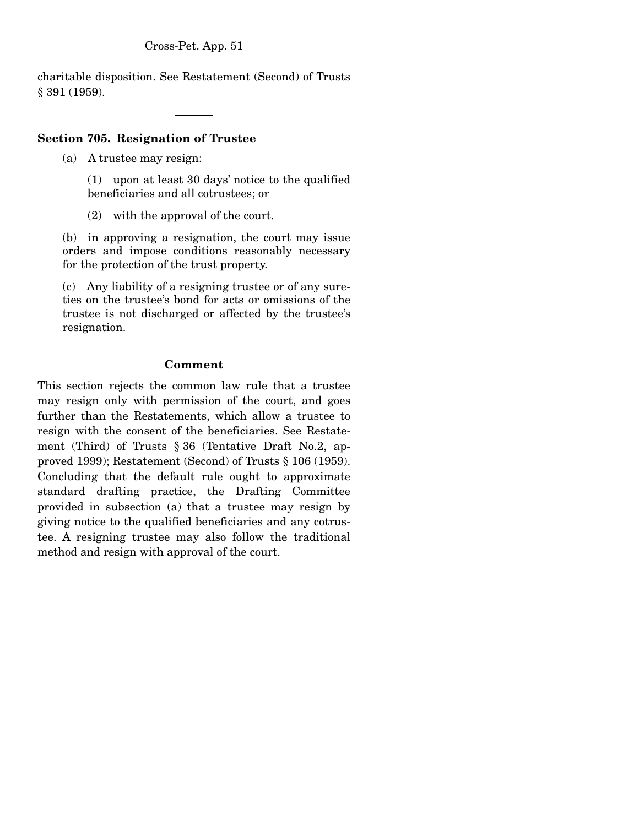charitable disposition. See Restatement (Second) of Trusts § 391 (1959).

# **Section 705. Resignation of Trustee**

(a) A trustee may resign:

(1) upon at least 30 days' notice to the qualified beneficiaries and all cotrustees; or

(2) with the approval of the court.

(b) in approving a resignation, the court may issue orders and impose conditions reasonably necessary for the protection of the trust property.

(c) Any liability of a resigning trustee or of any sureties on the trustee's bond for acts or omissions of the trustee is not discharged or affected by the trustee's resignation.

## **Comment**

This section rejects the common law rule that a trustee may resign only with permission of the court, and goes further than the Restatements, which allow a trustee to resign with the consent of the beneficiaries. See Restatement (Third) of Trusts § 36 (Tentative Draft No.2, approved 1999); Restatement (Second) of Trusts § 106 (1959). Concluding that the default rule ought to approximate standard drafting practice, the Drafting Committee provided in subsection (a) that a trustee may resign by giving notice to the qualified beneficiaries and any cotrustee. A resigning trustee may also follow the traditional method and resign with approval of the court.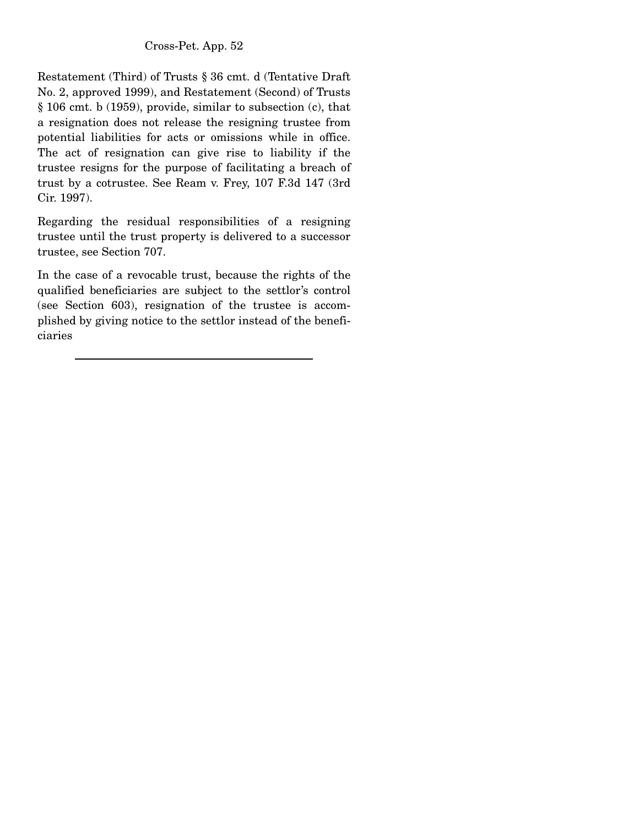Restatement (Third) of Trusts § 36 cmt. d (Tentative Draft No. 2, approved 1999), and Restatement (Second) of Trusts § 106 cmt. b (1959), provide, similar to subsection (c), that a resignation does not release the resigning trustee from potential liabilities for acts or omissions while in office. The act of resignation can give rise to liability if the trustee resigns for the purpose of facilitating a breach of trust by a cotrustee. See Ream v. Frey, 107 F.3d 147 (3rd Cir. 1997).

Regarding the residual responsibilities of a resigning trustee until the trust property is delivered to a successor trustee, see Section 707.

In the case of a revocable trust, because the rights of the qualified beneficiaries are subject to the settlor's control (see Section 603), resignation of the trustee is accomplished by giving notice to the settlor instead of the beneficiaries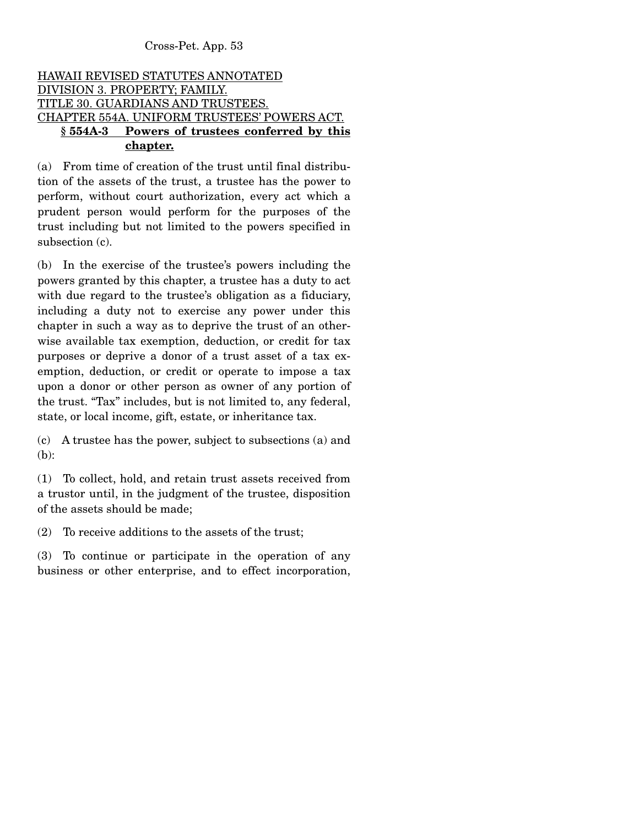# HAWAII REVISED STATUTES ANNOTATED DIVISION 3. PROPERTY; FAMILY. TITLE 30. GUARDIANS AND TRUSTEES. CHAPTER 554A. UNIFORM TRUSTEES' POWERS ACT.  **§ 554A-3 Powers of trustees conferred by this chapter.**

(a) From time of creation of the trust until final distribution of the assets of the trust, a trustee has the power to perform, without court authorization, every act which a prudent person would perform for the purposes of the trust including but not limited to the powers specified in subsection (c).

(b) In the exercise of the trustee's powers including the powers granted by this chapter, a trustee has a duty to act with due regard to the trustee's obligation as a fiduciary, including a duty not to exercise any power under this chapter in such a way as to deprive the trust of an otherwise available tax exemption, deduction, or credit for tax purposes or deprive a donor of a trust asset of a tax exemption, deduction, or credit or operate to impose a tax upon a donor or other person as owner of any portion of the trust. "Tax" includes, but is not limited to, any federal, state, or local income, gift, estate, or inheritance tax.

(c) A trustee has the power, subject to subsections (a) and (b):

(1) To collect, hold, and retain trust assets received from a trustor until, in the judgment of the trustee, disposition of the assets should be made;

(2) To receive additions to the assets of the trust;

(3) To continue or participate in the operation of any business or other enterprise, and to effect incorporation,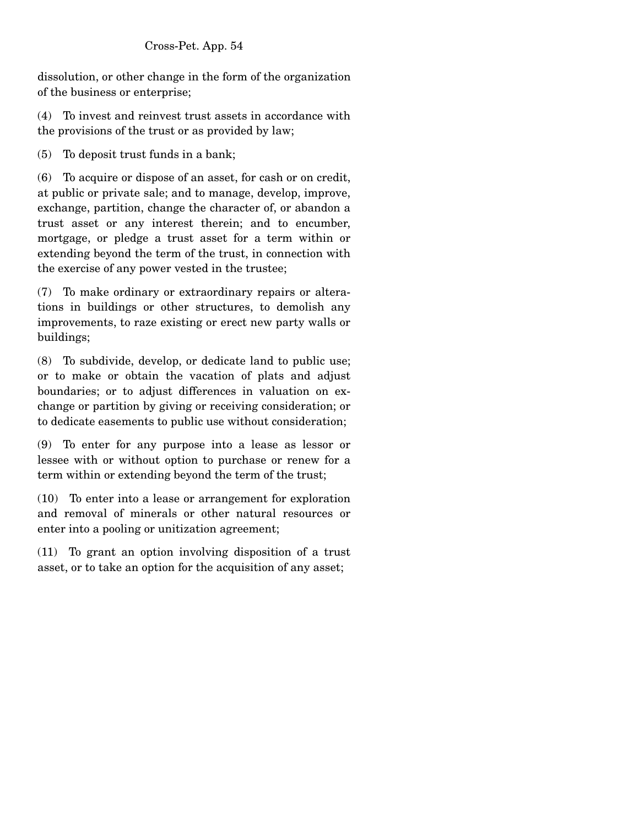dissolution, or other change in the form of the organization of the business or enterprise;

(4) To invest and reinvest trust assets in accordance with the provisions of the trust or as provided by law;

(5) To deposit trust funds in a bank;

(6) To acquire or dispose of an asset, for cash or on credit, at public or private sale; and to manage, develop, improve, exchange, partition, change the character of, or abandon a trust asset or any interest therein; and to encumber, mortgage, or pledge a trust asset for a term within or extending beyond the term of the trust, in connection with the exercise of any power vested in the trustee;

(7) To make ordinary or extraordinary repairs or alterations in buildings or other structures, to demolish any improvements, to raze existing or erect new party walls or buildings;

(8) To subdivide, develop, or dedicate land to public use; or to make or obtain the vacation of plats and adjust boundaries; or to adjust differences in valuation on exchange or partition by giving or receiving consideration; or to dedicate easements to public use without consideration;

(9) To enter for any purpose into a lease as lessor or lessee with or without option to purchase or renew for a term within or extending beyond the term of the trust;

(10) To enter into a lease or arrangement for exploration and removal of minerals or other natural resources or enter into a pooling or unitization agreement;

(11) To grant an option involving disposition of a trust asset, or to take an option for the acquisition of any asset;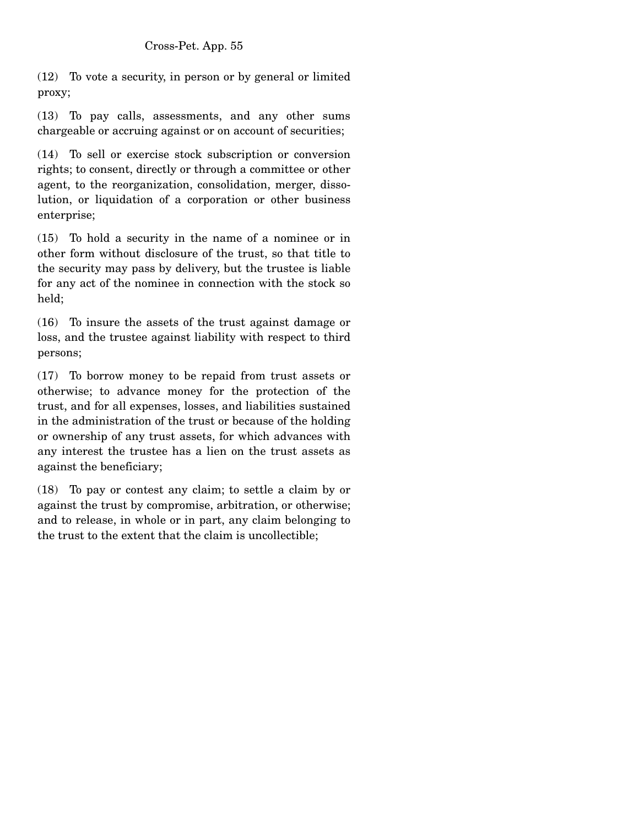(12) To vote a security, in person or by general or limited proxy;

(13) To pay calls, assessments, and any other sums chargeable or accruing against or on account of securities;

(14) To sell or exercise stock subscription or conversion rights; to consent, directly or through a committee or other agent, to the reorganization, consolidation, merger, dissolution, or liquidation of a corporation or other business enterprise;

(15) To hold a security in the name of a nominee or in other form without disclosure of the trust, so that title to the security may pass by delivery, but the trustee is liable for any act of the nominee in connection with the stock so held;

(16) To insure the assets of the trust against damage or loss, and the trustee against liability with respect to third persons;

(17) To borrow money to be repaid from trust assets or otherwise; to advance money for the protection of the trust, and for all expenses, losses, and liabilities sustained in the administration of the trust or because of the holding or ownership of any trust assets, for which advances with any interest the trustee has a lien on the trust assets as against the beneficiary;

(18) To pay or contest any claim; to settle a claim by or against the trust by compromise, arbitration, or otherwise; and to release, in whole or in part, any claim belonging to the trust to the extent that the claim is uncollectible;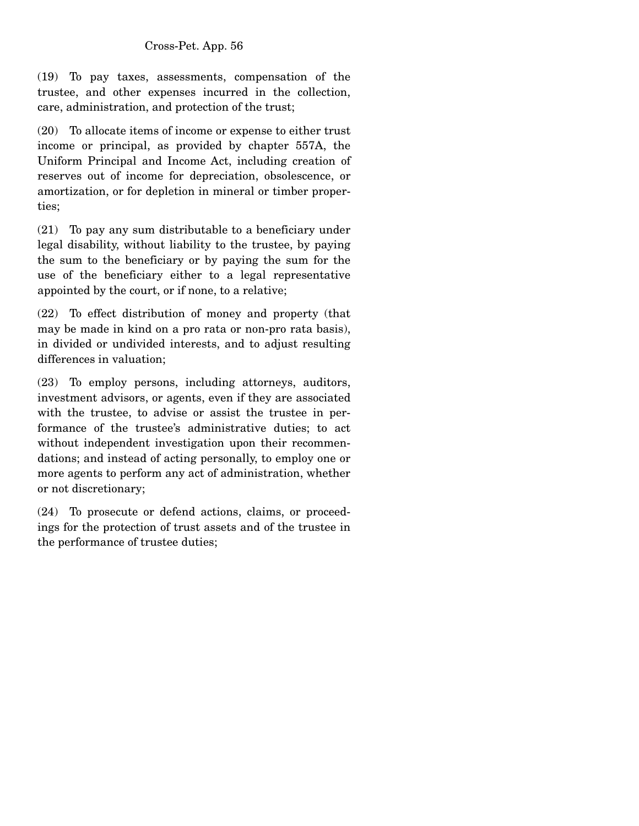(19) To pay taxes, assessments, compensation of the trustee, and other expenses incurred in the collection, care, administration, and protection of the trust;

(20) To allocate items of income or expense to either trust income or principal, as provided by chapter 557A, the Uniform Principal and Income Act, including creation of reserves out of income for depreciation, obsolescence, or amortization, or for depletion in mineral or timber properties;

(21) To pay any sum distributable to a beneficiary under legal disability, without liability to the trustee, by paying the sum to the beneficiary or by paying the sum for the use of the beneficiary either to a legal representative appointed by the court, or if none, to a relative;

(22) To effect distribution of money and property (that may be made in kind on a pro rata or non-pro rata basis), in divided or undivided interests, and to adjust resulting differences in valuation;

(23) To employ persons, including attorneys, auditors, investment advisors, or agents, even if they are associated with the trustee, to advise or assist the trustee in performance of the trustee's administrative duties; to act without independent investigation upon their recommendations; and instead of acting personally, to employ one or more agents to perform any act of administration, whether or not discretionary;

(24) To prosecute or defend actions, claims, or proceedings for the protection of trust assets and of the trustee in the performance of trustee duties;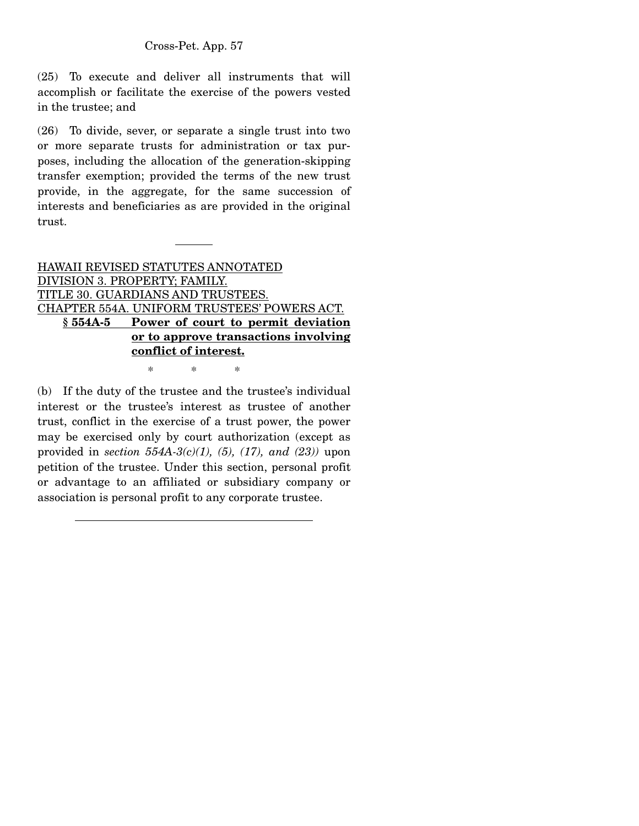(25) To execute and deliver all instruments that will accomplish or facilitate the exercise of the powers vested in the trustee; and

(26) To divide, sever, or separate a single trust into two or more separate trusts for administration or tax purposes, including the allocation of the generation-skipping transfer exemption; provided the terms of the new trust provide, in the aggregate, for the same succession of interests and beneficiaries as are provided in the original trust.

HAWAII REVISED STATUTES ANNOTATED DIVISION 3. PROPERTY; FAMILY. TITLE 30. GUARDIANS AND TRUSTEES. CHAPTER 554A. UNIFORM TRUSTEES' POWERS ACT. **§ 554A-5 Power of court to permit deviation or to approve transactions involving conflict of interest.**

\* \* \*

(b) If the duty of the trustee and the trustee's individual interest or the trustee's interest as trustee of another trust, conflict in the exercise of a trust power, the power may be exercised only by court authorization (except as provided in *section 554A-3(c)(1), (5), (17), and (23))* upon petition of the trustee. Under this section, personal profit or advantage to an affiliated or subsidiary company or association is personal profit to any corporate trustee.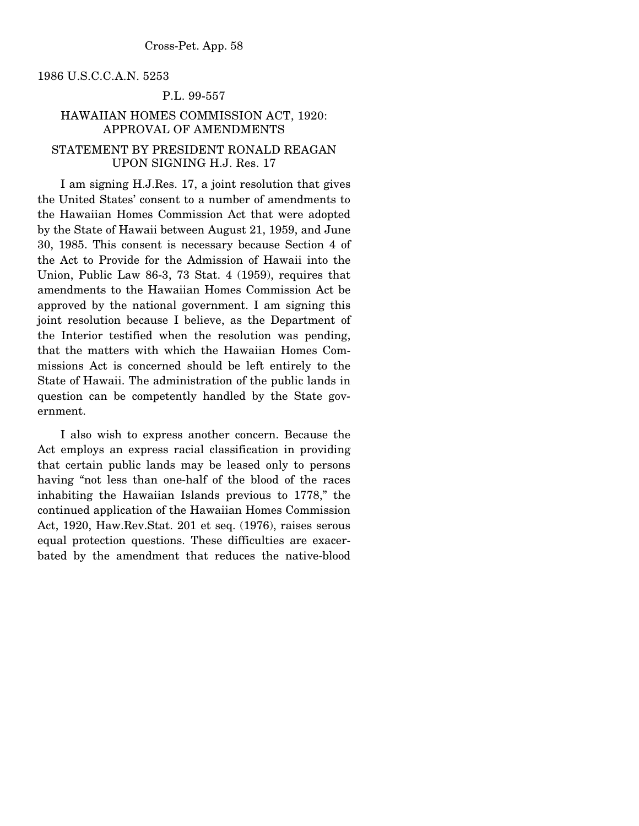1986 U.S.C.C.A.N. 5253

### P.L. 99-557

# HAWAIIAN HOMES COMMISSION ACT, 1920: APPROVAL OF AMENDMENTS STATEMENT BY PRESIDENT RONALD REAGAN

### UPON SIGNING H.J. Res. 17

 I am signing H.J.Res. 17, a joint resolution that gives the United States' consent to a number of amendments to the Hawaiian Homes Commission Act that were adopted by the State of Hawaii between August 21, 1959, and June 30, 1985. This consent is necessary because Section 4 of the Act to Provide for the Admission of Hawaii into the Union, Public Law 86-3, 73 Stat. 4 (1959), requires that amendments to the Hawaiian Homes Commission Act be approved by the national government. I am signing this joint resolution because I believe, as the Department of the Interior testified when the resolution was pending, that the matters with which the Hawaiian Homes Commissions Act is concerned should be left entirely to the State of Hawaii. The administration of the public lands in question can be competently handled by the State government.

 I also wish to express another concern. Because the Act employs an express racial classification in providing that certain public lands may be leased only to persons having "not less than one-half of the blood of the races inhabiting the Hawaiian Islands previous to 1778," the continued application of the Hawaiian Homes Commission Act, 1920, Haw.Rev.Stat. 201 et seq. (1976), raises serous equal protection questions. These difficulties are exacerbated by the amendment that reduces the native-blood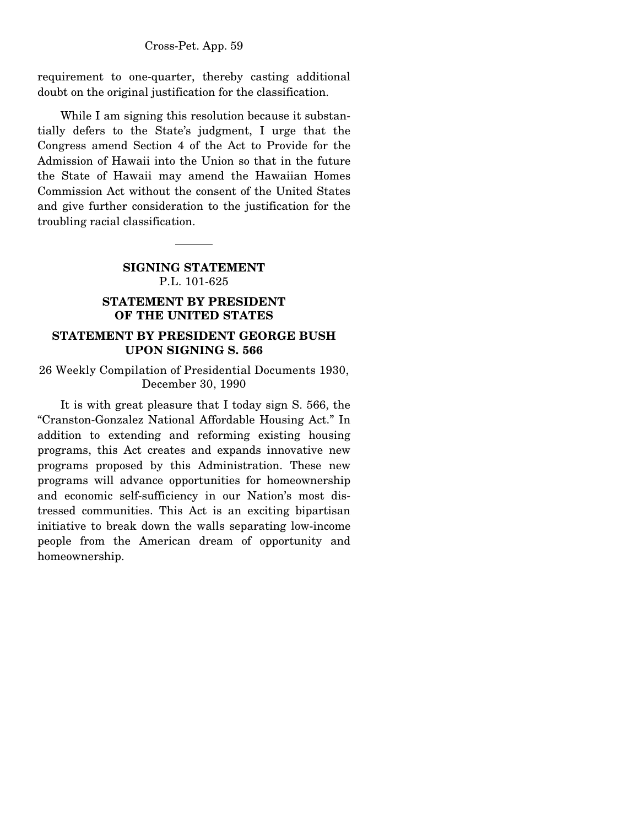requirement to one-quarter, thereby casting additional doubt on the original justification for the classification.

While I am signing this resolution because it substantially defers to the State's judgment, I urge that the Congress amend Section 4 of the Act to Provide for the Admission of Hawaii into the Union so that in the future the State of Hawaii may amend the Hawaiian Homes Commission Act without the consent of the United States and give further consideration to the justification for the troubling racial classification.

# **SIGNING STATEMENT**  P.L. 101-625

# **STATEMENT BY PRESIDENT OF THE UNITED STATES**

# **STATEMENT BY PRESIDENT GEORGE BUSH UPON SIGNING S. 566**

26 Weekly Compilation of Presidential Documents 1930, December 30, 1990

 It is with great pleasure that I today sign S. 566, the "Cranston-Gonzalez National Affordable Housing Act." In addition to extending and reforming existing housing programs, this Act creates and expands innovative new programs proposed by this Administration. These new programs will advance opportunities for homeownership and economic self-sufficiency in our Nation's most distressed communities. This Act is an exciting bipartisan initiative to break down the walls separating low-income people from the American dream of opportunity and homeownership.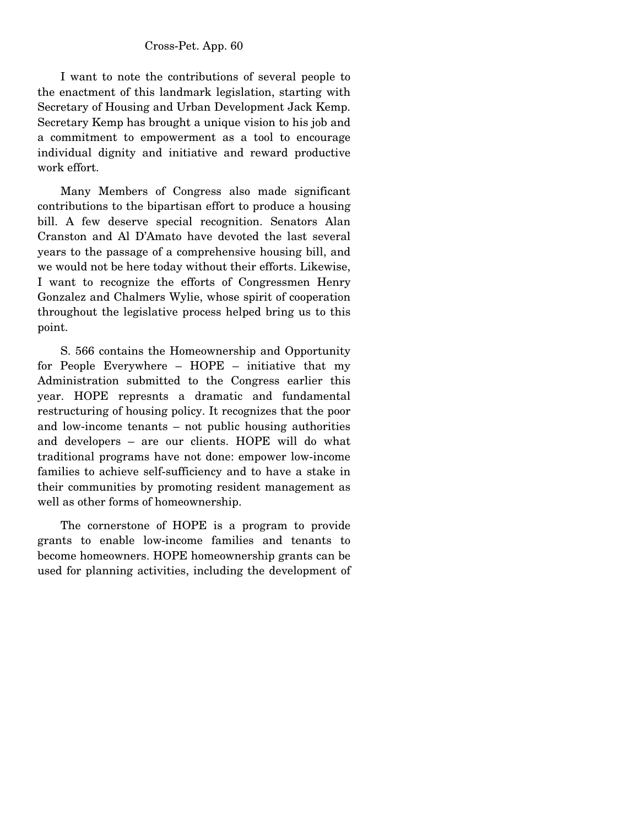I want to note the contributions of several people to the enactment of this landmark legislation, starting with Secretary of Housing and Urban Development Jack Kemp. Secretary Kemp has brought a unique vision to his job and a commitment to empowerment as a tool to encourage individual dignity and initiative and reward productive work effort.

 Many Members of Congress also made significant contributions to the bipartisan effort to produce a housing bill. A few deserve special recognition. Senators Alan Cranston and Al D'Amato have devoted the last several years to the passage of a comprehensive housing bill, and we would not be here today without their efforts. Likewise, I want to recognize the efforts of Congressmen Henry Gonzalez and Chalmers Wylie, whose spirit of cooperation throughout the legislative process helped bring us to this point.

 S. 566 contains the Homeownership and Opportunity for People Everywhere – HOPE – initiative that my Administration submitted to the Congress earlier this year. HOPE represnts a dramatic and fundamental restructuring of housing policy. It recognizes that the poor and low-income tenants – not public housing authorities and developers – are our clients. HOPE will do what traditional programs have not done: empower low-income families to achieve self-sufficiency and to have a stake in their communities by promoting resident management as well as other forms of homeownership.

 The cornerstone of HOPE is a program to provide grants to enable low-income families and tenants to become homeowners. HOPE homeownership grants can be used for planning activities, including the development of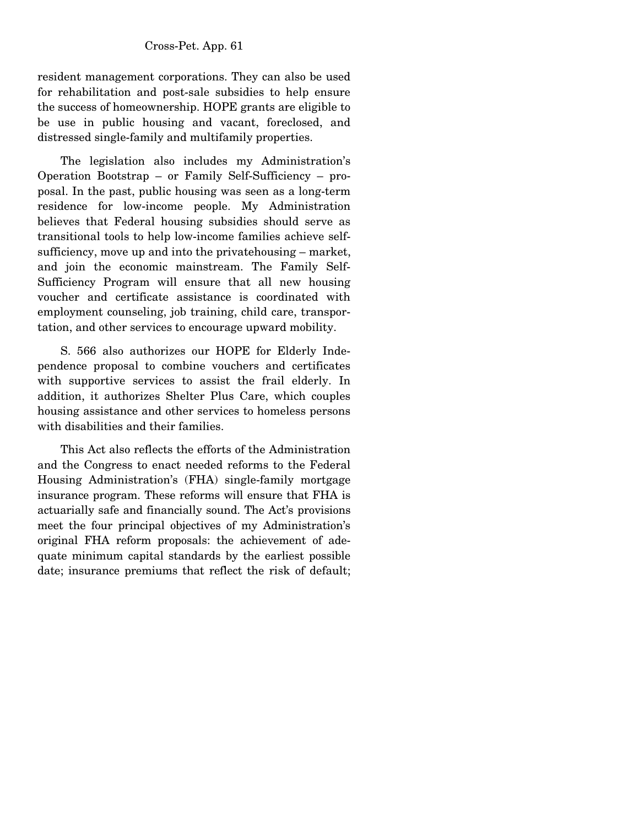resident management corporations. They can also be used for rehabilitation and post-sale subsidies to help ensure the success of homeownership. HOPE grants are eligible to be use in public housing and vacant, foreclosed, and distressed single-family and multifamily properties.

 The legislation also includes my Administration's Operation Bootstrap – or Family Self-Sufficiency – proposal. In the past, public housing was seen as a long-term residence for low-income people. My Administration believes that Federal housing subsidies should serve as transitional tools to help low-income families achieve selfsufficiency, move up and into the privatehousing – market, and join the economic mainstream. The Family Self-Sufficiency Program will ensure that all new housing voucher and certificate assistance is coordinated with employment counseling, job training, child care, transportation, and other services to encourage upward mobility.

 S. 566 also authorizes our HOPE for Elderly Independence proposal to combine vouchers and certificates with supportive services to assist the frail elderly. In addition, it authorizes Shelter Plus Care, which couples housing assistance and other services to homeless persons with disabilities and their families.

 This Act also reflects the efforts of the Administration and the Congress to enact needed reforms to the Federal Housing Administration's (FHA) single-family mortgage insurance program. These reforms will ensure that FHA is actuarially safe and financially sound. The Act's provisions meet the four principal objectives of my Administration's original FHA reform proposals: the achievement of adequate minimum capital standards by the earliest possible date; insurance premiums that reflect the risk of default;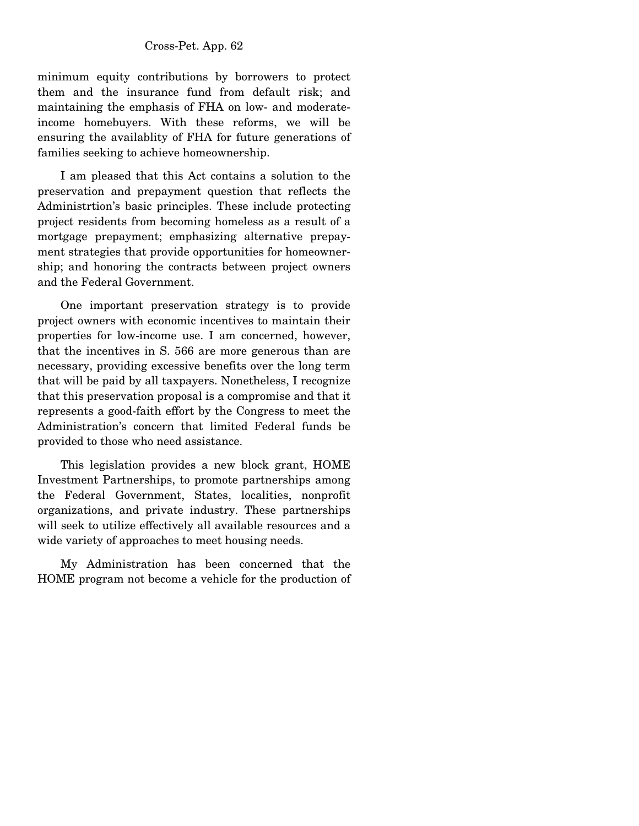minimum equity contributions by borrowers to protect them and the insurance fund from default risk; and maintaining the emphasis of FHA on low- and moderateincome homebuyers. With these reforms, we will be ensuring the availablity of FHA for future generations of families seeking to achieve homeownership.

 I am pleased that this Act contains a solution to the preservation and prepayment question that reflects the Administrtion's basic principles. These include protecting project residents from becoming homeless as a result of a mortgage prepayment; emphasizing alternative prepayment strategies that provide opportunities for homeownership; and honoring the contracts between project owners and the Federal Government.

 One important preservation strategy is to provide project owners with economic incentives to maintain their properties for low-income use. I am concerned, however, that the incentives in S. 566 are more generous than are necessary, providing excessive benefits over the long term that will be paid by all taxpayers. Nonetheless, I recognize that this preservation proposal is a compromise and that it represents a good-faith effort by the Congress to meet the Administration's concern that limited Federal funds be provided to those who need assistance.

 This legislation provides a new block grant, HOME Investment Partnerships, to promote partnerships among the Federal Government, States, localities, nonprofit organizations, and private industry. These partnerships will seek to utilize effectively all available resources and a wide variety of approaches to meet housing needs.

 My Administration has been concerned that the HOME program not become a vehicle for the production of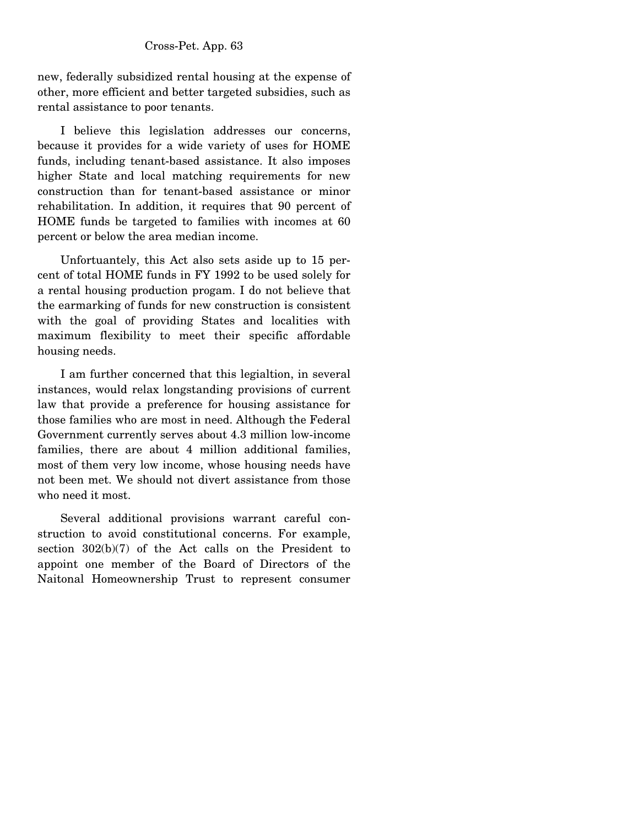new, federally subsidized rental housing at the expense of other, more efficient and better targeted subsidies, such as rental assistance to poor tenants.

 I believe this legislation addresses our concerns, because it provides for a wide variety of uses for HOME funds, including tenant-based assistance. It also imposes higher State and local matching requirements for new construction than for tenant-based assistance or minor rehabilitation. In addition, it requires that 90 percent of HOME funds be targeted to families with incomes at 60 percent or below the area median income.

 Unfortuantely, this Act also sets aside up to 15 percent of total HOME funds in FY 1992 to be used solely for a rental housing production progam. I do not believe that the earmarking of funds for new construction is consistent with the goal of providing States and localities with maximum flexibility to meet their specific affordable housing needs.

 I am further concerned that this legialtion, in several instances, would relax longstanding provisions of current law that provide a preference for housing assistance for those families who are most in need. Although the Federal Government currently serves about 4.3 million low-income families, there are about 4 million additional families, most of them very low income, whose housing needs have not been met. We should not divert assistance from those who need it most.

 Several additional provisions warrant careful construction to avoid constitutional concerns. For example, section 302(b)(7) of the Act calls on the President to appoint one member of the Board of Directors of the Naitonal Homeownership Trust to represent consumer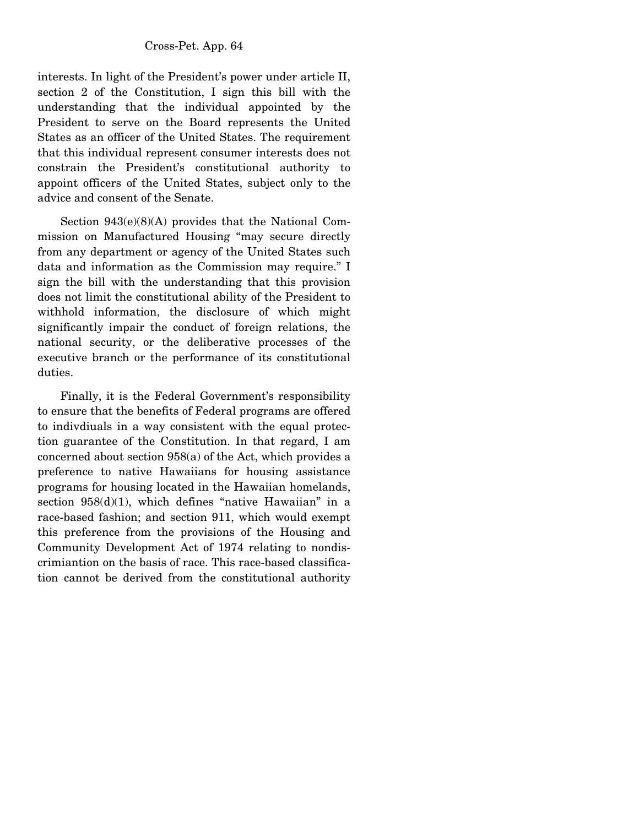interests. In light of the President's power under article II, section 2 of the Constitution, I sign this bill with the understanding that the individual appointed by the President to serve on the Board represents the United States as an officer of the United States. The requirement that this individual represent consumer interests does not constrain the President's constitutional authority to appoint officers of the United States, subject only to the advice and consent of the Senate.

 Section 943(e)(8)(A) provides that the National Commission on Manufactured Housing "may secure directly from any department or agency of the United States such data and information as the Commission may require." I sign the bill with the understanding that this provision does not limit the constitutional ability of the President to withhold information, the disclosure of which might significantly impair the conduct of foreign relations, the national security, or the deliberative processes of the executive branch or the performance of its constitutional duties.

 Finally, it is the Federal Government's responsibility to ensure that the benefits of Federal programs are offered to indivdiuals in a way consistent with the equal protection guarantee of the Constitution. In that regard, I am concerned about section 958(a) of the Act, which provides a preference to native Hawaiians for housing assistance programs for housing located in the Hawaiian homelands, section  $958(d)(1)$ , which defines "native Hawaiian" in a race-based fashion; and section 911, which would exempt this preference from the provisions of the Housing and Community Development Act of 1974 relating to nondiscrimiantion on the basis of race. This race-based classification cannot be derived from the constitutional authority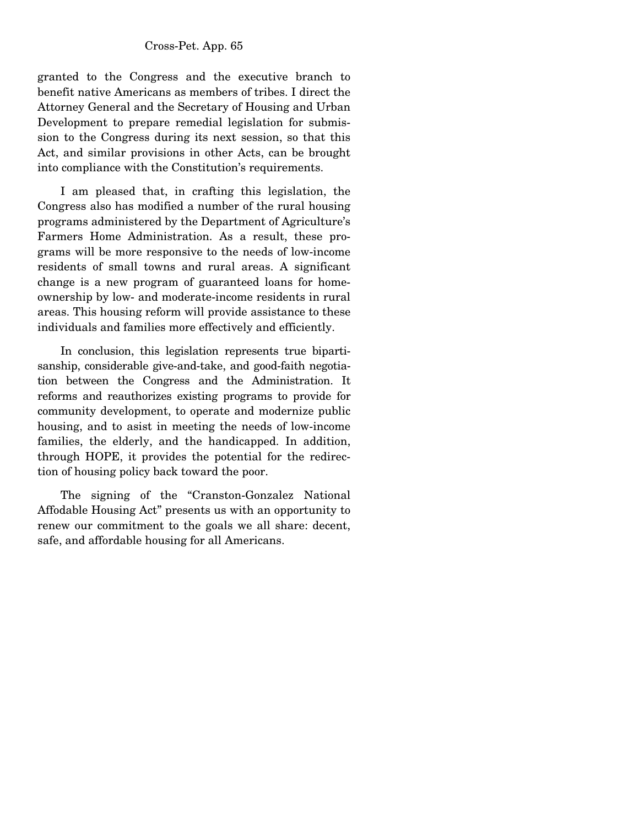granted to the Congress and the executive branch to benefit native Americans as members of tribes. I direct the Attorney General and the Secretary of Housing and Urban Development to prepare remedial legislation for submission to the Congress during its next session, so that this Act, and similar provisions in other Acts, can be brought into compliance with the Constitution's requirements.

 I am pleased that, in crafting this legislation, the Congress also has modified a number of the rural housing programs administered by the Department of Agriculture's Farmers Home Administration. As a result, these programs will be more responsive to the needs of low-income residents of small towns and rural areas. A significant change is a new program of guaranteed loans for homeownership by low- and moderate-income residents in rural areas. This housing reform will provide assistance to these individuals and families more effectively and efficiently.

 In conclusion, this legislation represents true bipartisanship, considerable give-and-take, and good-faith negotiation between the Congress and the Administration. It reforms and reauthorizes existing programs to provide for community development, to operate and modernize public housing, and to asist in meeting the needs of low-income families, the elderly, and the handicapped. In addition, through HOPE, it provides the potential for the redirection of housing policy back toward the poor.

 The signing of the "Cranston-Gonzalez National Affodable Housing Act" presents us with an opportunity to renew our commitment to the goals we all share: decent, safe, and affordable housing for all Americans.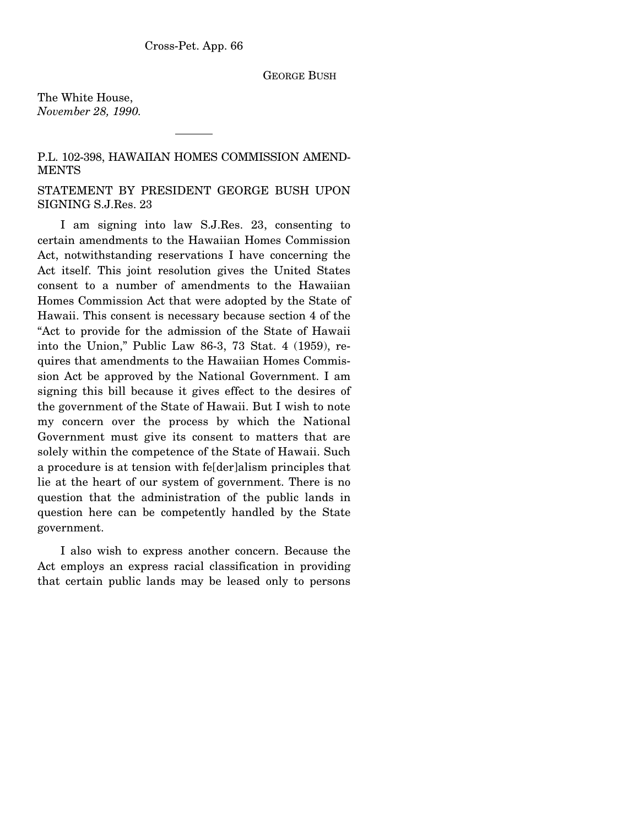#### GEORGE BUSH

The White House, *November 28, 1990.* 

P.L. 102-398, HAWAIIAN HOMES COMMISSION AMEND-MENTS

STATEMENT BY PRESIDENT GEORGE BUSH UPON SIGNING S.J.Res. 23

 I am signing into law S.J.Res. 23, consenting to certain amendments to the Hawaiian Homes Commission Act, notwithstanding reservations I have concerning the Act itself. This joint resolution gives the United States consent to a number of amendments to the Hawaiian Homes Commission Act that were adopted by the State of Hawaii. This consent is necessary because section 4 of the "Act to provide for the admission of the State of Hawaii into the Union," Public Law 86-3, 73 Stat. 4 (1959), requires that amendments to the Hawaiian Homes Commission Act be approved by the National Government. I am signing this bill because it gives effect to the desires of the government of the State of Hawaii. But I wish to note my concern over the process by which the National Government must give its consent to matters that are solely within the competence of the State of Hawaii. Such a procedure is at tension with fe[der]alism principles that lie at the heart of our system of government. There is no question that the administration of the public lands in question here can be competently handled by the State government.

 I also wish to express another concern. Because the Act employs an express racial classification in providing that certain public lands may be leased only to persons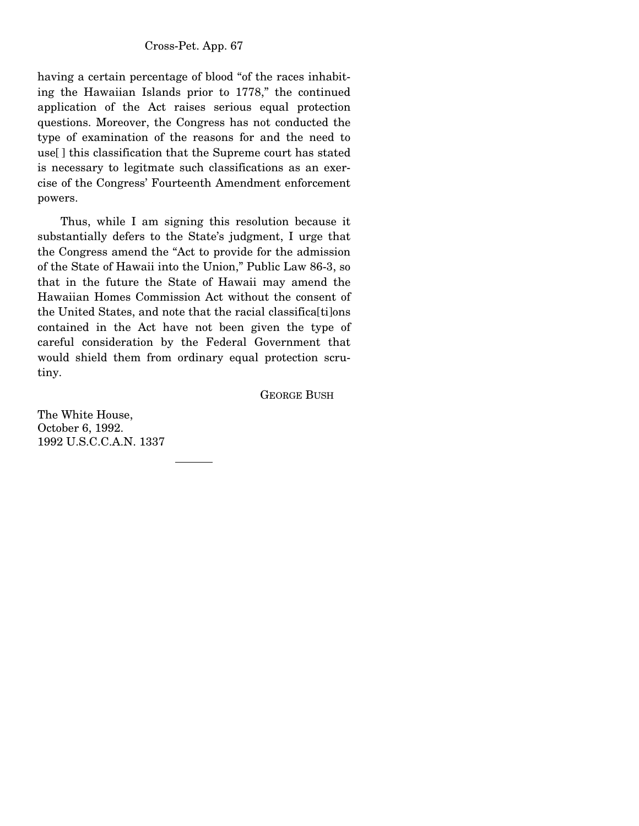having a certain percentage of blood "of the races inhabiting the Hawaiian Islands prior to 1778," the continued application of the Act raises serious equal protection questions. Moreover, the Congress has not conducted the type of examination of the reasons for and the need to use[ ] this classification that the Supreme court has stated is necessary to legitmate such classifications as an exercise of the Congress' Fourteenth Amendment enforcement powers.

 Thus, while I am signing this resolution because it substantially defers to the State's judgment, I urge that the Congress amend the "Act to provide for the admission of the State of Hawaii into the Union," Public Law 86-3, so that in the future the State of Hawaii may amend the Hawaiian Homes Commission Act without the consent of the United States, and note that the racial classifica[ti]ons contained in the Act have not been given the type of careful consideration by the Federal Government that would shield them from ordinary equal protection scrutiny.

GEORGE BUSH

The White House, October 6, 1992. 1992 U.S.C.C.A.N. 1337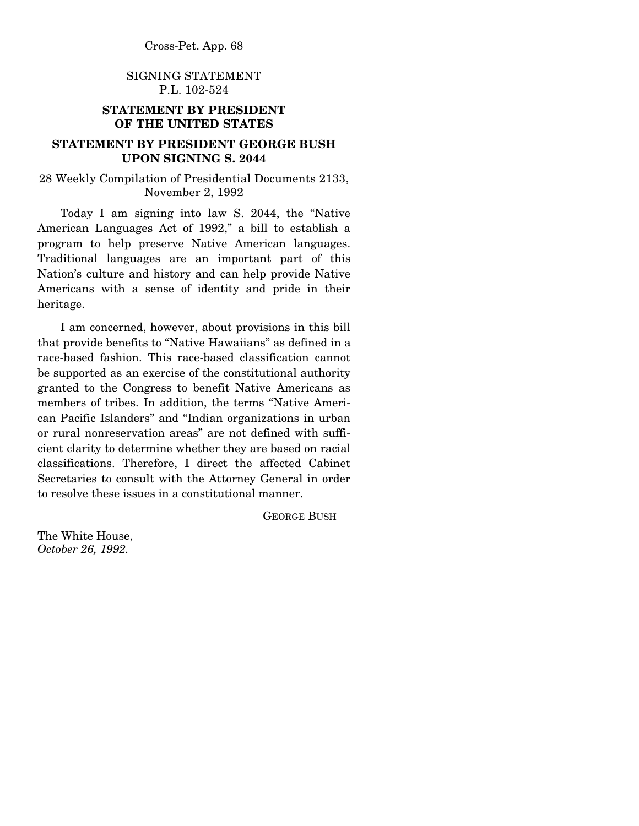# SIGNING STATEMENT P.L. 102-524

# **STATEMENT BY PRESIDENT OF THE UNITED STATES**

# **STATEMENT BY PRESIDENT GEORGE BUSH UPON SIGNING S. 2044**

## 28 Weekly Compilation of Presidential Documents 2133, November 2, 1992

 Today I am signing into law S. 2044, the "Native American Languages Act of 1992," a bill to establish a program to help preserve Native American languages. Traditional languages are an important part of this Nation's culture and history and can help provide Native Americans with a sense of identity and pride in their heritage.

 I am concerned, however, about provisions in this bill that provide benefits to "Native Hawaiians" as defined in a race-based fashion. This race-based classification cannot be supported as an exercise of the constitutional authority granted to the Congress to benefit Native Americans as members of tribes. In addition, the terms "Native American Pacific Islanders" and "Indian organizations in urban or rural nonreservation areas" are not defined with sufficient clarity to determine whether they are based on racial classifications. Therefore, I direct the affected Cabinet Secretaries to consult with the Attorney General in order to resolve these issues in a constitutional manner.

GEORGE BUSH

The White House, *October 26, 1992.*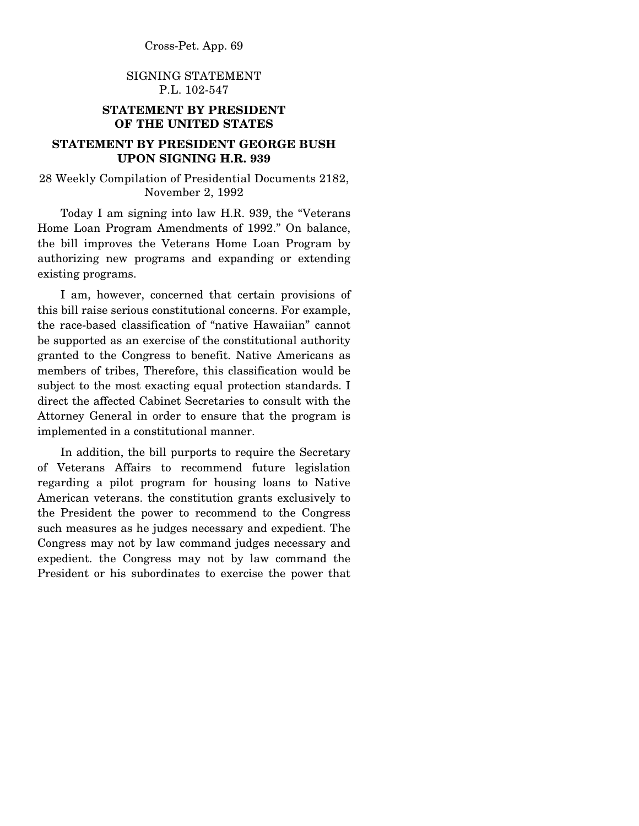# SIGNING STATEMENT P.L. 102-547

# **STATEMENT BY PRESIDENT OF THE UNITED STATES**

# **STATEMENT BY PRESIDENT GEORGE BUSH UPON SIGNING H.R. 939**

28 Weekly Compilation of Presidential Documents 2182, November 2, 1992

 Today I am signing into law H.R. 939, the "Veterans Home Loan Program Amendments of 1992." On balance, the bill improves the Veterans Home Loan Program by authorizing new programs and expanding or extending existing programs.

 I am, however, concerned that certain provisions of this bill raise serious constitutional concerns. For example, the race-based classification of "native Hawaiian" cannot be supported as an exercise of the constitutional authority granted to the Congress to benefit. Native Americans as members of tribes, Therefore, this classification would be subject to the most exacting equal protection standards. I direct the affected Cabinet Secretaries to consult with the Attorney General in order to ensure that the program is implemented in a constitutional manner.

 In addition, the bill purports to require the Secretary of Veterans Affairs to recommend future legislation regarding a pilot program for housing loans to Native American veterans. the constitution grants exclusively to the President the power to recommend to the Congress such measures as he judges necessary and expedient. The Congress may not by law command judges necessary and expedient. the Congress may not by law command the President or his subordinates to exercise the power that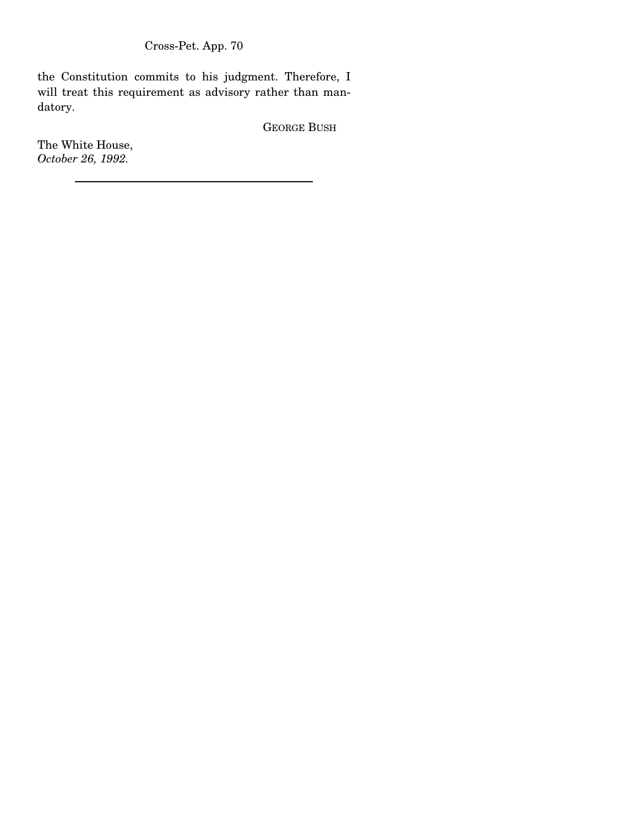the Constitution commits to his judgment. Therefore, I will treat this requirement as advisory rather than mandatory.

GEORGE BUSH

The White House, *October 26, 1992.*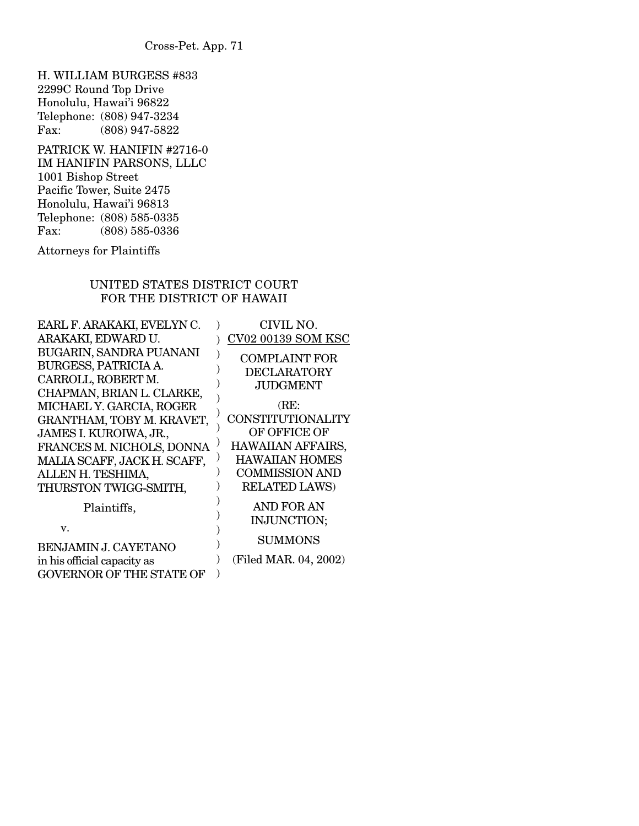H. WILLIAM BURGESS #833 2299C Round Top Drive Honolulu, Hawai'i 96822 Telephone: (808) 947-3234<br>Fax: (808) 947-5822  $(808)$  947-5822

PATRICK W. HANIFIN #2716-0 IM HANIFIN PARSONS, LLLC 1001 Bishop Street Pacific Tower, Suite 2475 Honolulu, Hawai'i 96813 Telephone: (808) 585-0335<br>Fax: (808) 585-0336 (808) 585-0336

Attorneys for Plaintiffs

# UNITED STATES DISTRICT COURT FOR THE DISTRICT OF HAWAII

| EARL F. ARAKAKI, EVELYN C.                                            | CIVIL NO.                                  |
|-----------------------------------------------------------------------|--------------------------------------------|
| ARAKAKI, EDWARD U.                                                    | <b>CV02 00139 SOM KSC</b>                  |
| BUGARIN, SANDRA PUANANI<br>BURGESS, PATRICIA A.<br>CARROLL, ROBERT M. | <b>COMPLAINT FOR</b><br><b>DECLARATORY</b> |
| CHAPMAN, BRIAN L. CLARKE,                                             | JUDGMENT                                   |
| MICHAEL Y. GARCIA, ROGER                                              | (RE:                                       |
| GRANTHAM, TOBY M. KRAVET,                                             | CONSTITUTIONALITY                          |
| JAMES I. KUROIWA, JR.,                                                | OF OFFICE OF                               |
| FRANCES M. NICHOLS, DONNA                                             | <b>HAWAIIAN AFFAIRS,</b>                   |
| MALIA SCAFF, JACK H. SCAFF,                                           | <b>HAWAIIAN HOMES</b>                      |
| ALLEN H. TESHIMA,                                                     | <b>COMMISSION AND</b>                      |
| THURSTON TWIGG-SMITH,                                                 | <b>RELATED LAWS)</b>                       |
| Plaintiffs,<br>v.                                                     | AND FOR AN<br>INJUNCTION;                  |
| <b>BENJAMIN J. CAYETANO</b>                                           | <b>SUMMONS</b>                             |
| in his official capacity as                                           | (Filed MAR. 04, 2002)                      |
| <b>GOVERNOR OF THE STATE OF</b>                                       |                                            |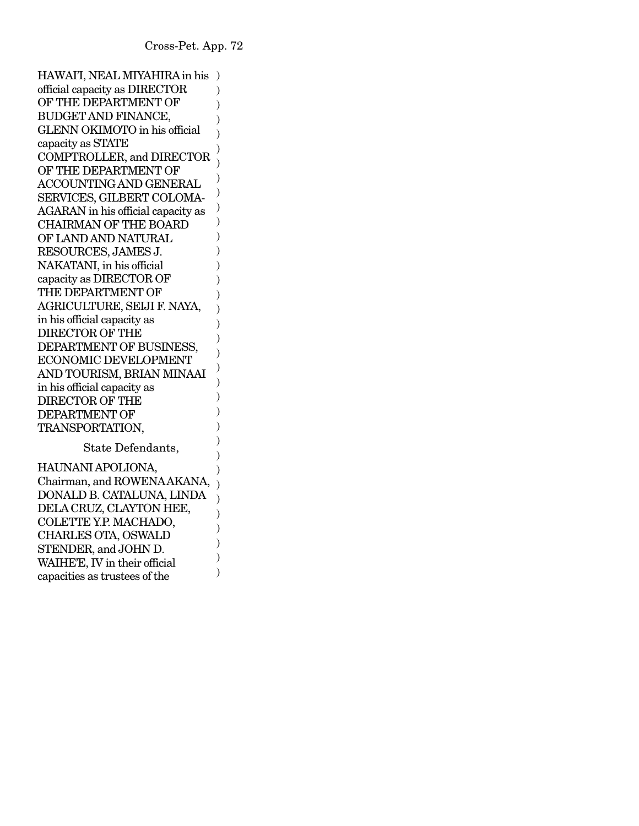HAWAI'I, NEAL MIYAHIRA in his ) official capacity as DIRECTOR OF THE DEPARTMENT OF BUDGET AND FINANCE, GLENN OKIMOTO in his official capacity as STATE COMPTROLLER, and DIRECTOR OF THE DEPARTMENT OF ACCOUNTING AND GENERAL SERVICES, GILBERT COLOMA-AGARAN in his official capacity as CHAIRMAN OF THE BOARD OF LAND AND NATURAL RESOURCES, JAMES J. NAKATANI, in his official capacity as DIRECTOR OF THE DEPARTMENT OF AGRICULTURE, SEIJI F. NAYA, in his official capacity as DIRECTOR OF THE DEPARTMENT OF BUSINESS, ECONOMIC DEVELOPMENT AND TOURISM, BRIAN MINAAI in his official capacity as DIRECTOR OF THE DEPARTMENT OF TRANSPORTATION,  $\lambda$ ) ) ) ) ) ) ) ) ) ) ) ) ) )  $\lambda$ ) ) ) ) ) ) ) ) )

State Defendants,

) ) )

) ) ) )

HAUNANI APOLIONA, Chairman, and ROWENA AKANA, DONALD B. CATALUNA, LINDA DELA CRUZ, CLAYTON HEE, COLETTE Y.P. MACHADO, CHARLES OTA, OSWALD STENDER, and JOHN D. WAIHE'E, IV in their official capacities as trustees of the  $\lambda$  $\lambda$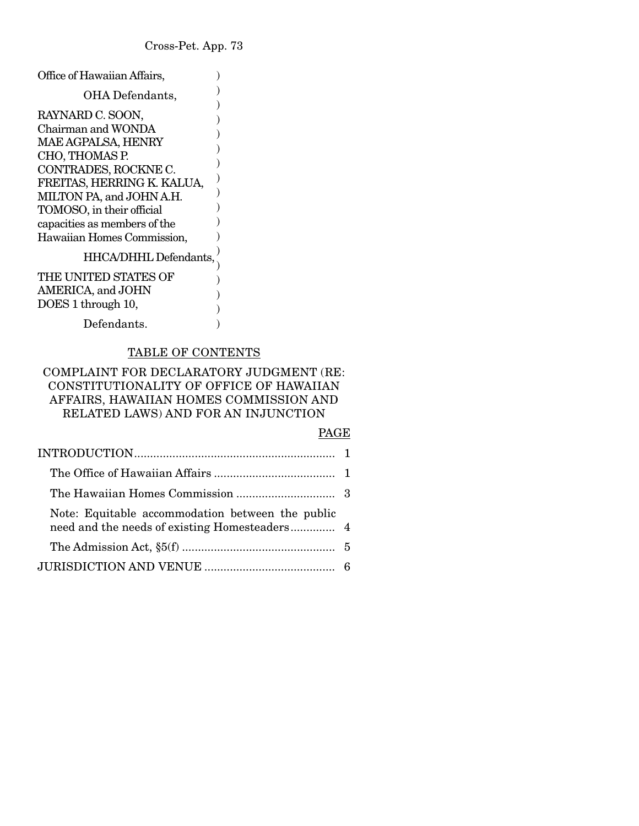) ) ) )  $\overline{)}$ ) ) ) ) ) ) )

) ) ) ) )

- Office of Hawaiian Affairs,
	- OHA Defendants,
- RAYNARD C. SOON, Chairman and WONDA MAE AGPALSA, HENRY CHO, THOMAS P. CONTRADES, ROCKNE C. FREITAS, HERRING K. KALUA, MILTON PA, and JOHN A.H. TOMOSO, in their official capacities as members of the Hawaiian Homes Commission,

# HHCA/DHHL Defendants,

| THE UNITED STATES OF  |  |
|-----------------------|--|
| AMERICA, and JOHN     |  |
| DOES 1 through 10,    |  |
| $D_{\alpha}$ fondonto |  |

Defendants.

# TABLE OF CONTENTS

# COMPLAINT FOR DECLARATORY JUDGMENT (RE: CONSTITUTIONALITY OF OFFICE OF HAWAIIAN AFFAIRS, HAWAIIAN HOMES COMMISSION AND RELATED LAWS) AND FOR AN INJUNCTION

#### PAGE

| Note: Equitable accommodation between the public<br>need and the needs of existing Homesteaders 4 |  |
|---------------------------------------------------------------------------------------------------|--|
|                                                                                                   |  |
|                                                                                                   |  |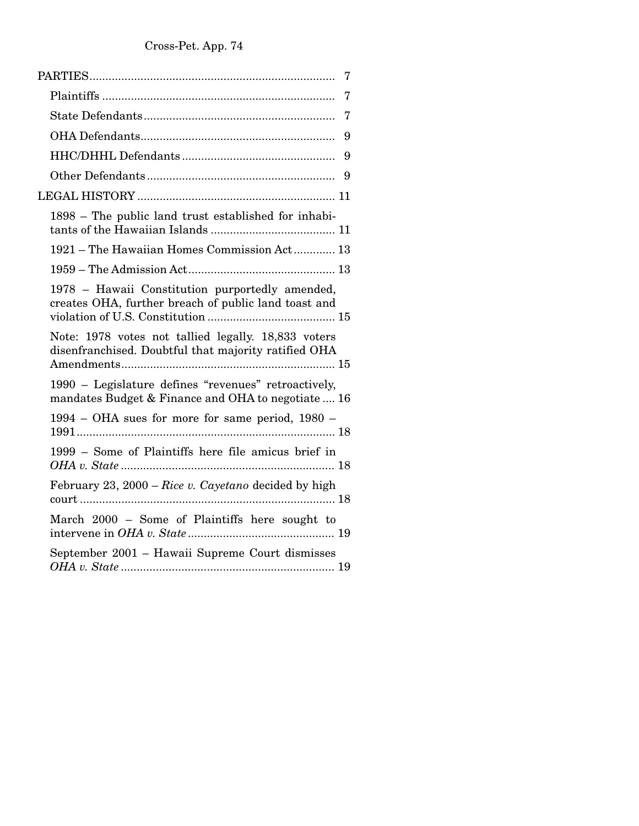| $\overline{7}$                                                                                              |
|-------------------------------------------------------------------------------------------------------------|
| 7                                                                                                           |
| 7                                                                                                           |
| 9                                                                                                           |
|                                                                                                             |
|                                                                                                             |
|                                                                                                             |
| 1898 – The public land trust established for inhabi-                                                        |
| 1921 - The Hawaiian Homes Commission Act 13                                                                 |
|                                                                                                             |
| 1978 - Hawaii Constitution purportedly amended,<br>creates OHA, further breach of public land toast and     |
| Note: 1978 votes not tallied legally. 18,833 voters<br>disenfranchised. Doubtful that majority ratified OHA |
| 1990 – Legislature defines "revenues" retroactively,<br>mandates Budget & Finance and OHA to negotiate  16  |
| 1994 – OHA sues for more for same period, 1980 –                                                            |
| 1999 – Some of Plaintiffs here file amicus brief in                                                         |
| February 23, 2000 – Rice v. Cayetano decided by high                                                        |
| March 2000 – Some of Plaintiffs here sought to                                                              |
| September 2001 - Hawaii Supreme Court dismisses                                                             |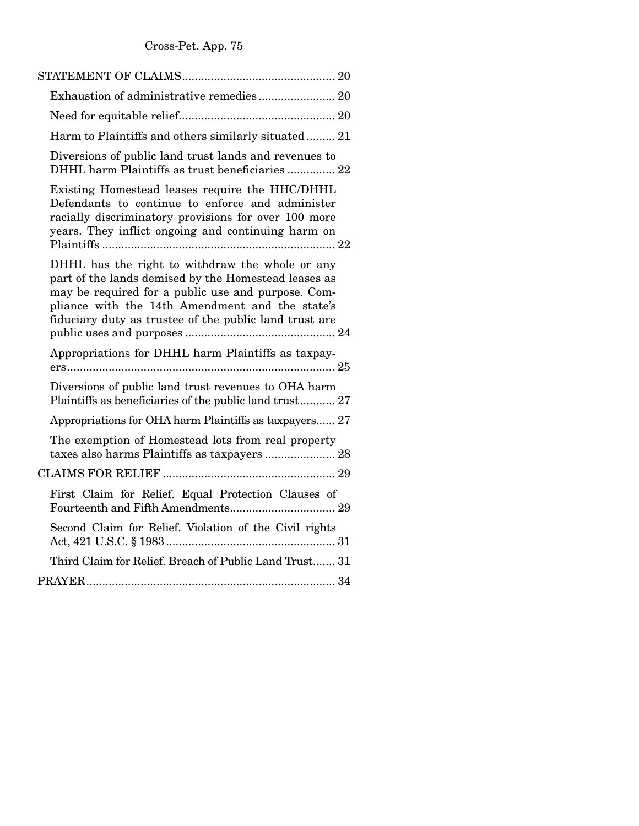| Harm to Plaintiffs and others similarly situated 21                                                                                                                                                                                                                        |
|----------------------------------------------------------------------------------------------------------------------------------------------------------------------------------------------------------------------------------------------------------------------------|
| Diversions of public land trust lands and revenues to<br>DHHL harm Plaintiffs as trust beneficiaries  22                                                                                                                                                                   |
| Existing Homestead leases require the HHC/DHHL<br>Defendants to continue to enforce and administer<br>racially discriminatory provisions for over 100 more<br>years. They inflict ongoing and continuing harm on                                                           |
| DHHL has the right to withdraw the whole or any<br>part of the lands demised by the Homestead leases as<br>may be required for a public use and purpose. Com-<br>pliance with the 14th Amendment and the state's<br>fiduciary duty as trustee of the public land trust are |
| Appropriations for DHHL harm Plaintiffs as taxpay-                                                                                                                                                                                                                         |
| Diversions of public land trust revenues to OHA harm<br>Plaintiffs as beneficiaries of the public land trust 27                                                                                                                                                            |
| Appropriations for OHA harm Plaintiffs as taxpayers 27                                                                                                                                                                                                                     |
| The exemption of Homestead lots from real property<br>taxes also harms Plaintiffs as taxpayers  28                                                                                                                                                                         |
|                                                                                                                                                                                                                                                                            |
| First Claim for Relief. Equal Protection Clauses of                                                                                                                                                                                                                        |
| Second Claim for Relief. Violation of the Civil rights                                                                                                                                                                                                                     |
| Third Claim for Relief. Breach of Public Land Trust 31                                                                                                                                                                                                                     |
|                                                                                                                                                                                                                                                                            |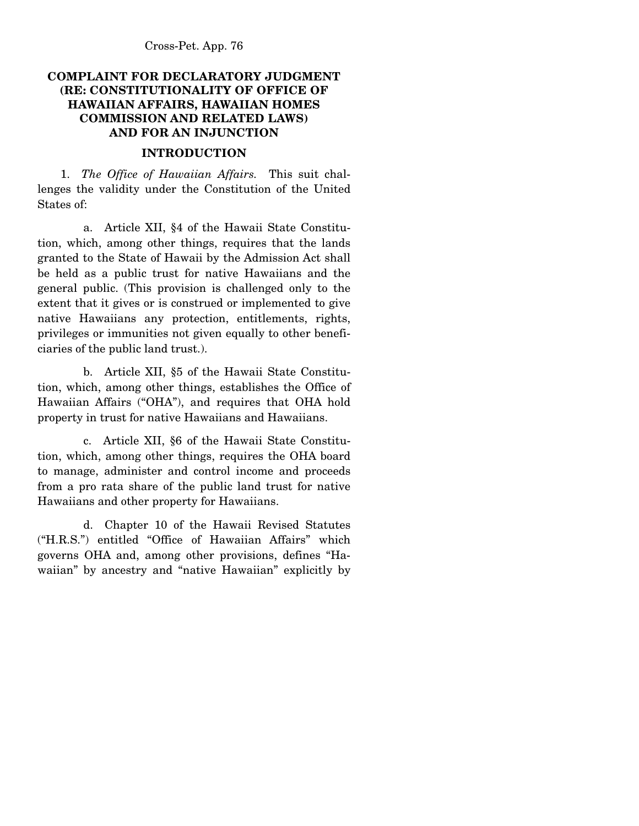# **COMPLAINT FOR DECLARATORY JUDGMENT (RE: CONSTITUTIONALITY OF OFFICE OF HAWAIIAN AFFAIRS, HAWAIIAN HOMES COMMISSION AND RELATED LAWS) AND FOR AN INJUNCTION**

## **INTRODUCTION**

 1. *The Office of Hawaiian Affairs.* This suit challenges the validity under the Constitution of the United States of:

 a. Article XII, §4 of the Hawaii State Constitution, which, among other things, requires that the lands granted to the State of Hawaii by the Admission Act shall be held as a public trust for native Hawaiians and the general public. (This provision is challenged only to the extent that it gives or is construed or implemented to give native Hawaiians any protection, entitlements, rights, privileges or immunities not given equally to other beneficiaries of the public land trust.).

 b. Article XII, §5 of the Hawaii State Constitution, which, among other things, establishes the Office of Hawaiian Affairs ("OHA"), and requires that OHA hold property in trust for native Hawaiians and Hawaiians.

 c. Article XII, §6 of the Hawaii State Constitution, which, among other things, requires the OHA board to manage, administer and control income and proceeds from a pro rata share of the public land trust for native Hawaiians and other property for Hawaiians.

 d. Chapter 10 of the Hawaii Revised Statutes ("H.R.S.") entitled "Office of Hawaiian Affairs" which governs OHA and, among other provisions, defines "Hawaiian" by ancestry and "native Hawaiian" explicitly by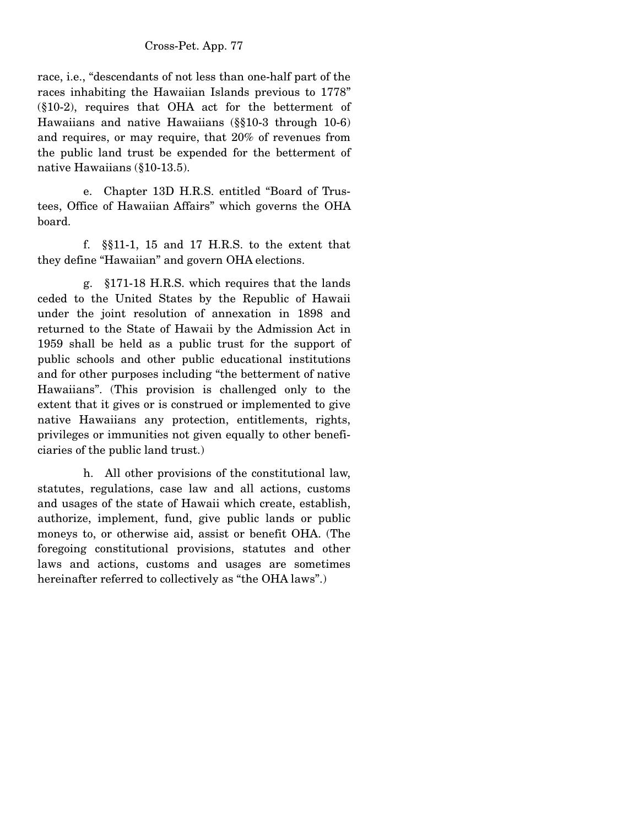race, i.e., "descendants of not less than one-half part of the races inhabiting the Hawaiian Islands previous to 1778" (§10-2), requires that OHA act for the betterment of Hawaiians and native Hawaiians (§§10-3 through 10-6) and requires, or may require, that 20% of revenues from the public land trust be expended for the betterment of native Hawaiians (§10-13.5).

 e. Chapter 13D H.R.S. entitled "Board of Trustees, Office of Hawaiian Affairs" which governs the OHA board.

 f. §§11-1, 15 and 17 H.R.S. to the extent that they define "Hawaiian" and govern OHA elections.

 g. §171-18 H.R.S. which requires that the lands ceded to the United States by the Republic of Hawaii under the joint resolution of annexation in 1898 and returned to the State of Hawaii by the Admission Act in 1959 shall be held as a public trust for the support of public schools and other public educational institutions and for other purposes including "the betterment of native Hawaiians". (This provision is challenged only to the extent that it gives or is construed or implemented to give native Hawaiians any protection, entitlements, rights, privileges or immunities not given equally to other beneficiaries of the public land trust.)

 h. All other provisions of the constitutional law, statutes, regulations, case law and all actions, customs and usages of the state of Hawaii which create, establish, authorize, implement, fund, give public lands or public moneys to, or otherwise aid, assist or benefit OHA. (The foregoing constitutional provisions, statutes and other laws and actions, customs and usages are sometimes hereinafter referred to collectively as "the OHA laws".)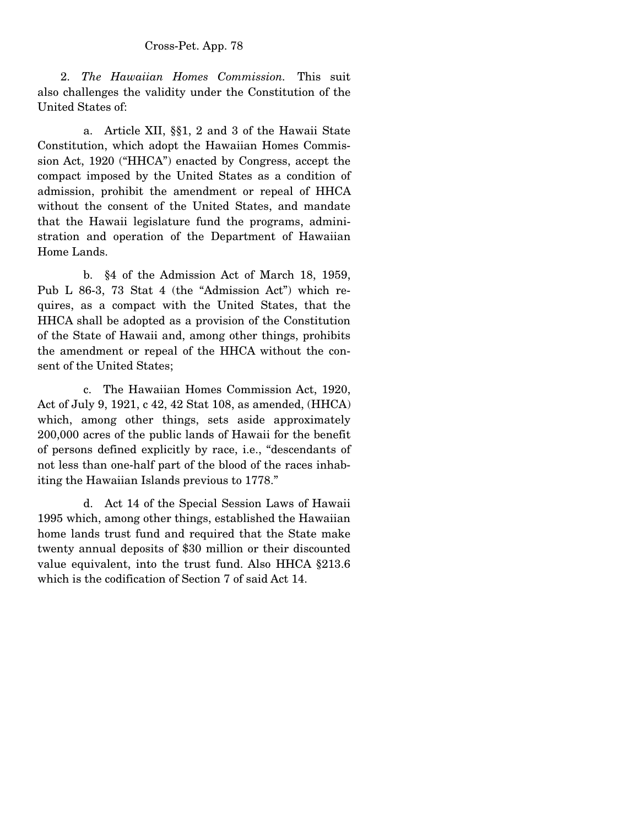2. *The Hawaiian Homes Commission.* This suit also challenges the validity under the Constitution of the United States of:

 a. Article XII, §§1, 2 and 3 of the Hawaii State Constitution, which adopt the Hawaiian Homes Commission Act, 1920 ("HHCA") enacted by Congress, accept the compact imposed by the United States as a condition of admission, prohibit the amendment or repeal of HHCA without the consent of the United States, and mandate that the Hawaii legislature fund the programs, administration and operation of the Department of Hawaiian Home Lands.

 b. §4 of the Admission Act of March 18, 1959, Pub L 86-3, 73 Stat 4 (the "Admission Act") which requires, as a compact with the United States, that the HHCA shall be adopted as a provision of the Constitution of the State of Hawaii and, among other things, prohibits the amendment or repeal of the HHCA without the consent of the United States;

 c. The Hawaiian Homes Commission Act, 1920, Act of July 9, 1921, c 42, 42 Stat 108, as amended, (HHCA) which, among other things, sets aside approximately 200,000 acres of the public lands of Hawaii for the benefit of persons defined explicitly by race, i.e., "descendants of not less than one-half part of the blood of the races inhabiting the Hawaiian Islands previous to 1778."

 d. Act 14 of the Special Session Laws of Hawaii 1995 which, among other things, established the Hawaiian home lands trust fund and required that the State make twenty annual deposits of \$30 million or their discounted value equivalent, into the trust fund. Also HHCA §213.6 which is the codification of Section 7 of said Act 14.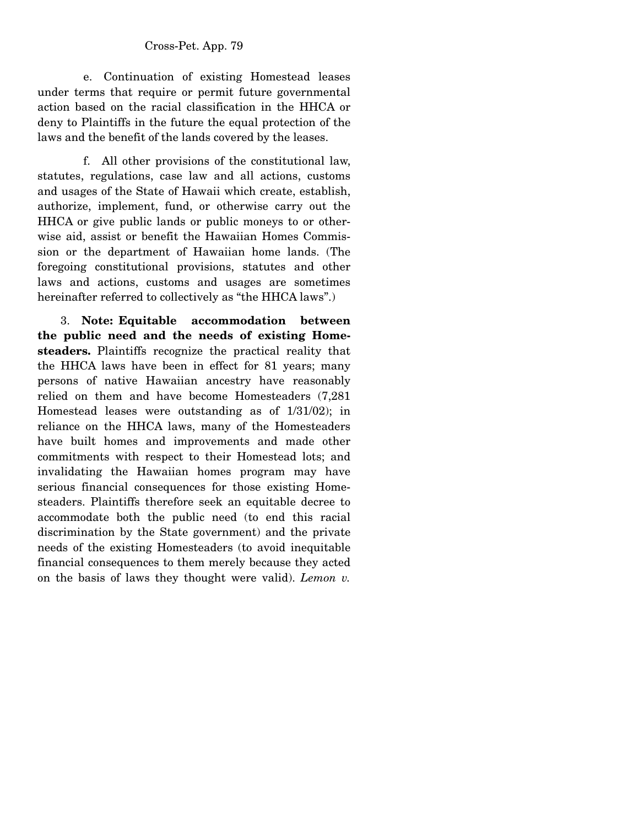e. Continuation of existing Homestead leases under terms that require or permit future governmental action based on the racial classification in the HHCA or deny to Plaintiffs in the future the equal protection of the laws and the benefit of the lands covered by the leases.

 f. All other provisions of the constitutional law, statutes, regulations, case law and all actions, customs and usages of the State of Hawaii which create, establish, authorize, implement, fund, or otherwise carry out the HHCA or give public lands or public moneys to or otherwise aid, assist or benefit the Hawaiian Homes Commission or the department of Hawaiian home lands. (The foregoing constitutional provisions, statutes and other laws and actions, customs and usages are sometimes hereinafter referred to collectively as "the HHCA laws".)

 3. **Note: Equitable accommodation between the public need and the needs of existing Homesteaders.** Plaintiffs recognize the practical reality that the HHCA laws have been in effect for 81 years; many persons of native Hawaiian ancestry have reasonably relied on them and have become Homesteaders (7,281 Homestead leases were outstanding as of 1/31/02); in reliance on the HHCA laws, many of the Homesteaders have built homes and improvements and made other commitments with respect to their Homestead lots; and invalidating the Hawaiian homes program may have serious financial consequences for those existing Homesteaders. Plaintiffs therefore seek an equitable decree to accommodate both the public need (to end this racial discrimination by the State government) and the private needs of the existing Homesteaders (to avoid inequitable financial consequences to them merely because they acted on the basis of laws they thought were valid). *Lemon v.*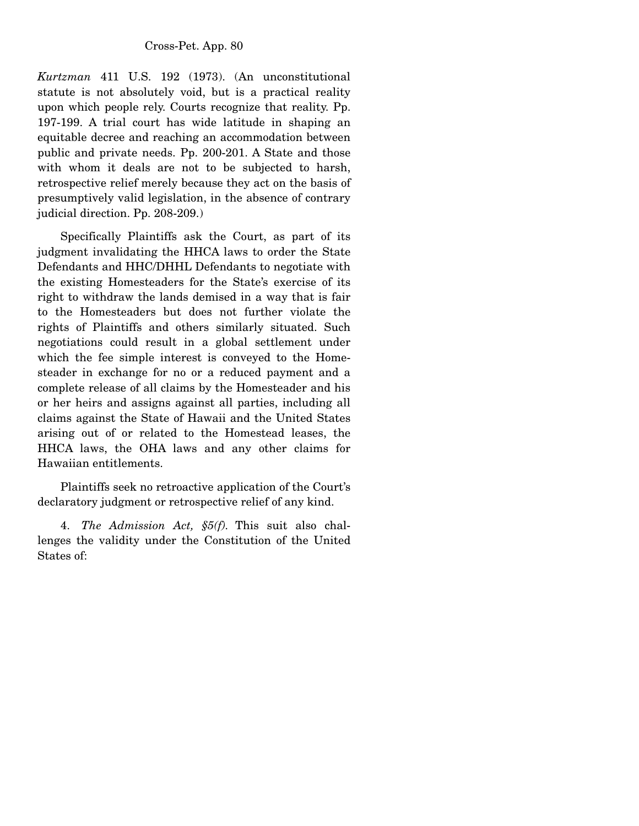*Kurtzman* 411 U.S. 192 (1973). (An unconstitutional statute is not absolutely void, but is a practical reality upon which people rely. Courts recognize that reality. Pp. 197-199. A trial court has wide latitude in shaping an equitable decree and reaching an accommodation between public and private needs. Pp. 200-201. A State and those with whom it deals are not to be subjected to harsh, retrospective relief merely because they act on the basis of presumptively valid legislation, in the absence of contrary judicial direction. Pp. 208-209.)

 Specifically Plaintiffs ask the Court, as part of its judgment invalidating the HHCA laws to order the State Defendants and HHC/DHHL Defendants to negotiate with the existing Homesteaders for the State's exercise of its right to withdraw the lands demised in a way that is fair to the Homesteaders but does not further violate the rights of Plaintiffs and others similarly situated. Such negotiations could result in a global settlement under which the fee simple interest is conveyed to the Homesteader in exchange for no or a reduced payment and a complete release of all claims by the Homesteader and his or her heirs and assigns against all parties, including all claims against the State of Hawaii and the United States arising out of or related to the Homestead leases, the HHCA laws, the OHA laws and any other claims for Hawaiian entitlements.

 Plaintiffs seek no retroactive application of the Court's declaratory judgment or retrospective relief of any kind.

 4. *The Admission Act, §5(f).* This suit also challenges the validity under the Constitution of the United States of: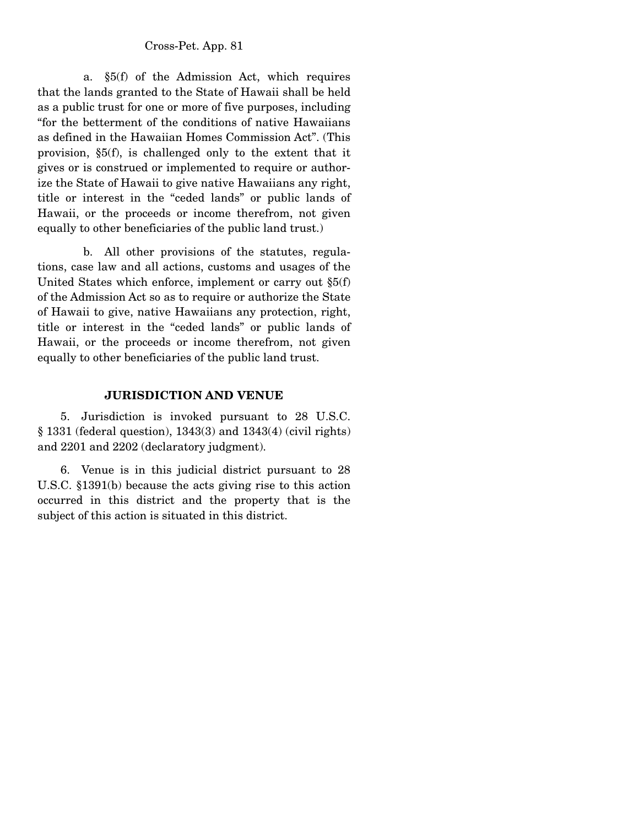a. §5(f) of the Admission Act, which requires that the lands granted to the State of Hawaii shall be held as a public trust for one or more of five purposes, including "for the betterment of the conditions of native Hawaiians as defined in the Hawaiian Homes Commission Act". (This provision, §5(f), is challenged only to the extent that it gives or is construed or implemented to require or authorize the State of Hawaii to give native Hawaiians any right, title or interest in the "ceded lands" or public lands of Hawaii, or the proceeds or income therefrom, not given equally to other beneficiaries of the public land trust.)

 b. All other provisions of the statutes, regulations, case law and all actions, customs and usages of the United States which enforce, implement or carry out §5(f) of the Admission Act so as to require or authorize the State of Hawaii to give, native Hawaiians any protection, right, title or interest in the "ceded lands" or public lands of Hawaii, or the proceeds or income therefrom, not given equally to other beneficiaries of the public land trust.

# **JURISDICTION AND VENUE**

 5. Jurisdiction is invoked pursuant to 28 U.S.C. § 1331 (federal question), 1343(3) and 1343(4) (civil rights) and 2201 and 2202 (declaratory judgment).

 6. Venue is in this judicial district pursuant to 28 U.S.C. §1391(b) because the acts giving rise to this action occurred in this district and the property that is the subject of this action is situated in this district.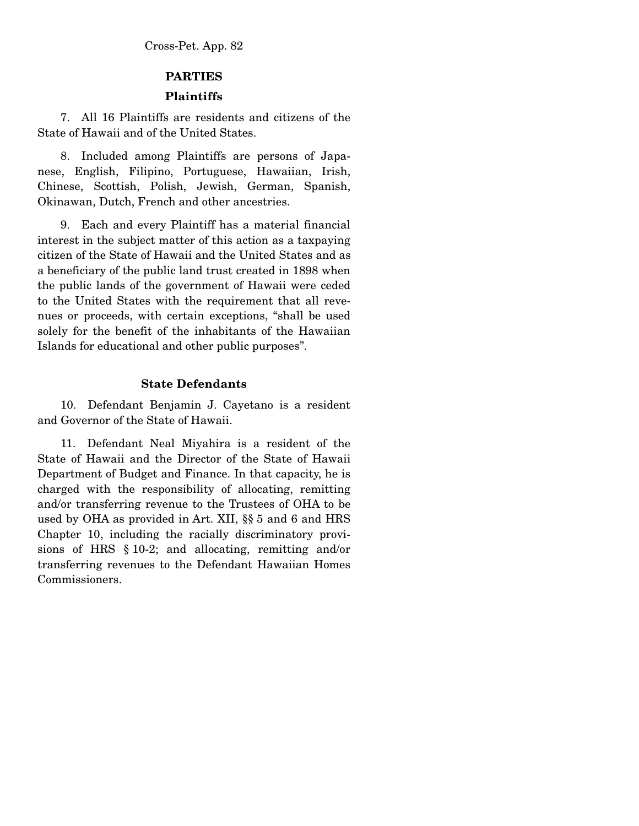## **PARTIES**

## **Plaintiffs**

 7. All 16 Plaintiffs are residents and citizens of the State of Hawaii and of the United States.

 8. Included among Plaintiffs are persons of Japanese, English, Filipino, Portuguese, Hawaiian, Irish, Chinese, Scottish, Polish, Jewish, German, Spanish, Okinawan, Dutch, French and other ancestries.

 9. Each and every Plaintiff has a material financial interest in the subject matter of this action as a taxpaying citizen of the State of Hawaii and the United States and as a beneficiary of the public land trust created in 1898 when the public lands of the government of Hawaii were ceded to the United States with the requirement that all revenues or proceeds, with certain exceptions, "shall be used solely for the benefit of the inhabitants of the Hawaiian Islands for educational and other public purposes".

#### **State Defendants**

 10. Defendant Benjamin J. Cayetano is a resident and Governor of the State of Hawaii.

 11. Defendant Neal Miyahira is a resident of the State of Hawaii and the Director of the State of Hawaii Department of Budget and Finance. In that capacity, he is charged with the responsibility of allocating, remitting and/or transferring revenue to the Trustees of OHA to be used by OHA as provided in Art. XII, §§ 5 and 6 and HRS Chapter 10, including the racially discriminatory provisions of HRS § 10-2; and allocating, remitting and/or transferring revenues to the Defendant Hawaiian Homes Commissioners.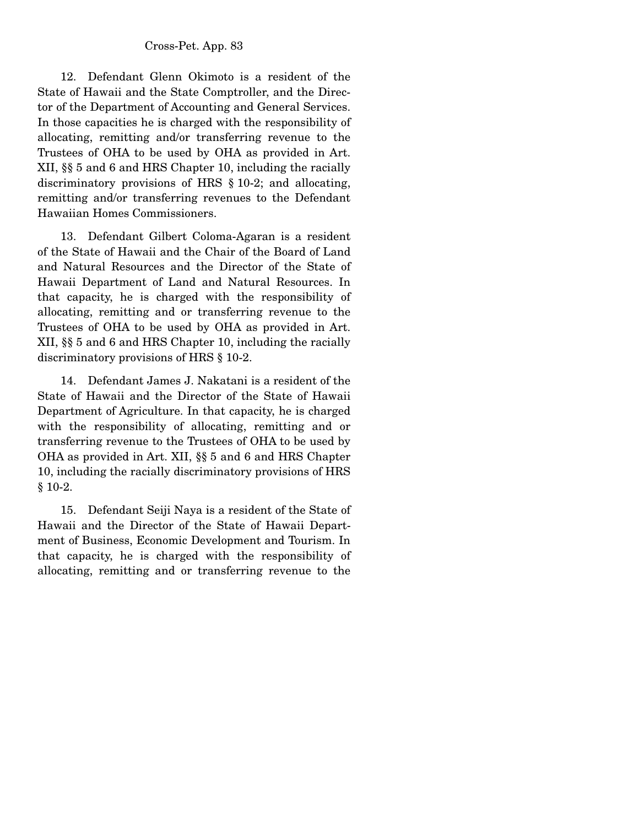12. Defendant Glenn Okimoto is a resident of the State of Hawaii and the State Comptroller, and the Director of the Department of Accounting and General Services. In those capacities he is charged with the responsibility of allocating, remitting and/or transferring revenue to the Trustees of OHA to be used by OHA as provided in Art. XII, §§ 5 and 6 and HRS Chapter 10, including the racially discriminatory provisions of HRS § 10-2; and allocating, remitting and/or transferring revenues to the Defendant Hawaiian Homes Commissioners.

 13. Defendant Gilbert Coloma-Agaran is a resident of the State of Hawaii and the Chair of the Board of Land and Natural Resources and the Director of the State of Hawaii Department of Land and Natural Resources. In that capacity, he is charged with the responsibility of allocating, remitting and or transferring revenue to the Trustees of OHA to be used by OHA as provided in Art. XII, §§ 5 and 6 and HRS Chapter 10, including the racially discriminatory provisions of HRS § 10-2.

 14. Defendant James J. Nakatani is a resident of the State of Hawaii and the Director of the State of Hawaii Department of Agriculture. In that capacity, he is charged with the responsibility of allocating, remitting and or transferring revenue to the Trustees of OHA to be used by OHA as provided in Art. XII, §§ 5 and 6 and HRS Chapter 10, including the racially discriminatory provisions of HRS § 10-2.

 15. Defendant Seiji Naya is a resident of the State of Hawaii and the Director of the State of Hawaii Department of Business, Economic Development and Tourism. In that capacity, he is charged with the responsibility of allocating, remitting and or transferring revenue to the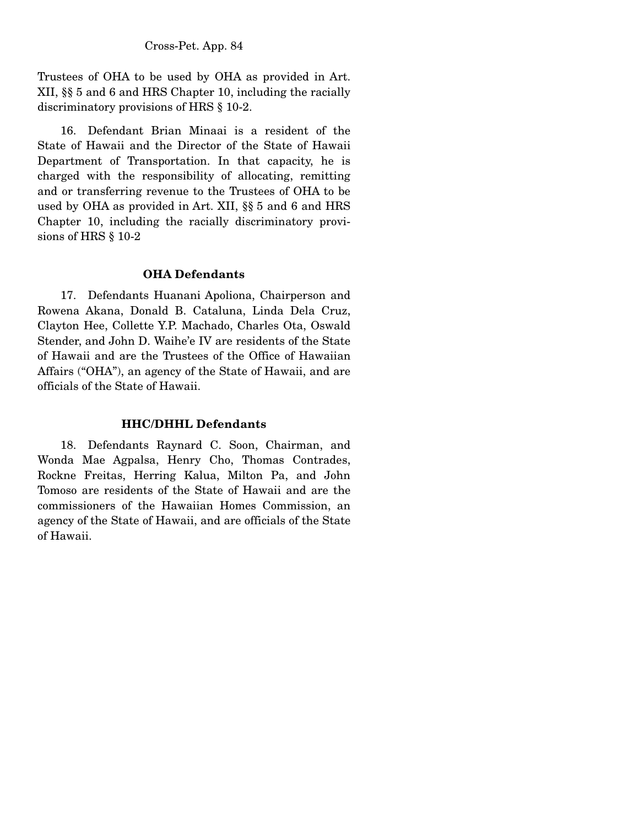Trustees of OHA to be used by OHA as provided in Art. XII, §§ 5 and 6 and HRS Chapter 10, including the racially discriminatory provisions of HRS § 10-2.

 16. Defendant Brian Minaai is a resident of the State of Hawaii and the Director of the State of Hawaii Department of Transportation. In that capacity, he is charged with the responsibility of allocating, remitting and or transferring revenue to the Trustees of OHA to be used by OHA as provided in Art. XII, §§ 5 and 6 and HRS Chapter 10, including the racially discriminatory provisions of HRS § 10-2

#### **OHA Defendants**

 17. Defendants Huanani Apoliona, Chairperson and Rowena Akana, Donald B. Cataluna, Linda Dela Cruz, Clayton Hee, Collette Y.P. Machado, Charles Ota, Oswald Stender, and John D. Waihe'e IV are residents of the State of Hawaii and are the Trustees of the Office of Hawaiian Affairs ("OHA"), an agency of the State of Hawaii, and are officials of the State of Hawaii.

#### **HHC/DHHL Defendants**

 18. Defendants Raynard C. Soon, Chairman, and Wonda Mae Agpalsa, Henry Cho, Thomas Contrades, Rockne Freitas, Herring Kalua, Milton Pa, and John Tomoso are residents of the State of Hawaii and are the commissioners of the Hawaiian Homes Commission, an agency of the State of Hawaii, and are officials of the State of Hawaii.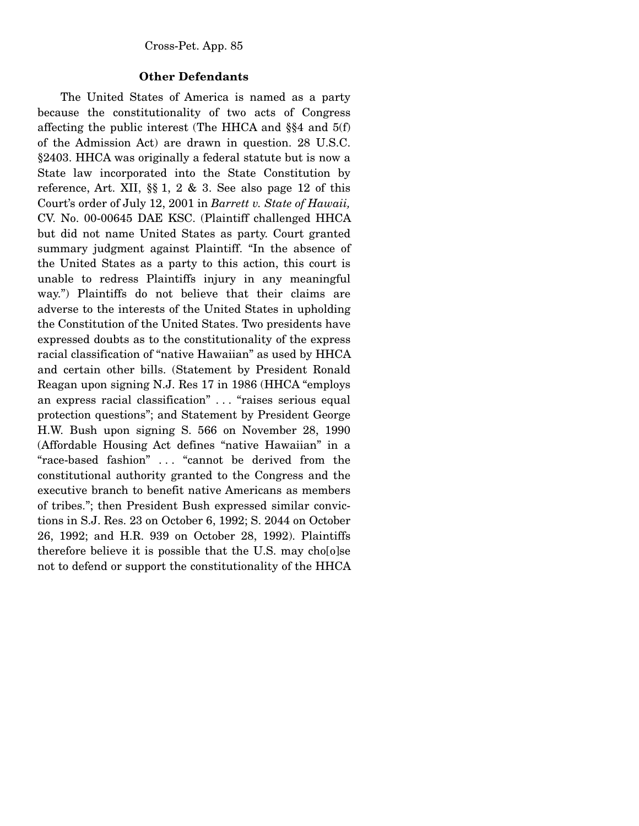#### **Other Defendants**

 The United States of America is named as a party because the constitutionality of two acts of Congress affecting the public interest (The HHCA and §§4 and 5(f) of the Admission Act) are drawn in question. 28 U.S.C. §2403. HHCA was originally a federal statute but is now a State law incorporated into the State Constitution by reference, Art. XII,  $\S$  1, 2 & 3. See also page 12 of this Court's order of July 12, 2001 in *Barrett v. State of Hawaii,*  CV. No. 00-00645 DAE KSC. (Plaintiff challenged HHCA but did not name United States as party. Court granted summary judgment against Plaintiff. "In the absence of the United States as a party to this action, this court is unable to redress Plaintiffs injury in any meaningful way.") Plaintiffs do not believe that their claims are adverse to the interests of the United States in upholding the Constitution of the United States. Two presidents have expressed doubts as to the constitutionality of the express racial classification of "native Hawaiian" as used by HHCA and certain other bills. (Statement by President Ronald Reagan upon signing N.J. Res 17 in 1986 (HHCA "employs an express racial classification" . . . "raises serious equal protection questions"; and Statement by President George H.W. Bush upon signing S. 566 on November 28, 1990 (Affordable Housing Act defines "native Hawaiian" in a "race-based fashion" . . . "cannot be derived from the constitutional authority granted to the Congress and the executive branch to benefit native Americans as members of tribes."; then President Bush expressed similar convictions in S.J. Res. 23 on October 6, 1992; S. 2044 on October 26, 1992; and H.R. 939 on October 28, 1992). Plaintiffs therefore believe it is possible that the U.S. may cho[o]se not to defend or support the constitutionality of the HHCA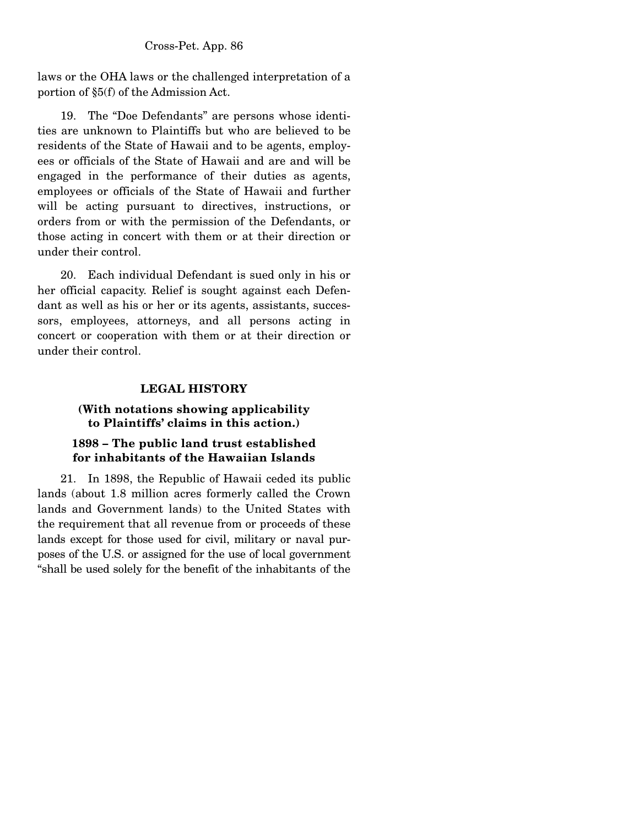laws or the OHA laws or the challenged interpretation of a portion of §5(f) of the Admission Act.

 19. The "Doe Defendants" are persons whose identities are unknown to Plaintiffs but who are believed to be residents of the State of Hawaii and to be agents, employees or officials of the State of Hawaii and are and will be engaged in the performance of their duties as agents, employees or officials of the State of Hawaii and further will be acting pursuant to directives, instructions, or orders from or with the permission of the Defendants, or those acting in concert with them or at their direction or under their control.

 20. Each individual Defendant is sued only in his or her official capacity. Relief is sought against each Defendant as well as his or her or its agents, assistants, successors, employees, attorneys, and all persons acting in concert or cooperation with them or at their direction or under their control.

# **LEGAL HISTORY**

# **(With notations showing applicability to Plaintiffs' claims in this action.)**

# **1898 – The public land trust established for inhabitants of the Hawaiian Islands**

 21. In 1898, the Republic of Hawaii ceded its public lands (about 1.8 million acres formerly called the Crown lands and Government lands) to the United States with the requirement that all revenue from or proceeds of these lands except for those used for civil, military or naval purposes of the U.S. or assigned for the use of local government "shall be used solely for the benefit of the inhabitants of the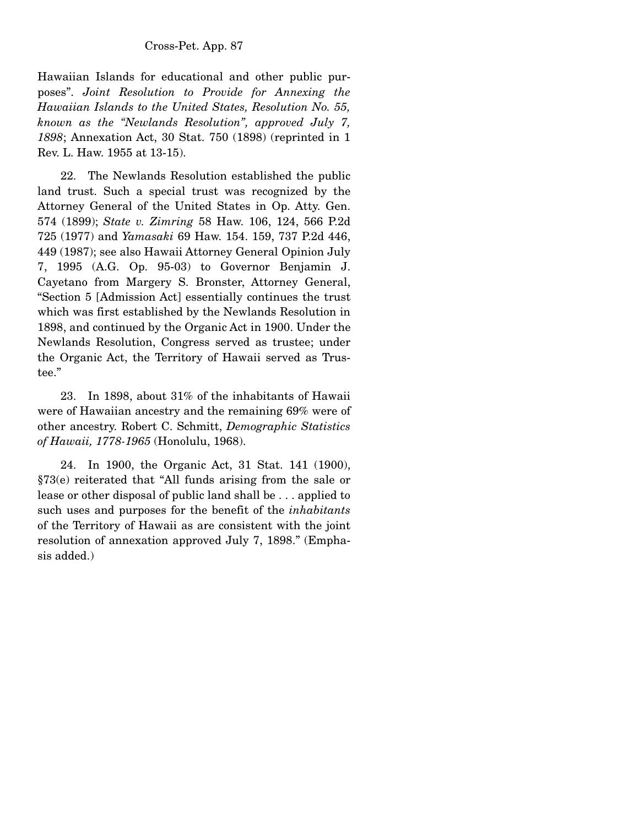Hawaiian Islands for educational and other public purposes". *Joint Resolution to Provide for Annexing the Hawaiian Islands to the United States, Resolution No. 55, known as the "Newlands Resolution", approved July 7, 1898*; Annexation Act, 30 Stat. 750 (1898) (reprinted in 1 Rev. L. Haw. 1955 at 13-15).

 22. The Newlands Resolution established the public land trust. Such a special trust was recognized by the Attorney General of the United States in Op. Atty. Gen. 574 (1899); *State v. Zimring* 58 Haw. 106, 124, 566 P.2d 725 (1977) and *Yamasaki* 69 Haw. 154. 159, 737 P.2d 446, 449 (1987); see also Hawaii Attorney General Opinion July 7, 1995 (A.G. Op. 95-03) to Governor Benjamin J. Cayetano from Margery S. Bronster, Attorney General, "Section 5 [Admission Act] essentially continues the trust which was first established by the Newlands Resolution in 1898, and continued by the Organic Act in 1900. Under the Newlands Resolution, Congress served as trustee; under the Organic Act, the Territory of Hawaii served as Trustee."

 23. In 1898, about 31% of the inhabitants of Hawaii were of Hawaiian ancestry and the remaining 69% were of other ancestry. Robert C. Schmitt, *Demographic Statistics of Hawaii, 1778-1965* (Honolulu, 1968).

 24. In 1900, the Organic Act, 31 Stat. 141 (1900), §73(e) reiterated that "All funds arising from the sale or lease or other disposal of public land shall be . . . applied to such uses and purposes for the benefit of the *inhabitants* of the Territory of Hawaii as are consistent with the joint resolution of annexation approved July 7, 1898." (Emphasis added.)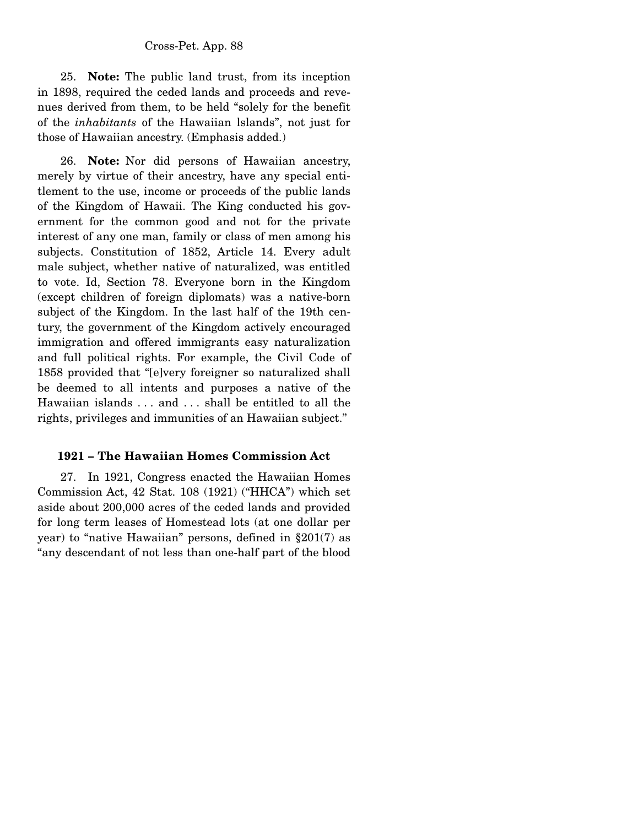25. **Note:** The public land trust, from its inception in 1898, required the ceded lands and proceeds and revenues derived from them, to be held "solely for the benefit of the *inhabitants* of the Hawaiian lslands", not just for those of Hawaiian ancestry. (Emphasis added.)

 26. **Note:** Nor did persons of Hawaiian ancestry, merely by virtue of their ancestry, have any special entitlement to the use, income or proceeds of the public lands of the Kingdom of Hawaii. The King conducted his government for the common good and not for the private interest of any one man, family or class of men among his subjects. Constitution of 1852, Article 14. Every adult male subject, whether native of naturalized, was entitled to vote. Id, Section 78. Everyone born in the Kingdom (except children of foreign diplomats) was a native-born subject of the Kingdom. In the last half of the 19th century, the government of the Kingdom actively encouraged immigration and offered immigrants easy naturalization and full political rights. For example, the Civil Code of 1858 provided that "[e]very foreigner so naturalized shall be deemed to all intents and purposes a native of the Hawaiian islands . . . and . . . shall be entitled to all the rights, privileges and immunities of an Hawaiian subject."

#### **1921 – The Hawaiian Homes Commission Act**

 27. In 1921, Congress enacted the Hawaiian Homes Commission Act, 42 Stat. 108 (1921) ("HHCA") which set aside about 200,000 acres of the ceded lands and provided for long term leases of Homestead lots (at one dollar per year) to "native Hawaiian" persons, defined in §201(7) as "any descendant of not less than one-half part of the blood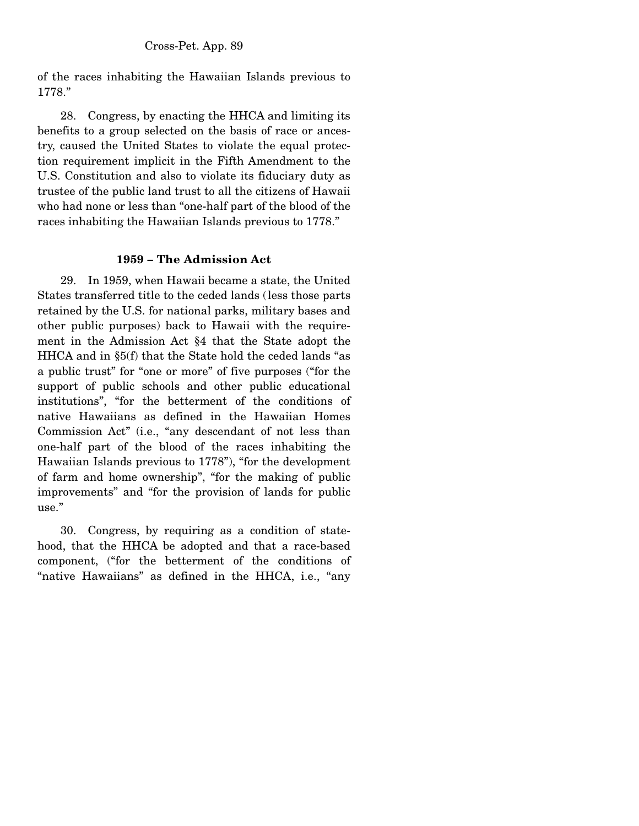of the races inhabiting the Hawaiian Islands previous to 1778."

 28. Congress, by enacting the HHCA and limiting its benefits to a group selected on the basis of race or ancestry, caused the United States to violate the equal protection requirement implicit in the Fifth Amendment to the U.S. Constitution and also to violate its fiduciary duty as trustee of the public land trust to all the citizens of Hawaii who had none or less than "one-half part of the blood of the races inhabiting the Hawaiian Islands previous to 1778."

#### **1959 – The Admission Act**

 29. In 1959, when Hawaii became a state, the United States transferred title to the ceded lands (less those parts retained by the U.S. for national parks, military bases and other public purposes) back to Hawaii with the requirement in the Admission Act §4 that the State adopt the HHCA and in §5(f) that the State hold the ceded lands "as a public trust" for "one or more" of five purposes ("for the support of public schools and other public educational institutions", "for the betterment of the conditions of native Hawaiians as defined in the Hawaiian Homes Commission Act" (i.e., "any descendant of not less than one-half part of the blood of the races inhabiting the Hawaiian Islands previous to 1778"), "for the development of farm and home ownership", "for the making of public improvements" and "for the provision of lands for public use."

 30. Congress, by requiring as a condition of statehood, that the HHCA be adopted and that a race-based component, ("for the betterment of the conditions of "native Hawaiians" as defined in the HHCA, i.e., "any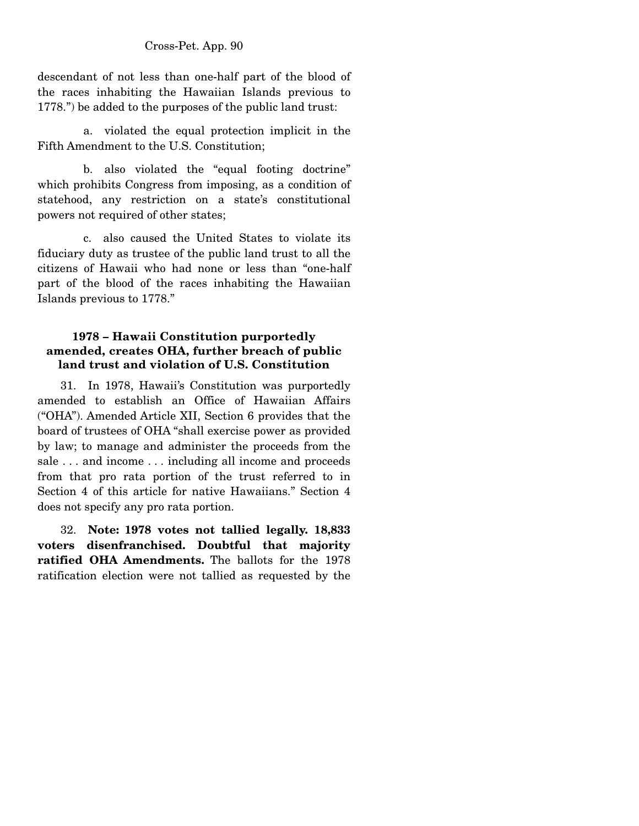descendant of not less than one-half part of the blood of the races inhabiting the Hawaiian Islands previous to 1778.") be added to the purposes of the public land trust:

 a. violated the equal protection implicit in the Fifth Amendment to the U.S. Constitution;

 b. also violated the "equal footing doctrine" which prohibits Congress from imposing, as a condition of statehood, any restriction on a state's constitutional powers not required of other states;

 c. also caused the United States to violate its fiduciary duty as trustee of the public land trust to all the citizens of Hawaii who had none or less than "one-half part of the blood of the races inhabiting the Hawaiian Islands previous to 1778."

# **1978 – Hawaii Constitution purportedly amended, creates OHA, further breach of public land trust and violation of U.S. Constitution**

 31. In 1978, Hawaii's Constitution was purportedly amended to establish an Office of Hawaiian Affairs ("OHA''). Amended Article XII, Section 6 provides that the board of trustees of OHA "shall exercise power as provided by law; to manage and administer the proceeds from the sale . . . and income . . . including all income and proceeds from that pro rata portion of the trust referred to in Section 4 of this article for native Hawaiians." Section 4 does not specify any pro rata portion.

32. **Note: 1978 votes not tallied legally. 18,833 voters disenfranchised. Doubtful that majority ratified OHA Amendments.** The ballots for the 1978 ratification election were not tallied as requested by the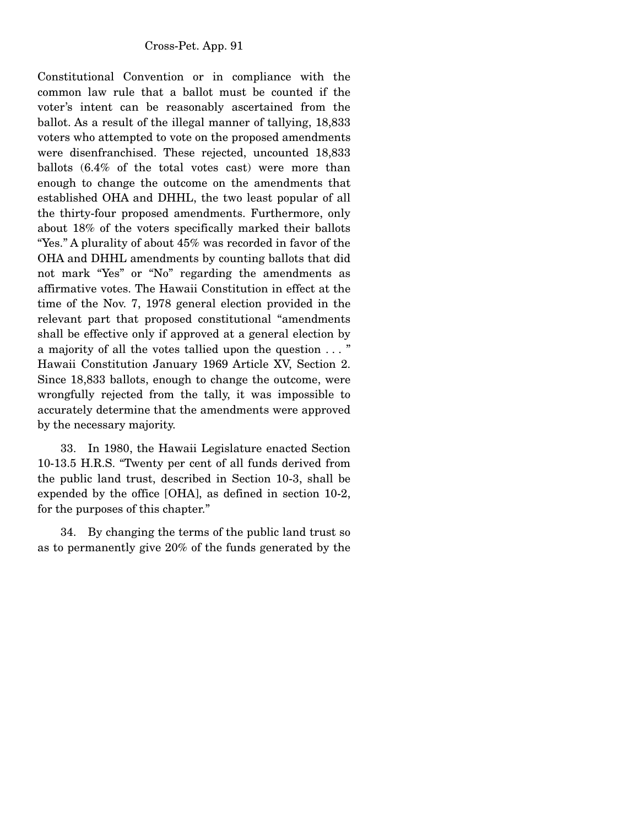Constitutional Convention or in compliance with the common law rule that a ballot must be counted if the voter's intent can be reasonably ascertained from the ballot. As a result of the illegal manner of tallying, 18,833 voters who attempted to vote on the proposed amendments were disenfranchised. These rejected, uncounted 18,833 ballots (6.4% of the total votes cast) were more than enough to change the outcome on the amendments that established OHA and DHHL, the two least popular of all the thirty-four proposed amendments. Furthermore, only about 18% of the voters specifically marked their ballots "Yes." A plurality of about 45% was recorded in favor of the OHA and DHHL amendments by counting ballots that did not mark "Yes" or "No" regarding the amendments as affirmative votes. The Hawaii Constitution in effect at the time of the Nov. 7, 1978 general election provided in the relevant part that proposed constitutional "amendments shall be effective only if approved at a general election by a majority of all the votes tallied upon the question . . . " Hawaii Constitution January 1969 Article XV, Section 2. Since 18,833 ballots, enough to change the outcome, were wrongfully rejected from the tally, it was impossible to accurately determine that the amendments were approved by the necessary majority.

 33. In 1980, the Hawaii Legislature enacted Section 10-13.5 H.R.S. "Twenty per cent of all funds derived from the public land trust, described in Section 10-3, shall be expended by the office [OHA], as defined in section 10-2, for the purposes of this chapter."

 34. By changing the terms of the public land trust so as to permanently give 20% of the funds generated by the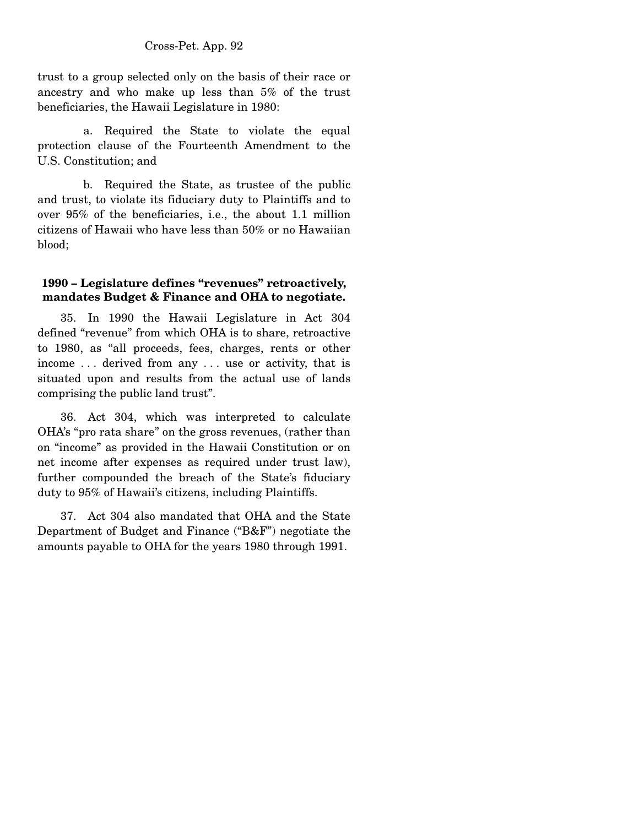trust to a group selected only on the basis of their race or ancestry and who make up less than 5% of the trust beneficiaries, the Hawaii Legislature in 1980:

 a. Required the State to violate the equal protection clause of the Fourteenth Amendment to the U.S. Constitution; and

 b. Required the State, as trustee of the public and trust, to violate its fiduciary duty to Plaintiffs and to over 95% of the beneficiaries, i.e., the about 1.1 million citizens of Hawaii who have less than 50% or no Hawaiian blood;

# **1990 – Legislature defines "revenues" retroactively, mandates Budget & Finance and OHA to negotiate.**

 35. In 1990 the Hawaii Legislature in Act 304 defined "revenue" from which OHA is to share, retroactive to 1980, as "all proceeds, fees, charges, rents or other income . . . derived from any . . . use or activity, that is situated upon and results from the actual use of lands comprising the public land trust".

 36. Act 304, which was interpreted to calculate OHA's "pro rata share" on the gross revenues, (rather than on "income" as provided in the Hawaii Constitution or on net income after expenses as required under trust law), further compounded the breach of the State's fiduciary duty to 95% of Hawaii's citizens, including Plaintiffs.

 37. Act 304 also mandated that OHA and the State Department of Budget and Finance ("B&F") negotiate the amounts payable to OHA for the years 1980 through 1991.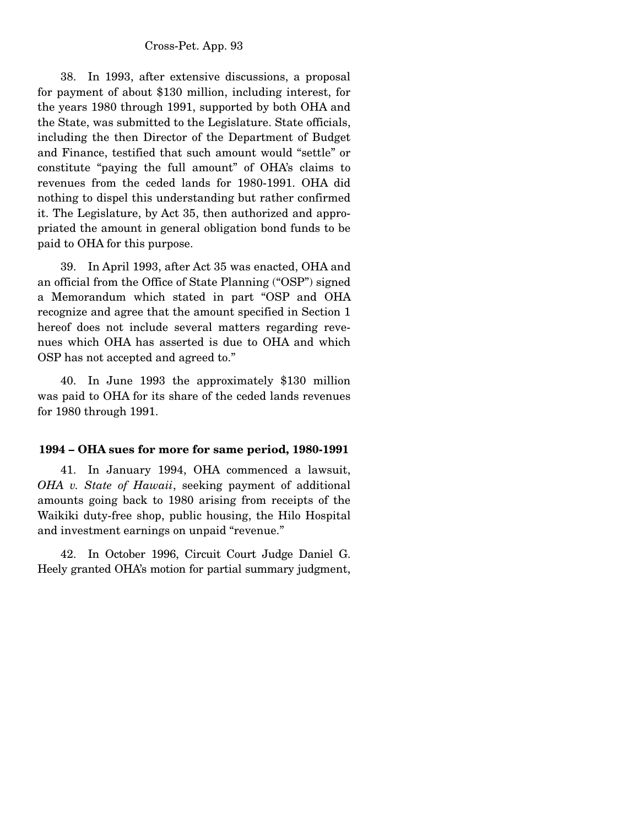38. In 1993, after extensive discussions, a proposal for payment of about \$130 million, including interest, for the years 1980 through 1991, supported by both OHA and the State, was submitted to the Legislature. State officials, including the then Director of the Department of Budget and Finance, testified that such amount would "settle" or constitute "paying the full amount" of OHA's claims to revenues from the ceded lands for 1980-1991. OHA did nothing to dispel this understanding but rather confirmed it. The Legislature, by Act 35, then authorized and appropriated the amount in general obligation bond funds to be paid to OHA for this purpose.

 39. In April 1993, after Act 35 was enacted, OHA and an official from the Office of State Planning ("OSP") signed a Memorandum which stated in part "OSP and OHA recognize and agree that the amount specified in Section 1 hereof does not include several matters regarding revenues which OHA has asserted is due to OHA and which OSP has not accepted and agreed to."

 40. In June 1993 the approximately \$130 million was paid to OHA for its share of the ceded lands revenues for 1980 through 1991.

#### **1994 – OHA sues for more for same period, 1980-1991**

 41. In January 1994, OHA commenced a lawsuit, *OHA v. State of Hawaii*, seeking payment of additional amounts going back to 1980 arising from receipts of the Waikiki duty-free shop, public housing, the Hilo Hospital and investment earnings on unpaid "revenue."

 42. In October 1996, Circuit Court Judge Daniel G. Heely granted OHA's motion for partial summary judgment,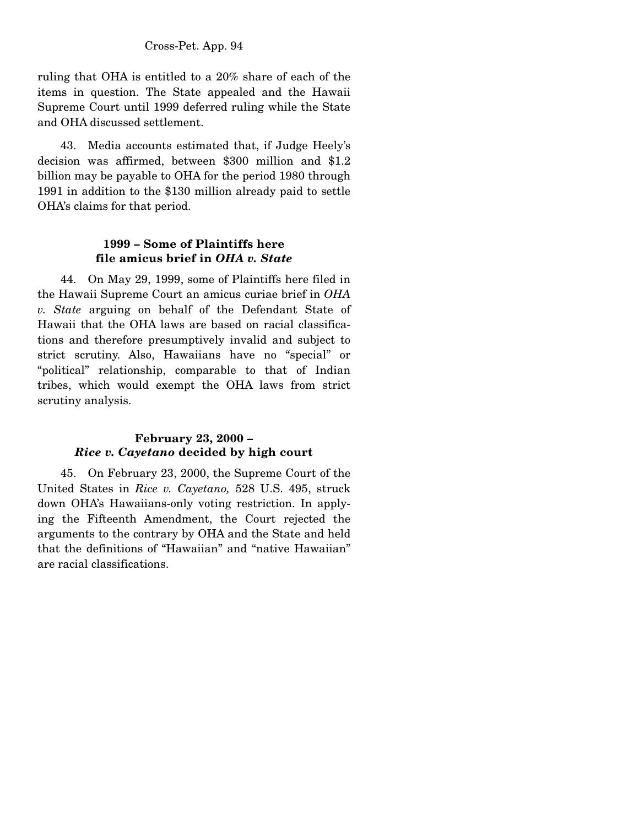ruling that OHA is entitled to a 20% share of each of the items in question. The State appealed and the Hawaii Supreme Court until 1999 deferred ruling while the State and OHA discussed settlement.

 43. Media accounts estimated that, if Judge Heely's decision was affirmed, between \$300 million and \$1.2 billion may be payable to OHA for the period 1980 through 1991 in addition to the \$130 million already paid to settle OHA's claims for that period.

# **1999 – Some of Plaintiffs here file amicus brief in** *OHA v. State*

44. On May 29, 1999, some of Plaintiffs here filed in the Hawaii Supreme Court an amicus curiae brief in *OHA v. State* arguing on behalf of the Defendant State of Hawaii that the OHA laws are based on racial classifications and therefore presumptively invalid and subject to strict scrutiny. Also, Hawaiians have no "special" or "political" relationship, comparable to that of Indian tribes, which would exempt the OHA laws from strict scrutiny analysis.

# **February 23, 2000 –**  *Rice v. Cayetano* **decided by high court**

 45. On February 23, 2000, the Supreme Court of the United States in *Rice v. Cayetano,* 528 U.S. 495, struck down OHA's Hawaiians-only voting restriction. In applying the Fifteenth Amendment, the Court rejected the arguments to the contrary by OHA and the State and held that the definitions of "Hawaiian" and "native Hawaiian" are racial classifications.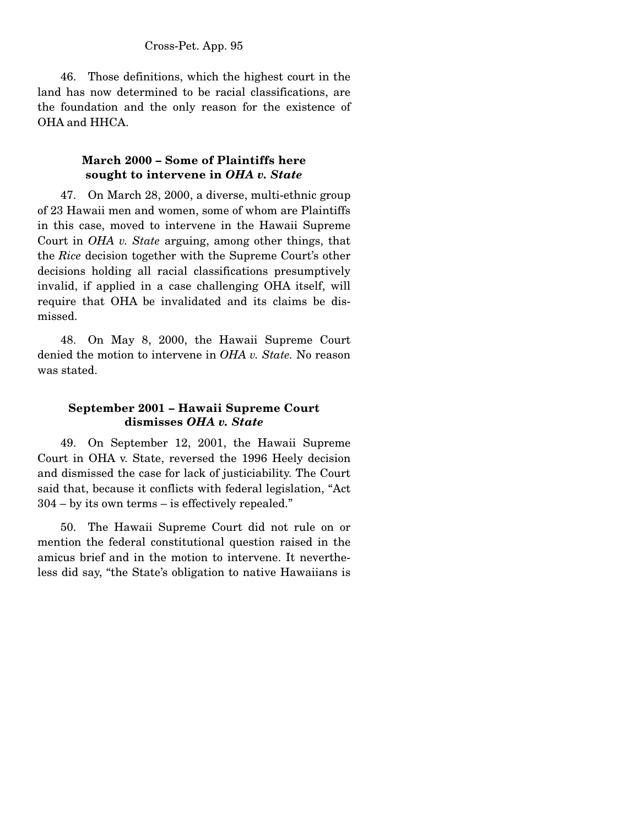46. Those definitions, which the highest court in the land has now determined to be racial classifications, are the foundation and the only reason for the existence of OHA and HHCA.

# **March 2000 – Some of Plaintiffs here sought to intervene in** *OHA v. State*

 47. On March 28, 2000, a diverse, multi-ethnic group of 23 Hawaii men and women, some of whom are Plaintiffs in this case, moved to intervene in the Hawaii Supreme Court in *OHA v. State* arguing, among other things, that the *Rice* decision together with the Supreme Court's other decisions holding all racial classifications presumptively invalid, if applied in a case challenging OHA itself, will require that OHA be invalidated and its claims be dismissed.

 48. On May 8, 2000, the Hawaii Supreme Court denied the motion to intervene in *OHA v. State.* No reason was stated.

# **September 2001 – Hawaii Supreme Court dismisses** *OHA v. State*

 49. On September 12, 2001, the Hawaii Supreme Court in OHA v. State, reversed the 1996 Heely decision and dismissed the case for lack of justiciability. The Court said that, because it conflicts with federal legislation, "Act 304 – by its own terms – is effectively repealed."

 50. The Hawaii Supreme Court did not rule on or mention the federal constitutional question raised in the amicus brief and in the motion to intervene. It nevertheless did say, "the State's obligation to native Hawaiians is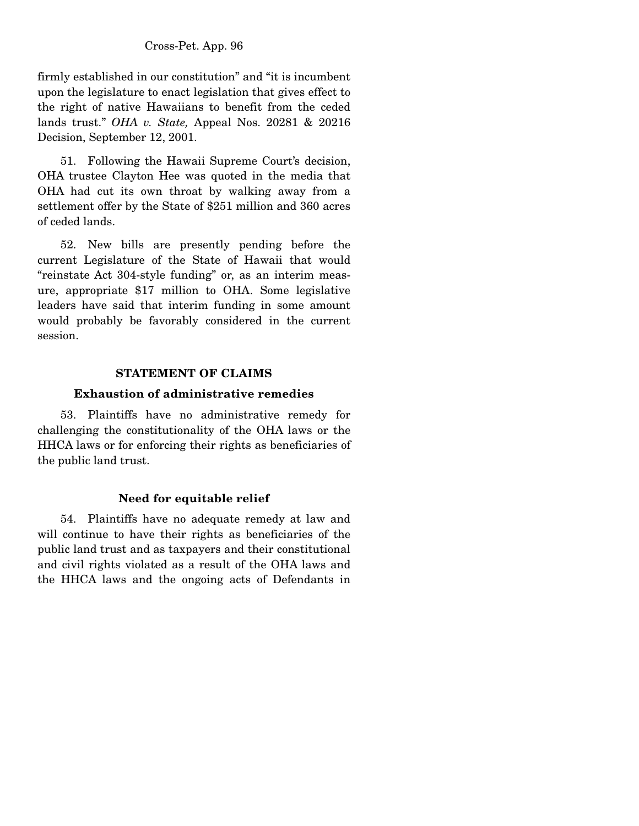firmly established in our constitution" and "it is incumbent upon the legislature to enact legislation that gives effect to the right of native Hawaiians to benefit from the ceded lands trust." *OHA v. State,* Appeal Nos. 20281 & 20216 Decision, September 12, 2001.

 51. Following the Hawaii Supreme Court's decision, OHA trustee Clayton Hee was quoted in the media that OHA had cut its own throat by walking away from a settlement offer by the State of \$251 million and 360 acres of ceded lands.

 52. New bills are presently pending before the current Legislature of the State of Hawaii that would "reinstate Act 304-style funding" or, as an interim measure, appropriate \$17 million to OHA. Some legislative leaders have said that interim funding in some amount would probably be favorably considered in the current session.

# **STATEMENT OF CLAIMS**

# **Exhaustion of administrative remedies**

 53. Plaintiffs have no administrative remedy for challenging the constitutionality of the OHA laws or the HHCA laws or for enforcing their rights as beneficiaries of the public land trust.

# **Need for equitable relief**

 54. Plaintiffs have no adequate remedy at law and will continue to have their rights as beneficiaries of the public land trust and as taxpayers and their constitutional and civil rights violated as a result of the OHA laws and the HHCA laws and the ongoing acts of Defendants in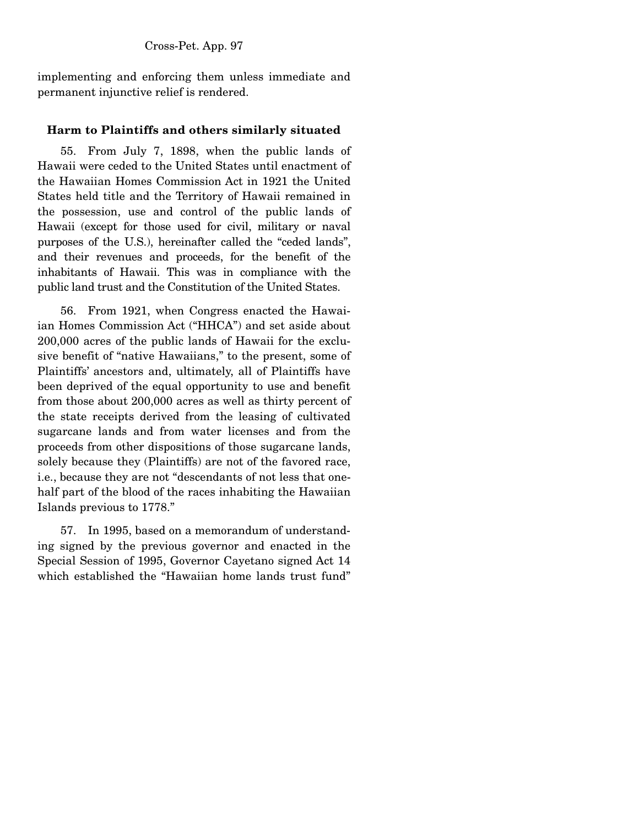implementing and enforcing them unless immediate and permanent injunctive relief is rendered.

# **Harm to Plaintiffs and others similarly situated**

 55. From July 7, 1898, when the public lands of Hawaii were ceded to the United States until enactment of the Hawaiian Homes Commission Act in 1921 the United States held title and the Territory of Hawaii remained in the possession, use and control of the public lands of Hawaii (except for those used for civil, military or naval purposes of the U.S.), hereinafter called the "ceded lands", and their revenues and proceeds, for the benefit of the inhabitants of Hawaii. This was in compliance with the public land trust and the Constitution of the United States.

 56. From 1921, when Congress enacted the Hawaiian Homes Commission Act ("HHCA") and set aside about 200,000 acres of the public lands of Hawaii for the exclusive benefit of "native Hawaiians," to the present, some of Plaintiffs' ancestors and, ultimately, all of Plaintiffs have been deprived of the equal opportunity to use and benefit from those about 200,000 acres as well as thirty percent of the state receipts derived from the leasing of cultivated sugarcane lands and from water licenses and from the proceeds from other dispositions of those sugarcane lands, solely because they (Plaintiffs) are not of the favored race, i.e., because they are not "descendants of not less that onehalf part of the blood of the races inhabiting the Hawaiian Islands previous to 1778."

 57. In 1995, based on a memorandum of understanding signed by the previous governor and enacted in the Special Session of 1995, Governor Cayetano signed Act 14 which established the "Hawaiian home lands trust fund"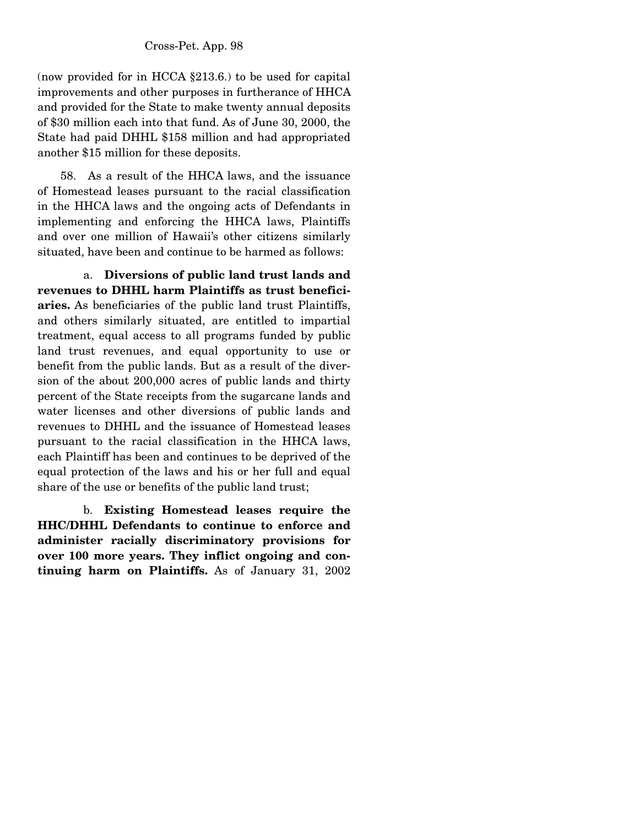(now provided for in HCCA §213.6.) to be used for capital improvements and other purposes in furtherance of HHCA and provided for the State to make twenty annual deposits of \$30 million each into that fund. As of June 30, 2000, the State had paid DHHL \$158 million and had appropriated another \$15 million for these deposits.

 58. As a result of the HHCA laws, and the issuance of Homestead leases pursuant to the racial classification in the HHCA laws and the ongoing acts of Defendants in implementing and enforcing the HHCA laws, Plaintiffs and over one million of Hawaii's other citizens similarly situated, have been and continue to be harmed as follows:

 a. **Diversions of public land trust lands and revenues to DHHL harm Plaintiffs as trust beneficiaries.** As beneficiaries of the public land trust Plaintiffs, and others similarly situated, are entitled to impartial treatment, equal access to all programs funded by public land trust revenues, and equal opportunity to use or benefit from the public lands. But as a result of the diversion of the about 200,000 acres of public lands and thirty percent of the State receipts from the sugarcane lands and water licenses and other diversions of public lands and revenues to DHHL and the issuance of Homestead leases pursuant to the racial classification in the HHCA laws, each Plaintiff has been and continues to be deprived of the equal protection of the laws and his or her full and equal share of the use or benefits of the public land trust;

 b. **Existing Homestead leases require the HHC/DHHL Defendants to continue to enforce and administer racially discriminatory provisions for over 100 more years. They inflict ongoing and continuing harm on Plaintiffs.** As of January 31, 2002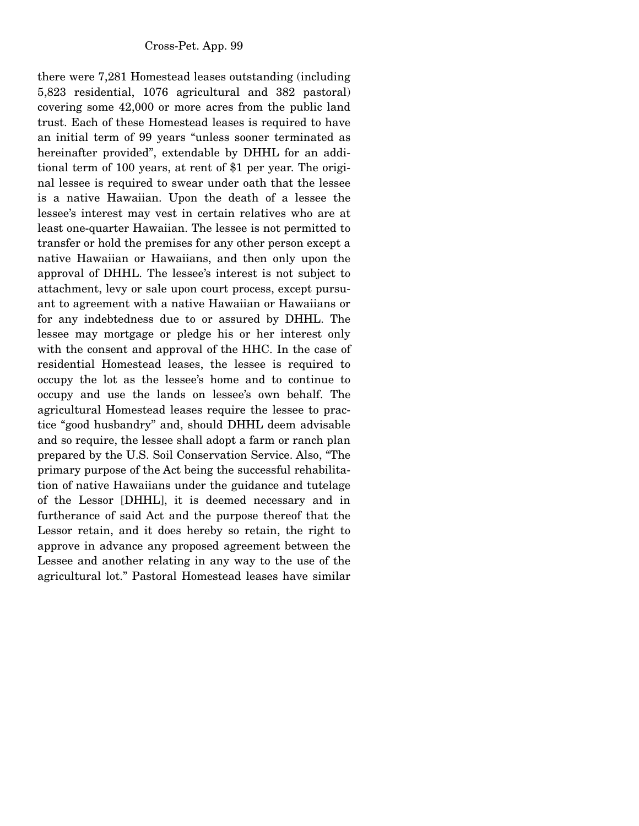there were 7,281 Homestead leases outstanding (including 5,823 residential, 1076 agricultural and 382 pastoral) covering some 42,000 or more acres from the public land trust. Each of these Homestead leases is required to have an initial term of 99 years "unless sooner terminated as hereinafter provided", extendable by DHHL for an additional term of 100 years, at rent of \$1 per year. The original lessee is required to swear under oath that the lessee is a native Hawaiian. Upon the death of a lessee the lessee's interest may vest in certain relatives who are at least one-quarter Hawaiian. The lessee is not permitted to transfer or hold the premises for any other person except a native Hawaiian or Hawaiians, and then only upon the approval of DHHL. The lessee's interest is not subject to attachment, levy or sale upon court process, except pursuant to agreement with a native Hawaiian or Hawaiians or for any indebtedness due to or assured by DHHL. The lessee may mortgage or pledge his or her interest only with the consent and approval of the HHC. In the case of residential Homestead leases, the lessee is required to occupy the lot as the lessee's home and to continue to occupy and use the lands on lessee's own behalf. The agricultural Homestead leases require the lessee to practice "good husbandry" and, should DHHL deem advisable and so require, the lessee shall adopt a farm or ranch plan prepared by the U.S. Soil Conservation Service. Also, "The primary purpose of the Act being the successful rehabilitation of native Hawaiians under the guidance and tutelage of the Lessor [DHHL], it is deemed necessary and in furtherance of said Act and the purpose thereof that the Lessor retain, and it does hereby so retain, the right to approve in advance any proposed agreement between the Lessee and another relating in any way to the use of the agricultural lot." Pastoral Homestead leases have similar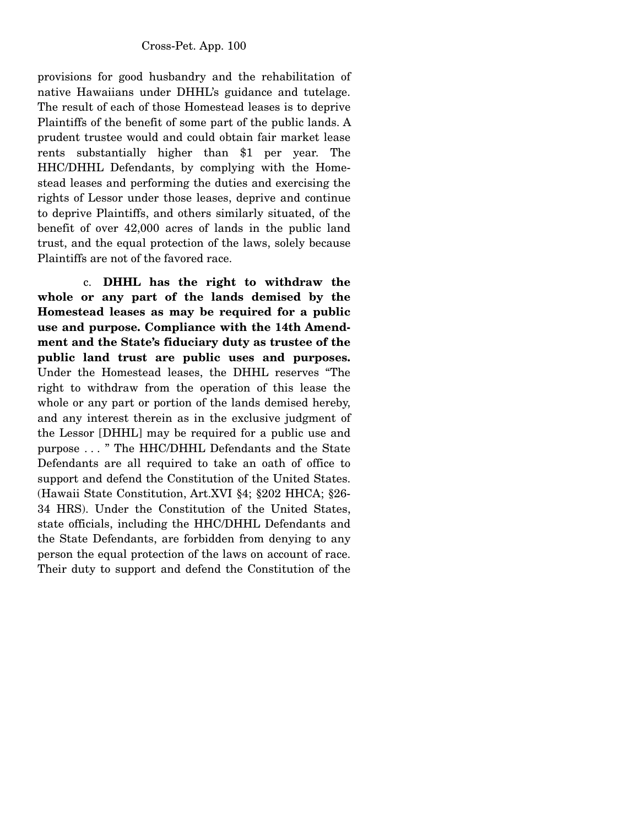provisions for good husbandry and the rehabilitation of native Hawaiians under DHHL's guidance and tutelage. The result of each of those Homestead leases is to deprive Plaintiffs of the benefit of some part of the public lands. A prudent trustee would and could obtain fair market lease rents substantially higher than \$1 per year. The HHC/DHHL Defendants, by complying with the Homestead leases and performing the duties and exercising the rights of Lessor under those leases, deprive and continue to deprive Plaintiffs, and others similarly situated, of the benefit of over 42,000 acres of lands in the public land trust, and the equal protection of the laws, solely because Plaintiffs are not of the favored race.

 c. **DHHL has the right to withdraw the whole or any part of the lands demised by the Homestead leases as may be required for a public use and purpose. Compliance with the 14th Amendment and the State's fiduciary duty as trustee of the public land trust are public uses and purposes.**  Under the Homestead leases, the DHHL reserves "The right to withdraw from the operation of this lease the whole or any part or portion of the lands demised hereby, and any interest therein as in the exclusive judgment of the Lessor [DHHL] may be required for a public use and purpose . . . " The HHC/DHHL Defendants and the State Defendants are all required to take an oath of office to support and defend the Constitution of the United States. (Hawaii State Constitution, Art.XVI §4; §202 HHCA; §26- 34 HRS). Under the Constitution of the United States, state officials, including the HHC/DHHL Defendants and the State Defendants, are forbidden from denying to any person the equal protection of the laws on account of race. Their duty to support and defend the Constitution of the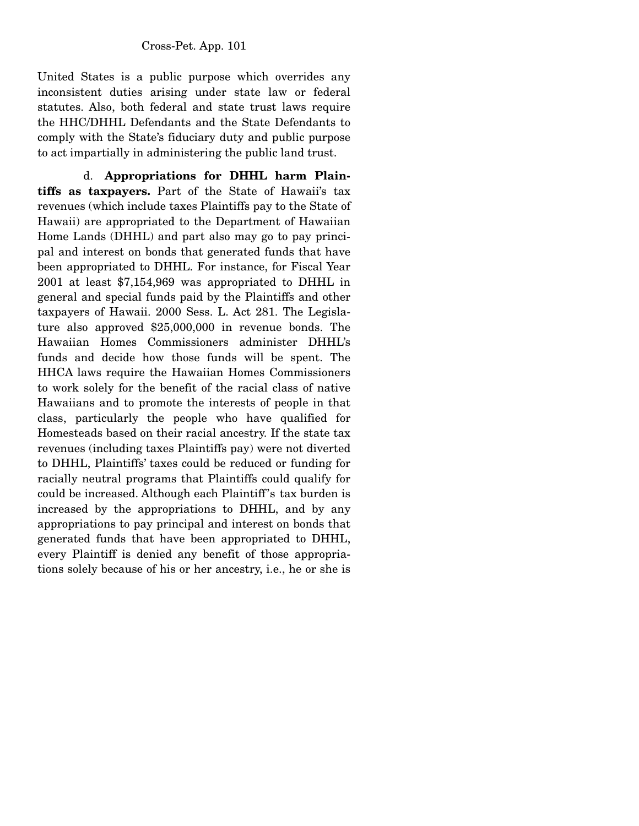United States is a public purpose which overrides any inconsistent duties arising under state law or federal statutes. Also, both federal and state trust laws require the HHC/DHHL Defendants and the State Defendants to comply with the State's fiduciary duty and public purpose to act impartially in administering the public land trust.

 d. **Appropriations for DHHL harm Plaintiffs as taxpayers.** Part of the State of Hawaii's tax revenues (which include taxes Plaintiffs pay to the State of Hawaii) are appropriated to the Department of Hawaiian Home Lands (DHHL) and part also may go to pay principal and interest on bonds that generated funds that have been appropriated to DHHL. For instance, for Fiscal Year 2001 at least \$7,154,969 was appropriated to DHHL in general and special funds paid by the Plaintiffs and other taxpayers of Hawaii. 2000 Sess. L. Act 281. The Legislature also approved \$25,000,000 in revenue bonds. The Hawaiian Homes Commissioners administer DHHL's funds and decide how those funds will be spent. The HHCA laws require the Hawaiian Homes Commissioners to work solely for the benefit of the racial class of native Hawaiians and to promote the interests of people in that class, particularly the people who have qualified for Homesteads based on their racial ancestry. If the state tax revenues (including taxes Plaintiffs pay) were not diverted to DHHL, Plaintiffs' taxes could be reduced or funding for racially neutral programs that Plaintiffs could qualify for could be increased. Although each Plaintiff's tax burden is increased by the appropriations to DHHL, and by any appropriations to pay principal and interest on bonds that generated funds that have been appropriated to DHHL, every Plaintiff is denied any benefit of those appropriations solely because of his or her ancestry, i.e., he or she is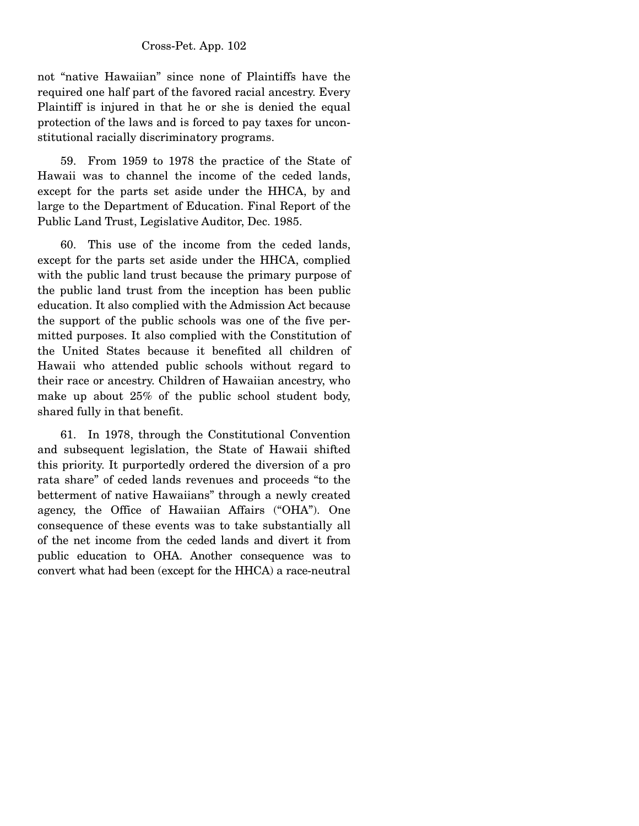#### Cross-Pet. App. 102

not "native Hawaiian" since none of Plaintiffs have the required one half part of the favored racial ancestry. Every Plaintiff is injured in that he or she is denied the equal protection of the laws and is forced to pay taxes for unconstitutional racially discriminatory programs.

 59. From 1959 to 1978 the practice of the State of Hawaii was to channel the income of the ceded lands, except for the parts set aside under the HHCA, by and large to the Department of Education. Final Report of the Public Land Trust, Legislative Auditor, Dec. 1985.

 60. This use of the income from the ceded lands, except for the parts set aside under the HHCA, complied with the public land trust because the primary purpose of the public land trust from the inception has been public education. It also complied with the Admission Act because the support of the public schools was one of the five permitted purposes. It also complied with the Constitution of the United States because it benefited all children of Hawaii who attended public schools without regard to their race or ancestry. Children of Hawaiian ancestry, who make up about 25% of the public school student body, shared fully in that benefit.

 61. In 1978, through the Constitutional Convention and subsequent legislation, the State of Hawaii shifted this priority. It purportedly ordered the diversion of a pro rata share" of ceded lands revenues and proceeds "to the betterment of native Hawaiians" through a newly created agency, the Office of Hawaiian Affairs ("OHA"). One consequence of these events was to take substantially all of the net income from the ceded lands and divert it from public education to OHA. Another consequence was to convert what had been (except for the HHCA) a race-neutral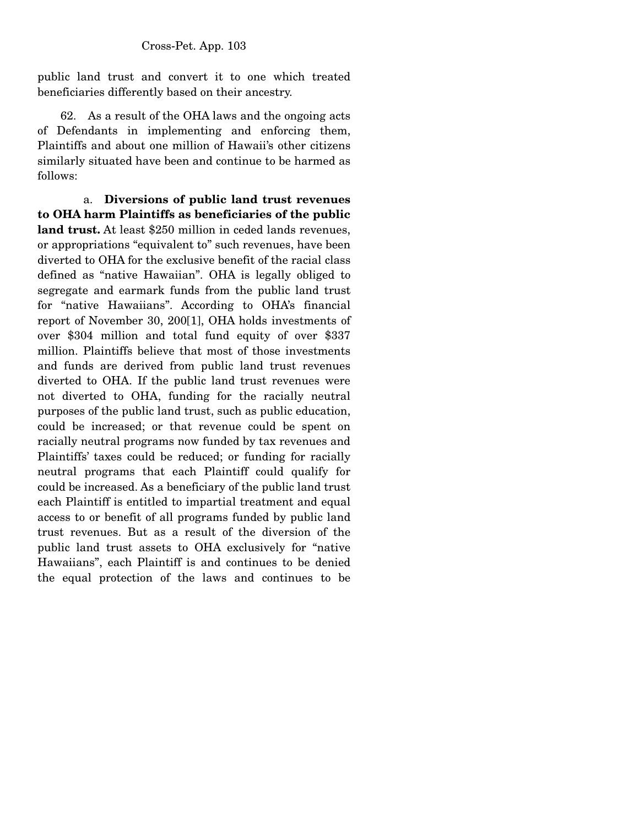public land trust and convert it to one which treated beneficiaries differently based on their ancestry.

 62. As a result of the OHA laws and the ongoing acts of Defendants in implementing and enforcing them, Plaintiffs and about one million of Hawaii's other citizens similarly situated have been and continue to be harmed as follows:

 a. **Diversions of public land trust revenues to OHA harm Plaintiffs as beneficiaries of the public land trust.** At least \$250 million in ceded lands revenues, or appropriations "equivalent to" such revenues, have been diverted to OHA for the exclusive benefit of the racial class defined as "native Hawaiian". OHA is legally obliged to segregate and earmark funds from the public land trust for "native Hawaiians". According to OHA's financial report of November 30, 200[1], OHA holds investments of over \$304 million and total fund equity of over \$337 million. Plaintiffs believe that most of those investments and funds are derived from public land trust revenues diverted to OHA. If the public land trust revenues were not diverted to OHA, funding for the racially neutral purposes of the public land trust, such as public education, could be increased; or that revenue could be spent on racially neutral programs now funded by tax revenues and Plaintiffs' taxes could be reduced; or funding for racially neutral programs that each Plaintiff could qualify for could be increased. As a beneficiary of the public land trust each Plaintiff is entitled to impartial treatment and equal access to or benefit of all programs funded by public land trust revenues. But as a result of the diversion of the public land trust assets to OHA exclusively for "native Hawaiians", each Plaintiff is and continues to be denied the equal protection of the laws and continues to be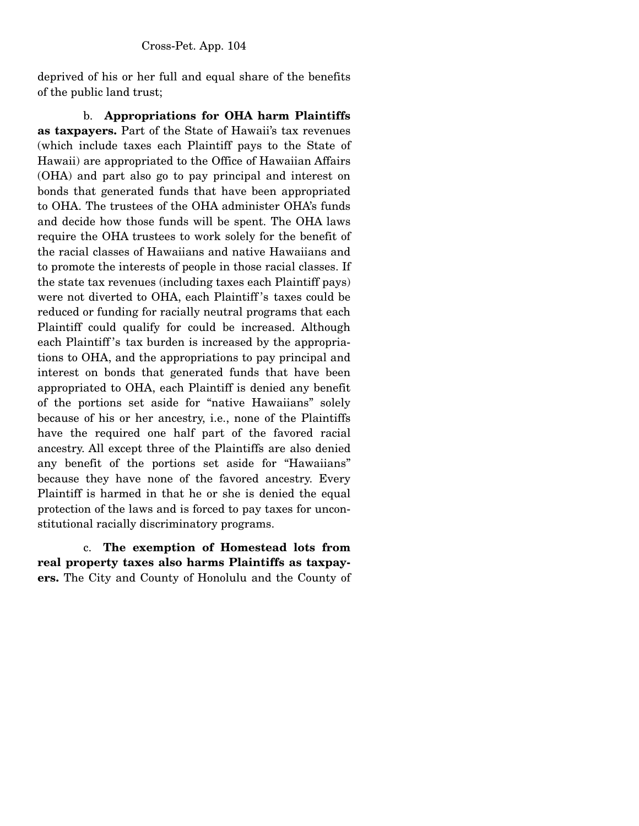deprived of his or her full and equal share of the benefits of the public land trust;

 b. **Appropriations for OHA harm Plaintiffs as taxpayers.** Part of the State of Hawaii's tax revenues (which include taxes each Plaintiff pays to the State of Hawaii) are appropriated to the Office of Hawaiian Affairs (OHA) and part also go to pay principal and interest on bonds that generated funds that have been appropriated to OHA. The trustees of the OHA administer OHA's funds and decide how those funds will be spent. The OHA laws require the OHA trustees to work solely for the benefit of the racial classes of Hawaiians and native Hawaiians and to promote the interests of people in those racial classes. If the state tax revenues (including taxes each Plaintiff pays) were not diverted to OHA, each Plaintiff 's taxes could be reduced or funding for racially neutral programs that each Plaintiff could qualify for could be increased. Although each Plaintiff 's tax burden is increased by the appropriations to OHA, and the appropriations to pay principal and interest on bonds that generated funds that have been appropriated to OHA, each Plaintiff is denied any benefit of the portions set aside for "native Hawaiians" solely because of his or her ancestry, i.e., none of the Plaintiffs have the required one half part of the favored racial ancestry. All except three of the Plaintiffs are also denied any benefit of the portions set aside for "Hawaiians" because they have none of the favored ancestry. Every Plaintiff is harmed in that he or she is denied the equal protection of the laws and is forced to pay taxes for unconstitutional racially discriminatory programs.

 c. **The exemption of Homestead lots from real property taxes also harms Plaintiffs as taxpayers.** The City and County of Honolulu and the County of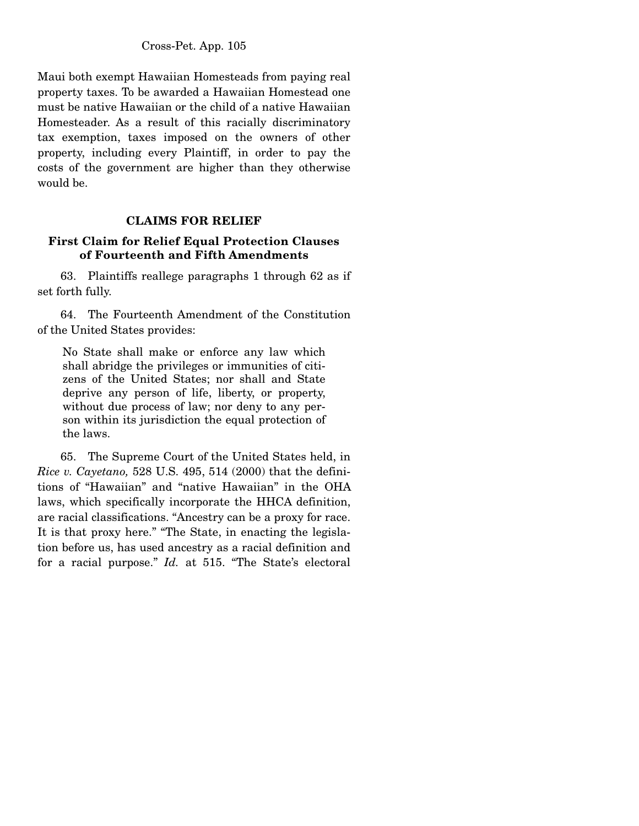Maui both exempt Hawaiian Homesteads from paying real property taxes. To be awarded a Hawaiian Homestead one must be native Hawaiian or the child of a native Hawaiian Homesteader. As a result of this racially discriminatory tax exemption, taxes imposed on the owners of other property, including every Plaintiff, in order to pay the costs of the government are higher than they otherwise would be.

## **CLAIMS FOR RELIEF**

## **First Claim for Relief Equal Protection Clauses of Fourteenth and Fifth Amendments**

 63. Plaintiffs reallege paragraphs 1 through 62 as if set forth fully.

 64. The Fourteenth Amendment of the Constitution of the United States provides:

No State shall make or enforce any law which shall abridge the privileges or immunities of citizens of the United States; nor shall and State deprive any person of life, liberty, or property, without due process of law; nor deny to any person within its jurisdiction the equal protection of the laws.

 65. The Supreme Court of the United States held, in *Rice v. Cayetano,* 528 U.S. 495, 514 (2000) that the definitions of "Hawaiian" and "native Hawaiian" in the OHA laws, which specifically incorporate the HHCA definition, are racial classifications. "Ancestry can be a proxy for race. It is that proxy here." "The State, in enacting the legislation before us, has used ancestry as a racial definition and for a racial purpose." *Id.* at 515. "The State's electoral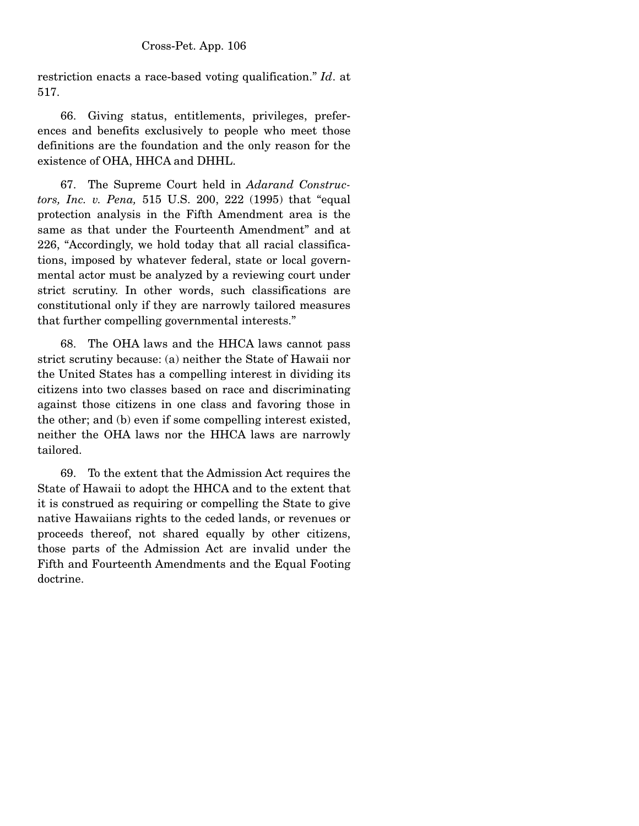restriction enacts a race-based voting qualification." *Id*. at 517.

 66. Giving status, entitlements, privileges, preferences and benefits exclusively to people who meet those definitions are the foundation and the only reason for the existence of OHA, HHCA and DHHL.

 67. The Supreme Court held in *Adarand Constructors, Inc. v. Pena,* 515 U.S. 200, 222 (1995) that "equal protection analysis in the Fifth Amendment area is the same as that under the Fourteenth Amendment" and at 226, "Accordingly, we hold today that all racial classifications, imposed by whatever federal, state or local governmental actor must be analyzed by a reviewing court under strict scrutiny. In other words, such classifications are constitutional only if they are narrowly tailored measures that further compelling governmental interests."

 68. The OHA laws and the HHCA laws cannot pass strict scrutiny because: (a) neither the State of Hawaii nor the United States has a compelling interest in dividing its citizens into two classes based on race and discriminating against those citizens in one class and favoring those in the other; and (b) even if some compelling interest existed, neither the OHA laws nor the HHCA laws are narrowly tailored.

 69. To the extent that the Admission Act requires the State of Hawaii to adopt the HHCA and to the extent that it is construed as requiring or compelling the State to give native Hawaiians rights to the ceded lands, or revenues or proceeds thereof, not shared equally by other citizens, those parts of the Admission Act are invalid under the Fifth and Fourteenth Amendments and the Equal Footing doctrine.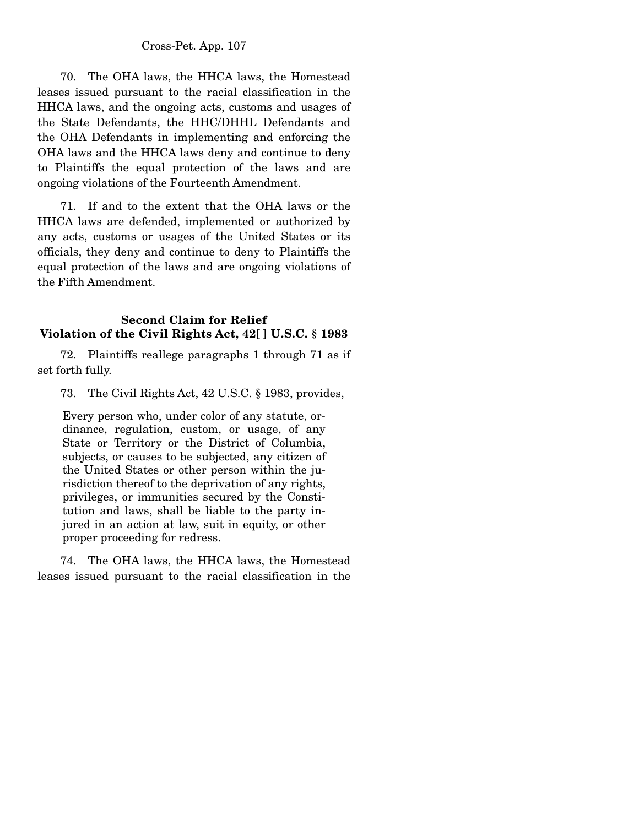#### Cross-Pet. App. 107

 70. The OHA laws, the HHCA laws, the Homestead leases issued pursuant to the racial classification in the HHCA laws, and the ongoing acts, customs and usages of the State Defendants, the HHC/DHHL Defendants and the OHA Defendants in implementing and enforcing the OHA laws and the HHCA laws deny and continue to deny to Plaintiffs the equal protection of the laws and are ongoing violations of the Fourteenth Amendment.

 71. If and to the extent that the OHA laws or the HHCA laws are defended, implemented or authorized by any acts, customs or usages of the United States or its officials, they deny and continue to deny to Plaintiffs the equal protection of the laws and are ongoing violations of the Fifth Amendment.

## **Second Claim for Relief Violation of the Civil Rights Act, 42[ ] U.S.C. § 1983**

 72. Plaintiffs reallege paragraphs 1 through 71 as if set forth fully.

73. The Civil Rights Act, 42 U.S.C. § 1983, provides,

Every person who, under color of any statute, ordinance, regulation, custom, or usage, of any State or Territory or the District of Columbia, subjects, or causes to be subjected, any citizen of the United States or other person within the jurisdiction thereof to the deprivation of any rights, privileges, or immunities secured by the Constitution and laws, shall be liable to the party injured in an action at law, suit in equity, or other proper proceeding for redress.

 74. The OHA laws, the HHCA laws, the Homestead leases issued pursuant to the racial classification in the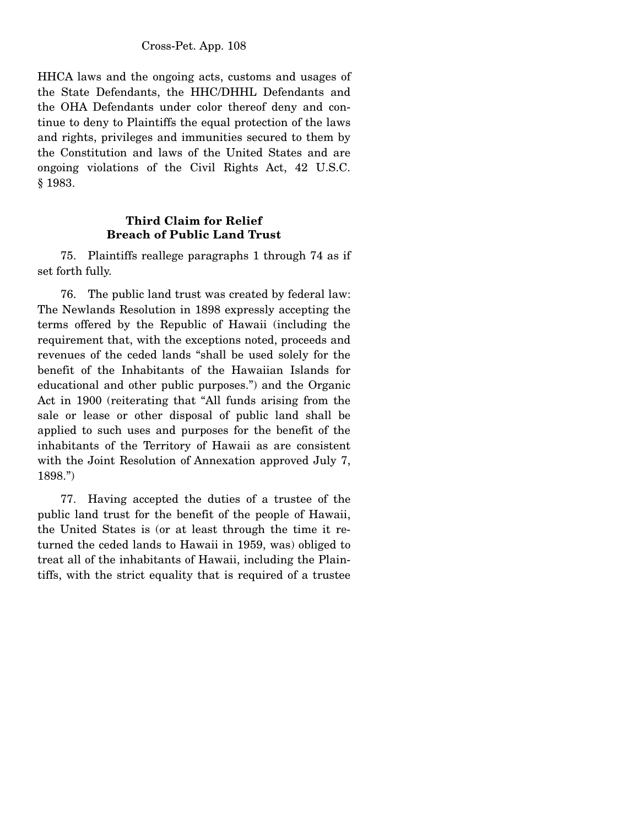HHCA laws and the ongoing acts, customs and usages of the State Defendants, the HHC/DHHL Defendants and the OHA Defendants under color thereof deny and continue to deny to Plaintiffs the equal protection of the laws and rights, privileges and immunities secured to them by the Constitution and laws of the United States and are ongoing violations of the Civil Rights Act, 42 U.S.C. § 1983.

### **Third Claim for Relief Breach of Public Land Trust**

 75. Plaintiffs reallege paragraphs 1 through 74 as if set forth fully.

 76. The public land trust was created by federal law: The Newlands Resolution in 1898 expressly accepting the terms offered by the Republic of Hawaii (including the requirement that, with the exceptions noted, proceeds and revenues of the ceded lands "shall be used solely for the benefit of the Inhabitants of the Hawaiian Islands for educational and other public purposes.") and the Organic Act in 1900 (reiterating that "All funds arising from the sale or lease or other disposal of public land shall be applied to such uses and purposes for the benefit of the inhabitants of the Territory of Hawaii as are consistent with the Joint Resolution of Annexation approved July 7, 1898.")

 77. Having accepted the duties of a trustee of the public land trust for the benefit of the people of Hawaii, the United States is (or at least through the time it returned the ceded lands to Hawaii in 1959, was) obliged to treat all of the inhabitants of Hawaii, including the Plaintiffs, with the strict equality that is required of a trustee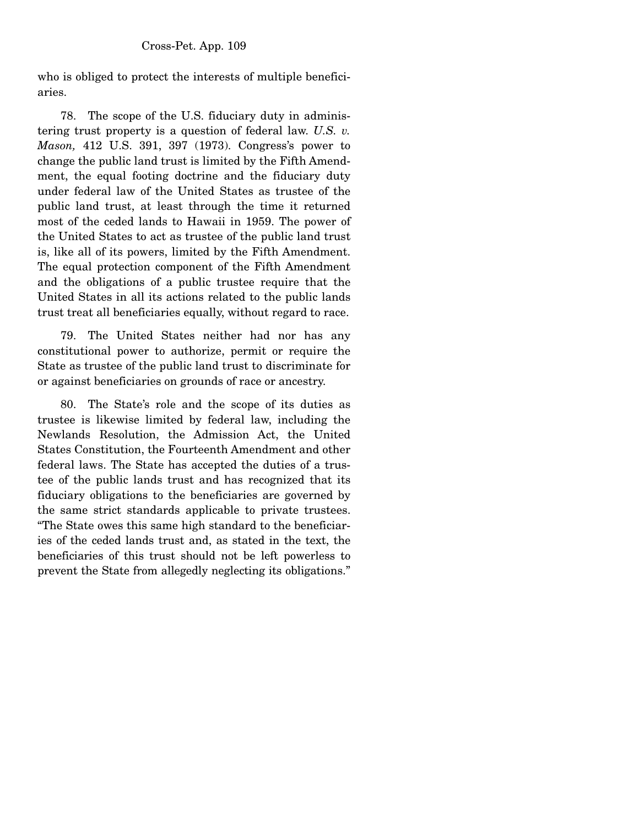who is obliged to protect the interests of multiple beneficiaries.

 78. The scope of the U.S. fiduciary duty in administering trust property is a question of federal law. *U.S. v. Mason,* 412 U.S. 391, 397 (1973). Congress's power to change the public land trust is limited by the Fifth Amendment, the equal footing doctrine and the fiduciary duty under federal law of the United States as trustee of the public land trust, at least through the time it returned most of the ceded lands to Hawaii in 1959. The power of the United States to act as trustee of the public land trust is, like all of its powers, limited by the Fifth Amendment. The equal protection component of the Fifth Amendment and the obligations of a public trustee require that the United States in all its actions related to the public lands trust treat all beneficiaries equally, without regard to race.

 79. The United States neither had nor has any constitutional power to authorize, permit or require the State as trustee of the public land trust to discriminate for or against beneficiaries on grounds of race or ancestry.

 80. The State's role and the scope of its duties as trustee is likewise limited by federal law, including the Newlands Resolution, the Admission Act, the United States Constitution, the Fourteenth Amendment and other federal laws. The State has accepted the duties of a trustee of the public lands trust and has recognized that its fiduciary obligations to the beneficiaries are governed by the same strict standards applicable to private trustees. "The State owes this same high standard to the beneficiaries of the ceded lands trust and, as stated in the text, the beneficiaries of this trust should not be left powerless to prevent the State from allegedly neglecting its obligations."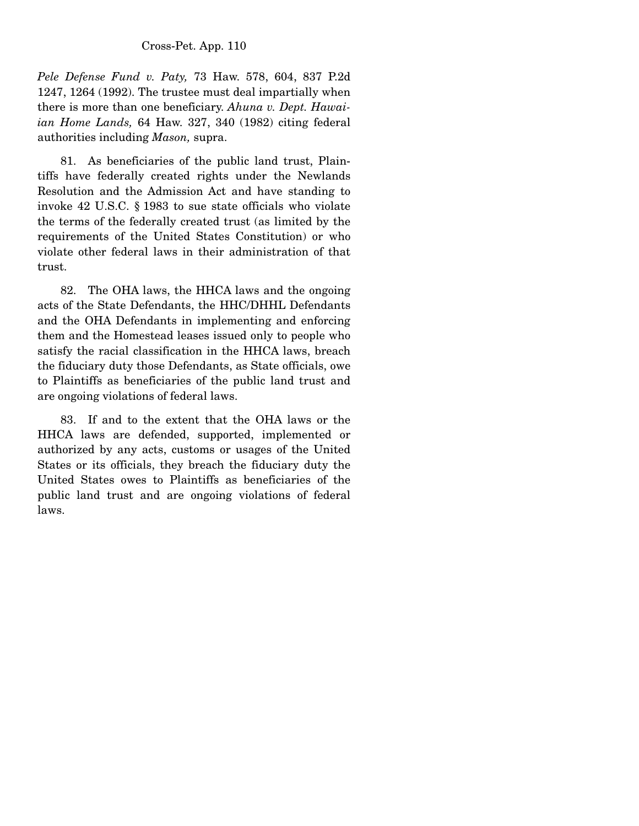*Pele Defense Fund v. Paty,* 73 Haw. 578, 604, 837 P.2d 1247, 1264 (1992). The trustee must deal impartially when there is more than one beneficiary. *Ahuna v. Dept. Hawaiian Home Lands,* 64 Haw. 327, 340 (1982) citing federal authorities including *Mason,* supra.

 81. As beneficiaries of the public land trust, Plaintiffs have federally created rights under the Newlands Resolution and the Admission Act and have standing to invoke 42 U.S.C. § 1983 to sue state officials who violate the terms of the federally created trust (as limited by the requirements of the United States Constitution) or who violate other federal laws in their administration of that trust.

 82. The OHA laws, the HHCA laws and the ongoing acts of the State Defendants, the HHC/DHHL Defendants and the OHA Defendants in implementing and enforcing them and the Homestead leases issued only to people who satisfy the racial classification in the HHCA laws, breach the fiduciary duty those Defendants, as State officials, owe to Plaintiffs as beneficiaries of the public land trust and are ongoing violations of federal laws.

 83. If and to the extent that the OHA laws or the HHCA laws are defended, supported, implemented or authorized by any acts, customs or usages of the United States or its officials, they breach the fiduciary duty the United States owes to Plaintiffs as beneficiaries of the public land trust and are ongoing violations of federal laws.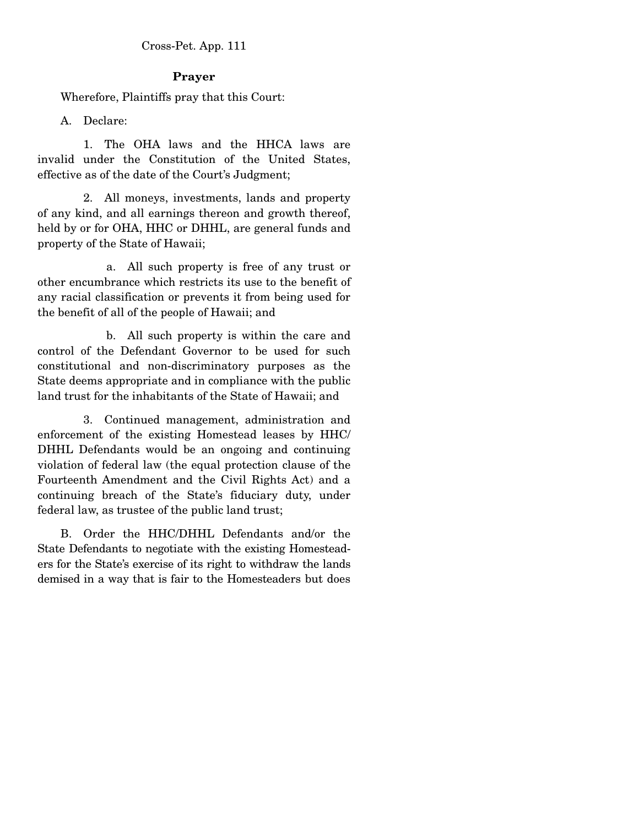## **Prayer**

Wherefore, Plaintiffs pray that this Court:

A. Declare:

 1. The OHA laws and the HHCA laws are invalid under the Constitution of the United States, effective as of the date of the Court's Judgment;

 2. All moneys, investments, lands and property of any kind, and all earnings thereon and growth thereof, held by or for OHA, HHC or DHHL, are general funds and property of the State of Hawaii;

 a. All such property is free of any trust or other encumbrance which restricts its use to the benefit of any racial classification or prevents it from being used for the benefit of all of the people of Hawaii; and

 b. All such property is within the care and control of the Defendant Governor to be used for such constitutional and non-discriminatory purposes as the State deems appropriate and in compliance with the public land trust for the inhabitants of the State of Hawaii; and

 3. Continued management, administration and enforcement of the existing Homestead leases by HHC/ DHHL Defendants would be an ongoing and continuing violation of federal law (the equal protection clause of the Fourteenth Amendment and the Civil Rights Act) and a continuing breach of the State's fiduciary duty, under federal law, as trustee of the public land trust;

 B. Order the HHC/DHHL Defendants and/or the State Defendants to negotiate with the existing Homesteaders for the State's exercise of its right to withdraw the lands demised in a way that is fair to the Homesteaders but does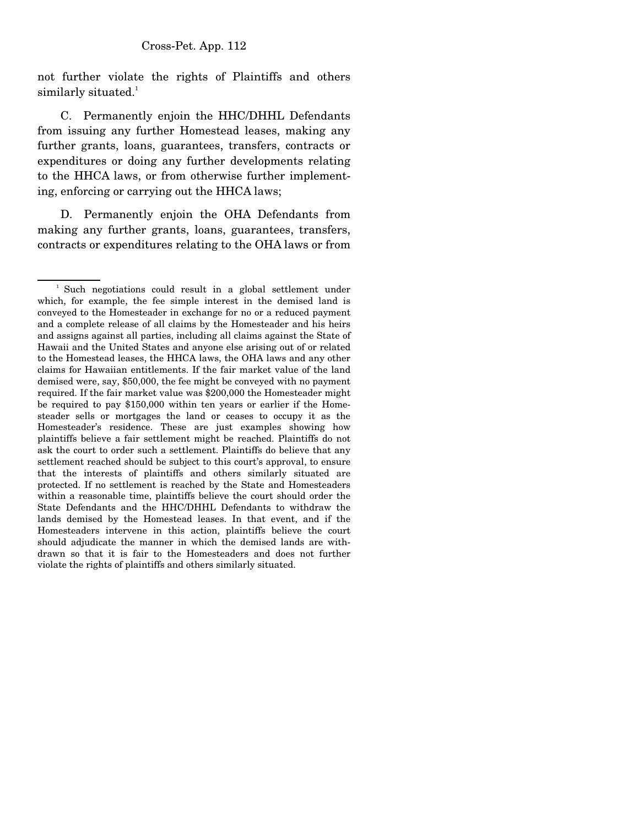not further violate the rights of Plaintiffs and others similarly situated.<sup>1</sup>

 C. Permanently enjoin the HHC/DHHL Defendants from issuing any further Homestead leases, making any further grants, loans, guarantees, transfers, contracts or expenditures or doing any further developments relating to the HHCA laws, or from otherwise further implementing, enforcing or carrying out the HHCA laws;

 D. Permanently enjoin the OHA Defendants from making any further grants, loans, guarantees, transfers, contracts or expenditures relating to the OHA laws or from

<sup>&</sup>lt;sup>1</sup> Such negotiations could result in a global settlement under which, for example, the fee simple interest in the demised land is conveyed to the Homesteader in exchange for no or a reduced payment and a complete release of all claims by the Homesteader and his heirs and assigns against all parties, including all claims against the State of Hawaii and the United States and anyone else arising out of or related to the Homestead leases, the HHCA laws, the OHA laws and any other claims for Hawaiian entitlements. If the fair market value of the land demised were, say, \$50,000, the fee might be conveyed with no payment required. If the fair market value was \$200,000 the Homesteader might be required to pay \$150,000 within ten years or earlier if the Homesteader sells or mortgages the land or ceases to occupy it as the Homesteader's residence. These are just examples showing how plaintiffs believe a fair settlement might be reached. Plaintiffs do not ask the court to order such a settlement. Plaintiffs do believe that any settlement reached should be subject to this court's approval, to ensure that the interests of plaintiffs and others similarly situated are protected. If no settlement is reached by the State and Homesteaders within a reasonable time, plaintiffs believe the court should order the State Defendants and the HHC/DHHL Defendants to withdraw the lands demised by the Homestead leases. In that event, and if the Homesteaders intervene in this action, plaintiffs believe the court should adjudicate the manner in which the demised lands are withdrawn so that it is fair to the Homesteaders and does not further violate the rights of plaintiffs and others similarly situated.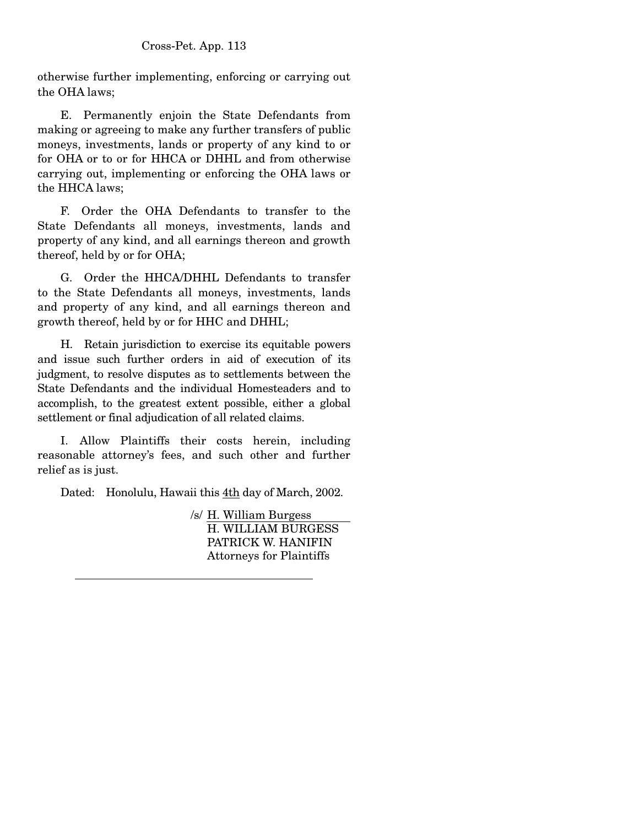otherwise further implementing, enforcing or carrying out the OHA laws;

 E. Permanently enjoin the State Defendants from making or agreeing to make any further transfers of public moneys, investments, lands or property of any kind to or for OHA or to or for HHCA or DHHL and from otherwise carrying out, implementing or enforcing the OHA laws or the HHCA laws;

 F. Order the OHA Defendants to transfer to the State Defendants all moneys, investments, lands and property of any kind, and all earnings thereon and growth thereof, held by or for OHA;

 G. Order the HHCA/DHHL Defendants to transfer to the State Defendants all moneys, investments, lands and property of any kind, and all earnings thereon and growth thereof, held by or for HHC and DHHL;

 H. Retain jurisdiction to exercise its equitable powers and issue such further orders in aid of execution of its judgment, to resolve disputes as to settlements between the State Defendants and the individual Homesteaders and to accomplish, to the greatest extent possible, either a global settlement or final adjudication of all related claims.

 I. Allow Plaintiffs their costs herein, including reasonable attorney's fees, and such other and further relief as is just.

Dated: Honolulu, Hawaii this 4th day of March, 2002.

/s/ H. William Burgess H. WILLIAM BURGESS PATRICK W. HANIFIN Attorneys for Plaintiffs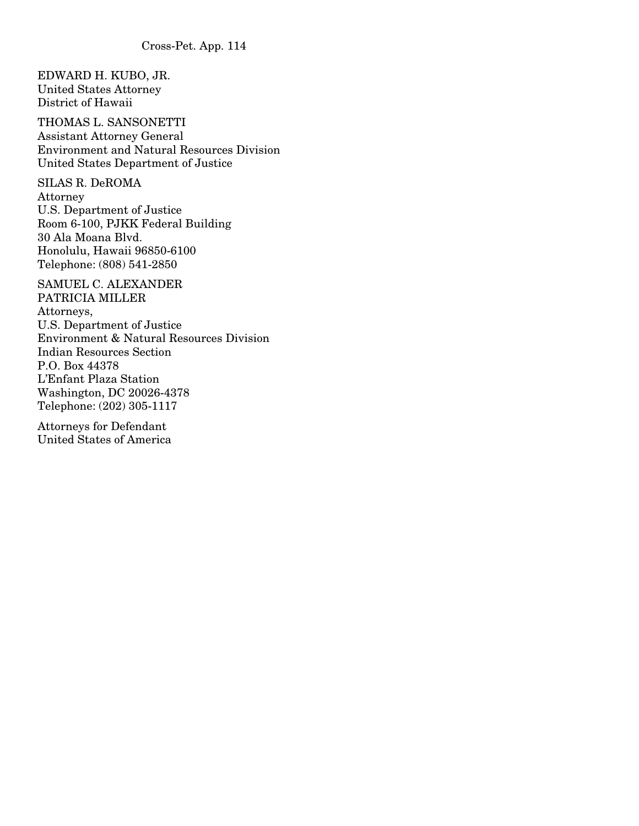EDWARD H. KUBO, JR. United States Attorney District of Hawaii

THOMAS L. SANSONETTI Assistant Attorney General Environment and Natural Resources Division United States Department of Justice

SILAS R. DeROMA Attorney U.S. Department of Justice Room 6-100, PJKK Federal Building 30 Ala Moana Blvd. Honolulu, Hawaii 96850-6100 Telephone: (808) 541-2850

SAMUEL C. ALEXANDER PATRICIA MILLER Attorneys, U.S. Department of Justice Environment & Natural Resources Division Indian Resources Section P.O. Box 44378 L'Enfant Plaza Station Washington, DC 20026-4378 Telephone: (202) 305-1117

Attorneys for Defendant United States of America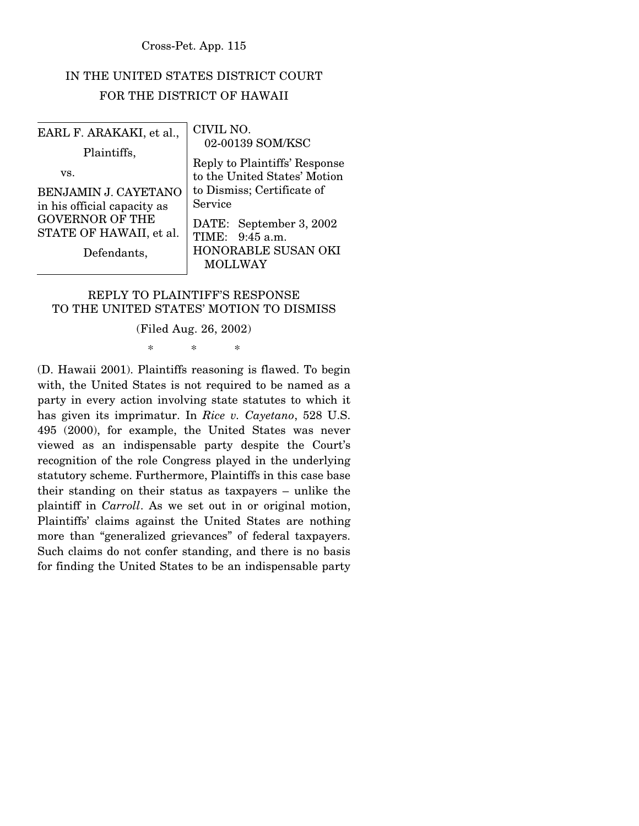## IN THE UNITED STATES DISTRICT COURT FOR THE DISTRICT OF HAWAII

| EARL F. ARAKAKI, et al.,<br>Plaintiffs,<br>VS.<br>BENJAMIN J. CAYETANO<br>in his official capacity as<br><b>GOVERNOR OF THE</b><br>STATE OF HAWAII, et al. | CIVIL NO.<br>02-00139 SOM/KSC<br>Reply to Plaintiffs' Response<br>to the United States' Motion<br>to Dismiss; Certificate of<br>Service<br>DATE: September 3, 2002<br>TIME: 9:45 a.m. |
|------------------------------------------------------------------------------------------------------------------------------------------------------------|---------------------------------------------------------------------------------------------------------------------------------------------------------------------------------------|
| Defendants,                                                                                                                                                | HONORABLE SUSAN OKI<br><b>MOLLWAY</b>                                                                                                                                                 |

#### REPLY TO PLAINTIFF'S RESPONSE TO THE UNITED STATES' MOTION TO DISMISS

#### (Filed Aug. 26, 2002)

\* \* \*

(D. Hawaii 2001). Plaintiffs reasoning is flawed. To begin with, the United States is not required to be named as a party in every action involving state statutes to which it has given its imprimatur. In *Rice v. Cayetano*, 528 U.S. 495 (2000), for example, the United States was never viewed as an indispensable party despite the Court's recognition of the role Congress played in the underlying statutory scheme. Furthermore, Plaintiffs in this case base their standing on their status as taxpayers – unlike the plaintiff in *Carroll*. As we set out in or original motion, Plaintiffs' claims against the United States are nothing more than "generalized grievances" of federal taxpayers. Such claims do not confer standing, and there is no basis for finding the United States to be an indispensable party